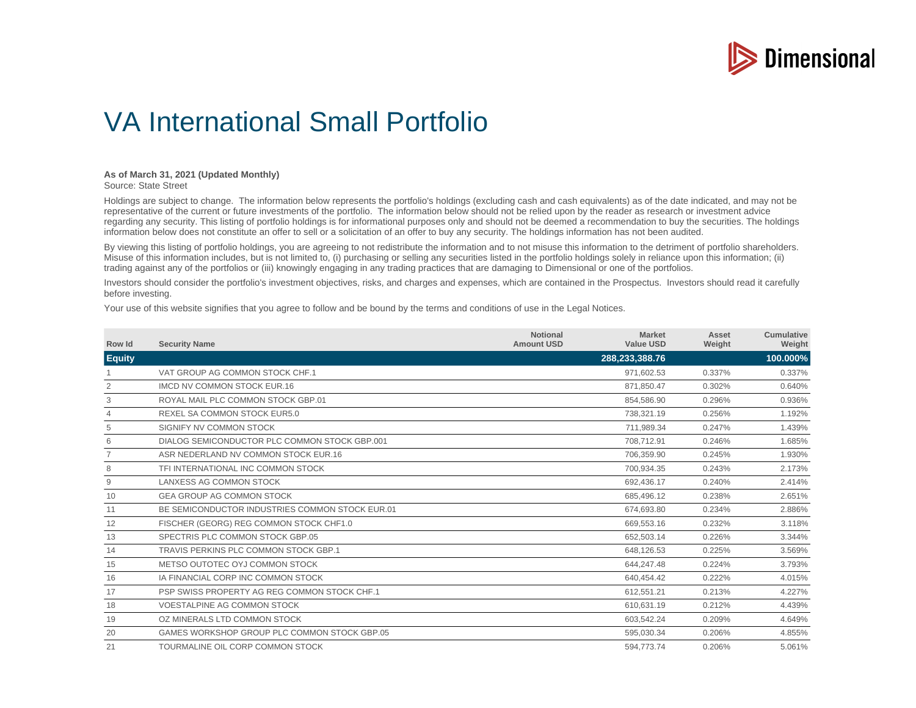

## VA International Small Portfolio

## **As of March 31, 2021 (Updated Monthly)**

Source: State Street

Holdings are subject to change. The information below represents the portfolio's holdings (excluding cash and cash equivalents) as of the date indicated, and may not be representative of the current or future investments of the portfolio. The information below should not be relied upon by the reader as research or investment advice regarding any security. This listing of portfolio holdings is for informational purposes only and should not be deemed a recommendation to buy the securities. The holdings information below does not constitute an offer to sell or a solicitation of an offer to buy any security. The holdings information has not been audited.

By viewing this listing of portfolio holdings, you are agreeing to not redistribute the information and to not misuse this information to the detriment of portfolio shareholders. Misuse of this information includes, but is not limited to, (i) purchasing or selling any securities listed in the portfolio holdings solely in reliance upon this information; (ii) trading against any of the portfolios or (iii) knowingly engaging in any trading practices that are damaging to Dimensional or one of the portfolios.

Investors should consider the portfolio's investment objectives, risks, and charges and expenses, which are contained in the Prospectus. Investors should read it carefully before investing.

Your use of this website signifies that you agree to follow and be bound by the terms and conditions of use in the Legal Notices.

| Row Id         | <b>Security Name</b>                            | <b>Notional</b><br><b>Amount USD</b> | <b>Market</b><br><b>Value USD</b> | Asset<br>Weight | Cumulative<br>Weight |
|----------------|-------------------------------------------------|--------------------------------------|-----------------------------------|-----------------|----------------------|
| <b>Equity</b>  |                                                 |                                      | 288,233,388.76                    |                 | 100.000%             |
|                | VAT GROUP AG COMMON STOCK CHE.1                 |                                      | 971.602.53                        | 0.337%          | 0.337%               |
| 2              | <b>IMCD NV COMMON STOCK EUR.16</b>              |                                      | 871.850.47                        | 0.302%          | 0.640%               |
| 3              | ROYAL MAIL PLC COMMON STOCK GBP.01              |                                      | 854,586.90                        | 0.296%          | 0.936%               |
| $\overline{4}$ | REXEL SA COMMON STOCK EUR5.0                    |                                      | 738,321.19                        | 0.256%          | 1.192%               |
| 5              | SIGNIFY NV COMMON STOCK                         |                                      | 711.989.34                        | 0.247%          | 1.439%               |
| 6              | DIALOG SEMICONDUCTOR PLC COMMON STOCK GBP.001   |                                      | 708,712.91                        | 0.246%          | 1.685%               |
| 7              | ASR NEDERLAND NV COMMON STOCK EUR.16            |                                      | 706,359.90                        | 0.245%          | 1.930%               |
| 8              | TFI INTERNATIONAL INC COMMON STOCK              |                                      | 700,934.35                        | 0.243%          | 2.173%               |
| 9              | <b>LANXESS AG COMMON STOCK</b>                  |                                      | 692,436.17                        | 0.240%          | 2.414%               |
| 10             | <b>GEA GROUP AG COMMON STOCK</b>                |                                      | 685,496.12                        | 0.238%          | 2.651%               |
| 11             | BE SEMICONDUCTOR INDUSTRIES COMMON STOCK EUR.01 |                                      | 674.693.80                        | 0.234%          | 2.886%               |
| 12             | FISCHER (GEORG) REG COMMON STOCK CHF1.0         |                                      | 669.553.16                        | 0.232%          | 3.118%               |
| 13             | SPECTRIS PLC COMMON STOCK GBP.05                |                                      | 652.503.14                        | 0.226%          | 3.344%               |
| 14             | TRAVIS PERKINS PLC COMMON STOCK GBP.1           |                                      | 648,126.53                        | 0.225%          | 3.569%               |
| 15             | METSO OUTOTEC OYJ COMMON STOCK                  |                                      | 644.247.48                        | 0.224%          | 3.793%               |
| 16             | IA FINANCIAL CORP INC COMMON STOCK              |                                      | 640,454.42                        | 0.222%          | 4.015%               |
| 17             | PSP SWISS PROPERTY AG REG COMMON STOCK CHE.1    |                                      | 612,551.21                        | 0.213%          | 4.227%               |
| 18             | <b>VOESTALPINE AG COMMON STOCK</b>              |                                      | 610,631.19                        | 0.212%          | 4.439%               |
| 19             | OZ MINERALS LTD COMMON STOCK                    |                                      | 603,542.24                        | 0.209%          | 4.649%               |
| 20             | GAMES WORKSHOP GROUP PLC COMMON STOCK GBP.05    |                                      | 595,030.34                        | 0.206%          | 4.855%               |
| 21             | TOURMALINE OIL CORP COMMON STOCK                |                                      | 594,773.74                        | 0.206%          | 5.061%               |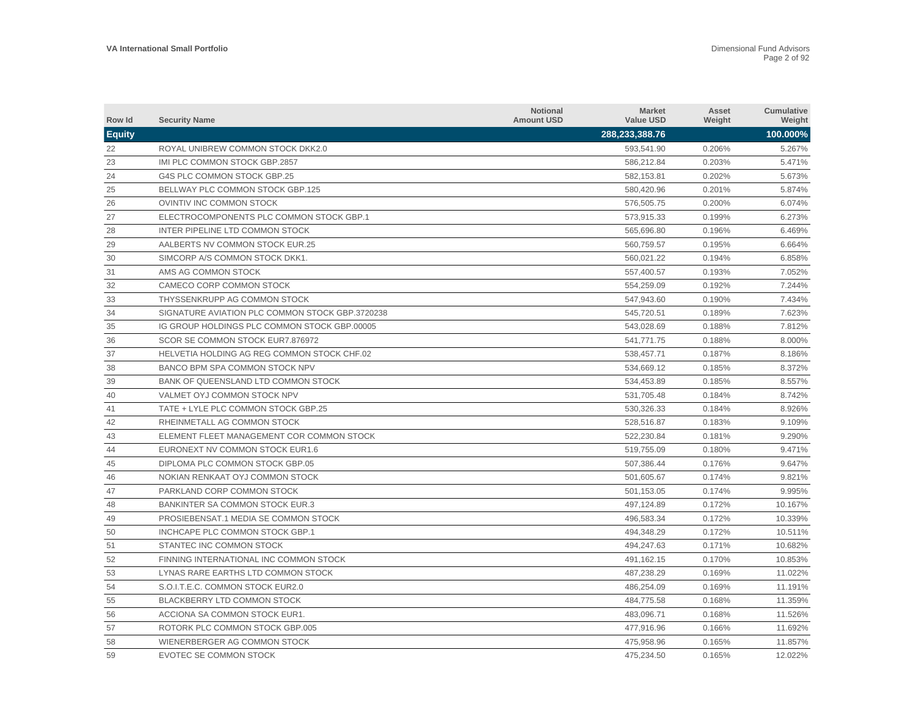| Row Id        | <b>Security Name</b>                            | <b>Notional</b><br><b>Amount USD</b> | <b>Market</b><br><b>Value USD</b> | Asset<br>Weight | <b>Cumulative</b><br>Weight |
|---------------|-------------------------------------------------|--------------------------------------|-----------------------------------|-----------------|-----------------------------|
| <b>Equity</b> |                                                 |                                      | 288,233,388.76                    |                 | 100.000%                    |
| 22            | ROYAL UNIBREW COMMON STOCK DKK2.0               |                                      | 593,541.90                        | 0.206%          | 5.267%                      |
| 23            | IMI PLC COMMON STOCK GBP.2857                   |                                      | 586,212.84                        | 0.203%          | 5.471%                      |
| 24            | G4S PLC COMMON STOCK GBP.25                     |                                      | 582,153.81                        | 0.202%          | 5.673%                      |
| 25            | BELLWAY PLC COMMON STOCK GBP.125                |                                      | 580,420.96                        | 0.201%          | 5.874%                      |
| 26            | OVINTIV INC COMMON STOCK                        |                                      | 576,505.75                        | 0.200%          | 6.074%                      |
| 27            | ELECTROCOMPONENTS PLC COMMON STOCK GBP.1        |                                      | 573,915.33                        | 0.199%          | 6.273%                      |
| 28            | INTER PIPELINE LTD COMMON STOCK                 |                                      | 565,696.80                        | 0.196%          | 6.469%                      |
| 29            | AALBERTS NV COMMON STOCK EUR.25                 |                                      | 560,759.57                        | 0.195%          | 6.664%                      |
| 30            | SIMCORP A/S COMMON STOCK DKK1.                  |                                      | 560.021.22                        | 0.194%          | 6.858%                      |
| 31            | AMS AG COMMON STOCK                             |                                      | 557.400.57                        | 0.193%          | 7.052%                      |
| 32            | CAMECO CORP COMMON STOCK                        |                                      | 554,259.09                        | 0.192%          | 7.244%                      |
| 33            | THYSSENKRUPP AG COMMON STOCK                    |                                      | 547,943.60                        | 0.190%          | 7.434%                      |
| 34            | SIGNATURE AVIATION PLC COMMON STOCK GBP.3720238 |                                      | 545,720.51                        | 0.189%          | 7.623%                      |
| 35            | IG GROUP HOLDINGS PLC COMMON STOCK GBP.00005    |                                      | 543,028.69                        | 0.188%          | 7.812%                      |
| 36            | SCOR SE COMMON STOCK EUR7.876972                |                                      | 541,771.75                        | 0.188%          | 8.000%                      |
| 37            | HELVETIA HOLDING AG REG COMMON STOCK CHF.02     |                                      | 538,457.71                        | 0.187%          | 8.186%                      |
| 38            | BANCO BPM SPA COMMON STOCK NPV                  |                                      | 534,669.12                        | 0.185%          | 8.372%                      |
| 39            | BANK OF QUEENSLAND LTD COMMON STOCK             |                                      | 534,453.89                        | 0.185%          | 8.557%                      |
| 40            | VALMET OYJ COMMON STOCK NPV                     |                                      | 531,705.48                        | 0.184%          | 8.742%                      |
| 41            | TATE + LYLE PLC COMMON STOCK GBP.25             |                                      | 530,326.33                        | 0.184%          | 8.926%                      |
| 42            | RHEINMETALL AG COMMON STOCK                     |                                      | 528,516.87                        | 0.183%          | 9.109%                      |
| 43            | ELEMENT FLEET MANAGEMENT COR COMMON STOCK       |                                      | 522.230.84                        | 0.181%          | 9.290%                      |
| 44            | EURONEXT NV COMMON STOCK EUR1.6                 |                                      | 519.755.09                        | 0.180%          | 9.471%                      |
| 45            | DIPLOMA PLC COMMON STOCK GBP.05                 |                                      | 507.386.44                        | 0.176%          | 9.647%                      |
| 46            | NOKIAN RENKAAT OYJ COMMON STOCK                 |                                      | 501,605.67                        | 0.174%          | 9.821%                      |
| 47            | PARKLAND CORP COMMON STOCK                      |                                      | 501,153.05                        | 0.174%          | 9.995%                      |
| 48            | BANKINTER SA COMMON STOCK EUR.3                 |                                      | 497,124.89                        | 0.172%          | 10.167%                     |
| 49            | PROSIEBENSAT.1 MEDIA SE COMMON STOCK            |                                      | 496.583.34                        | 0.172%          | 10.339%                     |
| 50            | INCHCAPE PLC COMMON STOCK GBP.1                 |                                      | 494,348.29                        | 0.172%          | 10.511%                     |
| 51            | STANTEC INC COMMON STOCK                        |                                      | 494,247.63                        | 0.171%          | 10.682%                     |
| 52            | FINNING INTERNATIONAL INC COMMON STOCK          |                                      | 491,162.15                        | 0.170%          | 10.853%                     |
| 53            | LYNAS RARE EARTHS LTD COMMON STOCK              |                                      | 487,238.29                        | 0.169%          | 11.022%                     |
| 54            | S.O.I.T.E.C. COMMON STOCK EUR2.0                |                                      | 486,254.09                        | 0.169%          | 11.191%                     |
| 55            | BLACKBERRY LTD COMMON STOCK                     |                                      | 484,775.58                        | 0.168%          | 11.359%                     |
| 56            | ACCIONA SA COMMON STOCK EUR1.                   |                                      | 483,096.71                        | 0.168%          | 11.526%                     |
| 57            | ROTORK PLC COMMON STOCK GBP.005                 |                                      | 477.916.96                        | 0.166%          | 11.692%                     |
| 58            | WIENERBERGER AG COMMON STOCK                    |                                      | 475.958.96                        | 0.165%          | 11.857%                     |
| 59            | EVOTEC SE COMMON STOCK                          |                                      | 475,234.50                        | 0.165%          | 12.022%                     |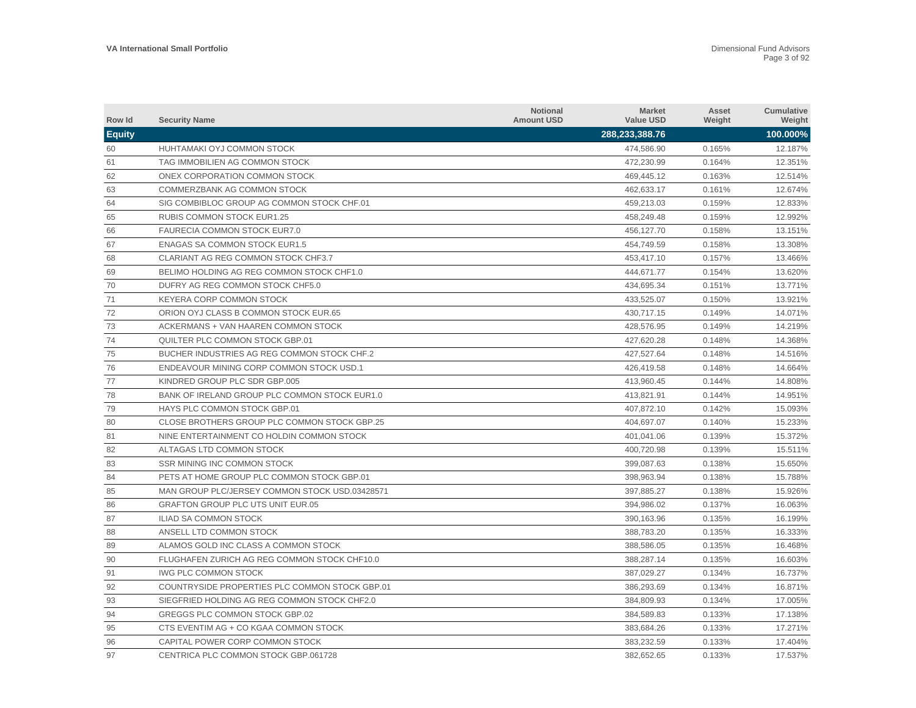| Row Id        | <b>Security Name</b>                           | <b>Notional</b><br><b>Amount USD</b> | <b>Market</b><br><b>Value USD</b> | Asset<br>Weight | <b>Cumulative</b><br>Weight |
|---------------|------------------------------------------------|--------------------------------------|-----------------------------------|-----------------|-----------------------------|
| <b>Equity</b> |                                                |                                      | 288,233,388.76                    |                 | 100.000%                    |
| 60            | HUHTAMAKI OYJ COMMON STOCK                     |                                      | 474.586.90                        | 0.165%          | 12.187%                     |
| 61            | TAG IMMOBILIEN AG COMMON STOCK                 |                                      | 472,230.99                        | 0.164%          | 12.351%                     |
| 62            | ONEX CORPORATION COMMON STOCK                  |                                      | 469,445.12                        | 0.163%          | 12.514%                     |
| 63            | COMMERZBANK AG COMMON STOCK                    |                                      | 462,633.17                        | 0.161%          | 12.674%                     |
| 64            | SIG COMBIBLOC GROUP AG COMMON STOCK CHF.01     |                                      | 459,213.03                        | 0.159%          | 12.833%                     |
| 65            | <b>RUBIS COMMON STOCK EUR1.25</b>              |                                      | 458,249.48                        | 0.159%          | 12.992%                     |
| 66            | FAURECIA COMMON STOCK EUR7.0                   |                                      | 456,127.70                        | 0.158%          | 13.151%                     |
| 67            | <b>ENAGAS SA COMMON STOCK EUR1.5</b>           |                                      | 454,749.59                        | 0.158%          | 13.308%                     |
| 68            | CLARIANT AG REG COMMON STOCK CHF3.7            |                                      | 453,417.10                        | 0.157%          | 13.466%                     |
| 69            | BELIMO HOLDING AG REG COMMON STOCK CHF1.0      |                                      | 444,671.77                        | 0.154%          | 13.620%                     |
| 70            | DUFRY AG REG COMMON STOCK CHF5.0               |                                      | 434,695.34                        | 0.151%          | 13.771%                     |
| 71            | <b>KEYERA CORP COMMON STOCK</b>                |                                      | 433,525.07                        | 0.150%          | 13.921%                     |
| 72            | ORION OYJ CLASS B COMMON STOCK EUR.65          |                                      | 430,717.15                        | 0.149%          | 14.071%                     |
| 73            | ACKERMANS + VAN HAAREN COMMON STOCK            |                                      | 428.576.95                        | 0.149%          | 14.219%                     |
| 74            | QUILTER PLC COMMON STOCK GBP.01                |                                      | 427,620.28                        | 0.148%          | 14.368%                     |
| 75            | BUCHER INDUSTRIES AG REG COMMON STOCK CHF.2    |                                      | 427.527.64                        | 0.148%          | 14.516%                     |
| 76            | ENDEAVOUR MINING CORP COMMON STOCK USD.1       |                                      | 426,419.58                        | 0.148%          | 14.664%                     |
| 77            | KINDRED GROUP PLC SDR GBP.005                  |                                      | 413,960.45                        | 0.144%          | 14.808%                     |
| 78            | BANK OF IRELAND GROUP PLC COMMON STOCK EUR1.0  |                                      | 413,821.91                        | 0.144%          | 14.951%                     |
| 79            | <b>HAYS PLC COMMON STOCK GBP.01</b>            |                                      | 407,872.10                        | 0.142%          | 15.093%                     |
| 80            | CLOSE BROTHERS GROUP PLC COMMON STOCK GBP.25   |                                      | 404,697.07                        | 0.140%          | 15.233%                     |
| 81            | NINE ENTERTAINMENT CO HOLDIN COMMON STOCK      |                                      | 401,041.06                        | 0.139%          | 15.372%                     |
| 82            | ALTAGAS LTD COMMON STOCK                       |                                      | 400,720.98                        | 0.139%          | 15.511%                     |
| 83            | <b>SSR MINING INC COMMON STOCK</b>             |                                      | 399,087.63                        | 0.138%          | 15.650%                     |
| 84            | PETS AT HOME GROUP PLC COMMON STOCK GBP.01     |                                      | 398,963.94                        | 0.138%          | 15.788%                     |
| 85            | MAN GROUP PLC/JERSEY COMMON STOCK USD.03428571 |                                      | 397,885.27                        | 0.138%          | 15.926%                     |
| 86            | <b>GRAFTON GROUP PLC UTS UNIT EUR.05</b>       |                                      | 394,986.02                        | 0.137%          | 16.063%                     |
| 87            | <b>ILIAD SA COMMON STOCK</b>                   |                                      | 390,163.96                        | 0.135%          | 16.199%                     |
| 88            | ANSELL LTD COMMON STOCK                        |                                      | 388,783.20                        | 0.135%          | 16.333%                     |
| 89            | ALAMOS GOLD INC CLASS A COMMON STOCK           |                                      | 388,586.05                        | 0.135%          | 16.468%                     |
| 90            | FLUGHAFEN ZURICH AG REG COMMON STOCK CHF10.0   |                                      | 388,287.14                        | 0.135%          | 16.603%                     |
| 91            | IWG PLC COMMON STOCK                           |                                      | 387,029.27                        | 0.134%          | 16.737%                     |
| 92            | COUNTRYSIDE PROPERTIES PLC COMMON STOCK GBP.01 |                                      | 386,293.69                        | 0.134%          | 16.871%                     |
| 93            | SIEGFRIED HOLDING AG REG COMMON STOCK CHF2.0   |                                      | 384,809.93                        | 0.134%          | 17.005%                     |
| 94            | GREGGS PLC COMMON STOCK GBP.02                 |                                      | 384,589.83                        | 0.133%          | 17.138%                     |
| 95            | CTS EVENTIM AG + CO KGAA COMMON STOCK          |                                      | 383.684.26                        | 0.133%          | 17.271%                     |
| 96            | CAPITAL POWER CORP COMMON STOCK                |                                      | 383.232.59                        | 0.133%          | 17.404%                     |
| 97            | CENTRICA PLC COMMON STOCK GBP.061728           |                                      | 382.652.65                        | 0.133%          | 17.537%                     |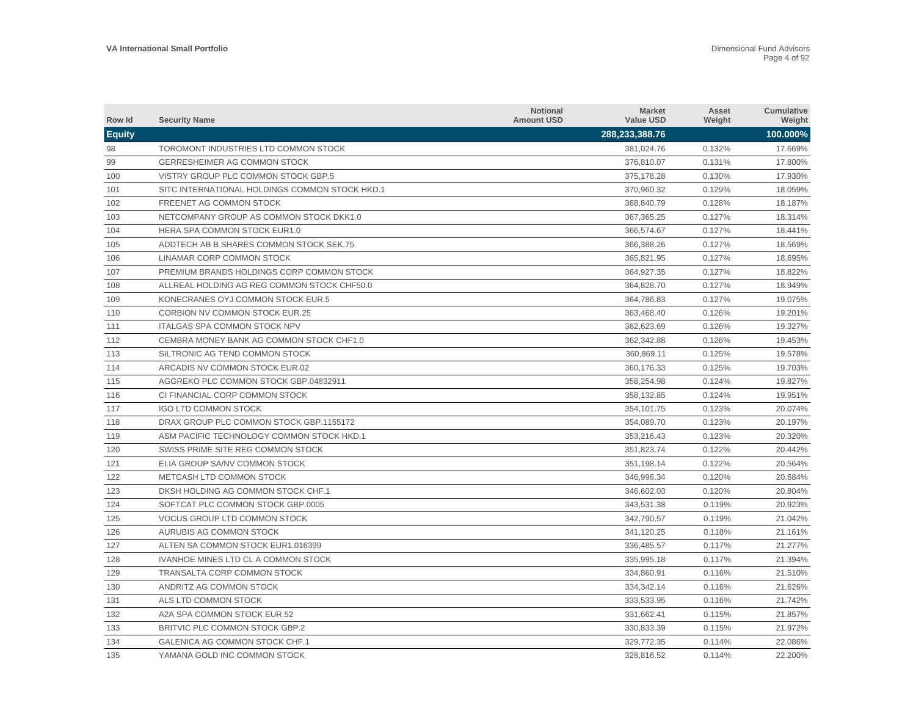| Row Id        | <b>Security Name</b>                           | <b>Notional</b><br><b>Amount USD</b> | <b>Market</b><br><b>Value USD</b> | Asset<br>Weight | <b>Cumulative</b><br>Weight |
|---------------|------------------------------------------------|--------------------------------------|-----------------------------------|-----------------|-----------------------------|
| <b>Equity</b> |                                                |                                      | 288,233,388.76                    |                 | 100.000%                    |
| 98            | TOROMONT INDUSTRIES LTD COMMON STOCK           |                                      | 381,024.76                        | 0.132%          | 17.669%                     |
| 99            | <b>GERRESHEIMER AG COMMON STOCK</b>            |                                      | 376,810.07                        | 0.131%          | 17.800%                     |
| 100           | VISTRY GROUP PLC COMMON STOCK GBP.5            |                                      | 375,178.28                        | 0.130%          | 17.930%                     |
| 101           | SITC INTERNATIONAL HOLDINGS COMMON STOCK HKD.1 |                                      | 370,960.32                        | 0.129%          | 18.059%                     |
| 102           | FREENET AG COMMON STOCK                        |                                      | 368,840.79                        | 0.128%          | 18.187%                     |
| 103           | NETCOMPANY GROUP AS COMMON STOCK DKK1.0        |                                      | 367,365.25                        | 0.127%          | 18.314%                     |
| 104           | HERA SPA COMMON STOCK EUR1.0                   |                                      | 366,574.67                        | 0.127%          | 18.441%                     |
| 105           | ADDTECH AB B SHARES COMMON STOCK SEK.75        |                                      | 366.388.26                        | 0.127%          | 18.569%                     |
| 106           | LINAMAR CORP COMMON STOCK                      |                                      | 365,821.95                        | 0.127%          | 18.695%                     |
| 107           | PREMIUM BRANDS HOLDINGS CORP COMMON STOCK      |                                      | 364.927.35                        | 0.127%          | 18.822%                     |
| 108           | ALLREAL HOLDING AG REG COMMON STOCK CHF50.0    |                                      | 364,828.70                        | 0.127%          | 18.949%                     |
| 109           | KONECRANES OYJ COMMON STOCK EUR.5              |                                      | 364,786.83                        | 0.127%          | 19.075%                     |
| 110           | <b>CORBION NV COMMON STOCK EUR.25</b>          |                                      | 363,468.40                        | 0.126%          | 19.201%                     |
| 111           | <b>ITALGAS SPA COMMON STOCK NPV</b>            |                                      | 362,623.69                        | 0.126%          | 19.327%                     |
| 112           | CEMBRA MONEY BANK AG COMMON STOCK CHF1.0       |                                      | 362,342.88                        | 0.126%          | 19.453%                     |
| 113           | SILTRONIC AG TEND COMMON STOCK                 |                                      | 360,869.11                        | 0.125%          | 19.578%                     |
| 114           | ARCADIS NV COMMON STOCK EUR.02                 |                                      | 360.176.33                        | 0.125%          | 19.703%                     |
| 115           | AGGREKO PLC COMMON STOCK GBP.04832911          |                                      | 358,254.98                        | 0.124%          | 19.827%                     |
| 116           | CI FINANCIAL CORP COMMON STOCK                 |                                      | 358,132.85                        | 0.124%          | 19.951%                     |
| 117           | <b>IGO LTD COMMON STOCK</b>                    |                                      | 354,101.75                        | 0.123%          | 20.074%                     |
| 118           | DRAX GROUP PLC COMMON STOCK GBP.1155172        |                                      | 354,089.70                        | 0.123%          | 20.197%                     |
| 119           | ASM PACIFIC TECHNOLOGY COMMON STOCK HKD.1      |                                      | 353,216.43                        | 0.123%          | 20.320%                     |
| 120           | SWISS PRIME SITE REG COMMON STOCK              |                                      | 351,823.74                        | 0.122%          | 20.442%                     |
| 121           | ELIA GROUP SA/NV COMMON STOCK                  |                                      | 351,198.14                        | 0.122%          | 20.564%                     |
| 122           | METCASH LTD COMMON STOCK                       |                                      | 346,996.34                        | 0.120%          | 20.684%                     |
| 123           | DKSH HOLDING AG COMMON STOCK CHF.1             |                                      | 346,602.03                        | 0.120%          | 20.804%                     |
| 124           | SOFTCAT PLC COMMON STOCK GBP.0005              |                                      | 343.531.38                        | 0.119%          | 20.923%                     |
| 125           | <b>VOCUS GROUP LTD COMMON STOCK</b>            |                                      | 342,790.57                        | 0.119%          | 21.042%                     |
| 126           | AURUBIS AG COMMON STOCK                        |                                      | 341,120.25                        | 0.118%          | 21.161%                     |
| 127           | ALTEN SA COMMON STOCK EUR1.016399              |                                      | 336,485.57                        | 0.117%          | 21.277%                     |
| 128           | IVANHOE MINES LTD CL A COMMON STOCK            |                                      | 335,995.18                        | 0.117%          | 21.394%                     |
| 129           | TRANSALTA CORP COMMON STOCK                    |                                      | 334,860.91                        | 0.116%          | 21.510%                     |
| 130           | ANDRITZ AG COMMON STOCK                        |                                      | 334,342.14                        | 0.116%          | 21.626%                     |
| 131           | ALS LTD COMMON STOCK                           |                                      | 333,533.95                        | 0.116%          | 21.742%                     |
| 132           | A2A SPA COMMON STOCK EUR.52                    |                                      | 331,662.41                        | 0.115%          | 21.857%                     |
| 133           | BRITVIC PLC COMMON STOCK GBP.2                 |                                      | 330,833.39                        | 0.115%          | 21.972%                     |
| 134           | <b>GALENICA AG COMMON STOCK CHF.1</b>          |                                      | 329.772.35                        | 0.114%          | 22.086%                     |
| 135           | YAMANA GOLD INC COMMON STOCK                   |                                      | 328,816.52                        | 0.114%          | 22.200%                     |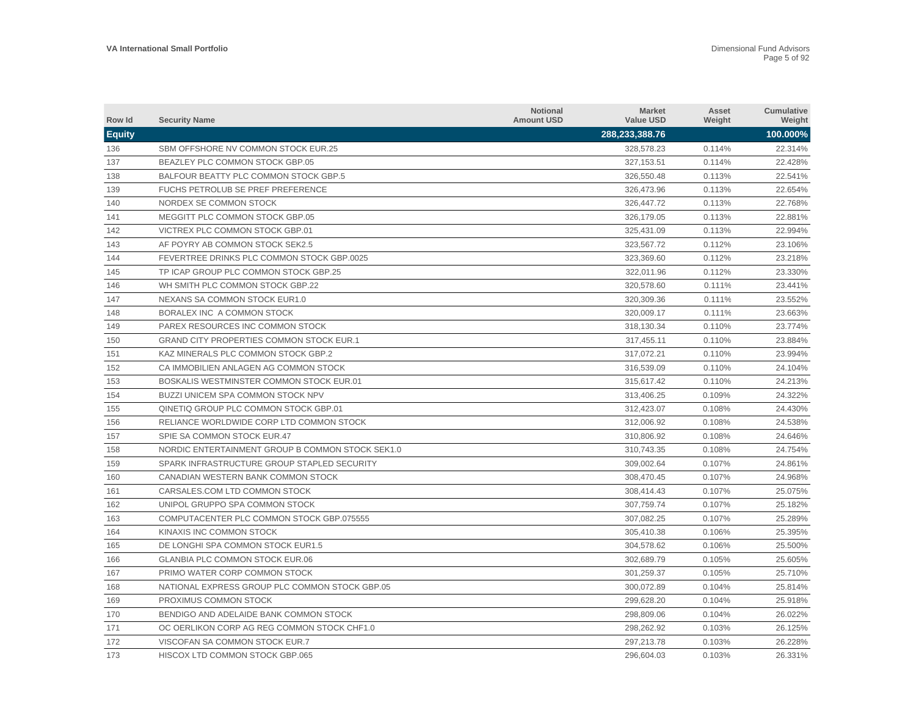| Row Id        | <b>Security Name</b>                             | <b>Notional</b><br><b>Amount USD</b> | <b>Market</b><br><b>Value USD</b> | Asset<br>Weight | <b>Cumulative</b><br>Weight |
|---------------|--------------------------------------------------|--------------------------------------|-----------------------------------|-----------------|-----------------------------|
| <b>Equity</b> |                                                  |                                      | 288,233,388.76                    |                 | 100.000%                    |
| 136           | SBM OFFSHORE NV COMMON STOCK EUR.25              |                                      | 328,578.23                        | 0.114%          | 22.314%                     |
| 137           | BEAZLEY PLC COMMON STOCK GBP.05                  |                                      | 327, 153.51                       | 0.114%          | 22.428%                     |
| 138           | BALFOUR BEATTY PLC COMMON STOCK GBP.5            |                                      | 326.550.48                        | 0.113%          | 22.541%                     |
| 139           | FUCHS PETROLUB SE PREF PREFERENCE                |                                      | 326,473.96                        | 0.113%          | 22.654%                     |
| 140           | NORDEX SE COMMON STOCK                           |                                      | 326,447.72                        | 0.113%          | 22.768%                     |
| 141           | MEGGITT PLC COMMON STOCK GBP.05                  |                                      | 326,179.05                        | 0.113%          | 22.881%                     |
| 142           | VICTREX PLC COMMON STOCK GBP.01                  |                                      | 325,431.09                        | 0.113%          | 22.994%                     |
| 143           | AF POYRY AB COMMON STOCK SEK2.5                  |                                      | 323,567.72                        | 0.112%          | 23.106%                     |
| 144           | FEVERTREE DRINKS PLC COMMON STOCK GBP.0025       |                                      | 323,369.60                        | 0.112%          | 23.218%                     |
| 145           | TP ICAP GROUP PLC COMMON STOCK GBP.25            |                                      | 322,011.96                        | 0.112%          | 23.330%                     |
| 146           | WH SMITH PLC COMMON STOCK GBP.22                 |                                      | 320,578.60                        | 0.111%          | 23.441%                     |
| 147           | NEXANS SA COMMON STOCK EUR1.0                    |                                      | 320,309.36                        | 0.111%          | 23.552%                     |
| 148           | BORALEX INC A COMMON STOCK                       |                                      | 320.009.17                        | 0.111%          | 23.663%                     |
| 149           | PAREX RESOURCES INC COMMON STOCK                 |                                      | 318,130.34                        | 0.110%          | 23.774%                     |
| 150           | <b>GRAND CITY PROPERTIES COMMON STOCK EUR.1</b>  |                                      | 317,455.11                        | 0.110%          | 23.884%                     |
| 151           | KAZ MINERALS PLC COMMON STOCK GBP.2              |                                      | 317.072.21                        | 0.110%          | 23.994%                     |
| 152           | CA IMMOBILIEN ANLAGEN AG COMMON STOCK            |                                      | 316,539.09                        | 0.110%          | 24.104%                     |
| 153           | BOSKALIS WESTMINSTER COMMON STOCK EUR.01         |                                      | 315,617.42                        | 0.110%          | 24.213%                     |
| 154           | <b>BUZZI UNICEM SPA COMMON STOCK NPV</b>         |                                      | 313,406.25                        | 0.109%          | 24.322%                     |
| 155           | QINETIQ GROUP PLC COMMON STOCK GBP.01            |                                      | 312,423.07                        | 0.108%          | 24.430%                     |
| 156           | RELIANCE WORLDWIDE CORP LTD COMMON STOCK         |                                      | 312,006.92                        | 0.108%          | 24.538%                     |
| 157           | SPIE SA COMMON STOCK EUR.47                      |                                      | 310,806.92                        | 0.108%          | 24.646%                     |
| 158           | NORDIC ENTERTAINMENT GROUP B COMMON STOCK SEK1.0 |                                      | 310,743.35                        | 0.108%          | 24.754%                     |
| 159           | SPARK INFRASTRUCTURE GROUP STAPLED SECURITY      |                                      | 309,002.64                        | 0.107%          | 24.861%                     |
| 160           | CANADIAN WESTERN BANK COMMON STOCK               |                                      | 308,470.45                        | 0.107%          | 24.968%                     |
| 161           | CARSALES.COM LTD COMMON STOCK                    |                                      | 308,414.43                        | 0.107%          | 25.075%                     |
| 162           | UNIPOL GRUPPO SPA COMMON STOCK                   |                                      | 307,759.74                        | 0.107%          | 25.182%                     |
| 163           | COMPUTACENTER PLC COMMON STOCK GBP.075555        |                                      | 307,082.25                        | 0.107%          | 25.289%                     |
| 164           | KINAXIS INC COMMON STOCK                         |                                      | 305,410.38                        | 0.106%          | 25.395%                     |
| 165           | DE LONGHI SPA COMMON STOCK EUR1.5                |                                      | 304,578.62                        | 0.106%          | 25.500%                     |
| 166           | <b>GLANBIA PLC COMMON STOCK EUR.06</b>           |                                      | 302,689.79                        | 0.105%          | 25.605%                     |
| 167           | PRIMO WATER CORP COMMON STOCK                    |                                      | 301,259.37                        | 0.105%          | 25.710%                     |
| 168           | NATIONAL EXPRESS GROUP PLC COMMON STOCK GBP.05   |                                      | 300,072.89                        | 0.104%          | 25.814%                     |
| 169           | PROXIMUS COMMON STOCK                            |                                      | 299,628.20                        | 0.104%          | 25.918%                     |
| 170           | BENDIGO AND ADELAIDE BANK COMMON STOCK           |                                      | 298.809.06                        | 0.104%          | 26.022%                     |
| 171           | OC OERLIKON CORP AG REG COMMON STOCK CHF1.0      |                                      | 298,262.92                        | 0.103%          | 26.125%                     |
| 172           | VISCOFAN SA COMMON STOCK EUR.7                   |                                      | 297.213.78                        | 0.103%          | 26.228%                     |
| 173           | HISCOX LTD COMMON STOCK GBP.065                  |                                      | 296.604.03                        | 0.103%          | 26.331%                     |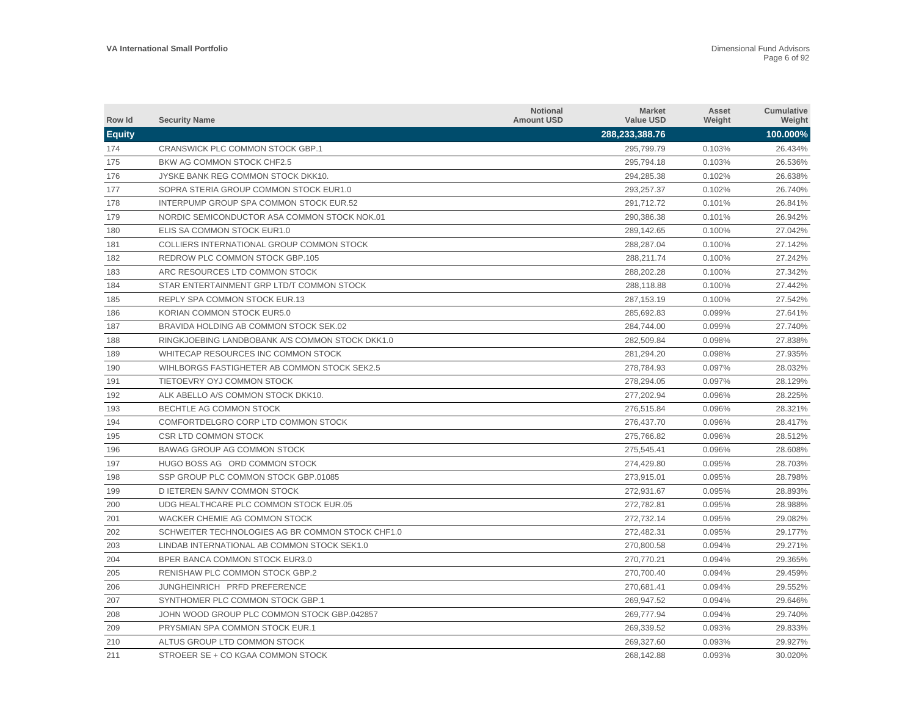| Row Id        | <b>Security Name</b>                             | <b>Notional</b><br><b>Amount USD</b> | <b>Market</b><br><b>Value USD</b> | Asset<br>Weight | Cumulative<br>Weight |
|---------------|--------------------------------------------------|--------------------------------------|-----------------------------------|-----------------|----------------------|
| <b>Equity</b> |                                                  |                                      | 288,233,388.76                    |                 | 100.000%             |
| 174           | CRANSWICK PLC COMMON STOCK GBP.1                 |                                      | 295,799.79                        | 0.103%          | 26.434%              |
| 175           | BKW AG COMMON STOCK CHF2.5                       |                                      | 295,794.18                        | 0.103%          | 26.536%              |
| 176           | JYSKE BANK REG COMMON STOCK DKK10.               |                                      | 294,285.38                        | 0.102%          | 26.638%              |
| 177           | SOPRA STERIA GROUP COMMON STOCK EUR1.0           |                                      | 293,257.37                        | 0.102%          | 26.740%              |
| 178           | INTERPUMP GROUP SPA COMMON STOCK EUR.52          |                                      | 291,712.72                        | 0.101%          | 26.841%              |
| 179           | NORDIC SEMICONDUCTOR ASA COMMON STOCK NOK.01     |                                      | 290,386.38                        | 0.101%          | 26.942%              |
| 180           | ELIS SA COMMON STOCK EUR1.0                      |                                      | 289,142.65                        | 0.100%          | 27.042%              |
| 181           | COLLIERS INTERNATIONAL GROUP COMMON STOCK        |                                      | 288,287.04                        | 0.100%          | 27.142%              |
| 182           | REDROW PLC COMMON STOCK GBP.105                  |                                      | 288.211.74                        | 0.100%          | 27.242%              |
| 183           | ARC RESOURCES LTD COMMON STOCK                   |                                      | 288.202.28                        | 0.100%          | 27.342%              |
| 184           | STAR ENTERTAINMENT GRP LTD/T COMMON STOCK        |                                      | 288,118.88                        | 0.100%          | 27.442%              |
| 185           | REPLY SPA COMMON STOCK EUR.13                    |                                      | 287, 153. 19                      | 0.100%          | 27.542%              |
| 186           | KORIAN COMMON STOCK EUR5.0                       |                                      | 285,692.83                        | 0.099%          | 27.641%              |
| 187           | BRAVIDA HOLDING AB COMMON STOCK SEK.02           |                                      | 284,744.00                        | 0.099%          | 27.740%              |
| 188           | RINGKJOEBING LANDBOBANK A/S COMMON STOCK DKK1.0  |                                      | 282.509.84                        | 0.098%          | 27.838%              |
| 189           | WHITECAP RESOURCES INC COMMON STOCK              |                                      | 281,294.20                        | 0.098%          | 27.935%              |
| 190           | WIHLBORGS FASTIGHETER AB COMMON STOCK SEK2.5     |                                      | 278,784.93                        | 0.097%          | 28.032%              |
| 191           | TIETOEVRY OYJ COMMON STOCK                       |                                      | 278,294.05                        | 0.097%          | 28.129%              |
| 192           | ALK ABELLO A/S COMMON STOCK DKK10.               |                                      | 277,202.94                        | 0.096%          | 28.225%              |
| 193           | BECHTLE AG COMMON STOCK                          |                                      | 276,515.84                        | 0.096%          | 28.321%              |
| 194           | COMFORTDELGRO CORP LTD COMMON STOCK              |                                      | 276,437.70                        | 0.096%          | 28.417%              |
| 195           | <b>CSR LTD COMMON STOCK</b>                      |                                      | 275.766.82                        | 0.096%          | 28.512%              |
| 196           | <b>BAWAG GROUP AG COMMON STOCK</b>               |                                      | 275.545.41                        | 0.096%          | 28.608%              |
| 197           | HUGO BOSS AG ORD COMMON STOCK                    |                                      | 274.429.80                        | 0.095%          | 28.703%              |
| 198           | SSP GROUP PLC COMMON STOCK GBP.01085             |                                      | 273,915.01                        | 0.095%          | 28.798%              |
| 199           | D IETEREN SA/NV COMMON STOCK                     |                                      | 272,931.67                        | 0.095%          | 28.893%              |
| 200           | UDG HEALTHCARE PLC COMMON STOCK EUR.05           |                                      | 272,782.81                        | 0.095%          | 28.988%              |
| 201           | WACKER CHEMIE AG COMMON STOCK                    |                                      | 272,732.14                        | 0.095%          | 29.082%              |
| 202           | SCHWEITER TECHNOLOGIES AG BR COMMON STOCK CHF1.0 |                                      | 272,482.31                        | 0.095%          | 29.177%              |
| 203           | LINDAB INTERNATIONAL AB COMMON STOCK SEK1.0      |                                      | 270,800.58                        | 0.094%          | 29.271%              |
| 204           | BPER BANCA COMMON STOCK EUR3.0                   |                                      | 270,770.21                        | 0.094%          | 29.365%              |
| 205           | RENISHAW PLC COMMON STOCK GBP.2                  |                                      | 270,700.40                        | 0.094%          | 29.459%              |
| 206           | JUNGHEINRICH PRFD PREFERENCE                     |                                      | 270,681.41                        | 0.094%          | 29.552%              |
| 207           | SYNTHOMER PLC COMMON STOCK GBP.1                 |                                      | 269,947.52                        | 0.094%          | 29.646%              |
| 208           | JOHN WOOD GROUP PLC COMMON STOCK GBP.042857      |                                      | 269,777.94                        | 0.094%          | 29.740%              |
| 209           | PRYSMIAN SPA COMMON STOCK EUR.1                  |                                      | 269.339.52                        | 0.093%          | 29.833%              |
| 210           | ALTUS GROUP LTD COMMON STOCK                     |                                      | 269.327.60                        | 0.093%          | 29.927%              |
| 211           | STROEER SE + CO KGAA COMMON STOCK                |                                      | 268,142.88                        | 0.093%          | 30.020%              |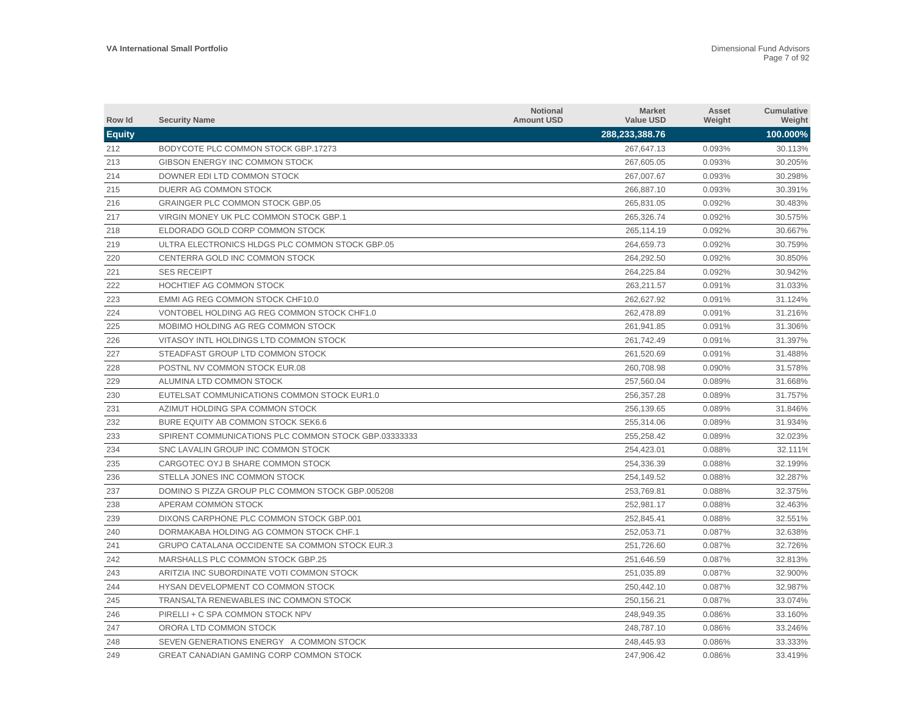| Row Id        | <b>Security Name</b>                                 | <b>Notional</b><br><b>Amount USD</b> | <b>Market</b><br><b>Value USD</b> | Asset<br>Weight | <b>Cumulative</b><br>Weight |
|---------------|------------------------------------------------------|--------------------------------------|-----------------------------------|-----------------|-----------------------------|
| <b>Equity</b> |                                                      |                                      | 288,233,388.76                    |                 | 100.000%                    |
| 212           | BODYCOTE PLC COMMON STOCK GBP.17273                  |                                      | 267,647.13                        | 0.093%          | 30.113%                     |
| 213           | GIBSON ENERGY INC COMMON STOCK                       |                                      | 267,605.05                        | 0.093%          | 30.205%                     |
| 214           | DOWNER EDI LTD COMMON STOCK                          |                                      | 267,007.67                        | 0.093%          | 30.298%                     |
| 215           | DUERR AG COMMON STOCK                                |                                      | 266,887.10                        | 0.093%          | 30.391%                     |
| 216           | <b>GRAINGER PLC COMMON STOCK GBP.05</b>              |                                      | 265,831.05                        | 0.092%          | 30.483%                     |
| 217           | VIRGIN MONEY UK PLC COMMON STOCK GBP.1               |                                      | 265,326.74                        | 0.092%          | 30.575%                     |
| 218           | ELDORADO GOLD CORP COMMON STOCK                      |                                      | 265,114.19                        | 0.092%          | 30.667%                     |
| 219           | ULTRA ELECTRONICS HLDGS PLC COMMON STOCK GBP.05      |                                      | 264,659.73                        | 0.092%          | 30.759%                     |
| 220           | CENTERRA GOLD INC COMMON STOCK                       |                                      | 264,292.50                        | 0.092%          | 30.850%                     |
| 221           | <b>SES RECEIPT</b>                                   |                                      | 264,225.84                        | 0.092%          | 30.942%                     |
| 222           | HOCHTIEF AG COMMON STOCK                             |                                      | 263,211.57                        | 0.091%          | 31.033%                     |
| 223           | <b>EMMI AG REG COMMON STOCK CHF10.0</b>              |                                      | 262,627.92                        | 0.091%          | 31.124%                     |
| 224           | VONTOBEL HOLDING AG REG COMMON STOCK CHF1.0          |                                      | 262.478.89                        | 0.091%          | 31.216%                     |
| 225           | MOBIMO HOLDING AG REG COMMON STOCK                   |                                      | 261,941.85                        | 0.091%          | 31.306%                     |
| 226           | VITASOY INTL HOLDINGS LTD COMMON STOCK               |                                      | 261,742.49                        | 0.091%          | 31.397%                     |
| 227           | STEADFAST GROUP LTD COMMON STOCK                     |                                      | 261.520.69                        | 0.091%          | 31.488%                     |
| 228           | POSTNL NV COMMON STOCK EUR.08                        |                                      | 260,708.98                        | 0.090%          | 31.578%                     |
| 229           | ALUMINA LTD COMMON STOCK                             |                                      | 257,560.04                        | 0.089%          | 31.668%                     |
| 230           | EUTELSAT COMMUNICATIONS COMMON STOCK EUR1.0          |                                      | 256,357.28                        | 0.089%          | 31.757%                     |
| 231           | AZIMUT HOLDING SPA COMMON STOCK                      |                                      | 256,139.65                        | 0.089%          | 31.846%                     |
| 232           | <b>BURE EQUITY AB COMMON STOCK SEK6.6</b>            |                                      | 255,314.06                        | 0.089%          | 31.934%                     |
| 233           | SPIRENT COMMUNICATIONS PLC COMMON STOCK GBP.03333333 |                                      | 255,258.42                        | 0.089%          | 32.023%                     |
| 234           | SNC LAVALIN GROUP INC COMMON STOCK                   |                                      | 254,423.01                        | 0.088%          | 32.111%                     |
| 235           | CARGOTEC OYJ B SHARE COMMON STOCK                    |                                      | 254,336.39                        | 0.088%          | 32.199%                     |
| 236           | STELLA JONES INC COMMON STOCK                        |                                      | 254,149.52                        | 0.088%          | 32.287%                     |
| 237           | DOMINO S PIZZA GROUP PLC COMMON STOCK GBP.005208     |                                      | 253,769.81                        | 0.088%          | 32.375%                     |
| 238           | APERAM COMMON STOCK                                  |                                      | 252,981.17                        | 0.088%          | 32.463%                     |
| 239           | DIXONS CARPHONE PLC COMMON STOCK GBP.001             |                                      | 252,845.41                        | 0.088%          | 32.551%                     |
| 240           | DORMAKABA HOLDING AG COMMON STOCK CHF.1              |                                      | 252,053.71                        | 0.087%          | 32.638%                     |
| 241           | GRUPO CATALANA OCCIDENTE SA COMMON STOCK EUR.3       |                                      | 251,726.60                        | 0.087%          | 32.726%                     |
| 242           | MARSHALLS PLC COMMON STOCK GBP.25                    |                                      | 251,646.59                        | 0.087%          | 32.813%                     |
| 243           | ARITZIA INC SUBORDINATE VOTI COMMON STOCK            |                                      | 251,035.89                        | 0.087%          | 32.900%                     |
| 244           | HYSAN DEVELOPMENT CO COMMON STOCK                    |                                      | 250,442.10                        | 0.087%          | 32.987%                     |
| 245           | TRANSALTA RENEWABLES INC COMMON STOCK                |                                      | 250,156.21                        | 0.087%          | 33.074%                     |
| 246           | PIRELLI + C SPA COMMON STOCK NPV                     |                                      | 248.949.35                        | 0.086%          | 33.160%                     |
| 247           | ORORA LTD COMMON STOCK                               |                                      | 248,787.10                        | 0.086%          | 33.246%                     |
| 248           | SEVEN GENERATIONS ENERGY A COMMON STOCK              |                                      | 248.445.93                        | 0.086%          | 33.333%                     |
| 249           | GREAT CANADIAN GAMING CORP COMMON STOCK              |                                      | 247,906.42                        | 0.086%          | 33.419%                     |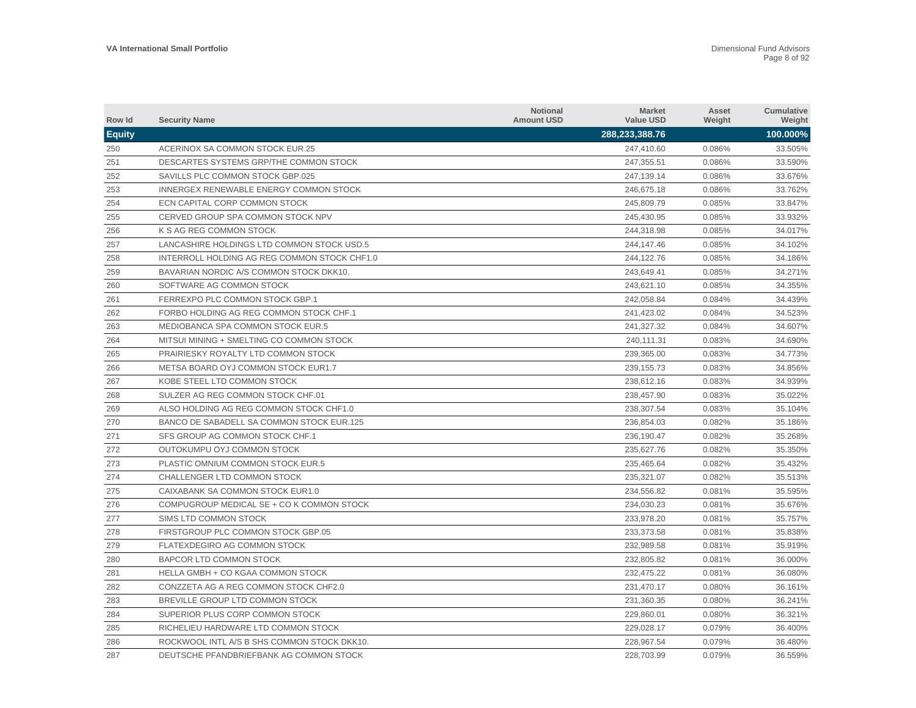| Row Id        | <b>Security Name</b>                         | <b>Notional</b><br><b>Amount USD</b> | <b>Market</b><br><b>Value USD</b> | Asset<br>Weight | Cumulative<br>Weight |
|---------------|----------------------------------------------|--------------------------------------|-----------------------------------|-----------------|----------------------|
| <b>Equity</b> |                                              |                                      | 288,233,388.76                    |                 | 100.000%             |
| 250           | ACERINOX SA COMMON STOCK EUR.25              |                                      | 247,410.60                        | 0.086%          | 33.505%              |
| 251           | DESCARTES SYSTEMS GRP/THE COMMON STOCK       |                                      | 247,355.51                        | 0.086%          | 33.590%              |
| 252           | SAVILLS PLC COMMON STOCK GBP.025             |                                      | 247,139.14                        | 0.086%          | 33.676%              |
| 253           | INNERGEX RENEWABLE ENERGY COMMON STOCK       |                                      | 246,675.18                        | 0.086%          | 33.762%              |
| 254           | ECN CAPITAL CORP COMMON STOCK                |                                      | 245,809.79                        | 0.085%          | 33.847%              |
| 255           | CERVED GROUP SPA COMMON STOCK NPV            |                                      | 245,430.95                        | 0.085%          | 33.932%              |
| 256           | K S AG REG COMMON STOCK                      |                                      | 244,318.98                        | 0.085%          | 34.017%              |
| 257           | LANCASHIRE HOLDINGS LTD COMMON STOCK USD.5   |                                      | 244,147.46                        | 0.085%          | 34.102%              |
| 258           | INTERROLL HOLDING AG REG COMMON STOCK CHF1.0 |                                      | 244.122.76                        | 0.085%          | 34.186%              |
| 259           | BAVARIAN NORDIC A/S COMMON STOCK DKK10.      |                                      | 243.649.41                        | 0.085%          | 34.271%              |
| 260           | SOFTWARE AG COMMON STOCK                     |                                      | 243,621.10                        | 0.085%          | 34.355%              |
| 261           | FERREXPO PLC COMMON STOCK GBP.1              |                                      | 242,058.84                        | 0.084%          | 34.439%              |
| 262           | FORBO HOLDING AG REG COMMON STOCK CHF.1      |                                      | 241,423.02                        | 0.084%          | 34.523%              |
| 263           | MEDIOBANCA SPA COMMON STOCK EUR.5            |                                      | 241,327.32                        | 0.084%          | 34.607%              |
| 264           | MITSUI MINING + SMELTING CO COMMON STOCK     |                                      | 240,111.31                        | 0.083%          | 34.690%              |
| 265           | PRAIRIESKY ROYALTY LTD COMMON STOCK          |                                      | 239,365.00                        | 0.083%          | 34.773%              |
| 266           | METSA BOARD OYJ COMMON STOCK EUR1.7          |                                      | 239,155.73                        | 0.083%          | 34.856%              |
| 267           | KOBE STEEL LTD COMMON STOCK                  |                                      | 238,612.16                        | 0.083%          | 34.939%              |
| 268           | SULZER AG REG COMMON STOCK CHF.01            |                                      | 238,457.90                        | 0.083%          | 35.022%              |
| 269           | ALSO HOLDING AG REG COMMON STOCK CHF1.0      |                                      | 238,307.54                        | 0.083%          | 35.104%              |
| 270           | BANCO DE SABADELL SA COMMON STOCK EUR.125    |                                      | 236,854.03                        | 0.082%          | 35.186%              |
| 271           | SFS GROUP AG COMMON STOCK CHF.1              |                                      | 236.190.47                        | 0.082%          | 35.268%              |
| 272           | OUTOKUMPU OYJ COMMON STOCK                   |                                      | 235.627.76                        | 0.082%          | 35.350%              |
| 273           | PLASTIC OMNIUM COMMON STOCK EUR.5            |                                      | 235.465.64                        | 0.082%          | 35.432%              |
| 274           | CHALLENGER LTD COMMON STOCK                  |                                      | 235,321.07                        | 0.082%          | 35.513%              |
| 275           | CAIXABANK SA COMMON STOCK EUR1.0             |                                      | 234,556.82                        | 0.081%          | 35.595%              |
| 276           | COMPUGROUP MEDICAL SE + CO K COMMON STOCK    |                                      | 234,030.23                        | 0.081%          | 35.676%              |
| 277           | SIMS LTD COMMON STOCK                        |                                      | 233,978.20                        | 0.081%          | 35.757%              |
| 278           | FIRSTGROUP PLC COMMON STOCK GBP.05           |                                      | 233,373.58                        | 0.081%          | 35.838%              |
| 279           | FLATEXDEGIRO AG COMMON STOCK                 |                                      | 232,989.58                        | 0.081%          | 35.919%              |
| 280           | <b>BAPCOR LTD COMMON STOCK</b>               |                                      | 232,805.82                        | 0.081%          | 36.000%              |
| 281           | HELLA GMBH + CO KGAA COMMON STOCK            |                                      | 232,475.22                        | 0.081%          | 36.080%              |
| 282           | CONZZETA AG A REG COMMON STOCK CHF2.0        |                                      | 231,470.17                        | 0.080%          | 36.161%              |
| 283           | BREVILLE GROUP LTD COMMON STOCK              |                                      | 231,360.35                        | 0.080%          | 36.241%              |
| 284           | SUPERIOR PLUS CORP COMMON STOCK              |                                      | 229,860.01                        | 0.080%          | 36.321%              |
| 285           | RICHELIEU HARDWARE LTD COMMON STOCK          |                                      | 229.028.17                        | 0.079%          | 36.400%              |
| 286           | ROCKWOOL INTL A/S B SHS COMMON STOCK DKK10.  |                                      | 228.967.54                        | 0.079%          | 36.480%              |
| 287           | DEUTSCHE PFANDBRIEFBANK AG COMMON STOCK      |                                      | 228,703.99                        | 0.079%          | 36.559%              |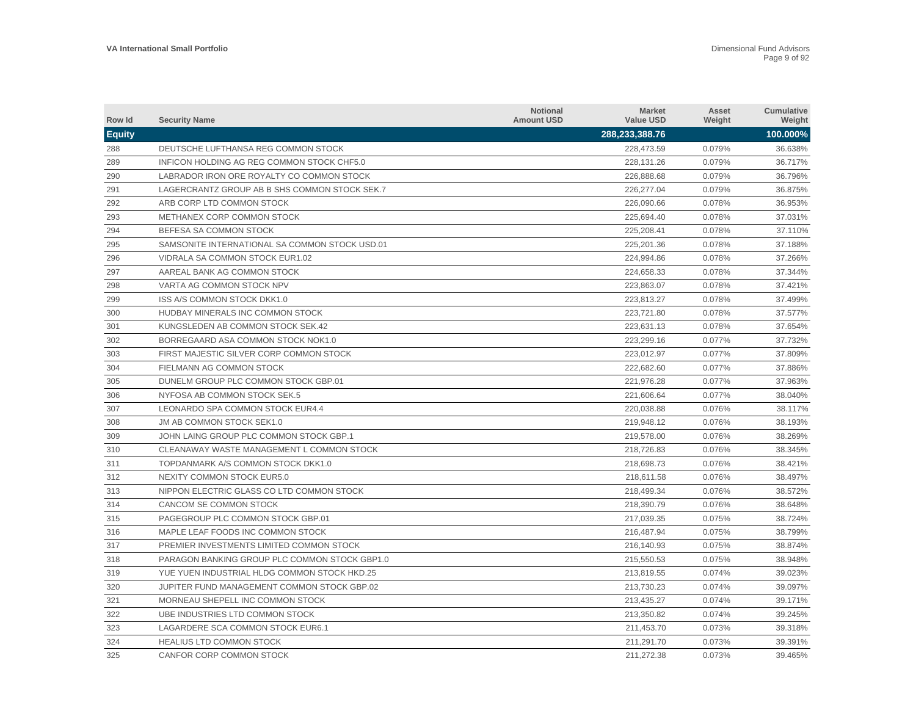| Row Id        | <b>Security Name</b>                           | <b>Notional</b><br><b>Amount USD</b> | <b>Market</b><br><b>Value USD</b> | Asset<br>Weight | <b>Cumulative</b><br>Weight |
|---------------|------------------------------------------------|--------------------------------------|-----------------------------------|-----------------|-----------------------------|
| <b>Equity</b> |                                                |                                      | 288,233,388.76                    |                 | 100.000%                    |
| 288           | DEUTSCHE LUFTHANSA REG COMMON STOCK            |                                      | 228,473.59                        | 0.079%          | 36.638%                     |
| 289           | INFICON HOLDING AG REG COMMON STOCK CHF5.0     |                                      | 228,131.26                        | 0.079%          | 36.717%                     |
| 290           | LABRADOR IRON ORE ROYALTY CO COMMON STOCK      |                                      | 226,888.68                        | 0.079%          | 36.796%                     |
| 291           | LAGERCRANTZ GROUP AB B SHS COMMON STOCK SEK.7  |                                      | 226,277.04                        | 0.079%          | 36.875%                     |
| 292           | ARB CORP LTD COMMON STOCK                      |                                      | 226,090.66                        | 0.078%          | 36.953%                     |
| 293           | METHANEX CORP COMMON STOCK                     |                                      | 225,694.40                        | 0.078%          | 37.031%                     |
| 294           | BEFESA SA COMMON STOCK                         |                                      | 225,208.41                        | 0.078%          | 37.110%                     |
| 295           | SAMSONITE INTERNATIONAL SA COMMON STOCK USD.01 |                                      | 225.201.36                        | 0.078%          | 37.188%                     |
| 296           | <b>VIDRALA SA COMMON STOCK EUR1.02</b>         |                                      | 224.994.86                        | 0.078%          | 37.266%                     |
| 297           | AAREAL BANK AG COMMON STOCK                    |                                      | 224.658.33                        | 0.078%          | 37.344%                     |
| 298           | VARTA AG COMMON STOCK NPV                      |                                      | 223,863.07                        | 0.078%          | 37.421%                     |
| 299           | ISS A/S COMMON STOCK DKK1.0                    |                                      | 223,813.27                        | 0.078%          | 37.499%                     |
| 300           | HUDBAY MINERALS INC COMMON STOCK               |                                      | 223,721.80                        | 0.078%          | 37.577%                     |
| 301           | KUNGSLEDEN AB COMMON STOCK SEK.42              |                                      | 223,631.13                        | 0.078%          | 37.654%                     |
| 302           | BORREGAARD ASA COMMON STOCK NOK1.0             |                                      | 223,299.16                        | 0.077%          | 37.732%                     |
| 303           | FIRST MAJESTIC SILVER CORP COMMON STOCK        |                                      | 223,012.97                        | 0.077%          | 37.809%                     |
| 304           | FIELMANN AG COMMON STOCK                       |                                      | 222,682.60                        | 0.077%          | 37.886%                     |
| 305           | DUNELM GROUP PLC COMMON STOCK GBP.01           |                                      | 221,976.28                        | 0.077%          | 37.963%                     |
| 306           | NYFOSA AB COMMON STOCK SEK.5                   |                                      | 221,606.64                        | 0.077%          | 38.040%                     |
| 307           | LEONARDO SPA COMMON STOCK EUR4.4               |                                      | 220,038.88                        | 0.076%          | 38.117%                     |
| 308           | <b>JM AB COMMON STOCK SEK1.0</b>               |                                      | 219.948.12                        | 0.076%          | 38.193%                     |
| 309           | JOHN LAING GROUP PLC COMMON STOCK GBP.1        |                                      | 219.578.00                        | 0.076%          | 38.269%                     |
| 310           | CLEANAWAY WASTE MANAGEMENT L COMMON STOCK      |                                      | 218.726.83                        | 0.076%          | 38.345%                     |
| 311           | TOPDANMARK A/S COMMON STOCK DKK1.0             |                                      | 218,698.73                        | 0.076%          | 38.421%                     |
| 312           | NEXITY COMMON STOCK EUR5.0                     |                                      | 218,611.58                        | 0.076%          | 38.497%                     |
| 313           | NIPPON ELECTRIC GLASS CO LTD COMMON STOCK      |                                      | 218,499.34                        | 0.076%          | 38.572%                     |
| 314           | CANCOM SE COMMON STOCK                         |                                      | 218,390.79                        | 0.076%          | 38.648%                     |
| 315           | PAGEGROUP PLC COMMON STOCK GBP.01              |                                      | 217,039.35                        | 0.075%          | 38.724%                     |
| 316           | MAPLE LEAF FOODS INC COMMON STOCK              |                                      | 216,487.94                        | 0.075%          | 38.799%                     |
| 317           | PREMIER INVESTMENTS LIMITED COMMON STOCK       |                                      | 216,140.93                        | 0.075%          | 38.874%                     |
| 318           | PARAGON BANKING GROUP PLC COMMON STOCK GBP1.0  |                                      | 215,550.53                        | 0.075%          | 38.948%                     |
| 319           | YUE YUEN INDUSTRIAL HLDG COMMON STOCK HKD.25   |                                      | 213,819.55                        | 0.074%          | 39.023%                     |
| 320           | JUPITER FUND MANAGEMENT COMMON STOCK GBP.02    |                                      | 213,730.23                        | 0.074%          | 39.097%                     |
| 321           | MORNEAU SHEPELL INC COMMON STOCK               |                                      | 213,435.27                        | 0.074%          | 39.171%                     |
| 322           | UBE INDUSTRIES LTD COMMON STOCK                |                                      | 213,350.82                        | 0.074%          | 39.245%                     |
| 323           | LAGARDERE SCA COMMON STOCK EUR6.1              |                                      | 211,453.70                        | 0.073%          | 39.318%                     |
| 324           | <b>HEALIUS LTD COMMON STOCK</b>                |                                      | 211.291.70                        | 0.073%          | 39.391%                     |
| 325           | CANFOR CORP COMMON STOCK                       |                                      | 211,272.38                        | 0.073%          | 39.465%                     |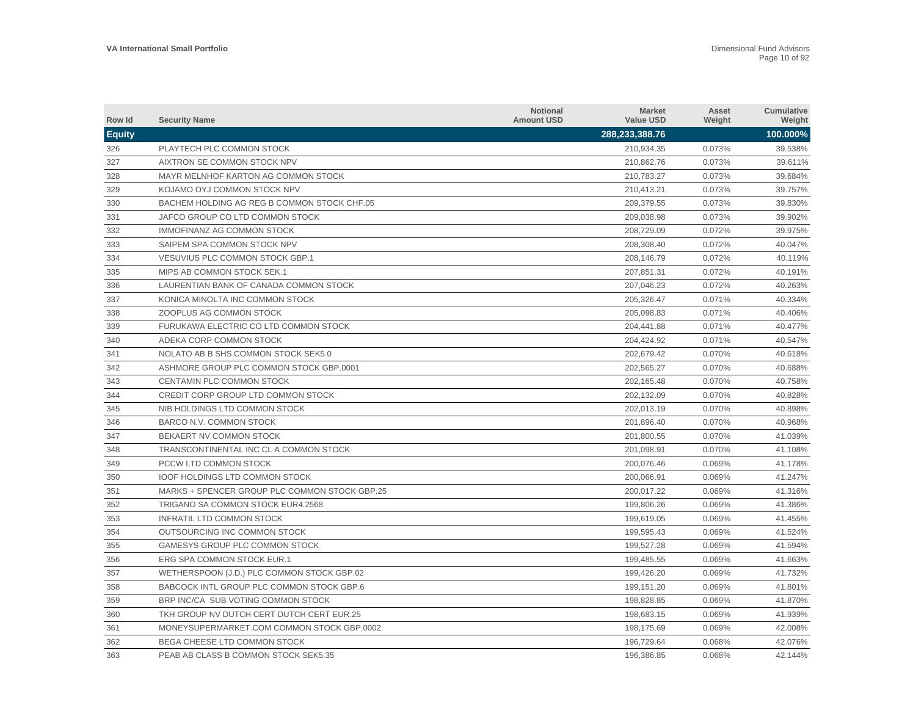| Row Id        | <b>Security Name</b>                          | <b>Notional</b><br><b>Amount USD</b> | <b>Market</b><br><b>Value USD</b> | Asset<br>Weight | <b>Cumulative</b><br>Weight |
|---------------|-----------------------------------------------|--------------------------------------|-----------------------------------|-----------------|-----------------------------|
| <b>Equity</b> |                                               |                                      | 288,233,388.76                    |                 | 100.000%                    |
| 326           | PLAYTECH PLC COMMON STOCK                     |                                      | 210,934.35                        | 0.073%          | 39.538%                     |
| 327           | AIXTRON SE COMMON STOCK NPV                   |                                      | 210,862.76                        | 0.073%          | 39.611%                     |
| 328           | MAYR MELNHOF KARTON AG COMMON STOCK           |                                      | 210,783.27                        | 0.073%          | 39.684%                     |
| 329           | KOJAMO OYJ COMMON STOCK NPV                   |                                      | 210,413.21                        | 0.073%          | 39.757%                     |
| 330           | BACHEM HOLDING AG REG B COMMON STOCK CHF.05   |                                      | 209,379.55                        | 0.073%          | 39.830%                     |
| 331           | JAFCO GROUP CO LTD COMMON STOCK               |                                      | 209,038.98                        | 0.073%          | 39.902%                     |
| 332           | IMMOFINANZ AG COMMON STOCK                    |                                      | 208,729.09                        | 0.072%          | 39.975%                     |
| 333           | SAIPEM SPA COMMON STOCK NPV                   |                                      | 208.308.40                        | 0.072%          | 40.047%                     |
| 334           | VESUVIUS PLC COMMON STOCK GBP.1               |                                      | 208.146.79                        | 0.072%          | 40.119%                     |
| 335           | MIPS AB COMMON STOCK SEK.1                    |                                      | 207.851.31                        | 0.072%          | 40.191%                     |
| 336           | LAURENTIAN BANK OF CANADA COMMON STOCK        |                                      | 207,046.23                        | 0.072%          | 40.263%                     |
| 337           | KONICA MINOLTA INC COMMON STOCK               |                                      | 205,326.47                        | 0.071%          | 40.334%                     |
| 338           | <b>ZOOPLUS AG COMMON STOCK</b>                |                                      | 205,098.83                        | 0.071%          | 40.406%                     |
| 339           | FURUKAWA ELECTRIC CO LTD COMMON STOCK         |                                      | 204,441.88                        | 0.071%          | 40.477%                     |
| 340           | ADEKA CORP COMMON STOCK                       |                                      | 204,424.92                        | 0.071%          | 40.547%                     |
| 341           | NOLATO AB B SHS COMMON STOCK SEK5.0           |                                      | 202,679.42                        | 0.070%          | 40.618%                     |
| 342           | ASHMORE GROUP PLC COMMON STOCK GBP.0001       |                                      | 202,565.27                        | 0.070%          | 40.688%                     |
| 343           | CENTAMIN PLC COMMON STOCK                     |                                      | 202,165.48                        | 0.070%          | 40.758%                     |
| 344           | CREDIT CORP GROUP LTD COMMON STOCK            |                                      | 202,132.09                        | 0.070%          | 40.828%                     |
| 345           | NIB HOLDINGS LTD COMMON STOCK                 |                                      | 202,013.19                        | 0.070%          | 40.898%                     |
| 346           | BARCO N.V. COMMON STOCK                       |                                      | 201.896.40                        | 0.070%          | 40.968%                     |
| 347           | BEKAERT NV COMMON STOCK                       |                                      | 201.800.55                        | 0.070%          | 41.039%                     |
| 348           | TRANSCONTINENTAL INC CL A COMMON STOCK        |                                      | 201.098.91                        | 0.070%          | 41.108%                     |
| 349           | PCCW LTD COMMON STOCK                         |                                      | 200,076.46                        | 0.069%          | 41.178%                     |
| 350           | <b>IOOF HOLDINGS LTD COMMON STOCK</b>         |                                      | 200,066.91                        | 0.069%          | 41.247%                     |
| 351           | MARKS + SPENCER GROUP PLC COMMON STOCK GBP.25 |                                      | 200,017.22                        | 0.069%          | 41.316%                     |
| 352           | TRIGANO SA COMMON STOCK EUR4.2568             |                                      | 199,806.26                        | 0.069%          | 41.386%                     |
| 353           | <b>INFRATIL LTD COMMON STOCK</b>              |                                      | 199,619.05                        | 0.069%          | 41.455%                     |
| 354           | OUTSOURCING INC COMMON STOCK                  |                                      | 199,595.43                        | 0.069%          | 41.524%                     |
| 355           | GAMESYS GROUP PLC COMMON STOCK                |                                      | 199,527.28                        | 0.069%          | 41.594%                     |
| 356           | ERG SPA COMMON STOCK EUR.1                    |                                      | 199,485.55                        | 0.069%          | 41.663%                     |
| 357           | WETHERSPOON (J.D.) PLC COMMON STOCK GBP.02    |                                      | 199,426.20                        | 0.069%          | 41.732%                     |
| 358           | BABCOCK INTL GROUP PLC COMMON STOCK GBP.6     |                                      | 199,151.20                        | 0.069%          | 41.801%                     |
| 359           | BRP INC/CA SUB VOTING COMMON STOCK            |                                      | 198,828.85                        | 0.069%          | 41.870%                     |
| 360           | TKH GROUP NV DUTCH CERT DUTCH CERT EUR.25     |                                      | 198,683.15                        | 0.069%          | 41.939%                     |
| 361           | MONEYSUPERMARKET.COM COMMON STOCK GBP.0002    |                                      | 198,175.69                        | 0.069%          | 42.008%                     |
| 362           | <b>BEGA CHEESE LTD COMMON STOCK</b>           |                                      | 196.729.64                        | 0.068%          | 42.076%                     |
| 363           | PEAB AB CLASS B COMMON STOCK SEK5.35          |                                      | 196,386.85                        | 0.068%          | 42.144%                     |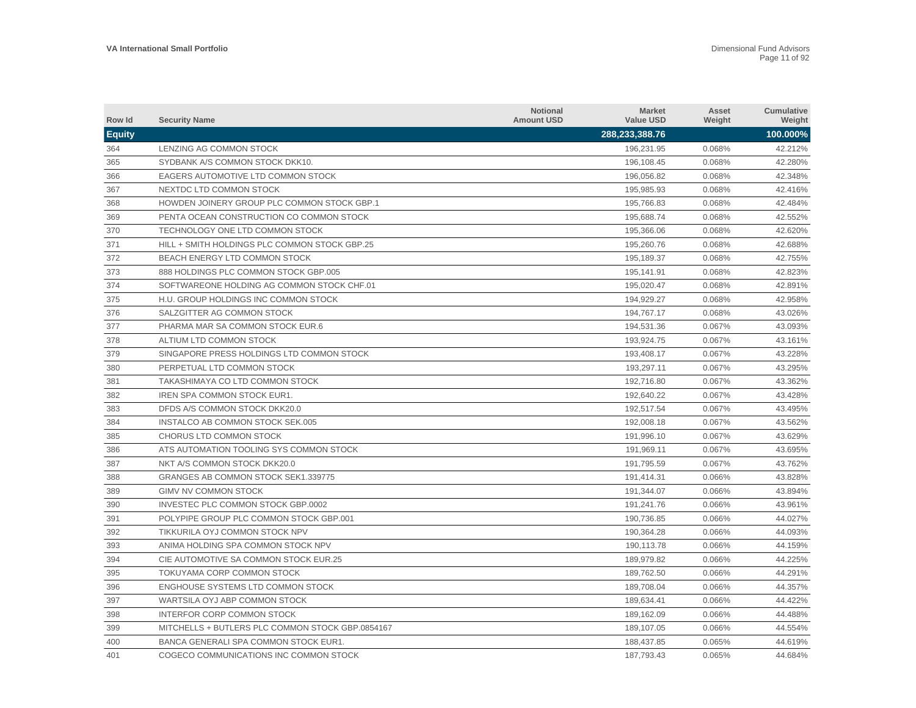| Row Id        | <b>Security Name</b>                             | <b>Notional</b><br><b>Amount USD</b> | <b>Market</b><br><b>Value USD</b> | Asset<br>Weight | Cumulative<br>Weight |
|---------------|--------------------------------------------------|--------------------------------------|-----------------------------------|-----------------|----------------------|
| <b>Equity</b> |                                                  |                                      | 288,233,388.76                    |                 | 100.000%             |
| 364           | LENZING AG COMMON STOCK                          |                                      | 196,231.95                        | 0.068%          | 42.212%              |
| 365           | SYDBANK A/S COMMON STOCK DKK10.                  |                                      | 196,108.45                        | 0.068%          | 42.280%              |
| 366           | EAGERS AUTOMOTIVE LTD COMMON STOCK               |                                      | 196,056.82                        | 0.068%          | 42.348%              |
| 367           | NEXTDC LTD COMMON STOCK                          |                                      | 195,985.93                        | 0.068%          | 42.416%              |
| 368           | HOWDEN JOINERY GROUP PLC COMMON STOCK GBP.1      |                                      | 195,766.83                        | 0.068%          | 42.484%              |
| 369           | PENTA OCEAN CONSTRUCTION CO COMMON STOCK         |                                      | 195,688.74                        | 0.068%          | 42.552%              |
| 370           | TECHNOLOGY ONE LTD COMMON STOCK                  |                                      | 195,366.06                        | 0.068%          | 42.620%              |
| 371           | HILL + SMITH HOLDINGS PLC COMMON STOCK GBP.25    |                                      | 195,260.76                        | 0.068%          | 42.688%              |
| 372           | BEACH ENERGY LTD COMMON STOCK                    |                                      | 195,189.37                        | 0.068%          | 42.755%              |
| 373           | 888 HOLDINGS PLC COMMON STOCK GBP.005            |                                      | 195,141.91                        | 0.068%          | 42.823%              |
| 374           | SOFTWAREONE HOLDING AG COMMON STOCK CHF.01       |                                      | 195,020.47                        | 0.068%          | 42.891%              |
| 375           | H.U. GROUP HOLDINGS INC COMMON STOCK             |                                      | 194,929.27                        | 0.068%          | 42.958%              |
| 376           | SALZGITTER AG COMMON STOCK                       |                                      | 194.767.17                        | 0.068%          | 43.026%              |
| 377           | PHARMA MAR SA COMMON STOCK EUR.6                 |                                      | 194,531.36                        | 0.067%          | 43.093%              |
| 378           | ALTIUM LTD COMMON STOCK                          |                                      | 193.924.75                        | 0.067%          | 43.161%              |
| 379           | SINGAPORE PRESS HOLDINGS LTD COMMON STOCK        |                                      | 193,408.17                        | 0.067%          | 43.228%              |
| 380           | PERPETUAL LTD COMMON STOCK                       |                                      | 193,297.11                        | 0.067%          | 43.295%              |
| 381           | TAKASHIMAYA CO LTD COMMON STOCK                  |                                      | 192,716.80                        | 0.067%          | 43.362%              |
| 382           | IREN SPA COMMON STOCK EUR1.                      |                                      | 192,640.22                        | 0.067%          | 43.428%              |
| 383           | DFDS A/S COMMON STOCK DKK20.0                    |                                      | 192,517.54                        | 0.067%          | 43.495%              |
| 384           | INSTALCO AB COMMON STOCK SEK.005                 |                                      | 192,008.18                        | 0.067%          | 43.562%              |
| 385           | CHORUS LTD COMMON STOCK                          |                                      | 191,996.10                        | 0.067%          | 43.629%              |
| 386           | ATS AUTOMATION TOOLING SYS COMMON STOCK          |                                      | 191.969.11                        | 0.067%          | 43.695%              |
| 387           | NKT A/S COMMON STOCK DKK20.0                     |                                      | 191,795.59                        | 0.067%          | 43.762%              |
| 388           | GRANGES AB COMMON STOCK SEK1.339775              |                                      | 191,414.31                        | 0.066%          | 43.828%              |
| 389           | <b>GIMV NV COMMON STOCK</b>                      |                                      | 191,344.07                        | 0.066%          | 43.894%              |
| 390           | INVESTEC PLC COMMON STOCK GBP.0002               |                                      | 191,241.76                        | 0.066%          | 43.961%              |
| 391           | POLYPIPE GROUP PLC COMMON STOCK GBP.001          |                                      | 190,736.85                        | 0.066%          | 44.027%              |
| 392           | TIKKURILA OYJ COMMON STOCK NPV                   |                                      | 190,364.28                        | 0.066%          | 44.093%              |
| 393           | ANIMA HOLDING SPA COMMON STOCK NPV               |                                      | 190,113.78                        | 0.066%          | 44.159%              |
| 394           | CIE AUTOMOTIVE SA COMMON STOCK EUR.25            |                                      | 189,979.82                        | 0.066%          | 44.225%              |
| 395           | TOKUYAMA CORP COMMON STOCK                       |                                      | 189,762.50                        | 0.066%          | 44.291%              |
| 396           | ENGHOUSE SYSTEMS LTD COMMON STOCK                |                                      | 189,708.04                        | 0.066%          | 44.357%              |
| 397           | WARTSILA OYJ ABP COMMON STOCK                    |                                      | 189,634.41                        | 0.066%          | 44.422%              |
| 398           | INTERFOR CORP COMMON STOCK                       |                                      | 189,162.09                        | 0.066%          | 44.488%              |
| 399           | MITCHELLS + BUTLERS PLC COMMON STOCK GBP.0854167 |                                      | 189,107.05                        | 0.066%          | 44.554%              |
| 400           | <b>BANCA GENERALI SPA COMMON STOCK EUR1.</b>     |                                      | 188.437.85                        | 0.065%          | 44.619%              |
| 401           | COGECO COMMUNICATIONS INC COMMON STOCK           |                                      | 187,793.43                        | 0.065%          | 44.684%              |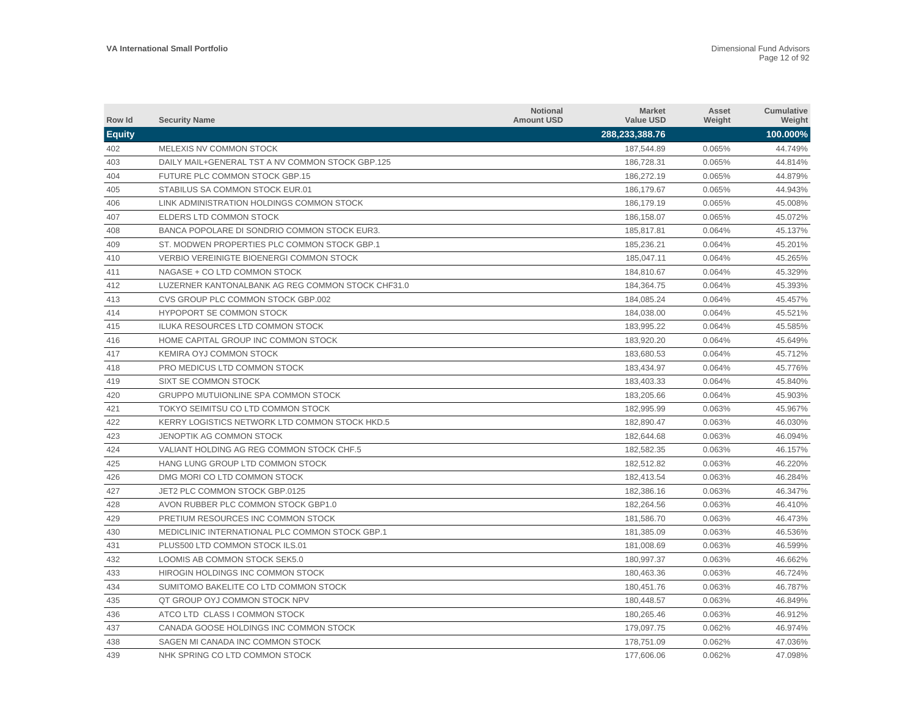| Row Id        | <b>Security Name</b>                              | <b>Notional</b><br><b>Amount USD</b> | <b>Market</b><br><b>Value USD</b> | Asset<br>Weight | <b>Cumulative</b><br>Weight |
|---------------|---------------------------------------------------|--------------------------------------|-----------------------------------|-----------------|-----------------------------|
| <b>Equity</b> |                                                   |                                      | 288,233,388.76                    |                 | 100.000%                    |
| 402           | MELEXIS NV COMMON STOCK                           |                                      | 187,544.89                        | 0.065%          | 44.749%                     |
| 403           | DAILY MAIL+GENERAL TST A NV COMMON STOCK GBP.125  |                                      | 186,728.31                        | 0.065%          | 44.814%                     |
| 404           | FUTURE PLC COMMON STOCK GBP.15                    |                                      | 186,272.19                        | 0.065%          | 44.879%                     |
| 405           | STABILUS SA COMMON STOCK EUR.01                   |                                      | 186,179.67                        | 0.065%          | 44.943%                     |
| 406           | LINK ADMINISTRATION HOLDINGS COMMON STOCK         |                                      | 186,179.19                        | 0.065%          | 45.008%                     |
| 407           | <b>ELDERS LTD COMMON STOCK</b>                    |                                      | 186,158.07                        | 0.065%          | 45.072%                     |
| 408           | BANCA POPOLARE DI SONDRIO COMMON STOCK EUR3.      |                                      | 185,817.81                        | 0.064%          | 45.137%                     |
| 409           | ST. MODWEN PROPERTIES PLC COMMON STOCK GBP.1      |                                      | 185,236.21                        | 0.064%          | 45.201%                     |
| 410           | VERBIO VEREINIGTE BIOENERGI COMMON STOCK          |                                      | 185,047.11                        | 0.064%          | 45.265%                     |
| 411           | NAGASE + CO LTD COMMON STOCK                      |                                      | 184,810.67                        | 0.064%          | 45.329%                     |
| 412           | LUZERNER KANTONALBANK AG REG COMMON STOCK CHF31.0 |                                      | 184,364.75                        | 0.064%          | 45.393%                     |
| 413           | CVS GROUP PLC COMMON STOCK GBP.002                |                                      | 184,085.24                        | 0.064%          | 45.457%                     |
| 414           | <b>HYPOPORT SE COMMON STOCK</b>                   |                                      | 184.038.00                        | 0.064%          | 45.521%                     |
| 415           | ILUKA RESOURCES LTD COMMON STOCK                  |                                      | 183.995.22                        | 0.064%          | 45.585%                     |
| 416           | HOME CAPITAL GROUP INC COMMON STOCK               |                                      | 183.920.20                        | 0.064%          | 45.649%                     |
| 417           | <b>KEMIRA OYJ COMMON STOCK</b>                    |                                      | 183.680.53                        | 0.064%          | 45.712%                     |
| 418           | PRO MEDICUS LTD COMMON STOCK                      |                                      | 183,434.97                        | 0.064%          | 45.776%                     |
| 419           | <b>SIXT SE COMMON STOCK</b>                       |                                      | 183,403.33                        | 0.064%          | 45.840%                     |
| 420           | GRUPPO MUTUIONLINE SPA COMMON STOCK               |                                      | 183,205.66                        | 0.064%          | 45.903%                     |
| 421           | TOKYO SEIMITSU CO LTD COMMON STOCK                |                                      | 182,995.99                        | 0.063%          | 45.967%                     |
| 422           | KERRY LOGISTICS NETWORK LTD COMMON STOCK HKD.5    |                                      | 182,890.47                        | 0.063%          | 46.030%                     |
| 423           | <b>JENOPTIK AG COMMON STOCK</b>                   |                                      | 182,644.68                        | 0.063%          | 46.094%                     |
| 424           | VALIANT HOLDING AG REG COMMON STOCK CHF.5         |                                      | 182,582.35                        | 0.063%          | 46.157%                     |
| 425           | HANG LUNG GROUP LTD COMMON STOCK                  |                                      | 182,512.82                        | 0.063%          | 46.220%                     |
| 426           | DMG MORI CO LTD COMMON STOCK                      |                                      | 182,413.54                        | 0.063%          | 46.284%                     |
| 427           | JET2 PLC COMMON STOCK GBP.0125                    |                                      | 182,386.16                        | 0.063%          | 46.347%                     |
| 428           | AVON RUBBER PLC COMMON STOCK GBP1.0               |                                      | 182,264.56                        | 0.063%          | 46.410%                     |
| 429           | PRETIUM RESOURCES INC COMMON STOCK                |                                      | 181,586.70                        | 0.063%          | 46.473%                     |
| 430           | MEDICLINIC INTERNATIONAL PLC COMMON STOCK GBP.1   |                                      | 181,385.09                        | 0.063%          | 46.536%                     |
| 431           | PLUS500 LTD COMMON STOCK ILS.01                   |                                      | 181,008.69                        | 0.063%          | 46.599%                     |
| 432           | LOOMIS AB COMMON STOCK SEK5.0                     |                                      | 180,997.37                        | 0.063%          | 46.662%                     |
| 433           | HIROGIN HOLDINGS INC COMMON STOCK                 |                                      | 180,463.36                        | 0.063%          | 46.724%                     |
| 434           | SUMITOMO BAKELITE CO LTD COMMON STOCK             |                                      | 180,451.76                        | 0.063%          | 46.787%                     |
| 435           | QT GROUP OYJ COMMON STOCK NPV                     |                                      | 180,448.57                        | 0.063%          | 46.849%                     |
| 436           | ATCO LTD CLASS I COMMON STOCK                     |                                      | 180.265.46                        | 0.063%          | 46.912%                     |
| 437           | CANADA GOOSE HOLDINGS INC COMMON STOCK            |                                      | 179,097.75                        | 0.062%          | 46.974%                     |
| 438           | SAGEN MI CANADA INC COMMON STOCK                  |                                      | 178.751.09                        | 0.062%          | 47.036%                     |
| 439           | NHK SPRING CO LTD COMMON STOCK                    |                                      | 177,606.06                        | 0.062%          | 47.098%                     |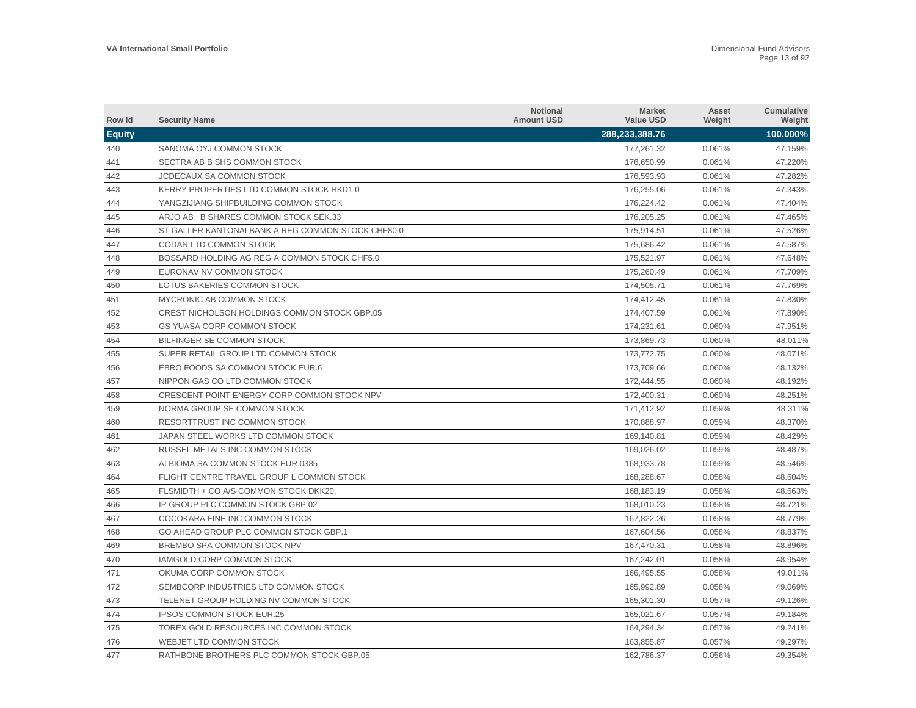| Row Id        | <b>Security Name</b>                              | <b>Notional</b><br><b>Amount USD</b> | <b>Market</b><br><b>Value USD</b> | Asset<br>Weight | Cumulative<br>Weight |
|---------------|---------------------------------------------------|--------------------------------------|-----------------------------------|-----------------|----------------------|
| <b>Equity</b> |                                                   |                                      | 288,233,388.76                    |                 | 100.000%             |
| 440           | SANOMA OYJ COMMON STOCK                           |                                      | 177,261.32                        | 0.061%          | 47.159%              |
| 441           | SECTRA AB B SHS COMMON STOCK                      |                                      | 176,650.99                        | 0.061%          | 47.220%              |
| 442           | <b>JCDECAUX SA COMMON STOCK</b>                   |                                      | 176.593.93                        | 0.061%          | 47.282%              |
| 443           | KERRY PROPERTIES LTD COMMON STOCK HKD1.0          |                                      | 176,255.06                        | 0.061%          | 47.343%              |
| 444           | YANGZIJIANG SHIPBUILDING COMMON STOCK             |                                      | 176,224.42                        | 0.061%          | 47.404%              |
| 445           | ARJO AB B SHARES COMMON STOCK SEK.33              |                                      | 176,205.25                        | 0.061%          | 47.465%              |
| 446           | ST GALLER KANTONALBANK A REG COMMON STOCK CHF80.0 |                                      | 175,914.51                        | 0.061%          | 47.526%              |
| 447           | <b>CODAN LTD COMMON STOCK</b>                     |                                      | 175.686.42                        | 0.061%          | 47.587%              |
| 448           | BOSSARD HOLDING AG REG A COMMON STOCK CHF5.0      |                                      | 175.521.97                        | 0.061%          | 47.648%              |
| 449           | EURONAV NV COMMON STOCK                           |                                      | 175.260.49                        | 0.061%          | 47.709%              |
| 450           | LOTUS BAKERIES COMMON STOCK                       |                                      | 174,505.71                        | 0.061%          | 47.769%              |
| 451           | MYCRONIC AB COMMON STOCK                          |                                      | 174,412.45                        | 0.061%          | 47.830%              |
| 452           | CREST NICHOLSON HOLDINGS COMMON STOCK GBP.05      |                                      | 174,407.59                        | 0.061%          | 47.890%              |
| 453           | <b>GS YUASA CORP COMMON STOCK</b>                 |                                      | 174,231.61                        | 0.060%          | 47.951%              |
| 454           | <b>BILFINGER SE COMMON STOCK</b>                  |                                      | 173,869.73                        | 0.060%          | 48.011%              |
| 455           | SUPER RETAIL GROUP LTD COMMON STOCK               |                                      | 173.772.75                        | 0.060%          | 48.071%              |
| 456           | EBRO FOODS SA COMMON STOCK EUR.6                  |                                      | 173,709.66                        | 0.060%          | 48.132%              |
| 457           | NIPPON GAS CO LTD COMMON STOCK                    |                                      | 172,444.55                        | 0.060%          | 48.192%              |
| 458           | CRESCENT POINT ENERGY CORP COMMON STOCK NPV       |                                      | 172,400.31                        | 0.060%          | 48.251%              |
| 459           | NORMA GROUP SE COMMON STOCK                       |                                      | 171,412.92                        | 0.059%          | 48.311%              |
| 460           | RESORTTRUST INC COMMON STOCK                      |                                      | 170.888.97                        | 0.059%          | 48.370%              |
| 461           | JAPAN STEEL WORKS LTD COMMON STOCK                |                                      | 169,140.81                        | 0.059%          | 48.429%              |
| 462           | RUSSEL METALS INC COMMON STOCK                    |                                      | 169.026.02                        | 0.059%          | 48.487%              |
| 463           | ALBIOMA SA COMMON STOCK EUR.0385                  |                                      | 168,933.78                        | 0.059%          | 48.546%              |
| 464           | FLIGHT CENTRE TRAVEL GROUP L COMMON STOCK         |                                      | 168,288.67                        | 0.058%          | 48.604%              |
| 465           | FLSMIDTH + CO A/S COMMON STOCK DKK20.             |                                      | 168,183.19                        | 0.058%          | 48.663%              |
| 466           | IP GROUP PLC COMMON STOCK GBP.02                  |                                      | 168,010.23                        | 0.058%          | 48.721%              |
| 467           | COCOKARA FINE INC COMMON STOCK                    |                                      | 167.822.26                        | 0.058%          | 48.779%              |
| 468           | GO AHEAD GROUP PLC COMMON STOCK GBP.1             |                                      | 167,604.56                        | 0.058%          | 48.837%              |
| 469           | BREMBO SPA COMMON STOCK NPV                       |                                      | 167.470.31                        | 0.058%          | 48.896%              |
| 470           | IAMGOLD CORP COMMON STOCK                         |                                      | 167,242.01                        | 0.058%          | 48.954%              |
| 471           | OKUMA CORP COMMON STOCK                           |                                      | 166,495.55                        | 0.058%          | 49.011%              |
| 472           | SEMBCORP INDUSTRIES LTD COMMON STOCK              |                                      | 165,992.89                        | 0.058%          | 49.069%              |
| 473           | TELENET GROUP HOLDING NV COMMON STOCK             |                                      | 165,301.30                        | 0.057%          | 49.126%              |
| 474           | <b>IPSOS COMMON STOCK EUR.25</b>                  |                                      | 165.021.67                        | 0.057%          | 49.184%              |
| 475           | TOREX GOLD RESOURCES INC COMMON STOCK             |                                      | 164,294.34                        | 0.057%          | 49.241%              |
| 476           | <b>WEBJET LTD COMMON STOCK</b>                    |                                      | 163,855.87                        | 0.057%          | 49.297%              |
| 477           | RATHBONE BROTHERS PLC COMMON STOCK GBP.05         |                                      | 162.786.37                        | 0.056%          | 49.354%              |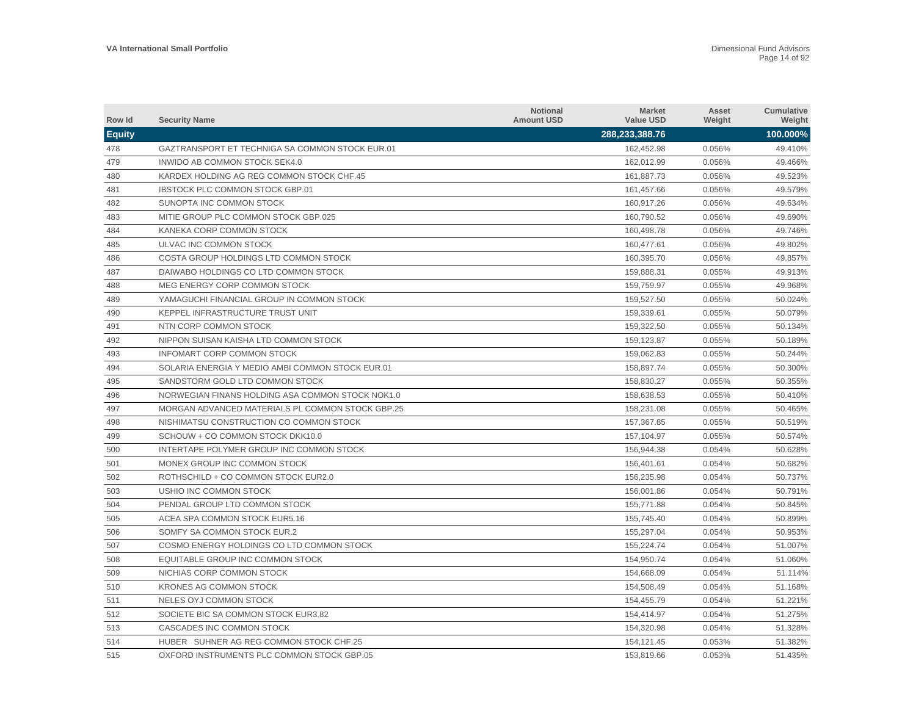| Row Id        | <b>Security Name</b>                             | <b>Notional</b><br><b>Amount USD</b> | <b>Market</b><br><b>Value USD</b> | Asset<br>Weight | <b>Cumulative</b><br>Weight |
|---------------|--------------------------------------------------|--------------------------------------|-----------------------------------|-----------------|-----------------------------|
| <b>Equity</b> |                                                  |                                      | 288,233,388.76                    |                 | 100.000%                    |
| 478           | GAZTRANSPORT ET TECHNIGA SA COMMON STOCK EUR.01  |                                      | 162,452.98                        | 0.056%          | 49.410%                     |
| 479           | INWIDO AB COMMON STOCK SEK4.0                    |                                      | 162,012.99                        | 0.056%          | 49.466%                     |
| 480           | KARDEX HOLDING AG REG COMMON STOCK CHF.45        |                                      | 161,887.73                        | 0.056%          | 49.523%                     |
| 481           | <b>IBSTOCK PLC COMMON STOCK GBP.01</b>           |                                      | 161,457.66                        | 0.056%          | 49.579%                     |
| 482           | SUNOPTA INC COMMON STOCK                         |                                      | 160,917.26                        | 0.056%          | 49.634%                     |
| 483           | MITIE GROUP PLC COMMON STOCK GBP.025             |                                      | 160,790.52                        | 0.056%          | 49.690%                     |
| 484           | KANEKA CORP COMMON STOCK                         |                                      | 160,498.78                        | 0.056%          | 49.746%                     |
| 485           | ULVAC INC COMMON STOCK                           |                                      | 160,477.61                        | 0.056%          | 49.802%                     |
| 486           | COSTA GROUP HOLDINGS LTD COMMON STOCK            |                                      | 160,395.70                        | 0.056%          | 49.857%                     |
| 487           | DAIWABO HOLDINGS CO LTD COMMON STOCK             |                                      | 159.888.31                        | 0.055%          | 49.913%                     |
| 488           | MEG ENERGY CORP COMMON STOCK                     |                                      | 159,759.97                        | 0.055%          | 49.968%                     |
| 489           | YAMAGUCHI FINANCIAL GROUP IN COMMON STOCK        |                                      | 159,527.50                        | 0.055%          | 50.024%                     |
| 490           | KEPPEL INFRASTRUCTURE TRUST UNIT                 |                                      | 159,339.61                        | 0.055%          | 50.079%                     |
| 491           | NTN CORP COMMON STOCK                            |                                      | 159,322.50                        | 0.055%          | 50.134%                     |
| 492           | NIPPON SUISAN KAISHA LTD COMMON STOCK            |                                      | 159,123.87                        | 0.055%          | 50.189%                     |
| 493           | <b>INFOMART CORP COMMON STOCK</b>                |                                      | 159,062.83                        | 0.055%          | 50.244%                     |
| 494           | SOLARIA ENERGIA Y MEDIO AMBI COMMON STOCK EUR.01 |                                      | 158,897.74                        | 0.055%          | 50.300%                     |
| 495           | SANDSTORM GOLD LTD COMMON STOCK                  |                                      | 158,830.27                        | 0.055%          | 50.355%                     |
| 496           | NORWEGIAN FINANS HOLDING ASA COMMON STOCK NOK1.0 |                                      | 158,638.53                        | 0.055%          | 50.410%                     |
| 497           | MORGAN ADVANCED MATERIALS PL COMMON STOCK GBP.25 |                                      | 158,231.08                        | 0.055%          | 50.465%                     |
| 498           | NISHIMATSU CONSTRUCTION CO COMMON STOCK          |                                      | 157.367.85                        | 0.055%          | 50.519%                     |
| 499           | SCHOUW + CO COMMON STOCK DKK10.0                 |                                      | 157,104.97                        | 0.055%          | 50.574%                     |
| 500           | INTERTAPE POLYMER GROUP INC COMMON STOCK         |                                      | 156.944.38                        | 0.054%          | 50.628%                     |
| 501           | MONEX GROUP INC COMMON STOCK                     |                                      | 156,401.61                        | 0.054%          | 50.682%                     |
| 502           | ROTHSCHILD + CO COMMON STOCK EUR2.0              |                                      | 156,235.98                        | 0.054%          | 50.737%                     |
| 503           | USHIO INC COMMON STOCK                           |                                      | 156,001.86                        | 0.054%          | 50.791%                     |
| 504           | PENDAL GROUP LTD COMMON STOCK                    |                                      | 155,771.88                        | 0.054%          | 50.845%                     |
| 505           | ACEA SPA COMMON STOCK EUR5.16                    |                                      | 155,745.40                        | 0.054%          | 50.899%                     |
| 506           | SOMFY SA COMMON STOCK EUR.2                      |                                      | 155,297.04                        | 0.054%          | 50.953%                     |
| 507           | COSMO ENERGY HOLDINGS CO LTD COMMON STOCK        |                                      | 155,224.74                        | 0.054%          | 51.007%                     |
| 508           | EQUITABLE GROUP INC COMMON STOCK                 |                                      | 154,950.74                        | 0.054%          | 51.060%                     |
| 509           | NICHIAS CORP COMMON STOCK                        |                                      | 154,668.09                        | 0.054%          | 51.114%                     |
| 510           | KRONES AG COMMON STOCK                           |                                      | 154,508.49                        | 0.054%          | 51.168%                     |
| 511           | NELES OYJ COMMON STOCK                           |                                      | 154,455.79                        | 0.054%          | 51.221%                     |
| 512           | SOCIETE BIC SA COMMON STOCK EUR3.82              |                                      | 154,414.97                        | 0.054%          | 51.275%                     |
| 513           | CASCADES INC COMMON STOCK                        |                                      | 154,320.98                        | 0.054%          | 51.328%                     |
| 514           | HUBER SUHNER AG REG COMMON STOCK CHF.25          |                                      | 154.121.45                        | 0.053%          | 51.382%                     |
| 515           | OXFORD INSTRUMENTS PLC COMMON STOCK GBP.05       |                                      | 153,819.66                        | 0.053%          | 51.435%                     |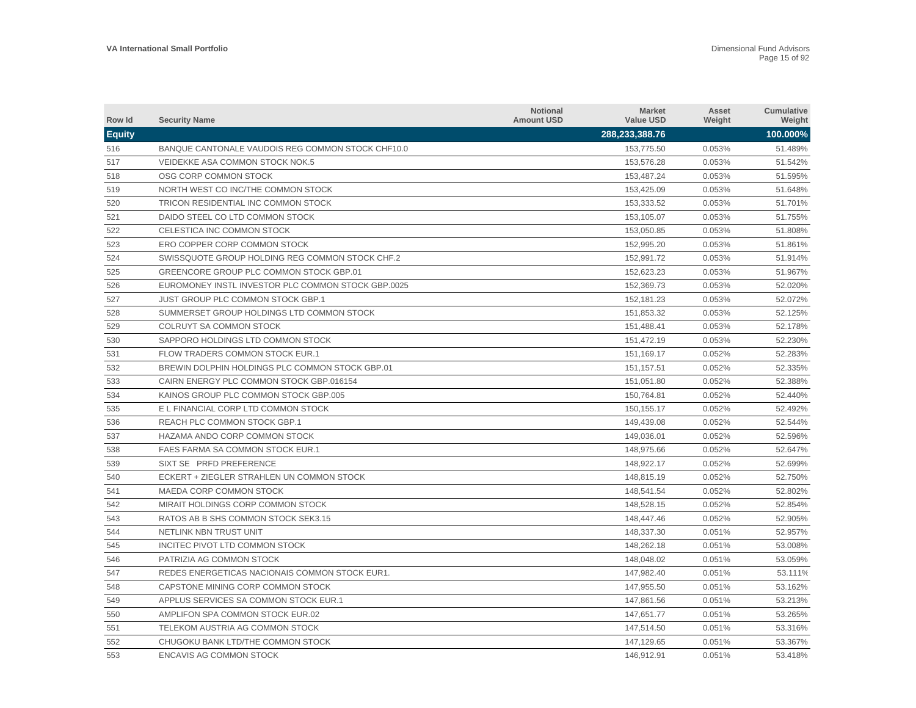| Row Id        | <b>Security Name</b>                               | <b>Notional</b><br><b>Amount USD</b> | <b>Market</b><br><b>Value USD</b> | Asset<br>Weight | <b>Cumulative</b><br>Weight |
|---------------|----------------------------------------------------|--------------------------------------|-----------------------------------|-----------------|-----------------------------|
| <b>Equity</b> |                                                    |                                      | 288,233,388.76                    |                 | 100.000%                    |
| 516           | BANQUE CANTONALE VAUDOIS REG COMMON STOCK CHF10.0  |                                      | 153,775.50                        | 0.053%          | 51.489%                     |
| 517           | VEIDEKKE ASA COMMON STOCK NOK.5                    |                                      | 153,576.28                        | 0.053%          | 51.542%                     |
| 518           | OSG CORP COMMON STOCK                              |                                      | 153,487.24                        | 0.053%          | 51.595%                     |
| 519           | NORTH WEST CO INC/THE COMMON STOCK                 |                                      | 153,425.09                        | 0.053%          | 51.648%                     |
| 520           | TRICON RESIDENTIAL INC COMMON STOCK                |                                      | 153,333.52                        | 0.053%          | 51.701%                     |
| 521           | DAIDO STEEL CO LTD COMMON STOCK                    |                                      | 153,105.07                        | 0.053%          | 51.755%                     |
| 522           | CELESTICA INC COMMON STOCK                         |                                      | 153,050.85                        | 0.053%          | 51.808%                     |
| 523           | ERO COPPER CORP COMMON STOCK                       |                                      | 152.995.20                        | 0.053%          | 51.861%                     |
| 524           | SWISSQUOTE GROUP HOLDING REG COMMON STOCK CHF.2    |                                      | 152.991.72                        | 0.053%          | 51.914%                     |
| 525           | GREENCORE GROUP PLC COMMON STOCK GBP.01            |                                      | 152.623.23                        | 0.053%          | 51.967%                     |
| 526           | EUROMONEY INSTL INVESTOR PLC COMMON STOCK GBP.0025 |                                      | 152,369.73                        | 0.053%          | 52.020%                     |
| 527           | <b>JUST GROUP PLC COMMON STOCK GBP.1</b>           |                                      | 152,181.23                        | 0.053%          | 52.072%                     |
| 528           | SUMMERSET GROUP HOLDINGS LTD COMMON STOCK          |                                      | 151,853.32                        | 0.053%          | 52.125%                     |
| 529           | <b>COLRUYT SA COMMON STOCK</b>                     |                                      | 151,488.41                        | 0.053%          | 52.178%                     |
| 530           | SAPPORO HOLDINGS LTD COMMON STOCK                  |                                      | 151,472.19                        | 0.053%          | 52.230%                     |
| 531           | FLOW TRADERS COMMON STOCK EUR.1                    |                                      | 151,169.17                        | 0.052%          | 52.283%                     |
| 532           | BREWIN DOLPHIN HOLDINGS PLC COMMON STOCK GBP.01    |                                      | 151,157.51                        | 0.052%          | 52.335%                     |
| 533           | CAIRN ENERGY PLC COMMON STOCK GBP.016154           |                                      | 151,051.80                        | 0.052%          | 52.388%                     |
| 534           | KAINOS GROUP PLC COMMON STOCK GBP.005              |                                      | 150,764.81                        | 0.052%          | 52.440%                     |
| 535           | E L FINANCIAL CORP LTD COMMON STOCK                |                                      | 150, 155. 17                      | 0.052%          | 52.492%                     |
| 536           | REACH PLC COMMON STOCK GBP.1                       |                                      | 149,439.08                        | 0.052%          | 52.544%                     |
| 537           | HAZAMA ANDO CORP COMMON STOCK                      |                                      | 149.036.01                        | 0.052%          | 52.596%                     |
| 538           | <b>FAES FARMA SA COMMON STOCK EUR.1</b>            |                                      | 148.975.66                        | 0.052%          | 52.647%                     |
| 539           | SIXT SE PRFD PREFERENCE                            |                                      | 148,922.17                        | 0.052%          | 52.699%                     |
| 540           | ECKERT + ZIEGLER STRAHLEN UN COMMON STOCK          |                                      | 148,815.19                        | 0.052%          | 52.750%                     |
| 541           | MAEDA CORP COMMON STOCK                            |                                      | 148,541.54                        | 0.052%          | 52.802%                     |
| 542           | MIRAIT HOLDINGS CORP COMMON STOCK                  |                                      | 148,528.15                        | 0.052%          | 52.854%                     |
| 543           | RATOS AB B SHS COMMON STOCK SEK3.15                |                                      | 148,447.46                        | 0.052%          | 52.905%                     |
| 544           | NETLINK NBN TRUST UNIT                             |                                      | 148,337.30                        | 0.051%          | 52.957%                     |
| 545           | INCITEC PIVOT LTD COMMON STOCK                     |                                      | 148,262.18                        | 0.051%          | 53.008%                     |
| 546           | PATRIZIA AG COMMON STOCK                           |                                      | 148,048.02                        | 0.051%          | 53.059%                     |
| 547           | REDES ENERGETICAS NACIONAIS COMMON STOCK EUR1.     |                                      | 147,982.40                        | 0.051%          | 53.111%                     |
| 548           | CAPSTONE MINING CORP COMMON STOCK                  |                                      | 147,955.50                        | 0.051%          | 53.162%                     |
| 549           | APPLUS SERVICES SA COMMON STOCK EUR.1              |                                      | 147,861.56                        | 0.051%          | 53.213%                     |
| 550           | AMPLIFON SPA COMMON STOCK EUR.02                   |                                      | 147,651.77                        | 0.051%          | 53.265%                     |
| 551           | TELEKOM AUSTRIA AG COMMON STOCK                    |                                      | 147,514.50                        | 0.051%          | 53.316%                     |
| 552           | CHUGOKU BANK LTD/THE COMMON STOCK                  |                                      | 147.129.65                        | 0.051%          | 53.367%                     |
| 553           | ENCAVIS AG COMMON STOCK                            |                                      | 146,912.91                        | 0.051%          | 53.418%                     |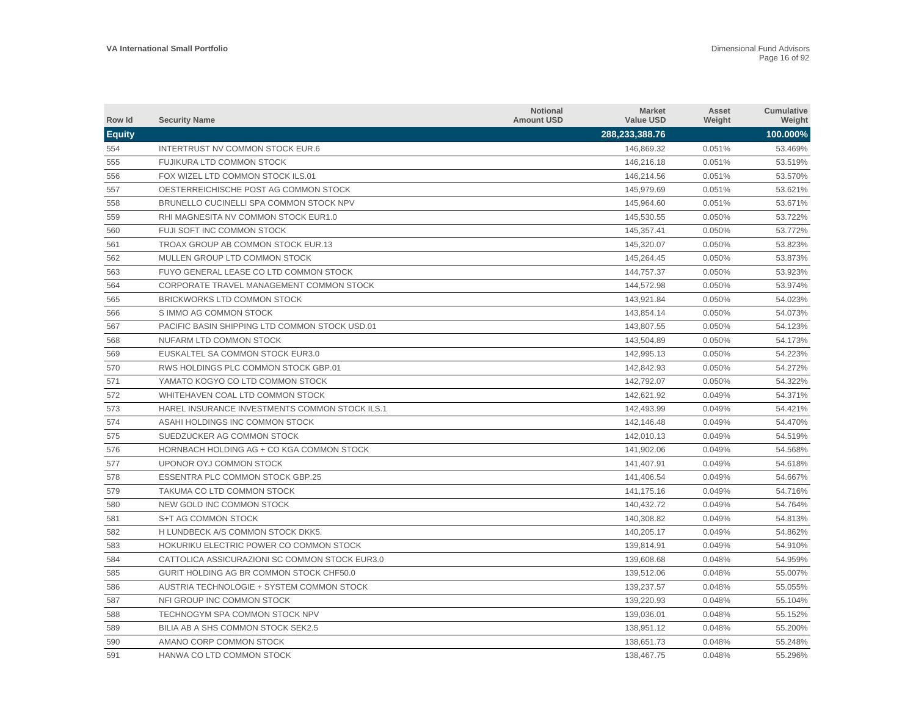| Row Id        | <b>Security Name</b>                           | <b>Notional</b><br><b>Amount USD</b> | <b>Market</b><br><b>Value USD</b> | Asset<br>Weight | <b>Cumulative</b><br>Weight |
|---------------|------------------------------------------------|--------------------------------------|-----------------------------------|-----------------|-----------------------------|
| <b>Equity</b> |                                                |                                      | 288,233,388.76                    |                 | 100.000%                    |
| 554           | INTERTRUST NV COMMON STOCK EUR.6               |                                      | 146.869.32                        | 0.051%          | 53.469%                     |
| 555           | FUJIKURA LTD COMMON STOCK                      |                                      | 146,216.18                        | 0.051%          | 53.519%                     |
| 556           | FOX WIZEL LTD COMMON STOCK ILS.01              |                                      | 146,214.56                        | 0.051%          | 53.570%                     |
| 557           | OESTERREICHISCHE POST AG COMMON STOCK          |                                      | 145,979.69                        | 0.051%          | 53.621%                     |
| 558           | BRUNELLO CUCINELLI SPA COMMON STOCK NPV        |                                      | 145,964.60                        | 0.051%          | 53.671%                     |
| 559           | RHI MAGNESITA NV COMMON STOCK EUR1.0           |                                      | 145,530.55                        | 0.050%          | 53.722%                     |
| 560           | FUJI SOFT INC COMMON STOCK                     |                                      | 145,357.41                        | 0.050%          | 53.772%                     |
| 561           | TROAX GROUP AB COMMON STOCK EUR.13             |                                      | 145,320.07                        | 0.050%          | 53.823%                     |
| 562           | MULLEN GROUP LTD COMMON STOCK                  |                                      | 145,264.45                        | 0.050%          | 53.873%                     |
| 563           | FUYO GENERAL LEASE CO LTD COMMON STOCK         |                                      | 144,757.37                        | 0.050%          | 53.923%                     |
| 564           | CORPORATE TRAVEL MANAGEMENT COMMON STOCK       |                                      | 144,572.98                        | 0.050%          | 53.974%                     |
| 565           | <b>BRICKWORKS LTD COMMON STOCK</b>             |                                      | 143,921.84                        | 0.050%          | 54.023%                     |
| 566           | S IMMO AG COMMON STOCK                         |                                      | 143.854.14                        | 0.050%          | 54.073%                     |
| 567           | PACIFIC BASIN SHIPPING LTD COMMON STOCK USD.01 |                                      | 143,807.55                        | 0.050%          | 54.123%                     |
| 568           | NUFARM LTD COMMON STOCK                        |                                      | 143.504.89                        | 0.050%          | 54.173%                     |
| 569           | EUSKALTEL SA COMMON STOCK EUR3.0               |                                      | 142.995.13                        | 0.050%          | 54.223%                     |
| 570           | RWS HOLDINGS PLC COMMON STOCK GBP.01           |                                      | 142,842.93                        | 0.050%          | 54.272%                     |
| 571           | YAMATO KOGYO CO LTD COMMON STOCK               |                                      | 142,792.07                        | 0.050%          | 54.322%                     |
| 572           | WHITEHAVEN COAL LTD COMMON STOCK               |                                      | 142,621.92                        | 0.049%          | 54.371%                     |
| 573           | HAREL INSURANCE INVESTMENTS COMMON STOCK ILS.1 |                                      | 142,493.99                        | 0.049%          | 54.421%                     |
| 574           | ASAHI HOLDINGS INC COMMON STOCK                |                                      | 142,146.48                        | 0.049%          | 54.470%                     |
| 575           | SUEDZUCKER AG COMMON STOCK                     |                                      | 142,010.13                        | 0.049%          | 54.519%                     |
| 576           | HORNBACH HOLDING AG + CO KGA COMMON STOCK      |                                      | 141,902.06                        | 0.049%          | 54.568%                     |
| 577           | UPONOR OYJ COMMON STOCK                        |                                      | 141,407.91                        | 0.049%          | 54.618%                     |
| 578           | <b>ESSENTRA PLC COMMON STOCK GBP.25</b>        |                                      | 141,406.54                        | 0.049%          | 54.667%                     |
| 579           | TAKUMA CO LTD COMMON STOCK                     |                                      | 141,175.16                        | 0.049%          | 54.716%                     |
| 580           | NEW GOLD INC COMMON STOCK                      |                                      | 140,432.72                        | 0.049%          | 54.764%                     |
| 581           | S+T AG COMMON STOCK                            |                                      | 140,308.82                        | 0.049%          | 54.813%                     |
| 582           | H LUNDBECK A/S COMMON STOCK DKK5.              |                                      | 140,205.17                        | 0.049%          | 54.862%                     |
| 583           | HOKURIKU ELECTRIC POWER CO COMMON STOCK        |                                      | 139,814.91                        | 0.049%          | 54.910%                     |
| 584           | CATTOLICA ASSICURAZIONI SC COMMON STOCK EUR3.0 |                                      | 139,608.68                        | 0.048%          | 54.959%                     |
| 585           | GURIT HOLDING AG BR COMMON STOCK CHF50.0       |                                      | 139,512.06                        | 0.048%          | 55.007%                     |
| 586           | AUSTRIA TECHNOLOGIE + SYSTEM COMMON STOCK      |                                      | 139,237.57                        | 0.048%          | 55.055%                     |
| 587           | NFI GROUP INC COMMON STOCK                     |                                      | 139,220.93                        | 0.048%          | 55.104%                     |
| 588           | TECHNOGYM SPA COMMON STOCK NPV                 |                                      | 139.036.01                        | 0.048%          | 55.152%                     |
| 589           | BILIA AB A SHS COMMON STOCK SEK2.5             |                                      | 138,951.12                        | 0.048%          | 55.200%                     |
| 590           | AMANO CORP COMMON STOCK                        |                                      | 138.651.73                        | 0.048%          | 55.248%                     |
| 591           | HANWA CO LTD COMMON STOCK                      |                                      | 138,467.75                        | 0.048%          | 55.296%                     |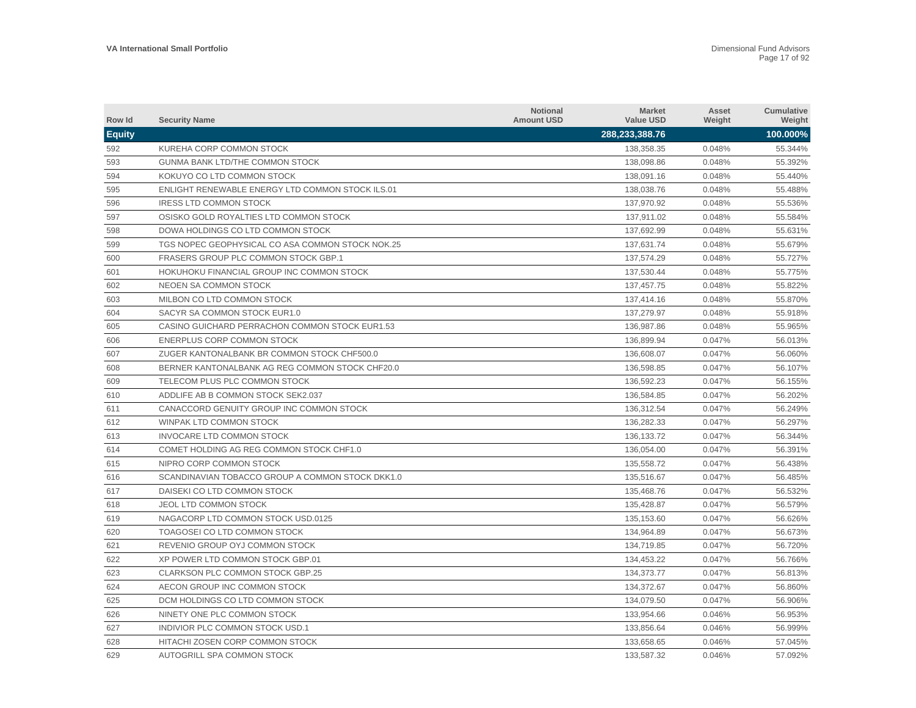| Row Id        | <b>Security Name</b>                             | <b>Notional</b><br><b>Amount USD</b> | <b>Market</b><br><b>Value USD</b> | Asset<br>Weight | <b>Cumulative</b><br>Weight |
|---------------|--------------------------------------------------|--------------------------------------|-----------------------------------|-----------------|-----------------------------|
| <b>Equity</b> |                                                  |                                      | 288,233,388.76                    |                 | 100.000%                    |
| 592           | KUREHA CORP COMMON STOCK                         |                                      | 138,358.35                        | 0.048%          | 55.344%                     |
| 593           | <b>GUNMA BANK LTD/THE COMMON STOCK</b>           |                                      | 138,098.86                        | 0.048%          | 55.392%                     |
| 594           | KOKUYO CO LTD COMMON STOCK                       |                                      | 138,091.16                        | 0.048%          | 55.440%                     |
| 595           | ENLIGHT RENEWABLE ENERGY LTD COMMON STOCK ILS.01 |                                      | 138,038.76                        | 0.048%          | 55.488%                     |
| 596           | IRESS LTD COMMON STOCK                           |                                      | 137,970.92                        | 0.048%          | 55.536%                     |
| 597           | OSISKO GOLD ROYALTIES LTD COMMON STOCK           |                                      | 137,911.02                        | 0.048%          | 55.584%                     |
| 598           | DOWA HOLDINGS CO LTD COMMON STOCK                |                                      | 137,692.99                        | 0.048%          | 55.631%                     |
| 599           | TGS NOPEC GEOPHYSICAL CO ASA COMMON STOCK NOK.25 |                                      | 137.631.74                        | 0.048%          | 55.679%                     |
| 600           | FRASERS GROUP PLC COMMON STOCK GBP.1             |                                      | 137,574.29                        | 0.048%          | 55.727%                     |
| 601           | HOKUHOKU FINANCIAL GROUP INC COMMON STOCK        |                                      | 137,530.44                        | 0.048%          | 55.775%                     |
| 602           | NEOEN SA COMMON STOCK                            |                                      | 137,457.75                        | 0.048%          | 55.822%                     |
| 603           | MILBON CO LTD COMMON STOCK                       |                                      | 137,414.16                        | 0.048%          | 55.870%                     |
| 604           | SACYR SA COMMON STOCK EUR1.0                     |                                      | 137,279.97                        | 0.048%          | 55.918%                     |
| 605           | CASINO GUICHARD PERRACHON COMMON STOCK EUR1.53   |                                      | 136,987.86                        | 0.048%          | 55.965%                     |
| 606           | ENERPLUS CORP COMMON STOCK                       |                                      | 136,899.94                        | 0.047%          | 56.013%                     |
| 607           | ZUGER KANTONALBANK BR COMMON STOCK CHF500.0      |                                      | 136,608.07                        | 0.047%          | 56.060%                     |
| 608           | BERNER KANTONALBANK AG REG COMMON STOCK CHF20.0  |                                      | 136.598.85                        | 0.047%          | 56.107%                     |
| 609           | TELECOM PLUS PLC COMMON STOCK                    |                                      | 136,592.23                        | 0.047%          | 56.155%                     |
| 610           | ADDLIFE AB B COMMON STOCK SEK2.037               |                                      | 136,584.85                        | 0.047%          | 56.202%                     |
| 611           | CANACCORD GENUITY GROUP INC COMMON STOCK         |                                      | 136,312.54                        | 0.047%          | 56.249%                     |
| 612           | WINPAK LTD COMMON STOCK                          |                                      | 136,282.33                        | 0.047%          | 56.297%                     |
| 613           | INVOCARE LTD COMMON STOCK                        |                                      | 136, 133. 72                      | 0.047%          | 56.344%                     |
| 614           | COMET HOLDING AG REG COMMON STOCK CHF1.0         |                                      | 136,054.00                        | 0.047%          | 56.391%                     |
| 615           | NIPRO CORP COMMON STOCK                          |                                      | 135,558.72                        | 0.047%          | 56.438%                     |
| 616           | SCANDINAVIAN TOBACCO GROUP A COMMON STOCK DKK1.0 |                                      | 135,516.67                        | 0.047%          | 56.485%                     |
| 617           | DAISEKI CO LTD COMMON STOCK                      |                                      | 135,468.76                        | 0.047%          | 56.532%                     |
| 618           | <b>JEOL LTD COMMON STOCK</b>                     |                                      | 135,428.87                        | 0.047%          | 56.579%                     |
| 619           | NAGACORP LTD COMMON STOCK USD.0125               |                                      | 135,153.60                        | 0.047%          | 56.626%                     |
| 620           | TOAGOSEI CO LTD COMMON STOCK                     |                                      | 134,964.89                        | 0.047%          | 56.673%                     |
| 621           | REVENIO GROUP OYJ COMMON STOCK                   |                                      | 134,719.85                        | 0.047%          | 56.720%                     |
| 622           | XP POWER LTD COMMON STOCK GBP.01                 |                                      | 134,453.22                        | 0.047%          | 56.766%                     |
| 623           | <b>CLARKSON PLC COMMON STOCK GBP.25</b>          |                                      | 134,373.77                        | 0.047%          | 56.813%                     |
| 624           | AECON GROUP INC COMMON STOCK                     |                                      | 134,372.67                        | 0.047%          | 56.860%                     |
| 625           | DCM HOLDINGS CO LTD COMMON STOCK                 |                                      | 134,079.50                        | 0.047%          | 56.906%                     |
| 626           | NINETY ONE PLC COMMON STOCK                      |                                      | 133,954.66                        | 0.046%          | 56.953%                     |
| 627           | INDIVIOR PLC COMMON STOCK USD.1                  |                                      | 133,856.64                        | 0.046%          | 56.999%                     |
| 628           | HITACHI ZOSEN CORP COMMON STOCK                  |                                      | 133.658.65                        | 0.046%          | 57.045%                     |
| 629           | AUTOGRILL SPA COMMON STOCK                       |                                      | 133,587.32                        | 0.046%          | 57.092%                     |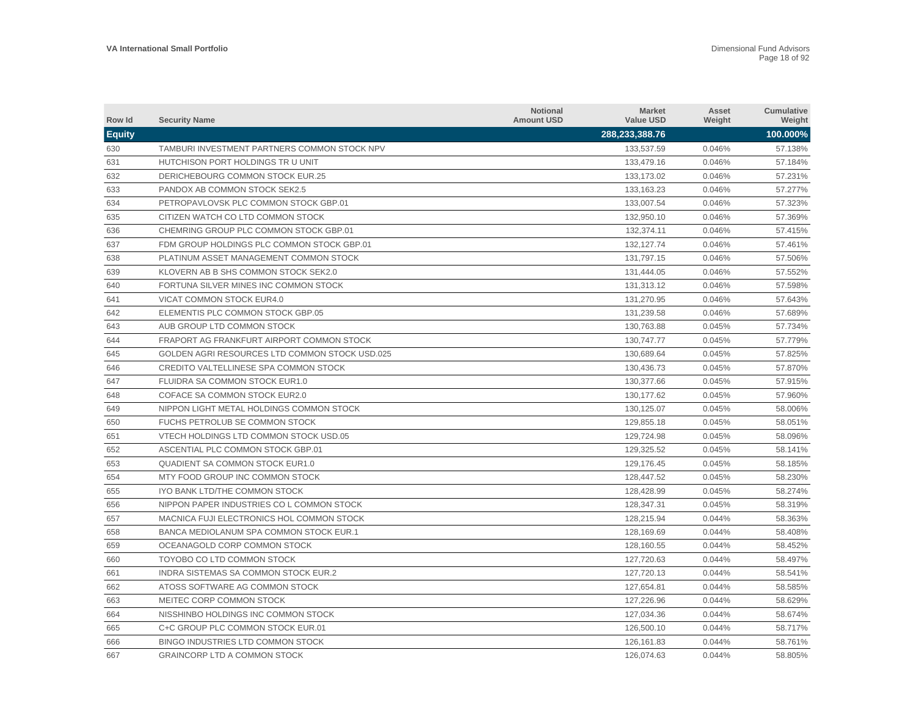| Row Id        | <b>Security Name</b>                           | <b>Notional</b><br><b>Amount USD</b> | <b>Market</b><br><b>Value USD</b> | Asset<br>Weight | <b>Cumulative</b><br>Weight |
|---------------|------------------------------------------------|--------------------------------------|-----------------------------------|-----------------|-----------------------------|
| <b>Equity</b> |                                                |                                      | 288,233,388.76                    |                 | 100.000%                    |
| 630           | TAMBURI INVESTMENT PARTNERS COMMON STOCK NPV   |                                      | 133,537.59                        | 0.046%          | 57.138%                     |
| 631           | HUTCHISON PORT HOLDINGS TR U UNIT              |                                      | 133,479.16                        | 0.046%          | 57.184%                     |
| 632           | DERICHEBOURG COMMON STOCK EUR.25               |                                      | 133,173.02                        | 0.046%          | 57.231%                     |
| 633           | PANDOX AB COMMON STOCK SEK2.5                  |                                      | 133, 163. 23                      | 0.046%          | 57.277%                     |
| 634           | PETROPAVLOVSK PLC COMMON STOCK GBP.01          |                                      | 133,007.54                        | 0.046%          | 57.323%                     |
| 635           | CITIZEN WATCH CO LTD COMMON STOCK              |                                      | 132,950.10                        | 0.046%          | 57.369%                     |
| 636           | CHEMRING GROUP PLC COMMON STOCK GBP.01         |                                      | 132,374.11                        | 0.046%          | 57.415%                     |
| 637           | FDM GROUP HOLDINGS PLC COMMON STOCK GBP.01     |                                      | 132.127.74                        | 0.046%          | 57.461%                     |
| 638           | PLATINUM ASSET MANAGEMENT COMMON STOCK         |                                      | 131,797.15                        | 0.046%          | 57.506%                     |
| 639           | KLOVERN AB B SHS COMMON STOCK SEK2.0           |                                      | 131,444.05                        | 0.046%          | 57.552%                     |
| 640           | FORTUNA SILVER MINES INC COMMON STOCK          |                                      | 131,313.12                        | 0.046%          | 57.598%                     |
| 641           | VICAT COMMON STOCK EUR4.0                      |                                      | 131,270.95                        | 0.046%          | 57.643%                     |
| 642           | ELEMENTIS PLC COMMON STOCK GBP.05              |                                      | 131,239.58                        | 0.046%          | 57.689%                     |
| 643           | AUB GROUP LTD COMMON STOCK                     |                                      | 130,763.88                        | 0.045%          | 57.734%                     |
| 644           | FRAPORT AG FRANKFURT AIRPORT COMMON STOCK      |                                      | 130,747.77                        | 0.045%          | 57.779%                     |
| 645           | GOLDEN AGRI RESOURCES LTD COMMON STOCK USD.025 |                                      | 130,689.64                        | 0.045%          | 57.825%                     |
| 646           | CREDITO VALTELLINESE SPA COMMON STOCK          |                                      | 130,436.73                        | 0.045%          | 57.870%                     |
| 647           | FLUIDRA SA COMMON STOCK EUR1.0                 |                                      | 130,377.66                        | 0.045%          | 57.915%                     |
| 648           | COFACE SA COMMON STOCK EUR2.0                  |                                      | 130,177.62                        | 0.045%          | 57.960%                     |
| 649           | NIPPON LIGHT METAL HOLDINGS COMMON STOCK       |                                      | 130,125.07                        | 0.045%          | 58.006%                     |
| 650           | FUCHS PETROLUB SE COMMON STOCK                 |                                      | 129.855.18                        | 0.045%          | 58.051%                     |
| 651           | VTECH HOLDINGS LTD COMMON STOCK USD.05         |                                      | 129.724.98                        | 0.045%          | 58.096%                     |
| 652           | ASCENTIAL PLC COMMON STOCK GBP.01              |                                      | 129.325.52                        | 0.045%          | 58.141%                     |
| 653           | <b>QUADIENT SA COMMON STOCK EUR1.0</b>         |                                      | 129,176.45                        | 0.045%          | 58.185%                     |
| 654           | MTY FOOD GROUP INC COMMON STOCK                |                                      | 128,447.52                        | 0.045%          | 58.230%                     |
| 655           | IYO BANK LTD/THE COMMON STOCK                  |                                      | 128,428.99                        | 0.045%          | 58.274%                     |
| 656           | NIPPON PAPER INDUSTRIES CO L COMMON STOCK      |                                      | 128,347.31                        | 0.045%          | 58.319%                     |
| 657           | MACNICA FUJI ELECTRONICS HOL COMMON STOCK      |                                      | 128,215.94                        | 0.044%          | 58.363%                     |
| 658           | BANCA MEDIOLANUM SPA COMMON STOCK EUR.1        |                                      | 128,169.69                        | 0.044%          | 58.408%                     |
| 659           | OCEANAGOLD CORP COMMON STOCK                   |                                      | 128,160.55                        | 0.044%          | 58.452%                     |
| 660           | TOYOBO CO LTD COMMON STOCK                     |                                      | 127,720.63                        | 0.044%          | 58.497%                     |
| 661           | INDRA SISTEMAS SA COMMON STOCK EUR.2           |                                      | 127,720.13                        | 0.044%          | 58.541%                     |
| 662           | ATOSS SOFTWARE AG COMMON STOCK                 |                                      | 127,654.81                        | 0.044%          | 58.585%                     |
| 663           | MEITEC CORP COMMON STOCK                       |                                      | 127,226.96                        | 0.044%          | 58.629%                     |
| 664           | NISSHINBO HOLDINGS INC COMMON STOCK            |                                      | 127,034.36                        | 0.044%          | 58.674%                     |
| 665           | C+C GROUP PLC COMMON STOCK EUR.01              |                                      | 126,500.10                        | 0.044%          | 58.717%                     |
| 666           | BINGO INDUSTRIES LTD COMMON STOCK              |                                      | 126.161.83                        | 0.044%          | 58.761%                     |
| 667           | <b>GRAINCORP LTD A COMMON STOCK</b>            |                                      | 126,074.63                        | 0.044%          | 58.805%                     |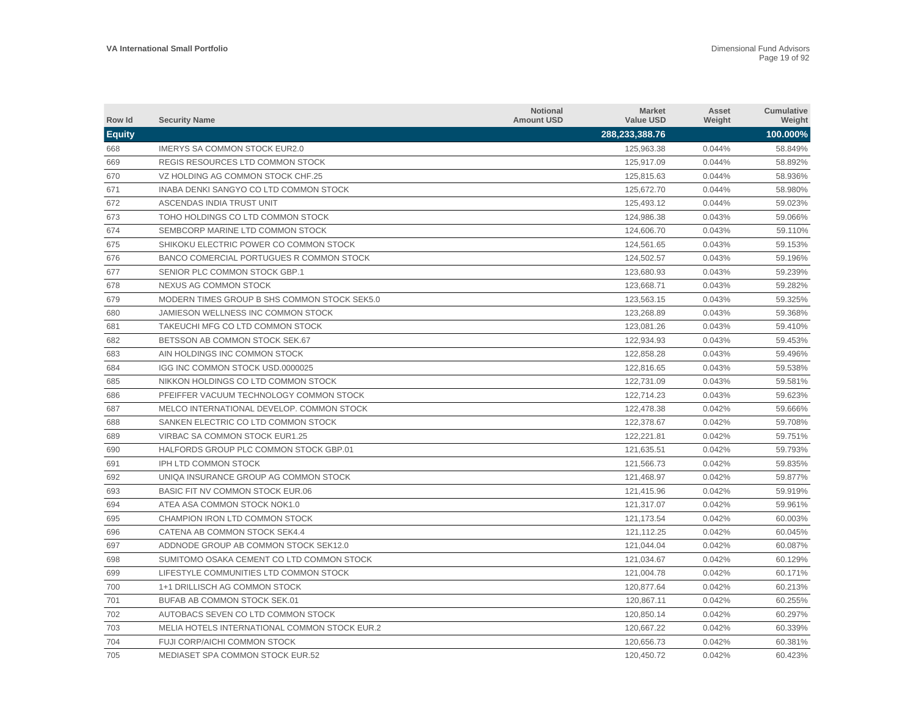| Row Id        | <b>Security Name</b>                          | <b>Notional</b><br><b>Amount USD</b> | <b>Market</b><br><b>Value USD</b> | Asset<br>Weight | <b>Cumulative</b><br>Weight |
|---------------|-----------------------------------------------|--------------------------------------|-----------------------------------|-----------------|-----------------------------|
| <b>Equity</b> |                                               |                                      | 288,233,388.76                    |                 | 100.000%                    |
| 668           | <b>IMERYS SA COMMON STOCK EUR2.0</b>          |                                      | 125.963.38                        | 0.044%          | 58.849%                     |
| 669           | <b>REGIS RESOURCES LTD COMMON STOCK</b>       |                                      | 125,917.09                        | 0.044%          | 58.892%                     |
| 670           | VZ HOLDING AG COMMON STOCK CHF.25             |                                      | 125,815.63                        | 0.044%          | 58.936%                     |
| 671           | INABA DENKI SANGYO CO LTD COMMON STOCK        |                                      | 125,672.70                        | 0.044%          | 58.980%                     |
| 672           | ASCENDAS INDIA TRUST UNIT                     |                                      | 125,493.12                        | 0.044%          | 59.023%                     |
| 673           | TOHO HOLDINGS CO LTD COMMON STOCK             |                                      | 124,986.38                        | 0.043%          | 59.066%                     |
| 674           | SEMBCORP MARINE LTD COMMON STOCK              |                                      | 124,606.70                        | 0.043%          | 59.110%                     |
| 675           | SHIKOKU ELECTRIC POWER CO COMMON STOCK        |                                      | 124,561.65                        | 0.043%          | 59.153%                     |
| 676           | BANCO COMERCIAL PORTUGUES R COMMON STOCK      |                                      | 124,502.57                        | 0.043%          | 59.196%                     |
| 677           | SENIOR PLC COMMON STOCK GBP.1                 |                                      | 123,680.93                        | 0.043%          | 59.239%                     |
| 678           | NEXUS AG COMMON STOCK                         |                                      | 123,668.71                        | 0.043%          | 59.282%                     |
| 679           | MODERN TIMES GROUP B SHS COMMON STOCK SEK5.0  |                                      | 123,563.15                        | 0.043%          | 59.325%                     |
| 680           | JAMIESON WELLNESS INC COMMON STOCK            |                                      | 123,268.89                        | 0.043%          | 59.368%                     |
| 681           | TAKEUCHI MFG CO LTD COMMON STOCK              |                                      | 123,081.26                        | 0.043%          | 59.410%                     |
| 682           | BETSSON AB COMMON STOCK SEK.67                |                                      | 122,934.93                        | 0.043%          | 59.453%                     |
| 683           | AIN HOLDINGS INC COMMON STOCK                 |                                      | 122,858.28                        | 0.043%          | 59.496%                     |
| 684           | IGG INC COMMON STOCK USD.0000025              |                                      | 122,816.65                        | 0.043%          | 59.538%                     |
| 685           | NIKKON HOLDINGS CO LTD COMMON STOCK           |                                      | 122,731.09                        | 0.043%          | 59.581%                     |
| 686           | PFEIFFER VACUUM TECHNOLOGY COMMON STOCK       |                                      | 122,714.23                        | 0.043%          | 59.623%                     |
| 687           | MELCO INTERNATIONAL DEVELOP. COMMON STOCK     |                                      | 122,478.38                        | 0.042%          | 59.666%                     |
| 688           | SANKEN ELECTRIC CO LTD COMMON STOCK           |                                      | 122,378.67                        | 0.042%          | 59.708%                     |
| 689           | VIRBAC SA COMMON STOCK EUR1.25                |                                      | 122,221.81                        | 0.042%          | 59.751%                     |
| 690           | HALFORDS GROUP PLC COMMON STOCK GBP.01        |                                      | 121,635.51                        | 0.042%          | 59.793%                     |
| 691           | <b>IPH LTD COMMON STOCK</b>                   |                                      | 121,566.73                        | 0.042%          | 59.835%                     |
| 692           | UNIQA INSURANCE GROUP AG COMMON STOCK         |                                      | 121,468.97                        | 0.042%          | 59.877%                     |
| 693           | BASIC FIT NV COMMON STOCK EUR.06              |                                      | 121,415.96                        | 0.042%          | 59.919%                     |
| 694           | ATEA ASA COMMON STOCK NOK1.0                  |                                      | 121,317.07                        | 0.042%          | 59.961%                     |
| 695           | CHAMPION IRON LTD COMMON STOCK                |                                      | 121,173.54                        | 0.042%          | 60.003%                     |
| 696           | CATENA AB COMMON STOCK SEK4.4                 |                                      | 121,112.25                        | 0.042%          | 60.045%                     |
| 697           | ADDNODE GROUP AB COMMON STOCK SEK12.0         |                                      | 121.044.04                        | 0.042%          | 60.087%                     |
| 698           | SUMITOMO OSAKA CEMENT CO LTD COMMON STOCK     |                                      | 121,034.67                        | 0.042%          | 60.129%                     |
| 699           | LIFESTYLE COMMUNITIES LTD COMMON STOCK        |                                      | 121,004.78                        | 0.042%          | 60.171%                     |
| 700           | 1+1 DRILLISCH AG COMMON STOCK                 |                                      | 120,877.64                        | 0.042%          | 60.213%                     |
| 701           | BUFAB AB COMMON STOCK SEK.01                  |                                      | 120,867.11                        | 0.042%          | 60.255%                     |
| 702           | AUTOBACS SEVEN CO LTD COMMON STOCK            |                                      | 120.850.14                        | 0.042%          | 60.297%                     |
| 703           | MELIA HOTELS INTERNATIONAL COMMON STOCK EUR.2 |                                      | 120.667.22                        | 0.042%          | 60.339%                     |
| 704           | <b>FUJI CORP/AICHI COMMON STOCK</b>           |                                      | 120,656.73                        | 0.042%          | 60.381%                     |
| 705           | MEDIASET SPA COMMON STOCK EUR.52              |                                      | 120.450.72                        | 0.042%          | 60.423%                     |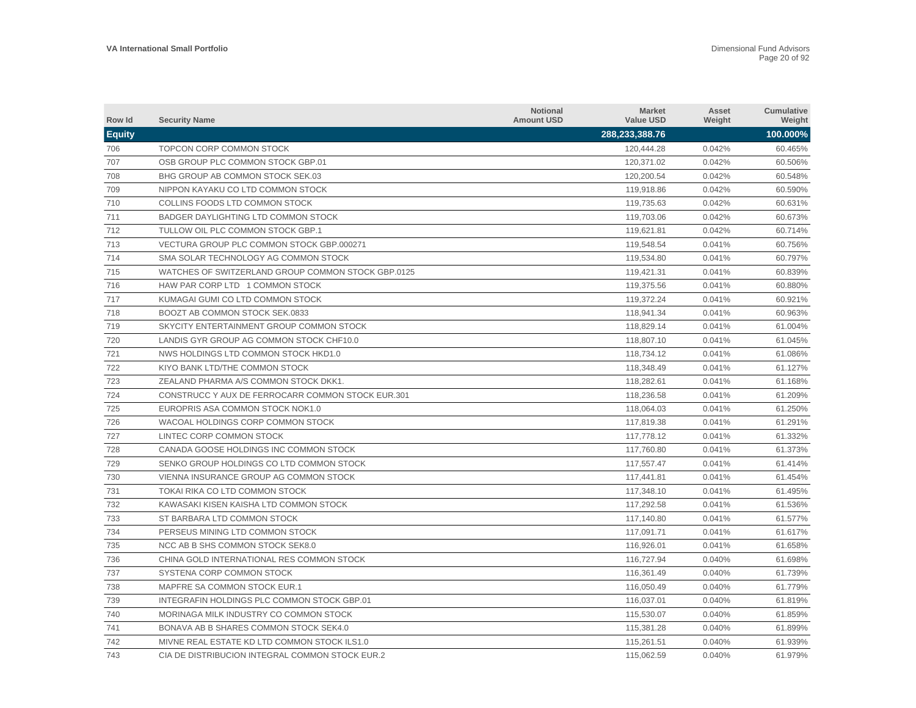| Row Id        | <b>Security Name</b>                               | <b>Notional</b><br><b>Amount USD</b> | <b>Market</b><br><b>Value USD</b> | Asset<br>Weight | <b>Cumulative</b><br>Weight |
|---------------|----------------------------------------------------|--------------------------------------|-----------------------------------|-----------------|-----------------------------|
| <b>Equity</b> |                                                    |                                      | 288,233,388.76                    |                 | 100.000%                    |
| 706           | TOPCON CORP COMMON STOCK                           |                                      | 120,444.28                        | 0.042%          | 60.465%                     |
| 707           | OSB GROUP PLC COMMON STOCK GBP.01                  |                                      | 120,371.02                        | 0.042%          | 60.506%                     |
| 708           | BHG GROUP AB COMMON STOCK SEK.03                   |                                      | 120,200.54                        | 0.042%          | 60.548%                     |
| 709           | NIPPON KAYAKU CO LTD COMMON STOCK                  |                                      | 119,918.86                        | 0.042%          | 60.590%                     |
| 710           | COLLINS FOODS LTD COMMON STOCK                     |                                      | 119,735.63                        | 0.042%          | 60.631%                     |
| 711           | BADGER DAYLIGHTING LTD COMMON STOCK                |                                      | 119,703.06                        | 0.042%          | 60.673%                     |
| 712           | TULLOW OIL PLC COMMON STOCK GBP.1                  |                                      | 119,621.81                        | 0.042%          | 60.714%                     |
| 713           | VECTURA GROUP PLC COMMON STOCK GBP.000271          |                                      | 119,548.54                        | 0.041%          | 60.756%                     |
| 714           | SMA SOLAR TECHNOLOGY AG COMMON STOCK               |                                      | 119,534.80                        | 0.041%          | 60.797%                     |
| 715           | WATCHES OF SWITZERLAND GROUP COMMON STOCK GBP.0125 |                                      | 119,421.31                        | 0.041%          | 60.839%                     |
| 716           | HAW PAR CORP LTD 1 COMMON STOCK                    |                                      | 119,375.56                        | 0.041%          | 60.880%                     |
| 717           | KUMAGAI GUMI CO LTD COMMON STOCK                   |                                      | 119,372.24                        | 0.041%          | 60.921%                     |
| 718           | BOOZT AB COMMON STOCK SEK.0833                     |                                      | 118,941.34                        | 0.041%          | 60.963%                     |
| 719           | SKYCITY ENTERTAINMENT GROUP COMMON STOCK           |                                      | 118,829.14                        | 0.041%          | 61.004%                     |
| 720           | LANDIS GYR GROUP AG COMMON STOCK CHF10.0           |                                      | 118,807.10                        | 0.041%          | 61.045%                     |
| 721           | NWS HOLDINGS LTD COMMON STOCK HKD1.0               |                                      | 118,734.12                        | 0.041%          | 61.086%                     |
| 722           | KIYO BANK LTD/THE COMMON STOCK                     |                                      | 118,348.49                        | 0.041%          | 61.127%                     |
| 723           | ZEALAND PHARMA A/S COMMON STOCK DKK1.              |                                      | 118,282.61                        | 0.041%          | 61.168%                     |
| 724           | CONSTRUCC Y AUX DE FERROCARR COMMON STOCK EUR.301  |                                      | 118,236.58                        | 0.041%          | 61.209%                     |
| 725           | EUROPRIS ASA COMMON STOCK NOK1.0                   |                                      | 118,064.03                        | 0.041%          | 61.250%                     |
| 726           | WACOAL HOLDINGS CORP COMMON STOCK                  |                                      | 117,819.38                        | 0.041%          | 61.291%                     |
| 727           | LINTEC CORP COMMON STOCK                           |                                      | 117,778.12                        | 0.041%          | 61.332%                     |
| 728           | CANADA GOOSE HOLDINGS INC COMMON STOCK             |                                      | 117,760.80                        | 0.041%          | 61.373%                     |
| 729           | SENKO GROUP HOLDINGS CO LTD COMMON STOCK           |                                      | 117,557.47                        | 0.041%          | 61.414%                     |
| 730           | VIENNA INSURANCE GROUP AG COMMON STOCK             |                                      | 117,441.81                        | 0.041%          | 61.454%                     |
| 731           | TOKAI RIKA CO LTD COMMON STOCK                     |                                      | 117,348.10                        | 0.041%          | 61.495%                     |
| 732           | KAWASAKI KISEN KAISHA LTD COMMON STOCK             |                                      | 117,292.58                        | 0.041%          | 61.536%                     |
| 733           | ST BARBARA LTD COMMON STOCK                        |                                      | 117,140.80                        | 0.041%          | 61.577%                     |
| 734           | PERSEUS MINING LTD COMMON STOCK                    |                                      | 117,091.71                        | 0.041%          | 61.617%                     |
| 735           | NCC AB B SHS COMMON STOCK SEK8.0                   |                                      | 116,926.01                        | 0.041%          | 61.658%                     |
| 736           | CHINA GOLD INTERNATIONAL RES COMMON STOCK          |                                      | 116,727.94                        | 0.040%          | 61.698%                     |
| 737           | SYSTENA CORP COMMON STOCK                          |                                      | 116,361.49                        | 0.040%          | 61.739%                     |
| 738           | MAPFRE SA COMMON STOCK EUR.1                       |                                      | 116,050.49                        | 0.040%          | 61.779%                     |
| 739           | INTEGRAFIN HOLDINGS PLC COMMON STOCK GBP.01        |                                      | 116,037.01                        | 0.040%          | 61.819%                     |
| 740           | MORINAGA MILK INDUSTRY CO COMMON STOCK             |                                      | 115,530.07                        | 0.040%          | 61.859%                     |
| 741           | BONAVA AB B SHARES COMMON STOCK SEK4.0             |                                      | 115,381.28                        | 0.040%          | 61.899%                     |
| 742           | MIVNE REAL ESTATE KD LTD COMMON STOCK ILS1.0       |                                      | 115,261.51                        | 0.040%          | 61.939%                     |
| 743           | CIA DE DISTRIBUCION INTEGRAL COMMON STOCK EUR.2    |                                      | 115,062.59                        | 0.040%          | 61.979%                     |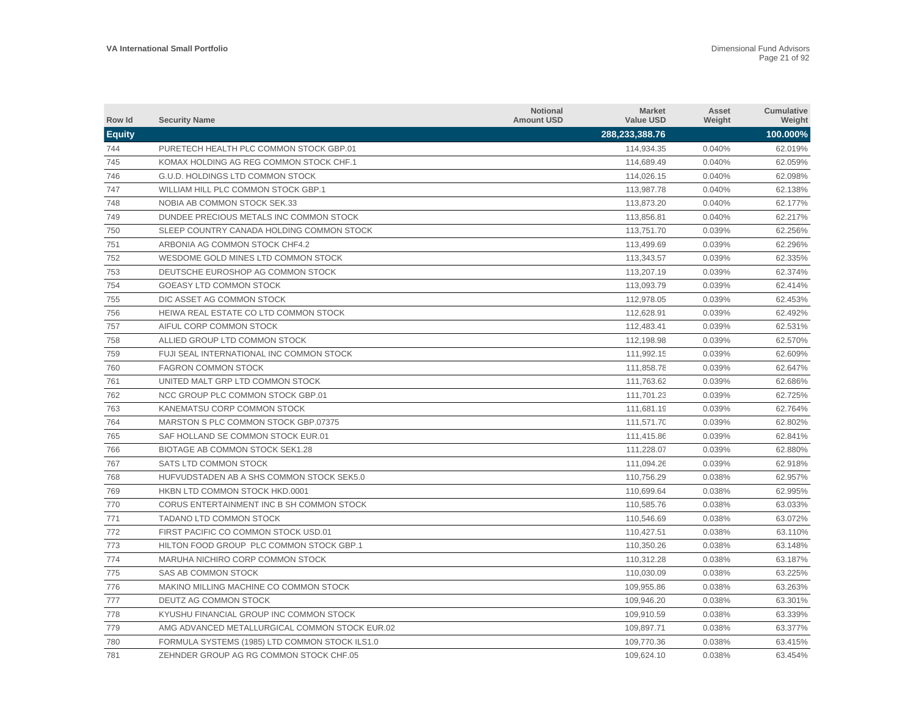| Row Id        | <b>Security Name</b>                           | <b>Notional</b><br><b>Amount USD</b> | <b>Market</b><br><b>Value USD</b> | Asset<br>Weight | <b>Cumulative</b><br>Weight |
|---------------|------------------------------------------------|--------------------------------------|-----------------------------------|-----------------|-----------------------------|
| <b>Equity</b> |                                                |                                      | 288,233,388.76                    |                 | 100.000%                    |
| 744           | PURETECH HEALTH PLC COMMON STOCK GBP.01        |                                      | 114,934.35                        | 0.040%          | 62.019%                     |
| 745           | KOMAX HOLDING AG REG COMMON STOCK CHF.1        |                                      | 114,689.49                        | 0.040%          | 62.059%                     |
| 746           | G.U.D. HOLDINGS LTD COMMON STOCK               |                                      | 114,026.15                        | 0.040%          | 62.098%                     |
| 747           | WILLIAM HILL PLC COMMON STOCK GBP.1            |                                      | 113,987.78                        | 0.040%          | 62.138%                     |
| 748           | NOBIA AB COMMON STOCK SEK.33                   |                                      | 113,873.20                        | 0.040%          | 62.177%                     |
| 749           | DUNDEE PRECIOUS METALS INC COMMON STOCK        |                                      | 113,856.81                        | 0.040%          | 62.217%                     |
| 750           | SLEEP COUNTRY CANADA HOLDING COMMON STOCK      |                                      | 113,751.70                        | 0.039%          | 62.256%                     |
| 751           | ARBONIA AG COMMON STOCK CHF4.2                 |                                      | 113,499.69                        | 0.039%          | 62.296%                     |
| 752           | WESDOME GOLD MINES LTD COMMON STOCK            |                                      | 113,343.57                        | 0.039%          | 62.335%                     |
| 753           | DEUTSCHE EUROSHOP AG COMMON STOCK              |                                      | 113,207.19                        | 0.039%          | 62.374%                     |
| 754           | <b>GOEASY LTD COMMON STOCK</b>                 |                                      | 113,093.79                        | 0.039%          | 62.414%                     |
| 755           | DIC ASSET AG COMMON STOCK                      |                                      | 112,978.05                        | 0.039%          | 62.453%                     |
| 756           | HEIWA REAL ESTATE CO LTD COMMON STOCK          |                                      | 112,628.91                        | 0.039%          | 62.492%                     |
| 757           | AIFUL CORP COMMON STOCK                        |                                      | 112,483.41                        | 0.039%          | 62.531%                     |
| 758           | ALLIED GROUP LTD COMMON STOCK                  |                                      | 112,198.98                        | 0.039%          | 62.570%                     |
| 759           | FUJI SEAL INTERNATIONAL INC COMMON STOCK       |                                      | 111,992.15                        | 0.039%          | 62.609%                     |
| 760           | <b>FAGRON COMMON STOCK</b>                     |                                      | 111,858.78                        | 0.039%          | 62.647%                     |
| 761           | UNITED MALT GRP LTD COMMON STOCK               |                                      | 111,763.62                        | 0.039%          | 62.686%                     |
| 762           | NCC GROUP PLC COMMON STOCK GBP.01              |                                      | 111,701.23                        | 0.039%          | 62.725%                     |
| 763           | KANEMATSU CORP COMMON STOCK                    |                                      | 111,681.19                        | 0.039%          | 62.764%                     |
| 764           | MARSTON S PLC COMMON STOCK GBP.07375           |                                      | 111,571.70                        | 0.039%          | 62.802%                     |
| 765           | SAF HOLLAND SE COMMON STOCK EUR.01             |                                      | 111,415.86                        | 0.039%          | 62.841%                     |
| 766           | BIOTAGE AB COMMON STOCK SEK1.28                |                                      | 111,228.07                        | 0.039%          | 62.880%                     |
| 767           | SATS LTD COMMON STOCK                          |                                      | 111,094.26                        | 0.039%          | 62.918%                     |
| 768           | HUFVUDSTADEN AB A SHS COMMON STOCK SEK5.0      |                                      | 110,756.29                        | 0.038%          | 62.957%                     |
| 769           | HKBN LTD COMMON STOCK HKD.0001                 |                                      | 110,699.64                        | 0.038%          | 62.995%                     |
| 770           | CORUS ENTERTAINMENT INC B SH COMMON STOCK      |                                      | 110,585.76                        | 0.038%          | 63.033%                     |
| 771           | <b>TADANO LTD COMMON STOCK</b>                 |                                      | 110,546.69                        | 0.038%          | 63.072%                     |
| 772           | FIRST PACIFIC CO COMMON STOCK USD.01           |                                      | 110,427.51                        | 0.038%          | 63.110%                     |
| 773           | HILTON FOOD GROUP PLC COMMON STOCK GBP.1       |                                      | 110,350.26                        | 0.038%          | 63.148%                     |
| 774           | MARUHA NICHIRO CORP COMMON STOCK               |                                      | 110,312.28                        | 0.038%          | 63.187%                     |
| 775           | SAS AB COMMON STOCK                            |                                      | 110,030.09                        | 0.038%          | 63.225%                     |
| 776           | MAKINO MILLING MACHINE CO COMMON STOCK         |                                      | 109,955.86                        | 0.038%          | 63.263%                     |
| 777           | DEUTZ AG COMMON STOCK                          |                                      | 109,946.20                        | 0.038%          | 63.301%                     |
| 778           | KYUSHU FINANCIAL GROUP INC COMMON STOCK        |                                      | 109,910.59                        | 0.038%          | 63.339%                     |
| 779           | AMG ADVANCED METALLURGICAL COMMON STOCK EUR.02 |                                      | 109,897.71                        | 0.038%          | 63.377%                     |
| 780           | FORMULA SYSTEMS (1985) LTD COMMON STOCK ILS1.0 |                                      | 109.770.36                        | 0.038%          | 63.415%                     |
| 781           | ZEHNDER GROUP AG RG COMMON STOCK CHF.05        |                                      | 109,624.10                        | 0.038%          | 63.454%                     |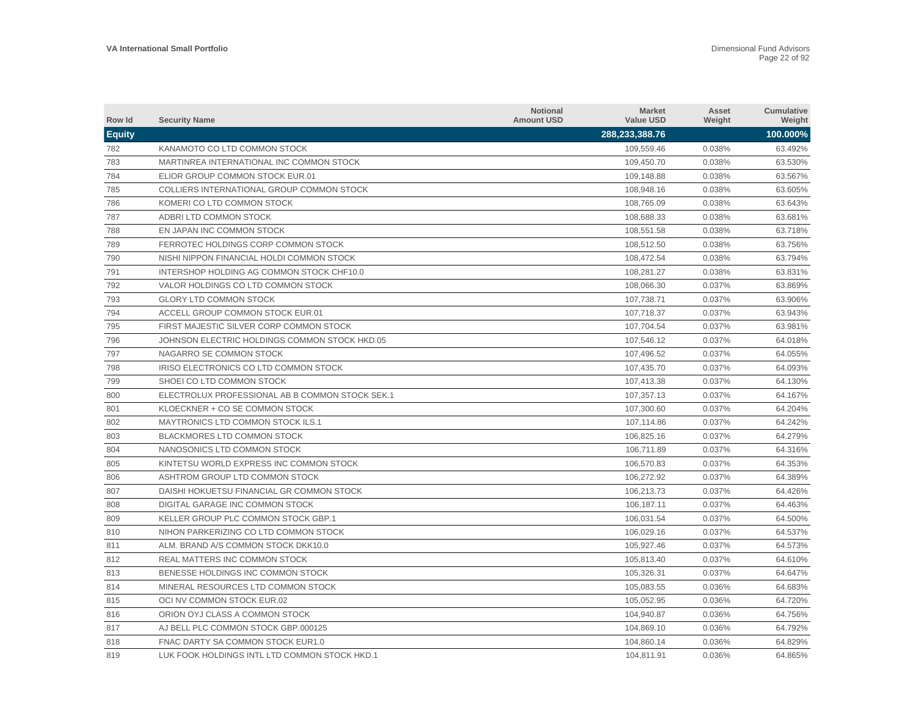| Row Id        | <b>Security Name</b>                            | <b>Notional</b><br><b>Amount USD</b> | <b>Market</b><br><b>Value USD</b> | Asset<br>Weight | <b>Cumulative</b><br>Weight |
|---------------|-------------------------------------------------|--------------------------------------|-----------------------------------|-----------------|-----------------------------|
| <b>Equity</b> |                                                 |                                      | 288,233,388.76                    |                 | 100.000%                    |
| 782           | KANAMOTO CO LTD COMMON STOCK                    |                                      | 109.559.46                        | 0.038%          | 63.492%                     |
| 783           | MARTINREA INTERNATIONAL INC COMMON STOCK        |                                      | 109,450.70                        | 0.038%          | 63.530%                     |
| 784           | ELIOR GROUP COMMON STOCK EUR.01                 |                                      | 109,148.88                        | 0.038%          | 63.567%                     |
| 785           | COLLIERS INTERNATIONAL GROUP COMMON STOCK       |                                      | 108,948.16                        | 0.038%          | 63.605%                     |
| 786           | KOMERI CO LTD COMMON STOCK                      |                                      | 108,765.09                        | 0.038%          | 63.643%                     |
| 787           | ADBRI LTD COMMON STOCK                          |                                      | 108,688.33                        | 0.038%          | 63.681%                     |
| 788           | EN JAPAN INC COMMON STOCK                       |                                      | 108,551.58                        | 0.038%          | 63.718%                     |
| 789           | FERROTEC HOLDINGS CORP COMMON STOCK             |                                      | 108,512.50                        | 0.038%          | 63.756%                     |
| 790           | NISHI NIPPON FINANCIAL HOLDI COMMON STOCK       |                                      | 108,472.54                        | 0.038%          | 63.794%                     |
| 791           | INTERSHOP HOLDING AG COMMON STOCK CHF10.0       |                                      | 108,281.27                        | 0.038%          | 63.831%                     |
| 792           | VALOR HOLDINGS CO LTD COMMON STOCK              |                                      | 108,066.30                        | 0.037%          | 63.869%                     |
| 793           | <b>GLORY LTD COMMON STOCK</b>                   |                                      | 107,738.71                        | 0.037%          | 63.906%                     |
| 794           | ACCELL GROUP COMMON STOCK EUR.01                |                                      | 107,718.37                        | 0.037%          | 63.943%                     |
| 795           | FIRST MAJESTIC SILVER CORP COMMON STOCK         |                                      | 107,704.54                        | 0.037%          | 63.981%                     |
| 796           | JOHNSON ELECTRIC HOLDINGS COMMON STOCK HKD.05   |                                      | 107.546.12                        | 0.037%          | 64.018%                     |
| 797           | NAGARRO SE COMMON STOCK                         |                                      | 107.496.52                        | 0.037%          | 64.055%                     |
| 798           | IRISO ELECTRONICS CO LTD COMMON STOCK           |                                      | 107,435.70                        | 0.037%          | 64.093%                     |
| 799           | SHOEI CO LTD COMMON STOCK                       |                                      | 107,413.38                        | 0.037%          | 64.130%                     |
| 800           | ELECTROLUX PROFESSIONAL AB B COMMON STOCK SEK.1 |                                      | 107,357.13                        | 0.037%          | 64.167%                     |
| 801           | KLOECKNER + CO SE COMMON STOCK                  |                                      | 107,300.60                        | 0.037%          | 64.204%                     |
| 802           | <b>MAYTRONICS LTD COMMON STOCK ILS.1</b>        |                                      | 107,114.86                        | 0.037%          | 64.242%                     |
| 803           | <b>BLACKMORES LTD COMMON STOCK</b>              |                                      | 106,825.16                        | 0.037%          | 64.279%                     |
| 804           | NANOSONICS LTD COMMON STOCK                     |                                      | 106,711.89                        | 0.037%          | 64.316%                     |
| 805           | KINTETSU WORLD EXPRESS INC COMMON STOCK         |                                      | 106,570.83                        | 0.037%          | 64.353%                     |
| 806           | ASHTROM GROUP LTD COMMON STOCK                  |                                      | 106,272.92                        | 0.037%          | 64.389%                     |
| 807           | DAISHI HOKUETSU FINANCIAL GR COMMON STOCK       |                                      | 106,213.73                        | 0.037%          | 64.426%                     |
| 808           | DIGITAL GARAGE INC COMMON STOCK                 |                                      | 106,187.11                        | 0.037%          | 64.463%                     |
| 809           | KELLER GROUP PLC COMMON STOCK GBP.1             |                                      | 106,031.54                        | 0.037%          | 64.500%                     |
| 810           | NIHON PARKERIZING CO LTD COMMON STOCK           |                                      | 106,029.16                        | 0.037%          | 64.537%                     |
| 811           | ALM. BRAND A/S COMMON STOCK DKK10.0             |                                      | 105,927.46                        | 0.037%          | 64.573%                     |
| 812           | REAL MATTERS INC COMMON STOCK                   |                                      | 105,813.40                        | 0.037%          | 64.610%                     |
| 813           | BENESSE HOLDINGS INC COMMON STOCK               |                                      | 105,326.31                        | 0.037%          | 64.647%                     |
| 814           | MINERAL RESOURCES LTD COMMON STOCK              |                                      | 105,083.55                        | 0.036%          | 64.683%                     |
| 815           | OCI NV COMMON STOCK EUR.02                      |                                      | 105,052.95                        | 0.036%          | 64.720%                     |
| 816           | ORION OYJ CLASS A COMMON STOCK                  |                                      | 104.940.87                        | 0.036%          | 64.756%                     |
| 817           | AJ BELL PLC COMMON STOCK GBP.000125             |                                      | 104,869.10                        | 0.036%          | 64.792%                     |
| 818           | FNAC DARTY SA COMMON STOCK EUR1.0               |                                      | 104.860.14                        | 0.036%          | 64.829%                     |
| 819           | LUK FOOK HOLDINGS INTL LTD COMMON STOCK HKD.1   |                                      | 104,811.91                        | 0.036%          | 64.865%                     |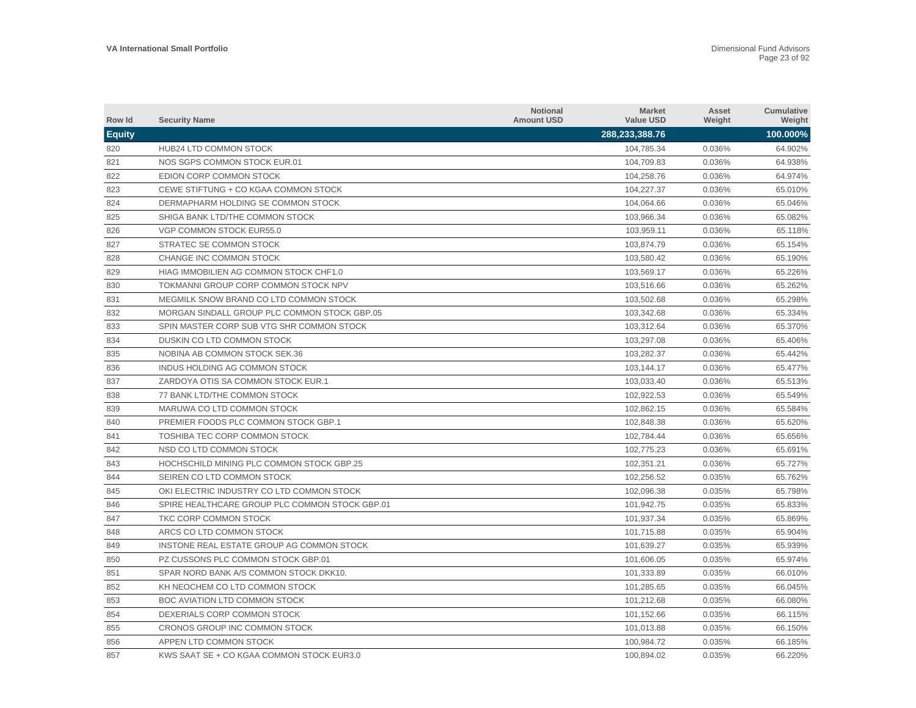| Row Id        | <b>Security Name</b>                           | <b>Notional</b><br><b>Amount USD</b> | <b>Market</b><br><b>Value USD</b> | Asset<br>Weight | Cumulative<br>Weight |
|---------------|------------------------------------------------|--------------------------------------|-----------------------------------|-----------------|----------------------|
| <b>Equity</b> |                                                |                                      | 288,233,388.76                    |                 | 100.000%             |
| 820           | <b>HUB24 LTD COMMON STOCK</b>                  |                                      | 104,785.34                        | 0.036%          | 64.902%              |
| 821           | NOS SGPS COMMON STOCK EUR.01                   |                                      | 104,709.83                        | 0.036%          | 64.938%              |
| 822           | EDION CORP COMMON STOCK                        |                                      | 104.258.76                        | 0.036%          | 64.974%              |
| 823           | CEWE STIFTUNG + CO KGAA COMMON STOCK           |                                      | 104,227.37                        | 0.036%          | 65.010%              |
| 824           | DERMAPHARM HOLDING SE COMMON STOCK             |                                      | 104,064.66                        | 0.036%          | 65.046%              |
| 825           | SHIGA BANK LTD/THE COMMON STOCK                |                                      | 103,966.34                        | 0.036%          | 65.082%              |
| 826           | VGP COMMON STOCK EUR55.0                       |                                      | 103,959.11                        | 0.036%          | 65.118%              |
| 827           | STRATEC SE COMMON STOCK                        |                                      | 103,874.79                        | 0.036%          | 65.154%              |
| 828           | CHANGE INC COMMON STOCK                        |                                      | 103,580.42                        | 0.036%          | 65.190%              |
| 829           | HIAG IMMOBILIEN AG COMMON STOCK CHF1.0         |                                      | 103.569.17                        | 0.036%          | 65.226%              |
| 830           | TOKMANNI GROUP CORP COMMON STOCK NPV           |                                      | 103,516.66                        | 0.036%          | 65.262%              |
| 831           | MEGMILK SNOW BRAND CO LTD COMMON STOCK         |                                      | 103,502.68                        | 0.036%          | 65.298%              |
| 832           | MORGAN SINDALL GROUP PLC COMMON STOCK GBP.05   |                                      | 103,342.68                        | 0.036%          | 65.334%              |
| 833           | SPIN MASTER CORP SUB VTG SHR COMMON STOCK      |                                      | 103,312.64                        | 0.036%          | 65.370%              |
| 834           | DUSKIN CO LTD COMMON STOCK                     |                                      | 103,297.08                        | 0.036%          | 65.406%              |
| 835           | NOBINA AB COMMON STOCK SEK.36                  |                                      | 103,282.37                        | 0.036%          | 65.442%              |
| 836           | INDUS HOLDING AG COMMON STOCK                  |                                      | 103,144.17                        | 0.036%          | 65.477%              |
| 837           | ZARDOYA OTIS SA COMMON STOCK EUR.1             |                                      | 103,033.40                        | 0.036%          | 65.513%              |
| 838           | 77 BANK LTD/THE COMMON STOCK                   |                                      | 102,922.53                        | 0.036%          | 65.549%              |
| 839           | MARUWA CO LTD COMMON STOCK                     |                                      | 102,862.15                        | 0.036%          | 65.584%              |
| 840           | PREMIER FOODS PLC COMMON STOCK GBP.1           |                                      | 102,848.38                        | 0.036%          | 65.620%              |
| 841           | TOSHIBA TEC CORP COMMON STOCK                  |                                      | 102,784.44                        | 0.036%          | 65.656%              |
| 842           | NSD CO LTD COMMON STOCK                        |                                      | 102,775.23                        | 0.036%          | 65.691%              |
| 843           | HOCHSCHILD MINING PLC COMMON STOCK GBP.25      |                                      | 102,351.21                        | 0.036%          | 65.727%              |
| 844           | SEIREN CO LTD COMMON STOCK                     |                                      | 102,256.52                        | 0.035%          | 65.762%              |
| 845           | OKI ELECTRIC INDUSTRY CO LTD COMMON STOCK      |                                      | 102,096.38                        | 0.035%          | 65.798%              |
| 846           | SPIRE HEALTHCARE GROUP PLC COMMON STOCK GBP.01 |                                      | 101,942.75                        | 0.035%          | 65.833%              |
| 847           | TKC CORP COMMON STOCK                          |                                      | 101.937.34                        | 0.035%          | 65.869%              |
| 848           | ARCS CO LTD COMMON STOCK                       |                                      | 101,715.88                        | 0.035%          | 65.904%              |
| 849           | INSTONE REAL ESTATE GROUP AG COMMON STOCK      |                                      | 101.639.27                        | 0.035%          | 65.939%              |
| 850           | PZ CUSSONS PLC COMMON STOCK GBP.01             |                                      | 101,606.05                        | 0.035%          | 65.974%              |
| 851           | SPAR NORD BANK A/S COMMON STOCK DKK10.         |                                      | 101,333.89                        | 0.035%          | 66.010%              |
| 852           | KH NEOCHEM CO LTD COMMON STOCK                 |                                      | 101,285.65                        | 0.035%          | 66.045%              |
| 853           | BOC AVIATION LTD COMMON STOCK                  |                                      | 101,212.68                        | 0.035%          | 66.080%              |
| 854           | DEXERIALS CORP COMMON STOCK                    |                                      | 101,152.66                        | 0.035%          | 66.115%              |
| 855           | CRONOS GROUP INC COMMON STOCK                  |                                      | 101,013.88                        | 0.035%          | 66.150%              |
| 856           | APPEN LTD COMMON STOCK                         |                                      | 100.984.72                        | 0.035%          | 66.185%              |
| 857           | KWS SAAT SE + CO KGAA COMMON STOCK EUR3.0      |                                      | 100.894.02                        | 0.035%          | 66.220%              |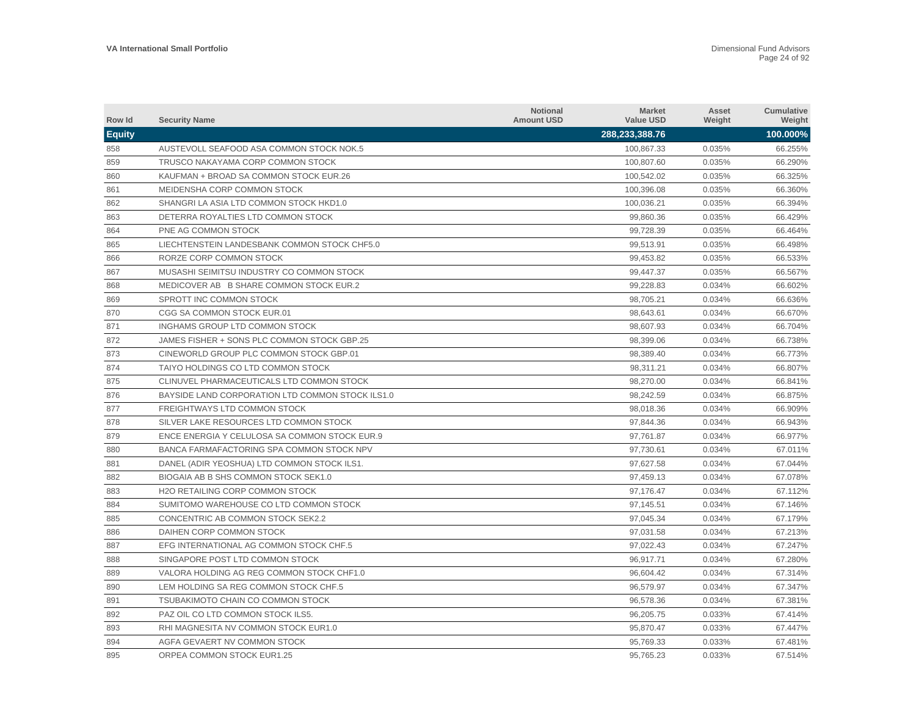| Row Id        | <b>Security Name</b>                             | <b>Notional</b><br><b>Amount USD</b> | <b>Market</b><br><b>Value USD</b> | Asset<br>Weight | <b>Cumulative</b><br>Weight |
|---------------|--------------------------------------------------|--------------------------------------|-----------------------------------|-----------------|-----------------------------|
| <b>Equity</b> |                                                  |                                      | 288,233,388.76                    |                 | 100.000%                    |
| 858           | AUSTEVOLL SEAFOOD ASA COMMON STOCK NOK.5         |                                      | 100,867.33                        | 0.035%          | 66.255%                     |
| 859           | TRUSCO NAKAYAMA CORP COMMON STOCK                |                                      | 100,807.60                        | 0.035%          | 66.290%                     |
| 860           | KAUFMAN + BROAD SA COMMON STOCK EUR.26           |                                      | 100,542.02                        | 0.035%          | 66.325%                     |
| 861           | MEIDENSHA CORP COMMON STOCK                      |                                      | 100,396.08                        | 0.035%          | 66.360%                     |
| 862           | SHANGRI LA ASIA LTD COMMON STOCK HKD1.0          |                                      | 100,036.21                        | 0.035%          | 66.394%                     |
| 863           | DETERRA ROYALTIES LTD COMMON STOCK               |                                      | 99,860.36                         | 0.035%          | 66.429%                     |
| 864           | PNE AG COMMON STOCK                              |                                      | 99,728.39                         | 0.035%          | 66.464%                     |
| 865           | LIECHTENSTEIN LANDESBANK COMMON STOCK CHF5.0     |                                      | 99,513.91                         | 0.035%          | 66.498%                     |
| 866           | RORZE CORP COMMON STOCK                          |                                      | 99,453.82                         | 0.035%          | 66.533%                     |
| 867           | MUSASHI SEIMITSU INDUSTRY CO COMMON STOCK        |                                      | 99,447.37                         | 0.035%          | 66.567%                     |
| 868           | MEDICOVER AB B SHARE COMMON STOCK EUR.2          |                                      | 99,228.83                         | 0.034%          | 66.602%                     |
| 869           | SPROTT INC COMMON STOCK                          |                                      | 98,705.21                         | 0.034%          | 66.636%                     |
| 870           | CGG SA COMMON STOCK EUR.01                       |                                      | 98,643.61                         | 0.034%          | 66.670%                     |
| 871           | INGHAMS GROUP LTD COMMON STOCK                   |                                      | 98,607.93                         | 0.034%          | 66.704%                     |
| 872           | JAMES FISHER + SONS PLC COMMON STOCK GBP.25      |                                      | 98.399.06                         | 0.034%          | 66.738%                     |
| 873           | CINEWORLD GROUP PLC COMMON STOCK GBP.01          |                                      | 98.389.40                         | 0.034%          | 66.773%                     |
| 874           | TAIYO HOLDINGS CO LTD COMMON STOCK               |                                      | 98,311.21                         | 0.034%          | 66.807%                     |
| 875           | CLINUVEL PHARMACEUTICALS LTD COMMON STOCK        |                                      | 98,270.00                         | 0.034%          | 66.841%                     |
| 876           | BAYSIDE LAND CORPORATION LTD COMMON STOCK ILS1.0 |                                      | 98,242.59                         | 0.034%          | 66.875%                     |
| 877           | FREIGHTWAYS LTD COMMON STOCK                     |                                      | 98,018.36                         | 0.034%          | 66.909%                     |
| 878           | SILVER LAKE RESOURCES LTD COMMON STOCK           |                                      | 97,844.36                         | 0.034%          | 66.943%                     |
| 879           | ENCE ENERGIA Y CELULOSA SA COMMON STOCK EUR.9    |                                      | 97,761.87                         | 0.034%          | 66.977%                     |
| 880           | BANCA FARMAFACTORING SPA COMMON STOCK NPV        |                                      | 97,730.61                         | 0.034%          | 67.011%                     |
| 881           | DANEL (ADIR YEOSHUA) LTD COMMON STOCK ILS1.      |                                      | 97,627.58                         | 0.034%          | 67.044%                     |
| 882           | BIOGAIA AB B SHS COMMON STOCK SEK1.0             |                                      | 97,459.13                         | 0.034%          | 67.078%                     |
| 883           | <b>H2O RETAILING CORP COMMON STOCK</b>           |                                      | 97,176.47                         | 0.034%          | 67.112%                     |
| 884           | SUMITOMO WAREHOUSE CO LTD COMMON STOCK           |                                      | 97,145.51                         | 0.034%          | 67.146%                     |
| 885           | CONCENTRIC AB COMMON STOCK SEK2.2                |                                      | 97,045.34                         | 0.034%          | 67.179%                     |
| 886           | DAIHEN CORP COMMON STOCK                         |                                      | 97,031.58                         | 0.034%          | 67.213%                     |
| 887           | EFG INTERNATIONAL AG COMMON STOCK CHF.5          |                                      | 97,022.43                         | 0.034%          | 67.247%                     |
| 888           | SINGAPORE POST LTD COMMON STOCK                  |                                      | 96,917.71                         | 0.034%          | 67.280%                     |
| 889           | VALORA HOLDING AG REG COMMON STOCK CHF1.0        |                                      | 96,604.42                         | 0.034%          | 67.314%                     |
| 890           | LEM HOLDING SA REG COMMON STOCK CHF.5            |                                      | 96,579.97                         | 0.034%          | 67.347%                     |
| 891           | TSUBAKIMOTO CHAIN CO COMMON STOCK                |                                      | 96,578.36                         | 0.034%          | 67.381%                     |
| 892           | PAZ OIL CO LTD COMMON STOCK ILS5.                |                                      | 96,205.75                         | 0.033%          | 67.414%                     |
| 893           | RHI MAGNESITA NV COMMON STOCK EUR1.0             |                                      | 95,870.47                         | 0.033%          | 67.447%                     |
| 894           | AGFA GEVAERT NV COMMON STOCK                     |                                      | 95.769.33                         | 0.033%          | 67.481%                     |
| 895           | ORPEA COMMON STOCK EUR1.25                       |                                      | 95,765.23                         | 0.033%          | 67.514%                     |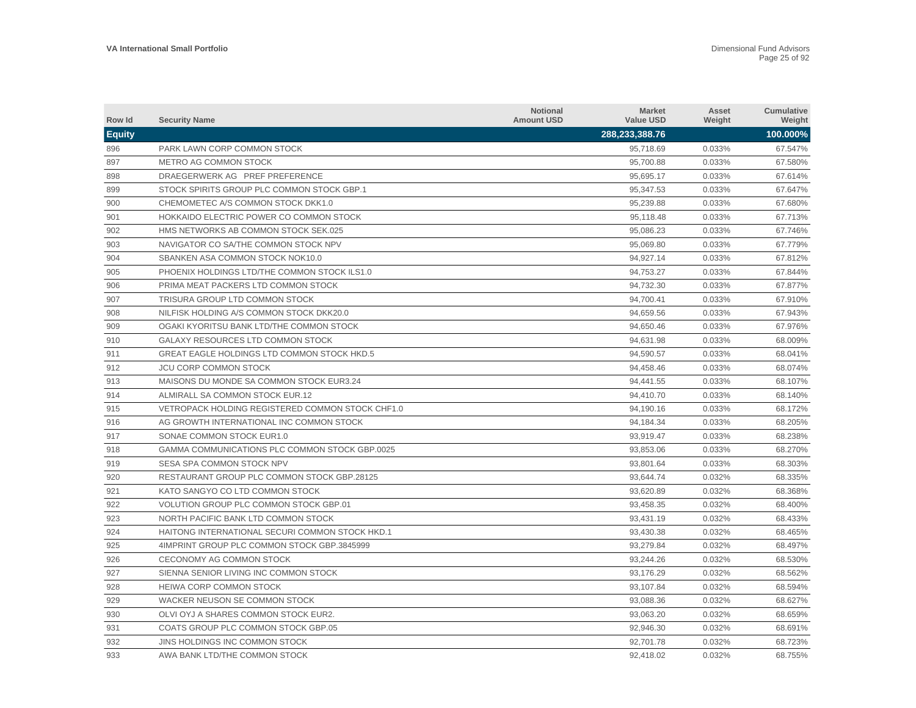| Row Id        | <b>Security Name</b>                               | <b>Notional</b><br><b>Amount USD</b> | <b>Market</b><br><b>Value USD</b> | Asset<br>Weight | <b>Cumulative</b><br>Weight |
|---------------|----------------------------------------------------|--------------------------------------|-----------------------------------|-----------------|-----------------------------|
| <b>Equity</b> |                                                    |                                      | 288,233,388.76                    |                 | 100.000%                    |
| 896           | PARK LAWN CORP COMMON STOCK                        |                                      | 95.718.69                         | 0.033%          | 67.547%                     |
| 897           | METRO AG COMMON STOCK                              |                                      | 95,700.88                         | 0.033%          | 67.580%                     |
| 898           | DRAEGERWERK AG PREF PREFERENCE                     |                                      | 95,695.17                         | 0.033%          | 67.614%                     |
| 899           | STOCK SPIRITS GROUP PLC COMMON STOCK GBP.1         |                                      | 95,347.53                         | 0.033%          | 67.647%                     |
| 900           | CHEMOMETEC A/S COMMON STOCK DKK1.0                 |                                      | 95,239.88                         | 0.033%          | 67.680%                     |
| 901           | HOKKAIDO ELECTRIC POWER CO COMMON STOCK            |                                      | 95,118.48                         | 0.033%          | 67.713%                     |
| 902           | HMS NETWORKS AB COMMON STOCK SEK.025               |                                      | 95,086.23                         | 0.033%          | 67.746%                     |
| 903           | NAVIGATOR CO SA/THE COMMON STOCK NPV               |                                      | 95,069.80                         | 0.033%          | 67.779%                     |
| 904           | SBANKEN ASA COMMON STOCK NOK10.0                   |                                      | 94,927.14                         | 0.033%          | 67.812%                     |
| 905           | PHOENIX HOLDINGS LTD/THE COMMON STOCK ILS1.0       |                                      | 94,753.27                         | 0.033%          | 67.844%                     |
| 906           | PRIMA MEAT PACKERS LTD COMMON STOCK                |                                      | 94,732.30                         | 0.033%          | 67.877%                     |
| 907           | TRISURA GROUP LTD COMMON STOCK                     |                                      | 94,700.41                         | 0.033%          | 67.910%                     |
| 908           | NILFISK HOLDING A/S COMMON STOCK DKK20.0           |                                      | 94,659.56                         | 0.033%          | 67.943%                     |
| 909           | OGAKI KYORITSU BANK LTD/THE COMMON STOCK           |                                      | 94,650.46                         | 0.033%          | 67.976%                     |
| 910           | <b>GALAXY RESOURCES LTD COMMON STOCK</b>           |                                      | 94.631.98                         | 0.033%          | 68.009%                     |
| 911           | <b>GREAT EAGLE HOLDINGS LTD COMMON STOCK HKD.5</b> |                                      | 94.590.57                         | 0.033%          | 68.041%                     |
| 912           | <b>JCU CORP COMMON STOCK</b>                       |                                      | 94,458.46                         | 0.033%          | 68.074%                     |
| 913           | MAISONS DU MONDE SA COMMON STOCK EUR3.24           |                                      | 94,441.55                         | 0.033%          | 68.107%                     |
| 914           | ALMIRALL SA COMMON STOCK EUR.12                    |                                      | 94,410.70                         | 0.033%          | 68.140%                     |
| 915           | VETROPACK HOLDING REGISTERED COMMON STOCK CHF1.0   |                                      | 94,190.16                         | 0.033%          | 68.172%                     |
| 916           | AG GROWTH INTERNATIONAL INC COMMON STOCK           |                                      | 94,184.34                         | 0.033%          | 68.205%                     |
| 917           | SONAE COMMON STOCK EUR1.0                          |                                      | 93,919.47                         | 0.033%          | 68.238%                     |
| 918           | GAMMA COMMUNICATIONS PLC COMMON STOCK GBP.0025     |                                      | 93,853.06                         | 0.033%          | 68.270%                     |
| 919           | SESA SPA COMMON STOCK NPV                          |                                      | 93,801.64                         | 0.033%          | 68.303%                     |
| 920           | RESTAURANT GROUP PLC COMMON STOCK GBP.28125        |                                      | 93,644.74                         | 0.032%          | 68.335%                     |
| 921           | KATO SANGYO CO LTD COMMON STOCK                    |                                      | 93,620.89                         | 0.032%          | 68.368%                     |
| 922           | VOLUTION GROUP PLC COMMON STOCK GBP.01             |                                      | 93,458.35                         | 0.032%          | 68.400%                     |
| 923           | NORTH PACIFIC BANK LTD COMMON STOCK                |                                      | 93,431.19                         | 0.032%          | 68.433%                     |
| 924           | HAITONG INTERNATIONAL SECURI COMMON STOCK HKD.1    |                                      | 93,430.38                         | 0.032%          | 68.465%                     |
| 925           | 4IMPRINT GROUP PLC COMMON STOCK GBP.3845999        |                                      | 93,279.84                         | 0.032%          | 68.497%                     |
| 926           | CECONOMY AG COMMON STOCK                           |                                      | 93,244.26                         | 0.032%          | 68.530%                     |
| 927           | SIENNA SENIOR LIVING INC COMMON STOCK              |                                      | 93,176.29                         | 0.032%          | 68.562%                     |
| 928           | <b>HEIWA CORP COMMON STOCK</b>                     |                                      | 93,107.84                         | 0.032%          | 68.594%                     |
| 929           | WACKER NEUSON SE COMMON STOCK                      |                                      | 93,088.36                         | 0.032%          | 68.627%                     |
| 930           | OLVI OYJ A SHARES COMMON STOCK EUR2.               |                                      | 93.063.20                         | 0.032%          | 68.659%                     |
| 931           | COATS GROUP PLC COMMON STOCK GBP.05                |                                      | 92,946.30                         | 0.032%          | 68.691%                     |
| 932           | JINS HOLDINGS INC COMMON STOCK                     |                                      | 92.701.78                         | 0.032%          | 68.723%                     |
| 933           | AWA BANK LTD/THE COMMON STOCK                      |                                      | 92.418.02                         | 0.032%          | 68.755%                     |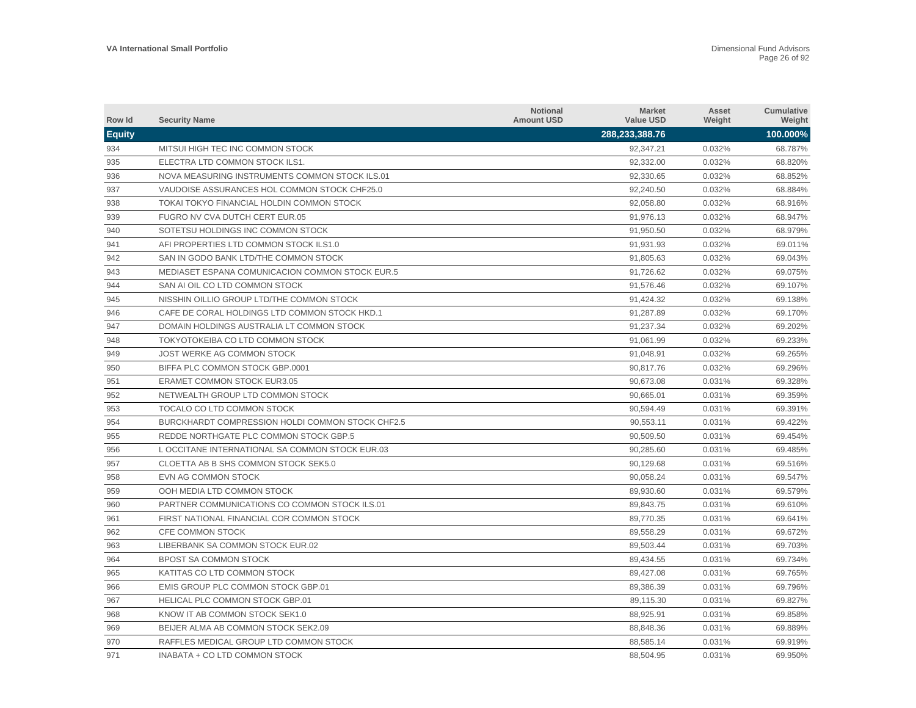| Row Id        | <b>Security Name</b>                                    | <b>Notional</b><br><b>Amount USD</b> | <b>Market</b><br><b>Value USD</b> | Asset<br>Weight | <b>Cumulative</b><br>Weight |
|---------------|---------------------------------------------------------|--------------------------------------|-----------------------------------|-----------------|-----------------------------|
| <b>Equity</b> |                                                         |                                      | 288,233,388.76                    |                 | 100.000%                    |
| 934           | MITSUI HIGH TEC INC COMMON STOCK                        |                                      | 92,347.21                         | 0.032%          | 68.787%                     |
| 935           | ELECTRA LTD COMMON STOCK ILS1.                          |                                      | 92,332.00                         | 0.032%          | 68.820%                     |
| 936           | NOVA MEASURING INSTRUMENTS COMMON STOCK ILS.01          |                                      | 92,330.65                         | 0.032%          | 68.852%                     |
| 937           | VAUDOISE ASSURANCES HOL COMMON STOCK CHF25.0            |                                      | 92,240.50                         | 0.032%          | 68.884%                     |
| 938           | TOKAI TOKYO FINANCIAL HOLDIN COMMON STOCK               |                                      | 92,058.80                         | 0.032%          | 68.916%                     |
| 939           | <b>FUGRO NV CVA DUTCH CERT EUR.05</b>                   |                                      | 91,976.13                         | 0.032%          | 68.947%                     |
| 940           | SOTETSU HOLDINGS INC COMMON STOCK                       |                                      | 91,950.50                         | 0.032%          | 68.979%                     |
| 941           | AFI PROPERTIES LTD COMMON STOCK ILS1.0                  |                                      | 91,931.93                         | 0.032%          | 69.011%                     |
| 942           | SAN IN GODO BANK LTD/THE COMMON STOCK                   |                                      | 91,805.63                         | 0.032%          | 69.043%                     |
| 943           | MEDIASET ESPANA COMUNICACION COMMON STOCK EUR.5         |                                      | 91,726.62                         | 0.032%          | 69.075%                     |
| 944           | SAN AI OIL CO LTD COMMON STOCK                          |                                      | 91,576.46                         | 0.032%          | 69.107%                     |
| 945           | NISSHIN OILLIO GROUP LTD/THE COMMON STOCK               |                                      | 91,424.32                         | 0.032%          | 69.138%                     |
| 946           | CAFE DE CORAL HOLDINGS LTD COMMON STOCK HKD.1           |                                      | 91.287.89                         | 0.032%          | 69.170%                     |
| 947           | DOMAIN HOLDINGS AUSTRALIA LT COMMON STOCK               |                                      | 91,237.34                         | 0.032%          | 69.202%                     |
| 948           | TOKYOTOKEIBA CO LTD COMMON STOCK                        |                                      | 91,061.99                         | 0.032%          | 69.233%                     |
| 949           | JOST WERKE AG COMMON STOCK                              |                                      | 91,048.91                         | 0.032%          | 69.265%                     |
| 950           | BIFFA PLC COMMON STOCK GBP.0001                         |                                      | 90,817.76                         | 0.032%          | 69.296%                     |
| 951           | <b>ERAMET COMMON STOCK EUR3.05</b>                      |                                      | 90,673.08                         | 0.031%          | 69.328%                     |
| 952           | NETWEALTH GROUP LTD COMMON STOCK                        |                                      | 90,665.01                         | 0.031%          | 69.359%                     |
| 953           | TOCALO CO LTD COMMON STOCK                              |                                      | 90,594.49                         | 0.031%          | 69.391%                     |
| 954           | <b>BURCKHARDT COMPRESSION HOLDI COMMON STOCK CHF2.5</b> |                                      | 90,553.11                         | 0.031%          | 69.422%                     |
| 955           | REDDE NORTHGATE PLC COMMON STOCK GBP.5                  |                                      | 90,509.50                         | 0.031%          | 69.454%                     |
| 956           | L OCCITANE INTERNATIONAL SA COMMON STOCK EUR.03         |                                      | 90,285.60                         | 0.031%          | 69.485%                     |
| 957           | CLOETTA AB B SHS COMMON STOCK SEK5.0                    |                                      | 90,129.68                         | 0.031%          | 69.516%                     |
| 958           | EVN AG COMMON STOCK                                     |                                      | 90,058.24                         | 0.031%          | 69.547%                     |
| 959           | OOH MEDIA LTD COMMON STOCK                              |                                      | 89,930.60                         | 0.031%          | 69.579%                     |
| 960           | PARTNER COMMUNICATIONS CO COMMON STOCK ILS.01           |                                      | 89,843.75                         | 0.031%          | 69.610%                     |
| 961           | FIRST NATIONAL FINANCIAL COR COMMON STOCK               |                                      | 89,770.35                         | 0.031%          | 69.641%                     |
| 962           | CFE COMMON STOCK                                        |                                      | 89,558.29                         | 0.031%          | 69.672%                     |
| 963           | LIBERBANK SA COMMON STOCK EUR.02                        |                                      | 89,503.44                         | 0.031%          | 69.703%                     |
| 964           | BPOST SA COMMON STOCK                                   |                                      | 89,434.55                         | 0.031%          | 69.734%                     |
| 965           | KATITAS CO LTD COMMON STOCK                             |                                      | 89,427.08                         | 0.031%          | 69.765%                     |
| 966           | EMIS GROUP PLC COMMON STOCK GBP.01                      |                                      | 89,386.39                         | 0.031%          | 69.796%                     |
| 967           | HELICAL PLC COMMON STOCK GBP.01                         |                                      | 89,115.30                         | 0.031%          | 69.827%                     |
| 968           | KNOW IT AB COMMON STOCK SEK1.0                          |                                      | 88,925.91                         | 0.031%          | 69.858%                     |
| 969           | BEIJER ALMA AB COMMON STOCK SEK2.09                     |                                      | 88,848.36                         | 0.031%          | 69.889%                     |
| 970           | RAFFLES MEDICAL GROUP LTD COMMON STOCK                  |                                      | 88.585.14                         | 0.031%          | 69.919%                     |
| 971           | INABATA + CO LTD COMMON STOCK                           |                                      | 88.504.95                         | 0.031%          | 69.950%                     |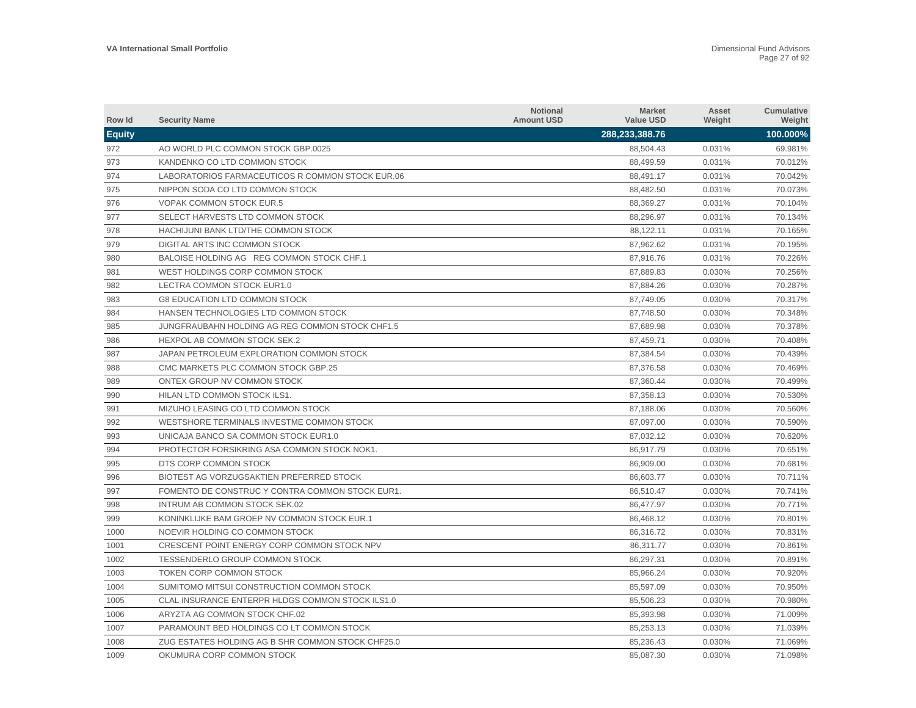| Row Id        | <b>Security Name</b>                              | <b>Notional</b><br><b>Amount USD</b> | <b>Market</b><br><b>Value USD</b> | Asset<br>Weight | <b>Cumulative</b><br>Weight |
|---------------|---------------------------------------------------|--------------------------------------|-----------------------------------|-----------------|-----------------------------|
| <b>Equity</b> |                                                   |                                      | 288,233,388.76                    |                 | 100.000%                    |
| 972           | AO WORLD PLC COMMON STOCK GBP.0025                |                                      | 88.504.43                         | 0.031%          | 69.981%                     |
| 973           | KANDENKO CO LTD COMMON STOCK                      |                                      | 88,499.59                         | 0.031%          | 70.012%                     |
| 974           | LABORATORIOS FARMACEUTICOS R COMMON STOCK EUR.06  |                                      | 88,491.17                         | 0.031%          | 70.042%                     |
| 975           | NIPPON SODA CO LTD COMMON STOCK                   |                                      | 88,482.50                         | 0.031%          | 70.073%                     |
| 976           | <b>VOPAK COMMON STOCK EUR.5</b>                   |                                      | 88,369.27                         | 0.031%          | 70.104%                     |
| 977           | SELECT HARVESTS LTD COMMON STOCK                  |                                      | 88,296.97                         | 0.031%          | 70.134%                     |
| 978           | HACHIJUNI BANK LTD/THE COMMON STOCK               |                                      | 88,122.11                         | 0.031%          | 70.165%                     |
| 979           | DIGITAL ARTS INC COMMON STOCK                     |                                      | 87,962.62                         | 0.031%          | 70.195%                     |
| 980           | BALOISE HOLDING AG REG COMMON STOCK CHF.1         |                                      | 87,916.76                         | 0.031%          | 70.226%                     |
| 981           | WEST HOLDINGS CORP COMMON STOCK                   |                                      | 87,889.83                         | 0.030%          | 70.256%                     |
| 982           | LECTRA COMMON STOCK EUR1.0                        |                                      | 87,884.26                         | 0.030%          | 70.287%                     |
| 983           | <b>G8 EDUCATION LTD COMMON STOCK</b>              |                                      | 87,749.05                         | 0.030%          | 70.317%                     |
| 984           | HANSEN TECHNOLOGIES LTD COMMON STOCK              |                                      | 87,748.50                         | 0.030%          | 70.348%                     |
| 985           | JUNGFRAUBAHN HOLDING AG REG COMMON STOCK CHF1.5   |                                      | 87,689.98                         | 0.030%          | 70.378%                     |
| 986           | <b>HEXPOL AB COMMON STOCK SEK.2</b>               |                                      | 87,459.71                         | 0.030%          | 70.408%                     |
| 987           | JAPAN PETROLEUM EXPLORATION COMMON STOCK          |                                      | 87.384.54                         | 0.030%          | 70.439%                     |
| 988           | CMC MARKETS PLC COMMON STOCK GBP.25               |                                      | 87,376.58                         | 0.030%          | 70.469%                     |
| 989           | ONTEX GROUP NV COMMON STOCK                       |                                      | 87,360.44                         | 0.030%          | 70.499%                     |
| 990           | HILAN LTD COMMON STOCK ILS1.                      |                                      | 87,358.13                         | 0.030%          | 70.530%                     |
| 991           | MIZUHO LEASING CO LTD COMMON STOCK                |                                      | 87,188.06                         | 0.030%          | 70.560%                     |
| 992           | WESTSHORE TERMINALS INVESTME COMMON STOCK         |                                      | 87,097.00                         | 0.030%          | 70.590%                     |
| 993           | UNICAJA BANCO SA COMMON STOCK EUR1.0              |                                      | 87,032.12                         | 0.030%          | 70.620%                     |
| 994           | PROTECTOR FORSIKRING ASA COMMON STOCK NOK1.       |                                      | 86,917.79                         | 0.030%          | 70.651%                     |
| 995           | DTS CORP COMMON STOCK                             |                                      | 86,909.00                         | 0.030%          | 70.681%                     |
| 996           | BIOTEST AG VORZUGSAKTIEN PREFERRED STOCK          |                                      | 86,603.77                         | 0.030%          | 70.711%                     |
| 997           | FOMENTO DE CONSTRUC Y CONTRA COMMON STOCK EUR1.   |                                      | 86,510.47                         | 0.030%          | 70.741%                     |
| 998           | INTRUM AB COMMON STOCK SEK.02                     |                                      | 86,477.97                         | 0.030%          | 70.771%                     |
| 999           | KONINKLIJKE BAM GROEP NV COMMON STOCK EUR.1       |                                      | 86,468.12                         | 0.030%          | 70.801%                     |
| 1000          | NOEVIR HOLDING CO COMMON STOCK                    |                                      | 86,316.72                         | 0.030%          | 70.831%                     |
| 1001          | CRESCENT POINT ENERGY CORP COMMON STOCK NPV       |                                      | 86,311.77                         | 0.030%          | 70.861%                     |
| 1002          | TESSENDERLO GROUP COMMON STOCK                    |                                      | 86,297.31                         | 0.030%          | 70.891%                     |
| 1003          | TOKEN CORP COMMON STOCK                           |                                      | 85,966.24                         | 0.030%          | 70.920%                     |
| 1004          | SUMITOMO MITSUI CONSTRUCTION COMMON STOCK         |                                      | 85,597.09                         | 0.030%          | 70.950%                     |
| 1005          | CLAL INSURANCE ENTERPR HLDGS COMMON STOCK ILS1.0  |                                      | 85,506.23                         | 0.030%          | 70.980%                     |
| 1006          | ARYZTA AG COMMON STOCK CHF.02                     |                                      | 85,393.98                         | 0.030%          | 71.009%                     |
| 1007          | PARAMOUNT BED HOLDINGS CO LT COMMON STOCK         |                                      | 85,253.13                         | 0.030%          | 71.039%                     |
| 1008          | ZUG ESTATES HOLDING AG B SHR COMMON STOCK CHF25.0 |                                      | 85.236.43                         | 0.030%          | 71.069%                     |
| 1009          | OKUMURA CORP COMMON STOCK                         |                                      | 85.087.30                         | 0.030%          | 71.098%                     |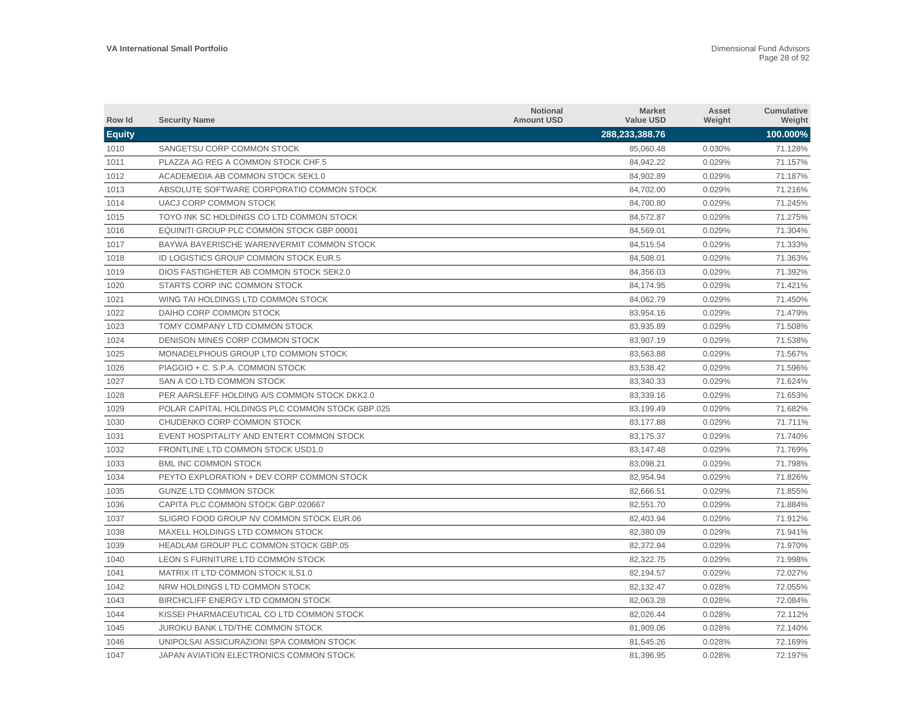| Row Id        | <b>Security Name</b>                            | <b>Notional</b><br><b>Amount USD</b> | <b>Market</b><br><b>Value USD</b> | Asset<br>Weight | Cumulative<br>Weight |
|---------------|-------------------------------------------------|--------------------------------------|-----------------------------------|-----------------|----------------------|
| <b>Equity</b> |                                                 |                                      | 288,233,388.76                    |                 | 100.000%             |
| 1010          | SANGETSU CORP COMMON STOCK                      |                                      | 85,060.48                         | 0.030%          | 71.128%              |
| 1011          | PLAZZA AG REG A COMMON STOCK CHF.5              |                                      | 84,942.22                         | 0.029%          | 71.157%              |
| 1012          | ACADEMEDIA AB COMMON STOCK SEK1.0               |                                      | 84,902.89                         | 0.029%          | 71.187%              |
| 1013          | ABSOLUTE SOFTWARE CORPORATIO COMMON STOCK       |                                      | 84,702.00                         | 0.029%          | 71.216%              |
| 1014          | UACJ CORP COMMON STOCK                          |                                      | 84.700.80                         | 0.029%          | 71.245%              |
| 1015          | TOYO INK SC HOLDINGS CO LTD COMMON STOCK        |                                      | 84,572.87                         | 0.029%          | 71.275%              |
| 1016          | EQUINITI GROUP PLC COMMON STOCK GBP.00001       |                                      | 84,569.01                         | 0.029%          | 71.304%              |
| 1017          | BAYWA BAYERISCHE WARENVERMIT COMMON STOCK       |                                      | 84.515.54                         | 0.029%          | 71.333%              |
| 1018          | ID LOGISTICS GROUP COMMON STOCK EUR.5           |                                      | 84,508.01                         | 0.029%          | 71.363%              |
| 1019          | DIOS FASTIGHETER AB COMMON STOCK SEK2.0         |                                      | 84,356.03                         | 0.029%          | 71.392%              |
| 1020          | STARTS CORP INC COMMON STOCK                    |                                      | 84,174.95                         | 0.029%          | 71.421%              |
| 1021          | WING TAI HOLDINGS LTD COMMON STOCK              |                                      | 84,062.79                         | 0.029%          | 71.450%              |
| 1022          | DAIHO CORP COMMON STOCK                         |                                      | 83,954.16                         | 0.029%          | 71.479%              |
| 1023          | TOMY COMPANY LTD COMMON STOCK                   |                                      | 83,935.89                         | 0.029%          | 71.508%              |
| 1024          | DENISON MINES CORP COMMON STOCK                 |                                      | 83,907.19                         | 0.029%          | 71.538%              |
| 1025          | MONADELPHOUS GROUP LTD COMMON STOCK             |                                      | 83,563.88                         | 0.029%          | 71.567%              |
| 1026          | PIAGGIO + C. S.P.A. COMMON STOCK                |                                      | 83.538.42                         | 0.029%          | 71.596%              |
| 1027          | SAN A CO LTD COMMON STOCK                       |                                      | 83,340.33                         | 0.029%          | 71.624%              |
| 1028          | PER AARSLEFF HOLDING A/S COMMON STOCK DKK2.0    |                                      | 83,339.16                         | 0.029%          | 71.653%              |
| 1029          | POLAR CAPITAL HOLDINGS PLC COMMON STOCK GBP.025 |                                      | 83,199.49                         | 0.029%          | 71.682%              |
| 1030          | CHUDENKO CORP COMMON STOCK                      |                                      | 83,177.88                         | 0.029%          | 71.711%              |
| 1031          | EVENT HOSPITALITY AND ENTERT COMMON STOCK       |                                      | 83,175.37                         | 0.029%          | 71.740%              |
| 1032          | FRONTLINE LTD COMMON STOCK USD1.0               |                                      | 83,147.48                         | 0.029%          | 71.769%              |
| 1033          | <b>BML INC COMMON STOCK</b>                     |                                      | 83,098.21                         | 0.029%          | 71.798%              |
| 1034          | PEYTO EXPLORATION + DEV CORP COMMON STOCK       |                                      | 82,954.94                         | 0.029%          | 71.826%              |
| 1035          | <b>GUNZE LTD COMMON STOCK</b>                   |                                      | 82,666.51                         | 0.029%          | 71.855%              |
| 1036          | CAPITA PLC COMMON STOCK GBP.020667              |                                      | 82.551.70                         | 0.029%          | 71.884%              |
| 1037          | SLIGRO FOOD GROUP NV COMMON STOCK EUR.06        |                                      | 82,403.94                         | 0.029%          | 71.912%              |
| 1038          | MAXELL HOLDINGS LTD COMMON STOCK                |                                      | 82.380.09                         | 0.029%          | 71.941%              |
| 1039          | HEADLAM GROUP PLC COMMON STOCK GBP.05           |                                      | 82,372.94                         | 0.029%          | 71.970%              |
| 1040          | LEON S FURNITURE LTD COMMON STOCK               |                                      | 82,322.75                         | 0.029%          | 71.998%              |
| 1041          | MATRIX IT LTD COMMON STOCK ILS1.0               |                                      | 82,194.57                         | 0.029%          | 72.027%              |
| 1042          | NRW HOLDINGS LTD COMMON STOCK                   |                                      | 82,132.47                         | 0.028%          | 72.055%              |
| 1043          | BIRCHCLIFF ENERGY LTD COMMON STOCK              |                                      | 82,063.28                         | 0.028%          | 72.084%              |
| 1044          | KISSEI PHARMACEUTICAL CO LTD COMMON STOCK       |                                      | 82,026.44                         | 0.028%          | 72.112%              |
| 1045          | <b>JUROKU BANK LTD/THE COMMON STOCK</b>         |                                      | 81,909.06                         | 0.028%          | 72.140%              |
| 1046          | UNIPOLSAI ASSICURAZIONI SPA COMMON STOCK        |                                      | 81.545.26                         | 0.028%          | 72.169%              |
| 1047          | JAPAN AVIATION ELECTRONICS COMMON STOCK         |                                      | 81.396.95                         | 0.028%          | 72.197%              |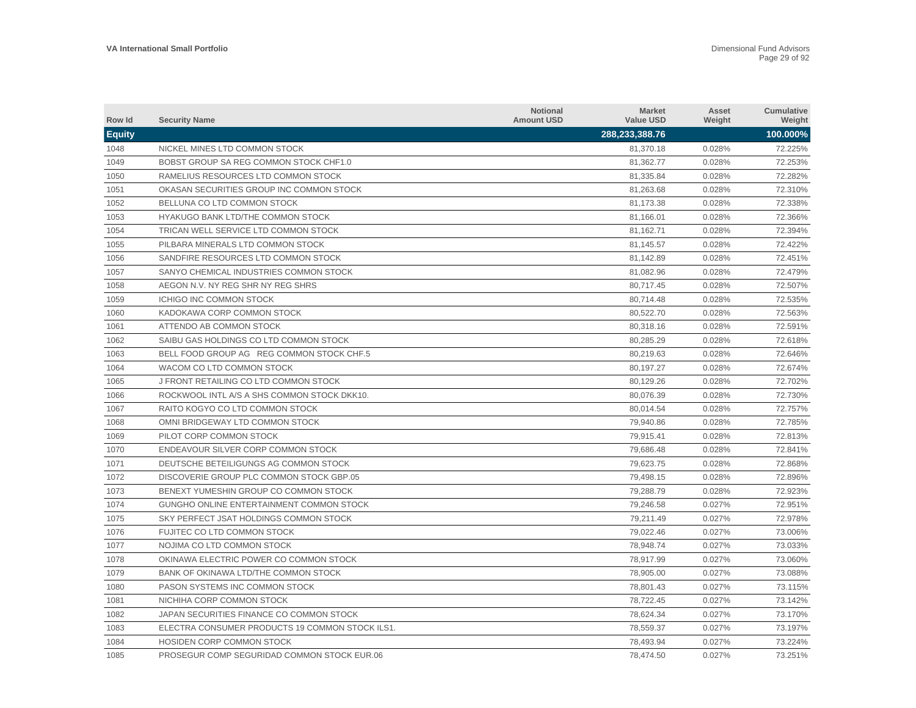| Row Id        | <b>Security Name</b>                            | <b>Notional</b><br><b>Amount USD</b> | <b>Market</b><br><b>Value USD</b> | Asset<br>Weight | Cumulative<br>Weight |
|---------------|-------------------------------------------------|--------------------------------------|-----------------------------------|-----------------|----------------------|
| <b>Equity</b> |                                                 |                                      | 288,233,388.76                    |                 | 100.000%             |
| 1048          | NICKEL MINES LTD COMMON STOCK                   |                                      | 81,370.18                         | 0.028%          | 72.225%              |
| 1049          | BOBST GROUP SA REG COMMON STOCK CHF1.0          |                                      | 81,362.77                         | 0.028%          | 72.253%              |
| 1050          | RAMELIUS RESOURCES LTD COMMON STOCK             |                                      | 81,335.84                         | 0.028%          | 72.282%              |
| 1051          | OKASAN SECURITIES GROUP INC COMMON STOCK        |                                      | 81,263.68                         | 0.028%          | 72.310%              |
| 1052          | BELLUNA CO LTD COMMON STOCK                     |                                      | 81,173.38                         | 0.028%          | 72.338%              |
| 1053          | <b>HYAKUGO BANK LTD/THE COMMON STOCK</b>        |                                      | 81,166.01                         | 0.028%          | 72.366%              |
| 1054          | TRICAN WELL SERVICE LTD COMMON STOCK            |                                      | 81,162.71                         | 0.028%          | 72.394%              |
| 1055          | PILBARA MINERALS LTD COMMON STOCK               |                                      | 81,145.57                         | 0.028%          | 72.422%              |
| 1056          | SANDFIRE RESOURCES LTD COMMON STOCK             |                                      | 81,142.89                         | 0.028%          | 72.451%              |
| 1057          | SANYO CHEMICAL INDUSTRIES COMMON STOCK          |                                      | 81,082.96                         | 0.028%          | 72.479%              |
| 1058          | AEGON N.V. NY REG SHR NY REG SHRS               |                                      | 80,717.45                         | 0.028%          | 72.507%              |
| 1059          | ICHIGO INC COMMON STOCK                         |                                      | 80,714.48                         | 0.028%          | 72.535%              |
| 1060          | KADOKAWA CORP COMMON STOCK                      |                                      | 80,522.70                         | 0.028%          | 72.563%              |
| 1061          | ATTENDO AB COMMON STOCK                         |                                      | 80,318.16                         | 0.028%          | 72.591%              |
| 1062          | SAIBU GAS HOLDINGS CO LTD COMMON STOCK          |                                      | 80,285.29                         | 0.028%          | 72.618%              |
| 1063          | BELL FOOD GROUP AG REG COMMON STOCK CHF.5       |                                      | 80,219.63                         | 0.028%          | 72.646%              |
| 1064          | WACOM CO LTD COMMON STOCK                       |                                      | 80,197.27                         | 0.028%          | 72.674%              |
| 1065          | J FRONT RETAILING CO LTD COMMON STOCK           |                                      | 80,129.26                         | 0.028%          | 72.702%              |
| 1066          | ROCKWOOL INTL A/S A SHS COMMON STOCK DKK10.     |                                      | 80,076.39                         | 0.028%          | 72.730%              |
| 1067          | RAITO KOGYO CO LTD COMMON STOCK                 |                                      | 80,014.54                         | 0.028%          | 72.757%              |
| 1068          | OMNI BRIDGEWAY LTD COMMON STOCK                 |                                      | 79,940.86                         | 0.028%          | 72.785%              |
| 1069          | PILOT CORP COMMON STOCK                         |                                      | 79,915.41                         | 0.028%          | 72.813%              |
| 1070          | ENDEAVOUR SILVER CORP COMMON STOCK              |                                      | 79.686.48                         | 0.028%          | 72.841%              |
| 1071          | DEUTSCHE BETEILIGUNGS AG COMMON STOCK           |                                      | 79,623.75                         | 0.028%          | 72.868%              |
| 1072          | DISCOVERIE GROUP PLC COMMON STOCK GBP.05        |                                      | 79,498.15                         | 0.028%          | 72.896%              |
| 1073          | BENEXT YUMESHIN GROUP CO COMMON STOCK           |                                      | 79.288.79                         | 0.028%          | 72.923%              |
| 1074          | <b>GUNGHO ONLINE ENTERTAINMENT COMMON STOCK</b> |                                      | 79.246.58                         | 0.027%          | 72.951%              |
| 1075          | SKY PERFECT JSAT HOLDINGS COMMON STOCK          |                                      | 79.211.49                         | 0.027%          | 72.978%              |
| 1076          | FUJITEC CO LTD COMMON STOCK                     |                                      | 79,022.46                         | 0.027%          | 73.006%              |
| 1077          | NOJIMA CO LTD COMMON STOCK                      |                                      | 78.948.74                         | 0.027%          | 73.033%              |
| 1078          | OKINAWA ELECTRIC POWER CO COMMON STOCK          |                                      | 78,917.99                         | 0.027%          | 73.060%              |
| 1079          | BANK OF OKINAWA LTD/THE COMMON STOCK            |                                      | 78,905.00                         | 0.027%          | 73.088%              |
| 1080          | PASON SYSTEMS INC COMMON STOCK                  |                                      | 78.801.43                         | 0.027%          | 73.115%              |
| 1081          | NICHIHA CORP COMMON STOCK                       |                                      | 78,722.45                         | 0.027%          | 73.142%              |
| 1082          | JAPAN SECURITIES FINANCE CO COMMON STOCK        |                                      | 78,624.34                         | 0.027%          | 73.170%              |
| 1083          | ELECTRA CONSUMER PRODUCTS 19 COMMON STOCK ILS1. |                                      | 78.559.37                         | 0.027%          | 73.197%              |
| 1084          | HOSIDEN CORP COMMON STOCK                       |                                      | 78,493.94                         | 0.027%          | 73.224%              |
| 1085          | PROSEGUR COMP SEGURIDAD COMMON STOCK EUR.06     |                                      | 78.474.50                         | 0.027%          | 73.251%              |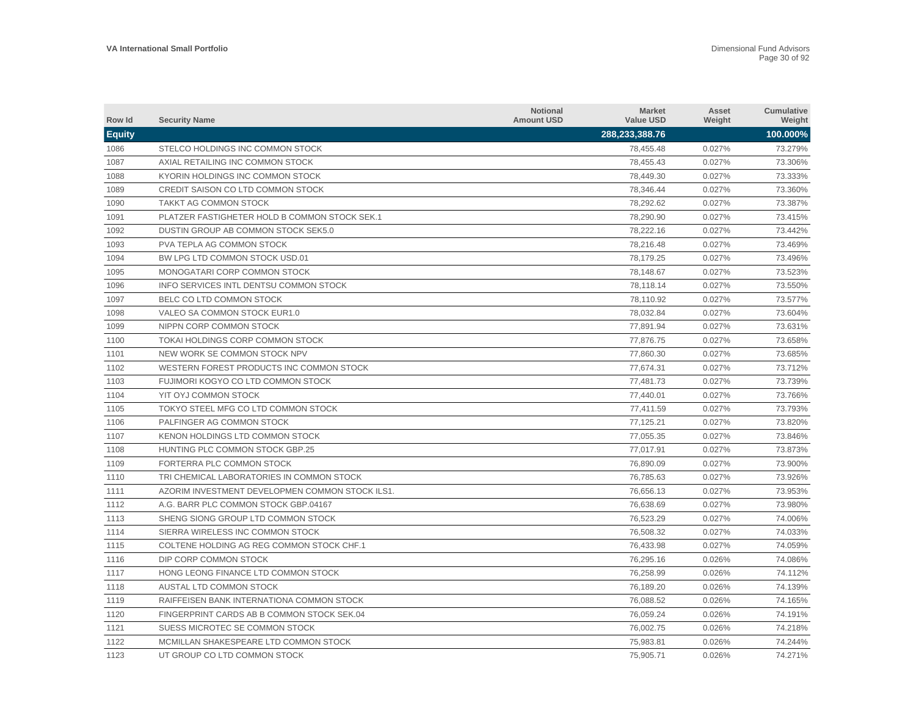| Row Id        | <b>Security Name</b>                            | <b>Notional</b><br><b>Amount USD</b> | <b>Market</b><br><b>Value USD</b> | Asset<br>Weight | <b>Cumulative</b><br>Weight |
|---------------|-------------------------------------------------|--------------------------------------|-----------------------------------|-----------------|-----------------------------|
| <b>Equity</b> |                                                 |                                      | 288,233,388.76                    |                 | 100.000%                    |
| 1086          | STELCO HOLDINGS INC COMMON STOCK                |                                      | 78,455.48                         | 0.027%          | 73.279%                     |
| 1087          | AXIAL RETAILING INC COMMON STOCK                |                                      | 78,455.43                         | 0.027%          | 73.306%                     |
| 1088          | KYORIN HOLDINGS INC COMMON STOCK                |                                      | 78,449.30                         | 0.027%          | 73.333%                     |
| 1089          | CREDIT SAISON CO LTD COMMON STOCK               |                                      | 78,346.44                         | 0.027%          | 73.360%                     |
| 1090          | TAKKT AG COMMON STOCK                           |                                      | 78,292.62                         | 0.027%          | 73.387%                     |
| 1091          | PLATZER FASTIGHETER HOLD B COMMON STOCK SEK.1   |                                      | 78,290.90                         | 0.027%          | 73.415%                     |
| 1092          | DUSTIN GROUP AB COMMON STOCK SEK5.0             |                                      | 78,222.16                         | 0.027%          | 73.442%                     |
| 1093          | PVA TEPLA AG COMMON STOCK                       |                                      | 78.216.48                         | 0.027%          | 73.469%                     |
| 1094          | BW LPG LTD COMMON STOCK USD.01                  |                                      | 78,179.25                         | 0.027%          | 73.496%                     |
| 1095          | MONOGATARI CORP COMMON STOCK                    |                                      | 78,148.67                         | 0.027%          | 73.523%                     |
| 1096          | INFO SERVICES INTL DENTSU COMMON STOCK          |                                      | 78,118.14                         | 0.027%          | 73.550%                     |
| 1097          | BELC CO LTD COMMON STOCK                        |                                      | 78,110.92                         | 0.027%          | 73.577%                     |
| 1098          | VALEO SA COMMON STOCK EUR1.0                    |                                      | 78,032.84                         | 0.027%          | 73.604%                     |
| 1099          | NIPPN CORP COMMON STOCK                         |                                      | 77,891.94                         | 0.027%          | 73.631%                     |
| 1100          | TOKAI HOLDINGS CORP COMMON STOCK                |                                      | 77,876.75                         | 0.027%          | 73.658%                     |
| 1101          | NEW WORK SE COMMON STOCK NPV                    |                                      | 77,860.30                         | 0.027%          | 73.685%                     |
| 1102          | WESTERN FOREST PRODUCTS INC COMMON STOCK        |                                      | 77.674.31                         | 0.027%          | 73.712%                     |
| 1103          | FUJIMORI KOGYO CO LTD COMMON STOCK              |                                      | 77,481.73                         | 0.027%          | 73.739%                     |
| 1104          | YIT OYJ COMMON STOCK                            |                                      | 77,440.01                         | 0.027%          | 73.766%                     |
| 1105          | TOKYO STEEL MFG CO LTD COMMON STOCK             |                                      | 77,411.59                         | 0.027%          | 73.793%                     |
| 1106          | PALFINGER AG COMMON STOCK                       |                                      | 77,125.21                         | 0.027%          | 73.820%                     |
| 1107          | KENON HOLDINGS LTD COMMON STOCK                 |                                      | 77,055.35                         | 0.027%          | 73.846%                     |
| 1108          | HUNTING PLC COMMON STOCK GBP.25                 |                                      | 77,017.91                         | 0.027%          | 73.873%                     |
| 1109          | FORTERRA PLC COMMON STOCK                       |                                      | 76,890.09                         | 0.027%          | 73.900%                     |
| 1110          | TRI CHEMICAL LABORATORIES IN COMMON STOCK       |                                      | 76,785.63                         | 0.027%          | 73.926%                     |
| 1111          | AZORIM INVESTMENT DEVELOPMEN COMMON STOCK ILS1. |                                      | 76,656.13                         | 0.027%          | 73.953%                     |
| 1112          | A.G. BARR PLC COMMON STOCK GBP.04167            |                                      | 76,638.69                         | 0.027%          | 73.980%                     |
| 1113          | SHENG SIONG GROUP LTD COMMON STOCK              |                                      | 76,523.29                         | 0.027%          | 74.006%                     |
| 1114          | SIERRA WIRELESS INC COMMON STOCK                |                                      | 76.508.32                         | 0.027%          | 74.033%                     |
| 1115          | COLTENE HOLDING AG REG COMMON STOCK CHF.1       |                                      | 76,433.98                         | 0.027%          | 74.059%                     |
| 1116          | DIP CORP COMMON STOCK                           |                                      | 76,295.16                         | 0.026%          | 74.086%                     |
| 1117          | HONG LEONG FINANCE LTD COMMON STOCK             |                                      | 76,258.99                         | 0.026%          | 74.112%                     |
| 1118          | AUSTAL LTD COMMON STOCK                         |                                      | 76,189.20                         | 0.026%          | 74.139%                     |
| 1119          | RAIFFEISEN BANK INTERNATIONA COMMON STOCK       |                                      | 76,088.52                         | 0.026%          | 74.165%                     |
| 1120          | FINGERPRINT CARDS AB B COMMON STOCK SEK.04      |                                      | 76,059.24                         | 0.026%          | 74.191%                     |
| 1121          | SUESS MICROTEC SE COMMON STOCK                  |                                      | 76,002.75                         | 0.026%          | 74.218%                     |
| 1122          | MCMILLAN SHAKESPEARE LTD COMMON STOCK           |                                      | 75.983.81                         | 0.026%          | 74.244%                     |
| 1123          | UT GROUP CO LTD COMMON STOCK                    |                                      | 75,905.71                         | 0.026%          | 74.271%                     |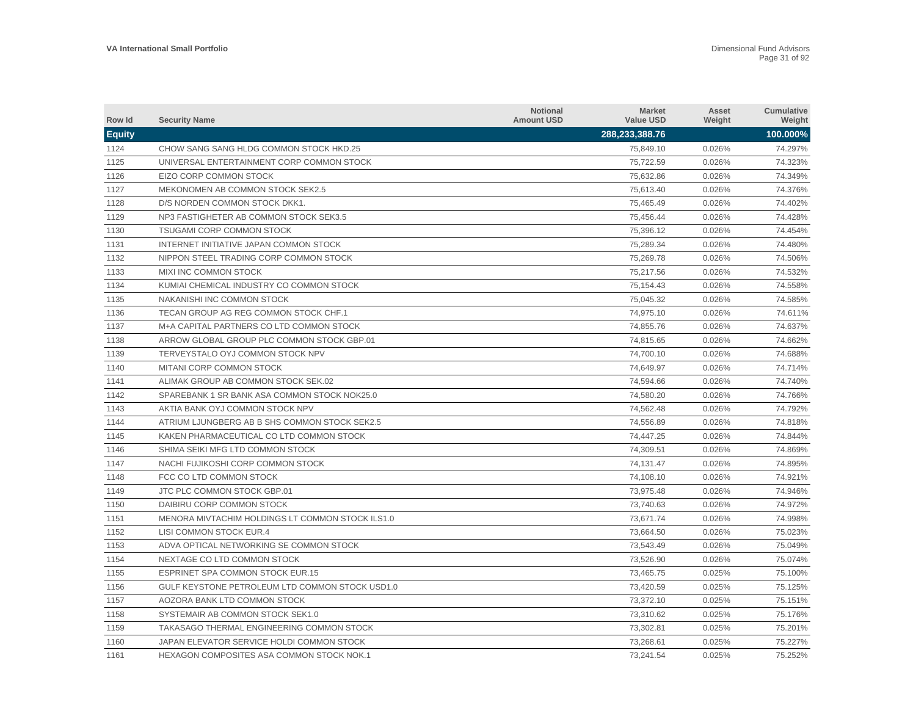| Row Id        | <b>Security Name</b>                             | <b>Notional</b><br><b>Amount USD</b> | <b>Market</b><br><b>Value USD</b> | Asset<br>Weight | Cumulative<br>Weight |
|---------------|--------------------------------------------------|--------------------------------------|-----------------------------------|-----------------|----------------------|
| <b>Equity</b> |                                                  |                                      | 288,233,388.76                    |                 | 100.000%             |
| 1124          | CHOW SANG SANG HLDG COMMON STOCK HKD.25          |                                      | 75,849.10                         | 0.026%          | 74.297%              |
| 1125          | UNIVERSAL ENTERTAINMENT CORP COMMON STOCK        |                                      | 75,722.59                         | 0.026%          | 74.323%              |
| 1126          | EIZO CORP COMMON STOCK                           |                                      | 75,632.86                         | 0.026%          | 74.349%              |
| 1127          | MEKONOMEN AB COMMON STOCK SEK2.5                 |                                      | 75,613.40                         | 0.026%          | 74.376%              |
| 1128          | D/S NORDEN COMMON STOCK DKK1.                    |                                      | 75,465.49                         | 0.026%          | 74.402%              |
| 1129          | NP3 FASTIGHETER AB COMMON STOCK SEK3.5           |                                      | 75,456.44                         | 0.026%          | 74.428%              |
| 1130          | <b>TSUGAMI CORP COMMON STOCK</b>                 |                                      | 75,396.12                         | 0.026%          | 74.454%              |
| 1131          | INTERNET INITIATIVE JAPAN COMMON STOCK           |                                      | 75.289.34                         | 0.026%          | 74.480%              |
| 1132          | NIPPON STEEL TRADING CORP COMMON STOCK           |                                      | 75.269.78                         | 0.026%          | 74.506%              |
| 1133          | MIXI INC COMMON STOCK                            |                                      | 75,217.56                         | 0.026%          | 74.532%              |
| 1134          | KUMIAI CHEMICAL INDUSTRY CO COMMON STOCK         |                                      | 75,154.43                         | 0.026%          | 74.558%              |
| 1135          | NAKANISHI INC COMMON STOCK                       |                                      | 75,045.32                         | 0.026%          | 74.585%              |
| 1136          | TECAN GROUP AG REG COMMON STOCK CHF.1            |                                      | 74,975.10                         | 0.026%          | 74.611%              |
| 1137          | M+A CAPITAL PARTNERS CO LTD COMMON STOCK         |                                      | 74,855.76                         | 0.026%          | 74.637%              |
| 1138          | ARROW GLOBAL GROUP PLC COMMON STOCK GBP.01       |                                      | 74,815.65                         | 0.026%          | 74.662%              |
| 1139          | TERVEYSTALO OYJ COMMON STOCK NPV                 |                                      | 74,700.10                         | 0.026%          | 74.688%              |
| 1140          | MITANI CORP COMMON STOCK                         |                                      | 74,649.97                         | 0.026%          | 74.714%              |
| 1141          | ALIMAK GROUP AB COMMON STOCK SEK.02              |                                      | 74,594.66                         | 0.026%          | 74.740%              |
| 1142          | SPAREBANK 1 SR BANK ASA COMMON STOCK NOK25.0     |                                      | 74,580.20                         | 0.026%          | 74.766%              |
| 1143          | AKTIA BANK OYJ COMMON STOCK NPV                  |                                      | 74,562.48                         | 0.026%          | 74.792%              |
| 1144          | ATRIUM LJUNGBERG AB B SHS COMMON STOCK SEK2.5    |                                      | 74.556.89                         | 0.026%          | 74.818%              |
| 1145          | KAKEN PHARMACEUTICAL CO LTD COMMON STOCK         |                                      | 74,447.25                         | 0.026%          | 74.844%              |
| 1146          | SHIMA SEIKI MFG LTD COMMON STOCK                 |                                      | 74.309.51                         | 0.026%          | 74.869%              |
| 1147          | NACHI FUJIKOSHI CORP COMMON STOCK                |                                      | 74,131.47                         | 0.026%          | 74.895%              |
| 1148          | FCC CO LTD COMMON STOCK                          |                                      | 74,108.10                         | 0.026%          | 74.921%              |
| 1149          | JTC PLC COMMON STOCK GBP.01                      |                                      | 73,975.48                         | 0.026%          | 74.946%              |
| 1150          | DAIBIRU CORP COMMON STOCK                        |                                      | 73,740.63                         | 0.026%          | 74.972%              |
| 1151          | MENORA MIVTACHIM HOLDINGS LT COMMON STOCK ILS1.0 |                                      | 73,671.74                         | 0.026%          | 74.998%              |
| 1152          | LISI COMMON STOCK EUR.4                          |                                      | 73,664.50                         | 0.026%          | 75.023%              |
| 1153          | ADVA OPTICAL NETWORKING SE COMMON STOCK          |                                      | 73,543.49                         | 0.026%          | 75.049%              |
| 1154          | NEXTAGE CO LTD COMMON STOCK                      |                                      | 73,526.90                         | 0.026%          | 75.074%              |
| 1155          | <b>ESPRINET SPA COMMON STOCK EUR.15</b>          |                                      | 73,465.75                         | 0.025%          | 75.100%              |
| 1156          | GULF KEYSTONE PETROLEUM LTD COMMON STOCK USD1.0  |                                      | 73,420.59                         | 0.025%          | 75.125%              |
| 1157          | AOZORA BANK LTD COMMON STOCK                     |                                      | 73,372.10                         | 0.025%          | 75.151%              |
| 1158          | SYSTEMAIR AB COMMON STOCK SEK1.0                 |                                      | 73.310.62                         | 0.025%          | 75.176%              |
| 1159          | TAKASAGO THERMAL ENGINEERING COMMON STOCK        |                                      | 73,302.81                         | 0.025%          | 75.201%              |
| 1160          | JAPAN ELEVATOR SERVICE HOLDI COMMON STOCK        |                                      | 73.268.61                         | 0.025%          | 75.227%              |
| 1161          | <b>HEXAGON COMPOSITES ASA COMMON STOCK NOK.1</b> |                                      | 73.241.54                         | 0.025%          | 75.252%              |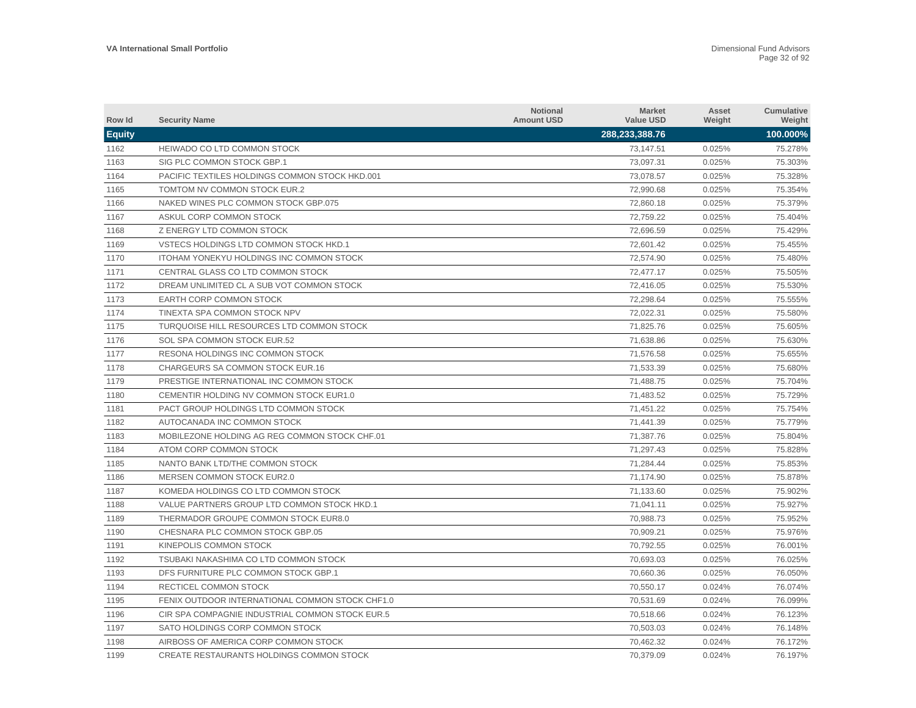| Row Id        | <b>Security Name</b>                            | <b>Notional</b><br><b>Amount USD</b> | <b>Market</b><br><b>Value USD</b> | Asset<br>Weight | <b>Cumulative</b><br>Weight |
|---------------|-------------------------------------------------|--------------------------------------|-----------------------------------|-----------------|-----------------------------|
| <b>Equity</b> |                                                 |                                      | 288,233,388.76                    |                 | 100.000%                    |
| 1162          | HEIWADO CO LTD COMMON STOCK                     |                                      | 73,147.51                         | 0.025%          | 75.278%                     |
| 1163          | SIG PLC COMMON STOCK GBP.1                      |                                      | 73,097.31                         | 0.025%          | 75.303%                     |
| 1164          | PACIFIC TEXTILES HOLDINGS COMMON STOCK HKD.001  |                                      | 73,078.57                         | 0.025%          | 75.328%                     |
| 1165          | TOMTOM NV COMMON STOCK EUR.2                    |                                      | 72,990.68                         | 0.025%          | 75.354%                     |
| 1166          | NAKED WINES PLC COMMON STOCK GBP.075            |                                      | 72,860.18                         | 0.025%          | 75.379%                     |
| 1167          | ASKUL CORP COMMON STOCK                         |                                      | 72,759.22                         | 0.025%          | 75.404%                     |
| 1168          | <b>Z ENERGY LTD COMMON STOCK</b>                |                                      | 72,696.59                         | 0.025%          | 75.429%                     |
| 1169          | VSTECS HOLDINGS LTD COMMON STOCK HKD.1          |                                      | 72.601.42                         | 0.025%          | 75.455%                     |
| 1170          | <b>ITOHAM YONEKYU HOLDINGS INC COMMON STOCK</b> |                                      | 72,574.90                         | 0.025%          | 75.480%                     |
| 1171          | CENTRAL GLASS CO LTD COMMON STOCK               |                                      | 72,477.17                         | 0.025%          | 75.505%                     |
| 1172          | DREAM UNLIMITED CL A SUB VOT COMMON STOCK       |                                      | 72,416.05                         | 0.025%          | 75.530%                     |
| 1173          | EARTH CORP COMMON STOCK                         |                                      | 72,298.64                         | 0.025%          | 75.555%                     |
| 1174          | TINEXTA SPA COMMON STOCK NPV                    |                                      | 72,022.31                         | 0.025%          | 75.580%                     |
| 1175          | TURQUOISE HILL RESOURCES LTD COMMON STOCK       |                                      | 71,825.76                         | 0.025%          | 75.605%                     |
| 1176          | SOL SPA COMMON STOCK EUR.52                     |                                      | 71,638.86                         | 0.025%          | 75.630%                     |
| 1177          | RESONA HOLDINGS INC COMMON STOCK                |                                      | 71,576.58                         | 0.025%          | 75.655%                     |
| 1178          | CHARGEURS SA COMMON STOCK EUR.16                |                                      | 71.533.39                         | 0.025%          | 75.680%                     |
| 1179          | PRESTIGE INTERNATIONAL INC COMMON STOCK         |                                      | 71,488.75                         | 0.025%          | 75.704%                     |
| 1180          | CEMENTIR HOLDING NV COMMON STOCK EUR1.0         |                                      | 71,483.52                         | 0.025%          | 75.729%                     |
| 1181          | PACT GROUP HOLDINGS LTD COMMON STOCK            |                                      | 71,451.22                         | 0.025%          | 75.754%                     |
| 1182          | AUTOCANADA INC COMMON STOCK                     |                                      | 71,441.39                         | 0.025%          | 75.779%                     |
| 1183          | MOBILEZONE HOLDING AG REG COMMON STOCK CHF.01   |                                      | 71,387.76                         | 0.025%          | 75.804%                     |
| 1184          | ATOM CORP COMMON STOCK                          |                                      | 71,297.43                         | 0.025%          | 75.828%                     |
| 1185          | NANTO BANK LTD/THE COMMON STOCK                 |                                      | 71,284.44                         | 0.025%          | 75.853%                     |
| 1186          | MERSEN COMMON STOCK EUR2.0                      |                                      | 71,174.90                         | 0.025%          | 75.878%                     |
| 1187          | KOMEDA HOLDINGS CO LTD COMMON STOCK             |                                      | 71,133.60                         | 0.025%          | 75.902%                     |
| 1188          | VALUE PARTNERS GROUP LTD COMMON STOCK HKD.1     |                                      | 71,041.11                         | 0.025%          | 75.927%                     |
| 1189          | THERMADOR GROUPE COMMON STOCK EUR8.0            |                                      | 70,988.73                         | 0.025%          | 75.952%                     |
| 1190          | CHESNARA PLC COMMON STOCK GBP.05                |                                      | 70,909.21                         | 0.025%          | 75.976%                     |
| 1191          | KINEPOLIS COMMON STOCK                          |                                      | 70,792.55                         | 0.025%          | 76.001%                     |
| 1192          | TSUBAKI NAKASHIMA CO LTD COMMON STOCK           |                                      | 70,693.03                         | 0.025%          | 76.025%                     |
| 1193          | DFS FURNITURE PLC COMMON STOCK GBP.1            |                                      | 70,660.36                         | 0.025%          | 76.050%                     |
| 1194          | RECTICEL COMMON STOCK                           |                                      | 70,550.17                         | 0.024%          | 76.074%                     |
| 1195          | FENIX OUTDOOR INTERNATIONAL COMMON STOCK CHF1.0 |                                      | 70,531.69                         | 0.024%          | 76.099%                     |
| 1196          | CIR SPA COMPAGNIE INDUSTRIAL COMMON STOCK EUR.5 |                                      | 70,518.66                         | 0.024%          | 76.123%                     |
| 1197          | SATO HOLDINGS CORP COMMON STOCK                 |                                      | 70,503.03                         | 0.024%          | 76.148%                     |
| 1198          | AIRBOSS OF AMERICA CORP COMMON STOCK            |                                      | 70,462.32                         | 0.024%          | 76.172%                     |
| 1199          | CREATE RESTAURANTS HOLDINGS COMMON STOCK        |                                      | 70,379.09                         | 0.024%          | 76.197%                     |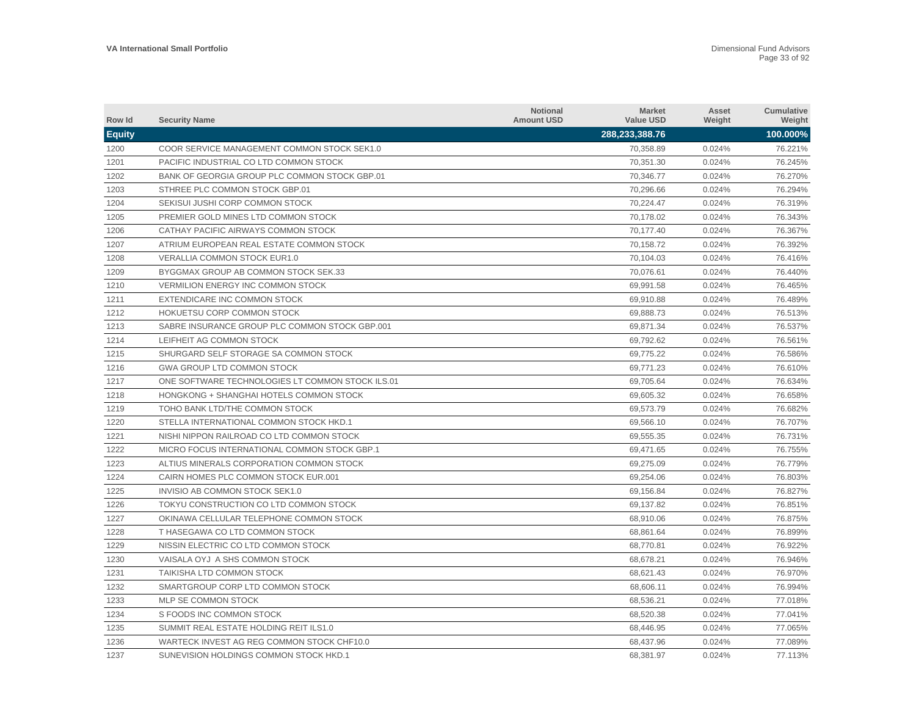| Row Id        | <b>Security Name</b>                             | <b>Notional</b><br><b>Amount USD</b> | <b>Market</b><br><b>Value USD</b> | Asset<br>Weight | Cumulative<br>Weight |
|---------------|--------------------------------------------------|--------------------------------------|-----------------------------------|-----------------|----------------------|
| <b>Equity</b> |                                                  |                                      | 288,233,388.76                    |                 | 100.000%             |
| 1200          | COOR SERVICE MANAGEMENT COMMON STOCK SEK1.0      |                                      | 70,358.89                         | 0.024%          | 76.221%              |
| 1201          | PACIFIC INDUSTRIAL CO LTD COMMON STOCK           |                                      | 70,351.30                         | 0.024%          | 76.245%              |
| 1202          | BANK OF GEORGIA GROUP PLC COMMON STOCK GBP.01    |                                      | 70,346.77                         | 0.024%          | 76.270%              |
| 1203          | STHREE PLC COMMON STOCK GBP.01                   |                                      | 70,296.66                         | 0.024%          | 76.294%              |
| 1204          | SEKISUI JUSHI CORP COMMON STOCK                  |                                      | 70,224.47                         | 0.024%          | 76.319%              |
| 1205          | PREMIER GOLD MINES LTD COMMON STOCK              |                                      | 70,178.02                         | 0.024%          | 76.343%              |
| 1206          | CATHAY PACIFIC AIRWAYS COMMON STOCK              |                                      | 70,177.40                         | 0.024%          | 76.367%              |
| 1207          | ATRIUM EUROPEAN REAL ESTATE COMMON STOCK         |                                      | 70.158.72                         | 0.024%          | 76.392%              |
| 1208          | <b>VERALLIA COMMON STOCK EUR1.0</b>              |                                      | 70,104.03                         | 0.024%          | 76.416%              |
| 1209          | BYGGMAX GROUP AB COMMON STOCK SEK.33             |                                      | 70,076.61                         | 0.024%          | 76.440%              |
| 1210          | VERMILION ENERGY INC COMMON STOCK                |                                      | 69,991.58                         | 0.024%          | 76.465%              |
| 1211          | EXTENDICARE INC COMMON STOCK                     |                                      | 69,910.88                         | 0.024%          | 76.489%              |
| 1212          | HOKUETSU CORP COMMON STOCK                       |                                      | 69,888.73                         | 0.024%          | 76.513%              |
| 1213          | SABRE INSURANCE GROUP PLC COMMON STOCK GBP.001   |                                      | 69,871.34                         | 0.024%          | 76.537%              |
| 1214          | LEIFHEIT AG COMMON STOCK                         |                                      | 69,792.62                         | 0.024%          | 76.561%              |
| 1215          | SHURGARD SELF STORAGE SA COMMON STOCK            |                                      | 69,775.22                         | 0.024%          | 76.586%              |
| 1216          | <b>GWA GROUP LTD COMMON STOCK</b>                |                                      | 69,771.23                         | 0.024%          | 76.610%              |
| 1217          | ONE SOFTWARE TECHNOLOGIES LT COMMON STOCK ILS.01 |                                      | 69,705.64                         | 0.024%          | 76.634%              |
| 1218          | HONGKONG + SHANGHAI HOTELS COMMON STOCK          |                                      | 69,605.32                         | 0.024%          | 76.658%              |
| 1219          | TOHO BANK LTD/THE COMMON STOCK                   |                                      | 69,573.79                         | 0.024%          | 76.682%              |
| 1220          | STELLA INTERNATIONAL COMMON STOCK HKD.1          |                                      | 69.566.10                         | 0.024%          | 76.707%              |
| 1221          | NISHI NIPPON RAILROAD CO LTD COMMON STOCK        |                                      | 69,555.35                         | 0.024%          | 76.731%              |
| 1222          | MICRO FOCUS INTERNATIONAL COMMON STOCK GBP.1     |                                      | 69.471.65                         | 0.024%          | 76.755%              |
| 1223          | ALTIUS MINERALS CORPORATION COMMON STOCK         |                                      | 69,275.09                         | 0.024%          | 76.779%              |
| 1224          | CAIRN HOMES PLC COMMON STOCK EUR.001             |                                      | 69,254.06                         | 0.024%          | 76.803%              |
| 1225          | INVISIO AB COMMON STOCK SEK1.0                   |                                      | 69,156.84                         | 0.024%          | 76.827%              |
| 1226          | TOKYU CONSTRUCTION CO LTD COMMON STOCK           |                                      | 69,137.82                         | 0.024%          | 76.851%              |
| 1227          | OKINAWA CELLULAR TELEPHONE COMMON STOCK          |                                      | 68,910.06                         | 0.024%          | 76.875%              |
| 1228          | T HASEGAWA CO LTD COMMON STOCK                   |                                      | 68,861.64                         | 0.024%          | 76.899%              |
| 1229          | NISSIN ELECTRIC CO LTD COMMON STOCK              |                                      | 68,770.81                         | 0.024%          | 76.922%              |
| 1230          | VAISALA OYJ A SHS COMMON STOCK                   |                                      | 68,678.21                         | 0.024%          | 76.946%              |
| 1231          | TAIKISHA LTD COMMON STOCK                        |                                      | 68,621.43                         | 0.024%          | 76.970%              |
| 1232          | SMARTGROUP CORP LTD COMMON STOCK                 |                                      | 68,606.11                         | 0.024%          | 76.994%              |
| 1233          | MLP SE COMMON STOCK                              |                                      | 68,536.21                         | 0.024%          | 77.018%              |
| 1234          | S FOODS INC COMMON STOCK                         |                                      | 68.520.38                         | 0.024%          | 77.041%              |
| 1235          | SUMMIT REAL ESTATE HOLDING REIT ILS1.0           |                                      | 68,446.95                         | 0.024%          | 77.065%              |
| 1236          | WARTECK INVEST AG REG COMMON STOCK CHF10.0       |                                      | 68.437.96                         | 0.024%          | 77.089%              |
| 1237          | SUNEVISION HOLDINGS COMMON STOCK HKD.1           |                                      | 68.381.97                         | 0.024%          | 77.113%              |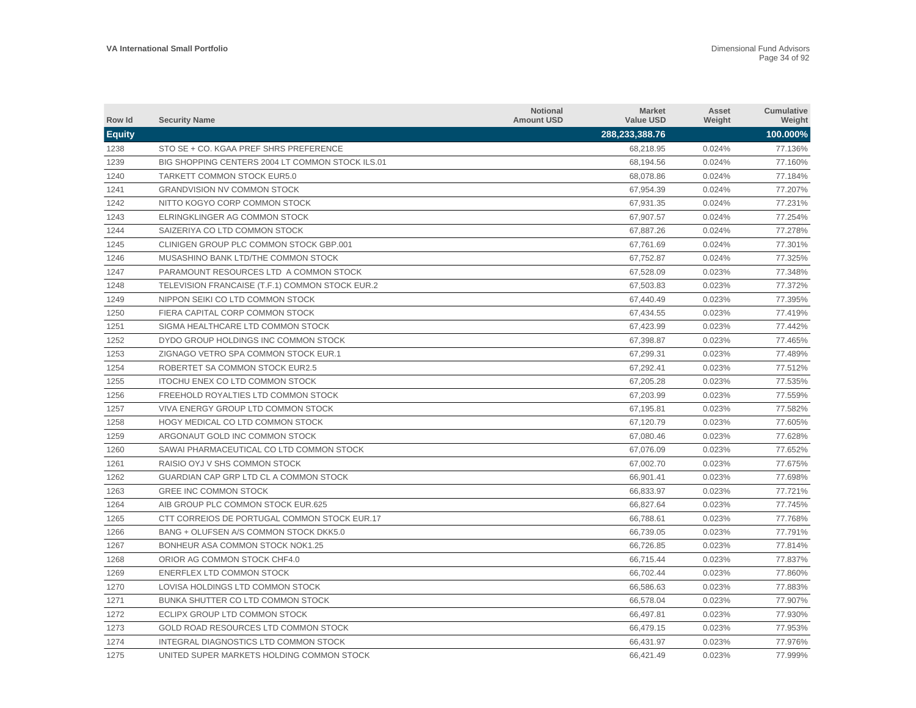| Row Id        | <b>Security Name</b>                             | <b>Notional</b><br><b>Amount USD</b> | <b>Market</b><br><b>Value USD</b> | Asset<br>Weight | <b>Cumulative</b><br>Weight |
|---------------|--------------------------------------------------|--------------------------------------|-----------------------------------|-----------------|-----------------------------|
| <b>Equity</b> |                                                  |                                      | 288,233,388.76                    |                 | 100.000%                    |
| 1238          | STO SE + CO. KGAA PREF SHRS PREFERENCE           |                                      | 68,218.95                         | 0.024%          | 77.136%                     |
| 1239          | BIG SHOPPING CENTERS 2004 LT COMMON STOCK ILS.01 |                                      | 68,194.56                         | 0.024%          | 77.160%                     |
| 1240          | <b>TARKETT COMMON STOCK EUR5.0</b>               |                                      | 68,078.86                         | 0.024%          | 77.184%                     |
| 1241          | <b>GRANDVISION NV COMMON STOCK</b>               |                                      | 67,954.39                         | 0.024%          | 77.207%                     |
| 1242          | NITTO KOGYO CORP COMMON STOCK                    |                                      | 67,931.35                         | 0.024%          | 77.231%                     |
| 1243          | ELRINGKLINGER AG COMMON STOCK                    |                                      | 67,907.57                         | 0.024%          | 77.254%                     |
| 1244          | SAIZERIYA CO LTD COMMON STOCK                    |                                      | 67,887.26                         | 0.024%          | 77.278%                     |
| 1245          | CLINIGEN GROUP PLC COMMON STOCK GBP.001          |                                      | 67,761.69                         | 0.024%          | 77.301%                     |
| 1246          | MUSASHINO BANK LTD/THE COMMON STOCK              |                                      | 67,752.87                         | 0.024%          | 77.325%                     |
| 1247          | PARAMOUNT RESOURCES LTD A COMMON STOCK           |                                      | 67,528.09                         | 0.023%          | 77.348%                     |
| 1248          | TELEVISION FRANCAISE (T.F.1) COMMON STOCK EUR.2  |                                      | 67,503.83                         | 0.023%          | 77.372%                     |
| 1249          | NIPPON SEIKI CO LTD COMMON STOCK                 |                                      | 67,440.49                         | 0.023%          | 77.395%                     |
| 1250          | FIERA CAPITAL CORP COMMON STOCK                  |                                      | 67,434.55                         | 0.023%          | 77.419%                     |
| 1251          | SIGMA HEALTHCARE LTD COMMON STOCK                |                                      | 67,423.99                         | 0.023%          | 77.442%                     |
| 1252          | DYDO GROUP HOLDINGS INC COMMON STOCK             |                                      | 67,398.87                         | 0.023%          | 77.465%                     |
| 1253          | ZIGNAGO VETRO SPA COMMON STOCK EUR.1             |                                      | 67,299.31                         | 0.023%          | 77.489%                     |
| 1254          | ROBERTET SA COMMON STOCK EUR2.5                  |                                      | 67,292.41                         | 0.023%          | 77.512%                     |
| 1255          | <b>ITOCHU ENEX CO LTD COMMON STOCK</b>           |                                      | 67,205.28                         | 0.023%          | 77.535%                     |
| 1256          | FREEHOLD ROYALTIES LTD COMMON STOCK              |                                      | 67,203.99                         | 0.023%          | 77.559%                     |
| 1257          | VIVA ENERGY GROUP LTD COMMON STOCK               |                                      | 67,195.81                         | 0.023%          | 77.582%                     |
| 1258          | HOGY MEDICAL CO LTD COMMON STOCK                 |                                      | 67,120.79                         | 0.023%          | 77.605%                     |
| 1259          | ARGONAUT GOLD INC COMMON STOCK                   |                                      | 67,080.46                         | 0.023%          | 77.628%                     |
| 1260          | SAWAI PHARMACEUTICAL CO LTD COMMON STOCK         |                                      | 67,076.09                         | 0.023%          | 77.652%                     |
| 1261          | RAISIO OYJ V SHS COMMON STOCK                    |                                      | 67,002.70                         | 0.023%          | 77.675%                     |
| 1262          | GUARDIAN CAP GRP LTD CL A COMMON STOCK           |                                      | 66,901.41                         | 0.023%          | 77.698%                     |
| 1263          | <b>GREE INC COMMON STOCK</b>                     |                                      | 66,833.97                         | 0.023%          | 77.721%                     |
| 1264          | AIB GROUP PLC COMMON STOCK EUR.625               |                                      | 66,827.64                         | 0.023%          | 77.745%                     |
| 1265          | CTT CORREIOS DE PORTUGAL COMMON STOCK EUR.17     |                                      | 66,788.61                         | 0.023%          | 77.768%                     |
| 1266          | BANG + OLUFSEN A/S COMMON STOCK DKK5.0           |                                      | 66,739.05                         | 0.023%          | 77.791%                     |
| 1267          | BONHEUR ASA COMMON STOCK NOK1.25                 |                                      | 66,726.85                         | 0.023%          | 77.814%                     |
| 1268          | ORIOR AG COMMON STOCK CHF4.0                     |                                      | 66,715.44                         | 0.023%          | 77.837%                     |
| 1269          | ENERFLEX LTD COMMON STOCK                        |                                      | 66,702.44                         | 0.023%          | 77.860%                     |
| 1270          | LOVISA HOLDINGS LTD COMMON STOCK                 |                                      | 66,586.63                         | 0.023%          | 77.883%                     |
| 1271          | BUNKA SHUTTER CO LTD COMMON STOCK                |                                      | 66,578.04                         | 0.023%          | 77.907%                     |
| 1272          | ECLIPX GROUP LTD COMMON STOCK                    |                                      | 66,497.81                         | 0.023%          | 77.930%                     |
| 1273          | GOLD ROAD RESOURCES LTD COMMON STOCK             |                                      | 66,479.15                         | 0.023%          | 77.953%                     |
| 1274          | INTEGRAL DIAGNOSTICS LTD COMMON STOCK            |                                      | 66.431.97                         | 0.023%          | 77.976%                     |
| 1275          | UNITED SUPER MARKETS HOLDING COMMON STOCK        |                                      | 66,421.49                         | 0.023%          | 77.999%                     |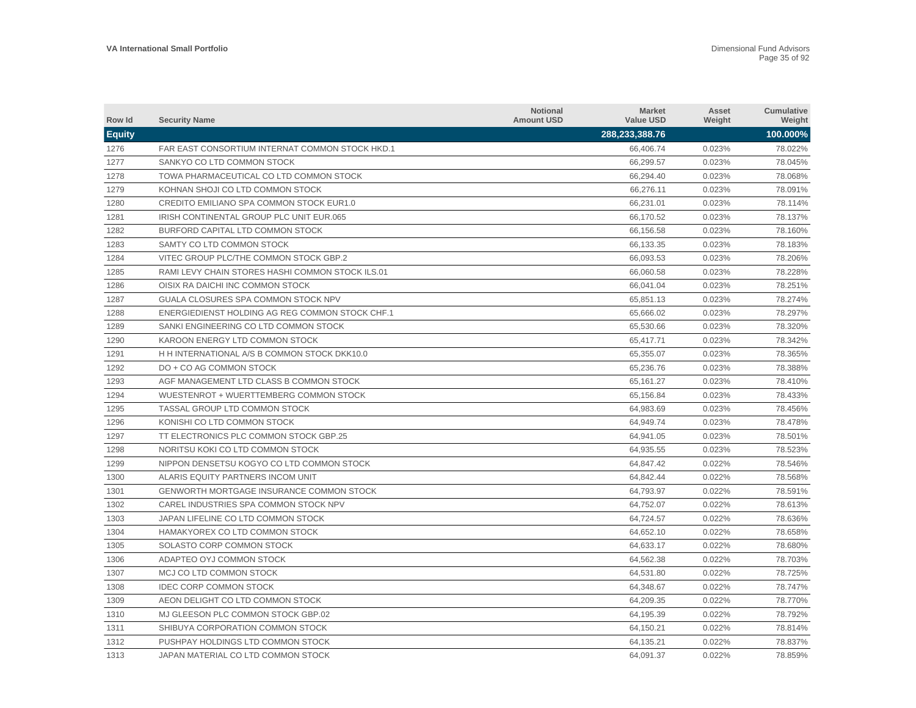| Row Id        | <b>Security Name</b>                             | <b>Notional</b><br><b>Amount USD</b> | <b>Market</b><br><b>Value USD</b> | Asset<br>Weight | Cumulative<br>Weight |
|---------------|--------------------------------------------------|--------------------------------------|-----------------------------------|-----------------|----------------------|
| <b>Equity</b> |                                                  |                                      | 288,233,388.76                    |                 | 100.000%             |
| 1276          | FAR EAST CONSORTIUM INTERNAT COMMON STOCK HKD.1  |                                      | 66,406.74                         | 0.023%          | 78.022%              |
| 1277          | SANKYO CO LTD COMMON STOCK                       |                                      | 66,299.57                         | 0.023%          | 78.045%              |
| 1278          | TOWA PHARMACEUTICAL CO LTD COMMON STOCK          |                                      | 66,294.40                         | 0.023%          | 78.068%              |
| 1279          | KOHNAN SHOJI CO LTD COMMON STOCK                 |                                      | 66,276.11                         | 0.023%          | 78.091%              |
| 1280          | CREDITO EMILIANO SPA COMMON STOCK EUR1.0         |                                      | 66,231.01                         | 0.023%          | 78.114%              |
| 1281          | IRISH CONTINENTAL GROUP PLC UNIT EUR.065         |                                      | 66.170.52                         | 0.023%          | 78.137%              |
| 1282          | BURFORD CAPITAL LTD COMMON STOCK                 |                                      | 66,156.58                         | 0.023%          | 78.160%              |
| 1283          | SAMTY CO LTD COMMON STOCK                        |                                      | 66,133.35                         | 0.023%          | 78.183%              |
| 1284          | VITEC GROUP PLC/THE COMMON STOCK GBP.2           |                                      | 66,093.53                         | 0.023%          | 78.206%              |
| 1285          | RAMI LEVY CHAIN STORES HASHI COMMON STOCK ILS.01 |                                      | 66,060.58                         | 0.023%          | 78.228%              |
| 1286          | OISIX RA DAICHI INC COMMON STOCK                 |                                      | 66,041.04                         | 0.023%          | 78.251%              |
| 1287          | GUALA CLOSURES SPA COMMON STOCK NPV              |                                      | 65,851.13                         | 0.023%          | 78.274%              |
| 1288          | ENERGIEDIENST HOLDING AG REG COMMON STOCK CHF.1  |                                      | 65,666.02                         | 0.023%          | 78.297%              |
| 1289          | SANKI ENGINEERING CO LTD COMMON STOCK            |                                      | 65,530.66                         | 0.023%          | 78.320%              |
| 1290          | KAROON ENERGY LTD COMMON STOCK                   |                                      | 65,417.71                         | 0.023%          | 78.342%              |
| 1291          | H H INTERNATIONAL A/S B COMMON STOCK DKK10.0     |                                      | 65,355.07                         | 0.023%          | 78.365%              |
| 1292          | DO + CO AG COMMON STOCK                          |                                      | 65.236.76                         | 0.023%          | 78.388%              |
| 1293          | AGF MANAGEMENT LTD CLASS B COMMON STOCK          |                                      | 65,161.27                         | 0.023%          | 78.410%              |
| 1294          | WUESTENROT + WUERTTEMBERG COMMON STOCK           |                                      | 65,156.84                         | 0.023%          | 78.433%              |
| 1295          | <b>TASSAL GROUP LTD COMMON STOCK</b>             |                                      | 64,983.69                         | 0.023%          | 78.456%              |
| 1296          | KONISHI CO LTD COMMON STOCK                      |                                      | 64,949.74                         | 0.023%          | 78.478%              |
| 1297          | TT ELECTRONICS PLC COMMON STOCK GBP.25           |                                      | 64,941.05                         | 0.023%          | 78.501%              |
| 1298          | NORITSU KOKI CO LTD COMMON STOCK                 |                                      | 64,935.55                         | 0.023%          | 78.523%              |
| 1299          | NIPPON DENSETSU KOGYO CO LTD COMMON STOCK        |                                      | 64,847.42                         | 0.022%          | 78.546%              |
| 1300          | ALARIS EQUITY PARTNERS INCOM UNIT                |                                      | 64,842.44                         | 0.022%          | 78.568%              |
| 1301          | GENWORTH MORTGAGE INSURANCE COMMON STOCK         |                                      | 64,793.97                         | 0.022%          | 78.591%              |
| 1302          | CAREL INDUSTRIES SPA COMMON STOCK NPV            |                                      | 64,752.07                         | 0.022%          | 78.613%              |
| 1303          | JAPAN LIFELINE CO LTD COMMON STOCK               |                                      | 64,724.57                         | 0.022%          | 78.636%              |
| 1304          | HAMAKYOREX CO LTD COMMON STOCK                   |                                      | 64,652.10                         | 0.022%          | 78.658%              |
| 1305          | SOLASTO CORP COMMON STOCK                        |                                      | 64,633.17                         | 0.022%          | 78.680%              |
| 1306          | ADAPTEO OYJ COMMON STOCK                         |                                      | 64,562.38                         | 0.022%          | 78.703%              |
| 1307          | MCJ CO LTD COMMON STOCK                          |                                      | 64,531.80                         | 0.022%          | 78.725%              |
| 1308          | <b>IDEC CORP COMMON STOCK</b>                    |                                      | 64,348.67                         | 0.022%          | 78.747%              |
| 1309          | AEON DELIGHT CO LTD COMMON STOCK                 |                                      | 64,209.35                         | 0.022%          | 78.770%              |
| 1310          | MJ GLEESON PLC COMMON STOCK GBP.02               |                                      | 64,195.39                         | 0.022%          | 78.792%              |
| 1311          | SHIBUYA CORPORATION COMMON STOCK                 |                                      | 64,150.21                         | 0.022%          | 78.814%              |
| 1312          | PUSHPAY HOLDINGS LTD COMMON STOCK                |                                      | 64.135.21                         | 0.022%          | 78.837%              |
| 1313          | JAPAN MATERIAL CO LTD COMMON STOCK               |                                      | 64,091.37                         | 0.022%          | 78.859%              |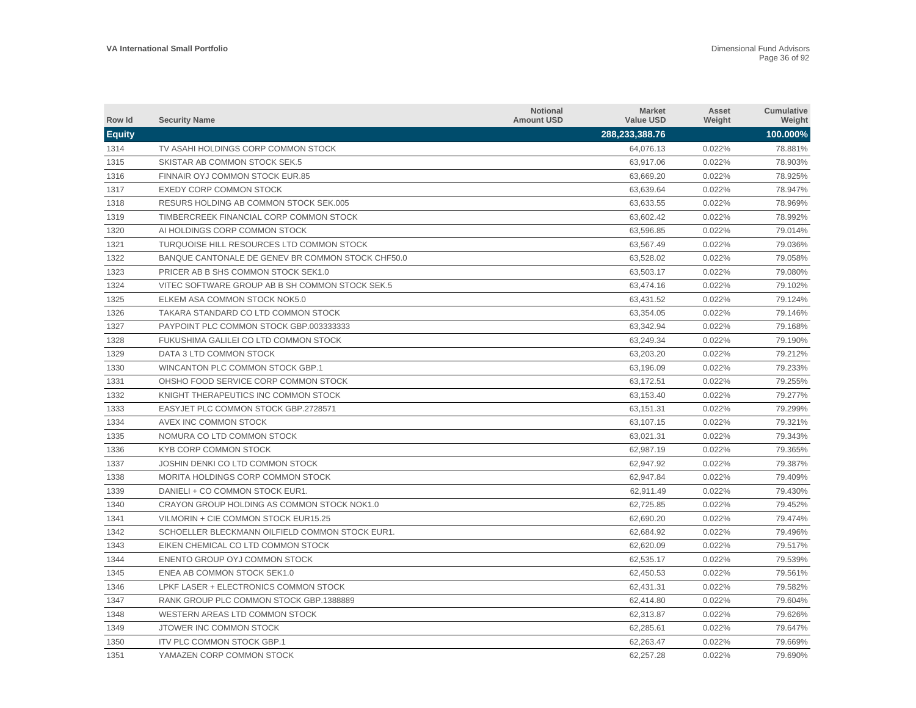| Row Id        | <b>Security Name</b>                              | <b>Notional</b><br><b>Amount USD</b> | <b>Market</b><br><b>Value USD</b> | Asset<br>Weight | Cumulative<br>Weight |
|---------------|---------------------------------------------------|--------------------------------------|-----------------------------------|-----------------|----------------------|
| <b>Equity</b> |                                                   |                                      | 288,233,388.76                    |                 | 100.000%             |
| 1314          | TV ASAHI HOLDINGS CORP COMMON STOCK               |                                      | 64,076.13                         | 0.022%          | 78.881%              |
| 1315          | SKISTAR AB COMMON STOCK SEK.5                     |                                      | 63,917.06                         | 0.022%          | 78.903%              |
| 1316          | FINNAIR OYJ COMMON STOCK EUR.85                   |                                      | 63,669.20                         | 0.022%          | 78.925%              |
| 1317          | EXEDY CORP COMMON STOCK                           |                                      | 63,639.64                         | 0.022%          | 78.947%              |
| 1318          | RESURS HOLDING AB COMMON STOCK SEK.005            |                                      | 63.633.55                         | 0.022%          | 78.969%              |
| 1319          | TIMBERCREEK FINANCIAL CORP COMMON STOCK           |                                      | 63,602.42                         | 0.022%          | 78.992%              |
| 1320          | AI HOLDINGS CORP COMMON STOCK                     |                                      | 63,596.85                         | 0.022%          | 79.014%              |
| 1321          | TURQUOISE HILL RESOURCES LTD COMMON STOCK         |                                      | 63.567.49                         | 0.022%          | 79.036%              |
| 1322          | BANQUE CANTONALE DE GENEV BR COMMON STOCK CHF50.0 |                                      | 63,528.02                         | 0.022%          | 79.058%              |
| 1323          | PRICER AB B SHS COMMON STOCK SEK1.0               |                                      | 63,503.17                         | 0.022%          | 79.080%              |
| 1324          | VITEC SOFTWARE GROUP AB B SH COMMON STOCK SEK.5   |                                      | 63,474.16                         | 0.022%          | 79.102%              |
| 1325          | ELKEM ASA COMMON STOCK NOK5.0                     |                                      | 63,431.52                         | 0.022%          | 79.124%              |
| 1326          | TAKARA STANDARD CO LTD COMMON STOCK               |                                      | 63,354.05                         | 0.022%          | 79.146%              |
| 1327          | PAYPOINT PLC COMMON STOCK GBP.003333333           |                                      | 63,342.94                         | 0.022%          | 79.168%              |
| 1328          | FUKUSHIMA GALILEI CO LTD COMMON STOCK             |                                      | 63,249.34                         | 0.022%          | 79.190%              |
| 1329          | DATA 3 LTD COMMON STOCK                           |                                      | 63,203.20                         | 0.022%          | 79.212%              |
| 1330          | WINCANTON PLC COMMON STOCK GBP.1                  |                                      | 63.196.09                         | 0.022%          | 79.233%              |
| 1331          | OHSHO FOOD SERVICE CORP COMMON STOCK              |                                      | 63,172.51                         | 0.022%          | 79.255%              |
| 1332          | KNIGHT THERAPEUTICS INC COMMON STOCK              |                                      | 63,153.40                         | 0.022%          | 79.277%              |
| 1333          | EASYJET PLC COMMON STOCK GBP.2728571              |                                      | 63,151.31                         | 0.022%          | 79.299%              |
| 1334          | AVEX INC COMMON STOCK                             |                                      | 63,107.15                         | 0.022%          | 79.321%              |
| 1335          | NOMURA CO LTD COMMON STOCK                        |                                      | 63,021.31                         | 0.022%          | 79.343%              |
| 1336          | KYB CORP COMMON STOCK                             |                                      | 62,987.19                         | 0.022%          | 79.365%              |
| 1337          | JOSHIN DENKI CO LTD COMMON STOCK                  |                                      | 62,947.92                         | 0.022%          | 79.387%              |
| 1338          | MORITA HOLDINGS CORP COMMON STOCK                 |                                      | 62,947.84                         | 0.022%          | 79.409%              |
| 1339          | DANIELI + CO COMMON STOCK EUR1.                   |                                      | 62,911.49                         | 0.022%          | 79.430%              |
| 1340          | CRAYON GROUP HOLDING AS COMMON STOCK NOK1.0       |                                      | 62,725.85                         | 0.022%          | 79.452%              |
| 1341          | VILMORIN + CIE COMMON STOCK EUR15.25              |                                      | 62.690.20                         | 0.022%          | 79.474%              |
| 1342          | SCHOELLER BLECKMANN OILFIELD COMMON STOCK EUR1.   |                                      | 62,684.92                         | 0.022%          | 79.496%              |
| 1343          | EIKEN CHEMICAL CO LTD COMMON STOCK                |                                      | 62,620.09                         | 0.022%          | 79.517%              |
| 1344          | ENENTO GROUP OYJ COMMON STOCK                     |                                      | 62,535.17                         | 0.022%          | 79.539%              |
| 1345          | ENEA AB COMMON STOCK SEK1.0                       |                                      | 62,450.53                         | 0.022%          | 79.561%              |
| 1346          | LPKF LASER + ELECTRONICS COMMON STOCK             |                                      | 62,431.31                         | 0.022%          | 79.582%              |
| 1347          | RANK GROUP PLC COMMON STOCK GBP.1388889           |                                      | 62,414.80                         | 0.022%          | 79.604%              |
| 1348          | WESTERN AREAS LTD COMMON STOCK                    |                                      | 62,313.87                         | 0.022%          | 79.626%              |
| 1349          | JTOWER INC COMMON STOCK                           |                                      | 62,285.61                         | 0.022%          | 79.647%              |
| 1350          | <b>ITV PLC COMMON STOCK GBP.1</b>                 |                                      | 62.263.47                         | 0.022%          | 79.669%              |
| 1351          | YAMAZEN CORP COMMON STOCK                         |                                      | 62,257.28                         | 0.022%          | 79.690%              |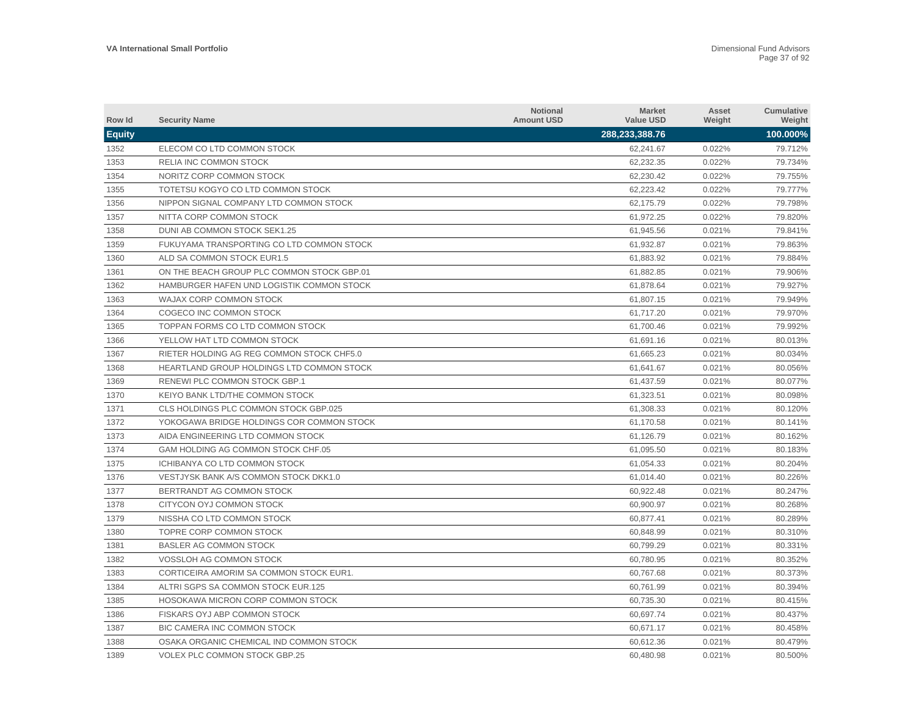| Row Id        | <b>Security Name</b>                             | <b>Notional</b><br><b>Amount USD</b> | <b>Market</b><br><b>Value USD</b> | Asset<br>Weight | Cumulative<br>Weight |
|---------------|--------------------------------------------------|--------------------------------------|-----------------------------------|-----------------|----------------------|
| <b>Equity</b> |                                                  |                                      | 288,233,388.76                    |                 | 100.000%             |
| 1352          | ELECOM CO LTD COMMON STOCK                       |                                      | 62,241.67                         | 0.022%          | 79.712%              |
| 1353          | RELIA INC COMMON STOCK                           |                                      | 62,232.35                         | 0.022%          | 79.734%              |
| 1354          | NORITZ CORP COMMON STOCK                         |                                      | 62,230.42                         | 0.022%          | 79.755%              |
| 1355          | TOTETSU KOGYO CO LTD COMMON STOCK                |                                      | 62,223.42                         | 0.022%          | 79.777%              |
| 1356          | NIPPON SIGNAL COMPANY LTD COMMON STOCK           |                                      | 62,175.79                         | 0.022%          | 79.798%              |
| 1357          | NITTA CORP COMMON STOCK                          |                                      | 61,972.25                         | 0.022%          | 79.820%              |
| 1358          | DUNI AB COMMON STOCK SEK1.25                     |                                      | 61,945.56                         | 0.021%          | 79.841%              |
| 1359          | FUKUYAMA TRANSPORTING CO LTD COMMON STOCK        |                                      | 61,932.87                         | 0.021%          | 79.863%              |
| 1360          | ALD SA COMMON STOCK EUR1.5                       |                                      | 61,883.92                         | 0.021%          | 79.884%              |
| 1361          | ON THE BEACH GROUP PLC COMMON STOCK GBP.01       |                                      | 61,882.85                         | 0.021%          | 79.906%              |
| 1362          | HAMBURGER HAFEN UND LOGISTIK COMMON STOCK        |                                      | 61,878.64                         | 0.021%          | 79.927%              |
| 1363          | WAJAX CORP COMMON STOCK                          |                                      | 61,807.15                         | 0.021%          | 79.949%              |
| 1364          | COGECO INC COMMON STOCK                          |                                      | 61,717.20                         | 0.021%          | 79.970%              |
| 1365          | TOPPAN FORMS CO LTD COMMON STOCK                 |                                      | 61,700.46                         | 0.021%          | 79.992%              |
| 1366          | YELLOW HAT LTD COMMON STOCK                      |                                      | 61,691.16                         | 0.021%          | 80.013%              |
| 1367          | RIETER HOLDING AG REG COMMON STOCK CHF5.0        |                                      | 61,665.23                         | 0.021%          | 80.034%              |
| 1368          | <b>HEARTLAND GROUP HOLDINGS LTD COMMON STOCK</b> |                                      | 61.641.67                         | 0.021%          | 80.056%              |
| 1369          | <b>RENEWI PLC COMMON STOCK GBP.1</b>             |                                      | 61,437.59                         | 0.021%          | 80.077%              |
| 1370          | KEIYO BANK LTD/THE COMMON STOCK                  |                                      | 61,323.51                         | 0.021%          | 80.098%              |
| 1371          | CLS HOLDINGS PLC COMMON STOCK GBP.025            |                                      | 61,308.33                         | 0.021%          | 80.120%              |
| 1372          | YOKOGAWA BRIDGE HOLDINGS COR COMMON STOCK        |                                      | 61,170.58                         | 0.021%          | 80.141%              |
| 1373          | AIDA ENGINEERING LTD COMMON STOCK                |                                      | 61,126.79                         | 0.021%          | 80.162%              |
| 1374          | GAM HOLDING AG COMMON STOCK CHF.05               |                                      | 61,095.50                         | 0.021%          | 80.183%              |
| 1375          | ICHIBANYA CO LTD COMMON STOCK                    |                                      | 61,054.33                         | 0.021%          | 80.204%              |
| 1376          | VESTJYSK BANK A/S COMMON STOCK DKK1.0            |                                      | 61,014.40                         | 0.021%          | 80.226%              |
| 1377          | BERTRANDT AG COMMON STOCK                        |                                      | 60,922.48                         | 0.021%          | 80.247%              |
| 1378          | CITYCON OYJ COMMON STOCK                         |                                      | 60.900.97                         | 0.021%          | 80.268%              |
| 1379          | NISSHA CO LTD COMMON STOCK                       |                                      | 60,877.41                         | 0.021%          | 80.289%              |
| 1380          | TOPRE CORP COMMON STOCK                          |                                      | 60,848.99                         | 0.021%          | 80.310%              |
| 1381          | <b>BASLER AG COMMON STOCK</b>                    |                                      | 60,799.29                         | 0.021%          | 80.331%              |
| 1382          | VOSSLOH AG COMMON STOCK                          |                                      | 60,780.95                         | 0.021%          | 80.352%              |
| 1383          | CORTICEIRA AMORIM SA COMMON STOCK EUR1.          |                                      | 60,767.68                         | 0.021%          | 80.373%              |
| 1384          | ALTRI SGPS SA COMMON STOCK EUR.125               |                                      | 60,761.99                         | 0.021%          | 80.394%              |
| 1385          | HOSOKAWA MICRON CORP COMMON STOCK                |                                      | 60,735.30                         | 0.021%          | 80.415%              |
| 1386          | FISKARS OYJ ABP COMMON STOCK                     |                                      | 60,697.74                         | 0.021%          | 80.437%              |
| 1387          | BIC CAMERA INC COMMON STOCK                      |                                      | 60,671.17                         | 0.021%          | 80.458%              |
| 1388          | OSAKA ORGANIC CHEMICAL IND COMMON STOCK          |                                      | 60.612.36                         | 0.021%          | 80.479%              |
| 1389          | VOLEX PLC COMMON STOCK GBP.25                    |                                      | 60.480.98                         | 0.021%          | 80.500%              |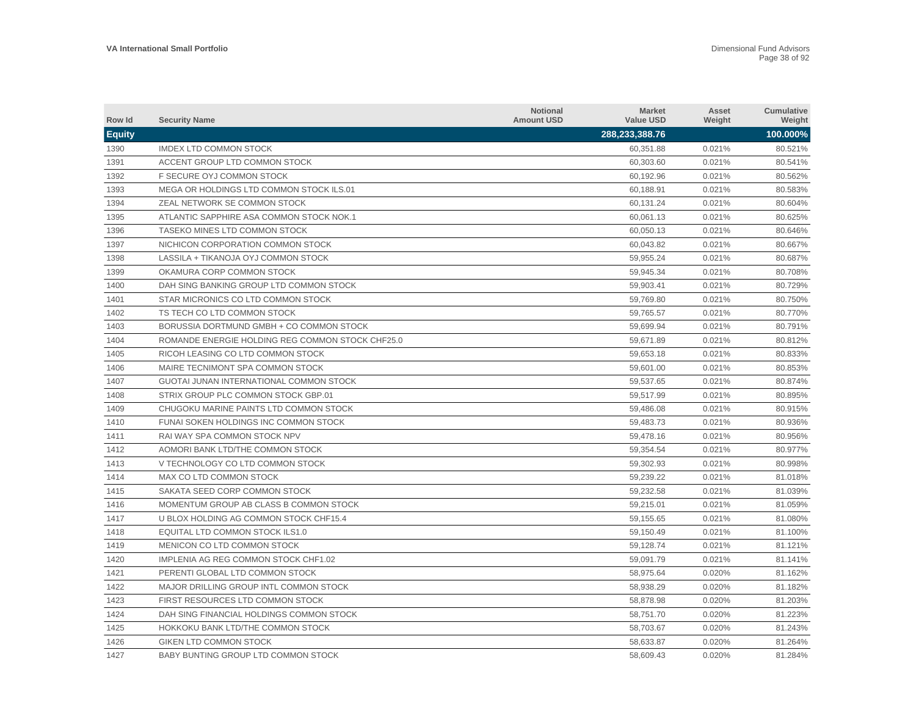| Row Id        | <b>Security Name</b>                             | <b>Notional</b><br><b>Amount USD</b> | <b>Market</b><br><b>Value USD</b> | Asset<br>Weight | Cumulative<br>Weight |
|---------------|--------------------------------------------------|--------------------------------------|-----------------------------------|-----------------|----------------------|
| <b>Equity</b> |                                                  |                                      | 288,233,388.76                    |                 | 100.000%             |
| 1390          | <b>IMDEX LTD COMMON STOCK</b>                    |                                      | 60.351.88                         | 0.021%          | 80.521%              |
| 1391          | ACCENT GROUP LTD COMMON STOCK                    |                                      | 60,303.60                         | 0.021%          | 80.541%              |
| 1392          | F SECURE OYJ COMMON STOCK                        |                                      | 60,192.96                         | 0.021%          | 80.562%              |
| 1393          | MEGA OR HOLDINGS LTD COMMON STOCK ILS.01         |                                      | 60,188.91                         | 0.021%          | 80.583%              |
| 1394          | ZEAL NETWORK SE COMMON STOCK                     |                                      | 60,131.24                         | 0.021%          | 80.604%              |
| 1395          | ATLANTIC SAPPHIRE ASA COMMON STOCK NOK.1         |                                      | 60,061.13                         | 0.021%          | 80.625%              |
| 1396          | TASEKO MINES LTD COMMON STOCK                    |                                      | 60,050.13                         | 0.021%          | 80.646%              |
| 1397          | NICHICON CORPORATION COMMON STOCK                |                                      | 60,043.82                         | 0.021%          | 80.667%              |
| 1398          | LASSILA + TIKANOJA OYJ COMMON STOCK              |                                      | 59,955.24                         | 0.021%          | 80.687%              |
| 1399          | OKAMURA CORP COMMON STOCK                        |                                      | 59,945.34                         | 0.021%          | 80.708%              |
| 1400          | DAH SING BANKING GROUP LTD COMMON STOCK          |                                      | 59,903.41                         | 0.021%          | 80.729%              |
| 1401          | STAR MICRONICS CO LTD COMMON STOCK               |                                      | 59,769.80                         | 0.021%          | 80.750%              |
| 1402          | TS TECH CO LTD COMMON STOCK                      |                                      | 59,765.57                         | 0.021%          | 80.770%              |
| 1403          | BORUSSIA DORTMUND GMBH + CO COMMON STOCK         |                                      | 59,699.94                         | 0.021%          | 80.791%              |
| 1404          | ROMANDE ENERGIE HOLDING REG COMMON STOCK CHF25.0 |                                      | 59,671.89                         | 0.021%          | 80.812%              |
| 1405          | RICOH LEASING CO LTD COMMON STOCK                |                                      | 59,653.18                         | 0.021%          | 80.833%              |
| 1406          | MAIRE TECNIMONT SPA COMMON STOCK                 |                                      | 59,601.00                         | 0.021%          | 80.853%              |
| 1407          | GUOTAI JUNAN INTERNATIONAL COMMON STOCK          |                                      | 59,537.65                         | 0.021%          | 80.874%              |
| 1408          | STRIX GROUP PLC COMMON STOCK GBP.01              |                                      | 59,517.99                         | 0.021%          | 80.895%              |
| 1409          | CHUGOKU MARINE PAINTS LTD COMMON STOCK           |                                      | 59,486.08                         | 0.021%          | 80.915%              |
| 1410          | FUNAI SOKEN HOLDINGS INC COMMON STOCK            |                                      | 59,483.73                         | 0.021%          | 80.936%              |
| 1411          | RAI WAY SPA COMMON STOCK NPV                     |                                      | 59,478.16                         | 0.021%          | 80.956%              |
| 1412          | AOMORI BANK LTD/THE COMMON STOCK                 |                                      | 59,354.54                         | 0.021%          | 80.977%              |
| 1413          | V TECHNOLOGY CO LTD COMMON STOCK                 |                                      | 59,302.93                         | 0.021%          | 80.998%              |
| 1414          | MAX CO LTD COMMON STOCK                          |                                      | 59,239.22                         | 0.021%          | 81.018%              |
| 1415          | SAKATA SEED CORP COMMON STOCK                    |                                      | 59,232.58                         | 0.021%          | 81.039%              |
| 1416          | MOMENTUM GROUP AB CLASS B COMMON STOCK           |                                      | 59,215.01                         | 0.021%          | 81.059%              |
| 1417          | U BLOX HOLDING AG COMMON STOCK CHF15.4           |                                      | 59,155.65                         | 0.021%          | 81.080%              |
| 1418          | <b>EQUITAL LTD COMMON STOCK ILS1.0</b>           |                                      | 59.150.49                         | 0.021%          | 81.100%              |
| 1419          | MENICON CO LTD COMMON STOCK                      |                                      | 59.128.74                         | 0.021%          | 81.121%              |
| 1420          | <b>IMPLENIA AG REG COMMON STOCK CHF1.02</b>      |                                      | 59,091.79                         | 0.021%          | 81.141%              |
| 1421          | PERENTI GLOBAL LTD COMMON STOCK                  |                                      | 58,975.64                         | 0.020%          | 81.162%              |
| 1422          | MAJOR DRILLING GROUP INTL COMMON STOCK           |                                      | 58,938.29                         | 0.020%          | 81.182%              |
| 1423          | FIRST RESOURCES LTD COMMON STOCK                 |                                      | 58,878.98                         | 0.020%          | 81.203%              |
| 1424          | DAH SING FINANCIAL HOLDINGS COMMON STOCK         |                                      | 58,751.70                         | 0.020%          | 81.223%              |
| 1425          | HOKKOKU BANK LTD/THE COMMON STOCK                |                                      | 58,703.67                         | 0.020%          | 81.243%              |
| 1426          | <b>GIKEN LTD COMMON STOCK</b>                    |                                      | 58,633.87                         | 0.020%          | 81.264%              |
| 1427          | BABY BUNTING GROUP LTD COMMON STOCK              |                                      | 58.609.43                         | 0.020%          | 81.284%              |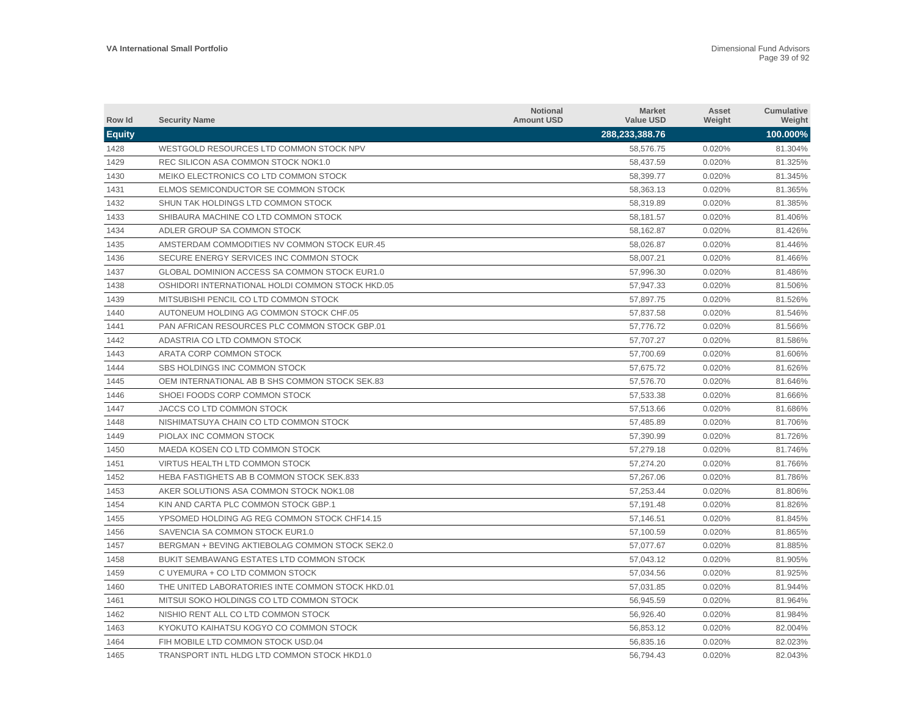| Row Id        | <b>Security Name</b>                             | <b>Notional</b><br><b>Amount USD</b> | <b>Market</b><br><b>Value USD</b> | Asset<br>Weight | Cumulative<br>Weight |
|---------------|--------------------------------------------------|--------------------------------------|-----------------------------------|-----------------|----------------------|
| <b>Equity</b> |                                                  |                                      | 288,233,388.76                    |                 | 100.000%             |
| 1428          | WESTGOLD RESOURCES LTD COMMON STOCK NPV          |                                      | 58,576.75                         | 0.020%          | 81.304%              |
| 1429          | REC SILICON ASA COMMON STOCK NOK1.0              |                                      | 58,437.59                         | 0.020%          | 81.325%              |
| 1430          | MEIKO ELECTRONICS CO LTD COMMON STOCK            |                                      | 58,399.77                         | 0.020%          | 81.345%              |
| 1431          | ELMOS SEMICONDUCTOR SE COMMON STOCK              |                                      | 58,363.13                         | 0.020%          | 81.365%              |
| 1432          | SHUN TAK HOLDINGS LTD COMMON STOCK               |                                      | 58,319.89                         | 0.020%          | 81.385%              |
| 1433          | SHIBAURA MACHINE CO LTD COMMON STOCK             |                                      | 58,181.57                         | 0.020%          | 81.406%              |
| 1434          | ADLER GROUP SA COMMON STOCK                      |                                      | 58,162.87                         | 0.020%          | 81.426%              |
| 1435          | AMSTERDAM COMMODITIES NV COMMON STOCK EUR.45     |                                      | 58,026.87                         | 0.020%          | 81.446%              |
| 1436          | SECURE ENERGY SERVICES INC COMMON STOCK          |                                      | 58,007.21                         | 0.020%          | 81.466%              |
| 1437          | GLOBAL DOMINION ACCESS SA COMMON STOCK EUR1.0    |                                      | 57,996.30                         | 0.020%          | 81.486%              |
| 1438          | OSHIDORI INTERNATIONAL HOLDI COMMON STOCK HKD.05 |                                      | 57,947.33                         | 0.020%          | 81.506%              |
| 1439          | MITSUBISHI PENCIL CO LTD COMMON STOCK            |                                      | 57,897.75                         | 0.020%          | 81.526%              |
| 1440          | AUTONEUM HOLDING AG COMMON STOCK CHF.05          |                                      | 57,837.58                         | 0.020%          | 81.546%              |
| 1441          | PAN AFRICAN RESOURCES PLC COMMON STOCK GBP.01    |                                      | 57,776.72                         | 0.020%          | 81.566%              |
| 1442          | ADASTRIA CO LTD COMMON STOCK                     |                                      | 57,707.27                         | 0.020%          | 81.586%              |
| 1443          | ARATA CORP COMMON STOCK                          |                                      | 57,700.69                         | 0.020%          | 81.606%              |
| 1444          | SBS HOLDINGS INC COMMON STOCK                    |                                      | 57,675.72                         | 0.020%          | 81.626%              |
| 1445          | OEM INTERNATIONAL AB B SHS COMMON STOCK SEK.83   |                                      | 57,576.70                         | 0.020%          | 81.646%              |
| 1446          | SHOEI FOODS CORP COMMON STOCK                    |                                      | 57,533.38                         | 0.020%          | 81.666%              |
| 1447          | JACCS CO LTD COMMON STOCK                        |                                      | 57,513.66                         | 0.020%          | 81.686%              |
| 1448          | NISHIMATSUYA CHAIN CO LTD COMMON STOCK           |                                      | 57.485.89                         | 0.020%          | 81.706%              |
| 1449          | PIOLAX INC COMMON STOCK                          |                                      | 57,390.99                         | 0.020%          | 81.726%              |
| 1450          | MAEDA KOSEN CO LTD COMMON STOCK                  |                                      | 57.279.18                         | 0.020%          | 81.746%              |
| 1451          | VIRTUS HEALTH LTD COMMON STOCK                   |                                      | 57,274.20                         | 0.020%          | 81.766%              |
| 1452          | <b>HEBA FASTIGHETS AB B COMMON STOCK SEK.833</b> |                                      | 57,267.06                         | 0.020%          | 81.786%              |
| 1453          | AKER SOLUTIONS ASA COMMON STOCK NOK1.08          |                                      | 57,253.44                         | 0.020%          | 81.806%              |
| 1454          | KIN AND CARTA PLC COMMON STOCK GBP.1             |                                      | 57,191.48                         | 0.020%          | 81.826%              |
| 1455          | YPSOMED HOLDING AG REG COMMON STOCK CHF14.15     |                                      | 57,146.51                         | 0.020%          | 81.845%              |
| 1456          | SAVENCIA SA COMMON STOCK EUR1.0                  |                                      | 57,100.59                         | 0.020%          | 81.865%              |
| 1457          | BERGMAN + BEVING AKTIEBOLAG COMMON STOCK SEK2.0  |                                      | 57,077.67                         | 0.020%          | 81.885%              |
| 1458          | BUKIT SEMBAWANG ESTATES LTD COMMON STOCK         |                                      | 57,043.12                         | 0.020%          | 81.905%              |
| 1459          | C UYEMURA + CO LTD COMMON STOCK                  |                                      | 57,034.56                         | 0.020%          | 81.925%              |
| 1460          | THE UNITED LABORATORIES INTE COMMON STOCK HKD.01 |                                      | 57,031.85                         | 0.020%          | 81.944%              |
| 1461          | MITSUI SOKO HOLDINGS CO LTD COMMON STOCK         |                                      | 56,945.59                         | 0.020%          | 81.964%              |
| 1462          | NISHIO RENT ALL CO LTD COMMON STOCK              |                                      | 56,926.40                         | 0.020%          | 81.984%              |
| 1463          | KYOKUTO KAIHATSU KOGYO CO COMMON STOCK           |                                      | 56,853.12                         | 0.020%          | 82.004%              |
| 1464          | FIH MOBILE LTD COMMON STOCK USD.04               |                                      | 56.835.16                         | 0.020%          | 82.023%              |
| 1465          | TRANSPORT INTL HLDG LTD COMMON STOCK HKD1.0      |                                      | 56.794.43                         | 0.020%          | 82.043%              |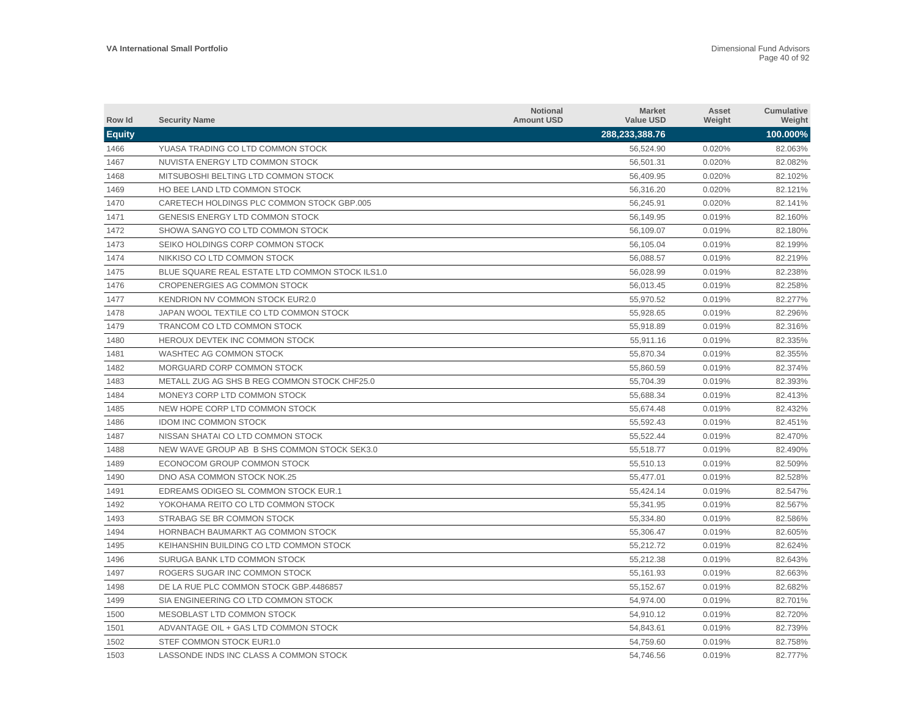| Row Id        | <b>Security Name</b>                            | <b>Notional</b><br><b>Amount USD</b> | <b>Market</b><br><b>Value USD</b> | Asset<br>Weight | Cumulative<br>Weight |
|---------------|-------------------------------------------------|--------------------------------------|-----------------------------------|-----------------|----------------------|
| <b>Equity</b> |                                                 |                                      | 288,233,388.76                    |                 | 100.000%             |
| 1466          | YUASA TRADING CO LTD COMMON STOCK               |                                      | 56.524.90                         | 0.020%          | 82.063%              |
| 1467          | NUVISTA ENERGY LTD COMMON STOCK                 |                                      | 56,501.31                         | 0.020%          | 82.082%              |
| 1468          | MITSUBOSHI BELTING LTD COMMON STOCK             |                                      | 56,409.95                         | 0.020%          | 82.102%              |
| 1469          | HO BEE LAND LTD COMMON STOCK                    |                                      | 56,316.20                         | 0.020%          | 82.121%              |
| 1470          | CARETECH HOLDINGS PLC COMMON STOCK GBP.005      |                                      | 56,245.91                         | 0.020%          | 82.141%              |
| 1471          | <b>GENESIS ENERGY LTD COMMON STOCK</b>          |                                      | 56,149.95                         | 0.019%          | 82.160%              |
| 1472          | SHOWA SANGYO CO LTD COMMON STOCK                |                                      | 56,109.07                         | 0.019%          | 82.180%              |
| 1473          | SEIKO HOLDINGS CORP COMMON STOCK                |                                      | 56,105.04                         | 0.019%          | 82.199%              |
| 1474          | NIKKISO CO LTD COMMON STOCK                     |                                      | 56,088.57                         | 0.019%          | 82.219%              |
| 1475          | BLUE SQUARE REAL ESTATE LTD COMMON STOCK ILS1.0 |                                      | 56,028.99                         | 0.019%          | 82.238%              |
| 1476          | CROPENERGIES AG COMMON STOCK                    |                                      | 56,013.45                         | 0.019%          | 82.258%              |
| 1477          | KENDRION NV COMMON STOCK EUR2.0                 |                                      | 55,970.52                         | 0.019%          | 82.277%              |
| 1478          | JAPAN WOOL TEXTILE CO LTD COMMON STOCK          |                                      | 55,928.65                         | 0.019%          | 82.296%              |
| 1479          | TRANCOM CO LTD COMMON STOCK                     |                                      | 55,918.89                         | 0.019%          | 82.316%              |
| 1480          | HEROUX DEVTEK INC COMMON STOCK                  |                                      | 55,911.16                         | 0.019%          | 82.335%              |
| 1481          | WASHTEC AG COMMON STOCK                         |                                      | 55,870.34                         | 0.019%          | 82.355%              |
| 1482          | MORGUARD CORP COMMON STOCK                      |                                      | 55,860.59                         | 0.019%          | 82.374%              |
| 1483          | METALL ZUG AG SHS B REG COMMON STOCK CHF25.0    |                                      | 55,704.39                         | 0.019%          | 82.393%              |
| 1484          | MONEY3 CORP LTD COMMON STOCK                    |                                      | 55,688.34                         | 0.019%          | 82.413%              |
| 1485          | NEW HOPE CORP LTD COMMON STOCK                  |                                      | 55,674.48                         | 0.019%          | 82.432%              |
| 1486          | <b>IDOM INC COMMON STOCK</b>                    |                                      | 55,592.43                         | 0.019%          | 82.451%              |
| 1487          | NISSAN SHATAI CO LTD COMMON STOCK               |                                      | 55,522.44                         | 0.019%          | 82.470%              |
| 1488          | NEW WAVE GROUP AB B SHS COMMON STOCK SEK3.0     |                                      | 55,518.77                         | 0.019%          | 82.490%              |
| 1489          | ECONOCOM GROUP COMMON STOCK                     |                                      | 55,510.13                         | 0.019%          | 82.509%              |
| 1490          | DNO ASA COMMON STOCK NOK.25                     |                                      | 55,477.01                         | 0.019%          | 82.528%              |
| 1491          | EDREAMS ODIGEO SL COMMON STOCK EUR.1            |                                      | 55,424.14                         | 0.019%          | 82.547%              |
| 1492          | YOKOHAMA REITO CO LTD COMMON STOCK              |                                      | 55,341.95                         | 0.019%          | 82.567%              |
| 1493          | STRABAG SE BR COMMON STOCK                      |                                      | 55,334.80                         | 0.019%          | 82.586%              |
| 1494          | HORNBACH BAUMARKT AG COMMON STOCK               |                                      | 55,306.47                         | 0.019%          | 82.605%              |
| 1495          | KEIHANSHIN BUILDING CO LTD COMMON STOCK         |                                      | 55.212.72                         | 0.019%          | 82.624%              |
| 1496          | SURUGA BANK LTD COMMON STOCK                    |                                      | 55,212.38                         | 0.019%          | 82.643%              |
| 1497          | ROGERS SUGAR INC COMMON STOCK                   |                                      | 55,161.93                         | 0.019%          | 82.663%              |
| 1498          | DE LA RUE PLC COMMON STOCK GBP.4486857          |                                      | 55,152.67                         | 0.019%          | 82.682%              |
| 1499          | SIA ENGINEERING CO LTD COMMON STOCK             |                                      | 54,974.00                         | 0.019%          | 82.701%              |
| 1500          | MESOBLAST LTD COMMON STOCK                      |                                      | 54,910.12                         | 0.019%          | 82.720%              |
| 1501          | ADVANTAGE OIL + GAS LTD COMMON STOCK            |                                      | 54,843.61                         | 0.019%          | 82.739%              |
| 1502          | STEF COMMON STOCK EUR1.0                        |                                      | 54,759.60                         | 0.019%          | 82.758%              |
| 1503          | LASSONDE INDS INC CLASS A COMMON STOCK          |                                      | 54.746.56                         | 0.019%          | 82.777%              |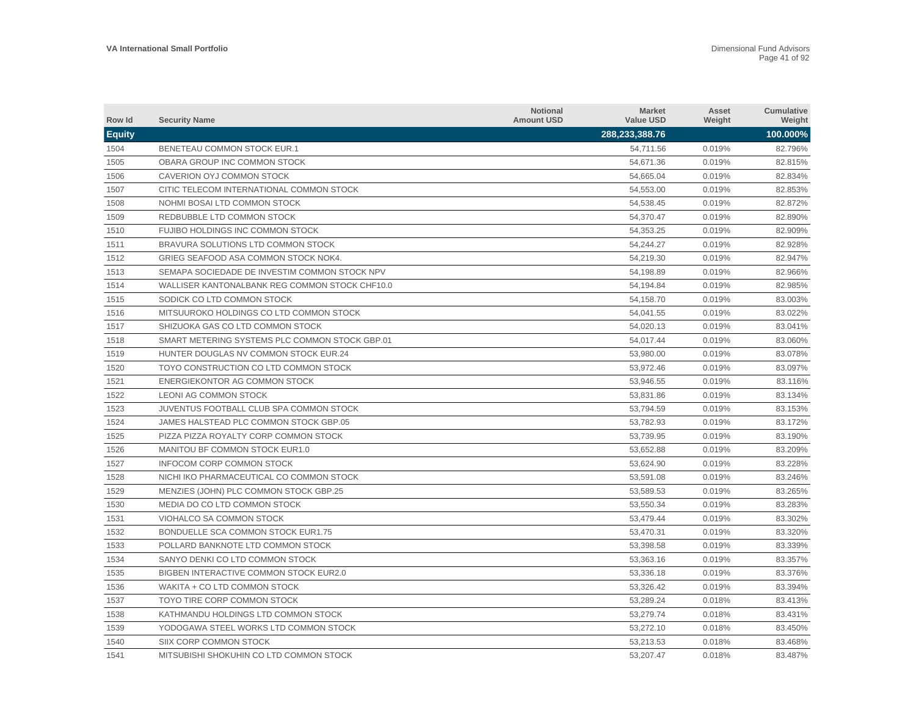| Row Id        | <b>Security Name</b>                           | <b>Notional</b><br><b>Amount USD</b> | <b>Market</b><br><b>Value USD</b> | Asset<br>Weight | Cumulative<br>Weight |
|---------------|------------------------------------------------|--------------------------------------|-----------------------------------|-----------------|----------------------|
| <b>Equity</b> |                                                |                                      | 288,233,388.76                    |                 | 100.000%             |
| 1504          | BENETEAU COMMON STOCK EUR.1                    |                                      | 54,711.56                         | 0.019%          | 82.796%              |
| 1505          | OBARA GROUP INC COMMON STOCK                   |                                      | 54,671.36                         | 0.019%          | 82.815%              |
| 1506          | CAVERION OYJ COMMON STOCK                      |                                      | 54,665.04                         | 0.019%          | 82.834%              |
| 1507          | CITIC TELECOM INTERNATIONAL COMMON STOCK       |                                      | 54,553.00                         | 0.019%          | 82.853%              |
| 1508          | NOHMI BOSAI LTD COMMON STOCK                   |                                      | 54,538.45                         | 0.019%          | 82.872%              |
| 1509          | REDBUBBLE LTD COMMON STOCK                     |                                      | 54,370.47                         | 0.019%          | 82.890%              |
| 1510          | FUJIBO HOLDINGS INC COMMON STOCK               |                                      | 54,353.25                         | 0.019%          | 82.909%              |
| 1511          | BRAVURA SOLUTIONS LTD COMMON STOCK             |                                      | 54,244.27                         | 0.019%          | 82.928%              |
| 1512          | GRIEG SEAFOOD ASA COMMON STOCK NOK4.           |                                      | 54,219.30                         | 0.019%          | 82.947%              |
| 1513          | SEMAPA SOCIEDADE DE INVESTIM COMMON STOCK NPV  |                                      | 54,198.89                         | 0.019%          | 82.966%              |
| 1514          | WALLISER KANTONALBANK REG COMMON STOCK CHF10.0 |                                      | 54,194.84                         | 0.019%          | 82.985%              |
| 1515          | SODICK CO LTD COMMON STOCK                     |                                      | 54,158.70                         | 0.019%          | 83.003%              |
| 1516          | MITSUUROKO HOLDINGS CO LTD COMMON STOCK        |                                      | 54,041.55                         | 0.019%          | 83.022%              |
| 1517          | SHIZUOKA GAS CO LTD COMMON STOCK               |                                      | 54,020.13                         | 0.019%          | 83.041%              |
| 1518          | SMART METERING SYSTEMS PLC COMMON STOCK GBP.01 |                                      | 54,017.44                         | 0.019%          | 83.060%              |
| 1519          | HUNTER DOUGLAS NV COMMON STOCK EUR.24          |                                      | 53,980.00                         | 0.019%          | 83.078%              |
| 1520          | TOYO CONSTRUCTION CO LTD COMMON STOCK          |                                      | 53,972.46                         | 0.019%          | 83.097%              |
| 1521          | ENERGIEKONTOR AG COMMON STOCK                  |                                      | 53,946.55                         | 0.019%          | 83.116%              |
| 1522          | <b>LEONI AG COMMON STOCK</b>                   |                                      | 53,831.86                         | 0.019%          | 83.134%              |
| 1523          | JUVENTUS FOOTBALL CLUB SPA COMMON STOCK        |                                      | 53,794.59                         | 0.019%          | 83.153%              |
| 1524          | JAMES HALSTEAD PLC COMMON STOCK GBP.05         |                                      | 53,782.93                         | 0.019%          | 83.172%              |
| 1525          | PIZZA PIZZA ROYALTY CORP COMMON STOCK          |                                      | 53,739.95                         | 0.019%          | 83.190%              |
| 1526          | MANITOU BF COMMON STOCK EUR1.0                 |                                      | 53,652.88                         | 0.019%          | 83.209%              |
| 1527          | INFOCOM CORP COMMON STOCK                      |                                      | 53,624.90                         | 0.019%          | 83.228%              |
| 1528          | NICHI IKO PHARMACEUTICAL CO COMMON STOCK       |                                      | 53,591.08                         | 0.019%          | 83.246%              |
| 1529          | MENZIES (JOHN) PLC COMMON STOCK GBP.25         |                                      | 53,589.53                         | 0.019%          | 83.265%              |
| 1530          | MEDIA DO CO LTD COMMON STOCK                   |                                      | 53,550.34                         | 0.019%          | 83.283%              |
| 1531          | VIOHALCO SA COMMON STOCK                       |                                      | 53,479.44                         | 0.019%          | 83.302%              |
| 1532          | BONDUELLE SCA COMMON STOCK EUR1.75             |                                      | 53,470.31                         | 0.019%          | 83.320%              |
| 1533          | POLLARD BANKNOTE LTD COMMON STOCK              |                                      | 53,398.58                         | 0.019%          | 83.339%              |
| 1534          | SANYO DENKI CO LTD COMMON STOCK                |                                      | 53,363.16                         | 0.019%          | 83.357%              |
| 1535          | BIGBEN INTERACTIVE COMMON STOCK EUR2.0         |                                      | 53,336.18                         | 0.019%          | 83.376%              |
| 1536          | WAKITA + CO LTD COMMON STOCK                   |                                      | 53,326.42                         | 0.019%          | 83.394%              |
| 1537          | TOYO TIRE CORP COMMON STOCK                    |                                      | 53,289.24                         | 0.018%          | 83.413%              |
| 1538          | KATHMANDU HOLDINGS LTD COMMON STOCK            |                                      | 53,279.74                         | 0.018%          | 83.431%              |
| 1539          | YODOGAWA STEEL WORKS LTD COMMON STOCK          |                                      | 53,272.10                         | 0.018%          | 83.450%              |
| 1540          | SIIX CORP COMMON STOCK                         |                                      | 53,213.53                         | 0.018%          | 83.468%              |
| 1541          | MITSUBISHI SHOKUHIN CO LTD COMMON STOCK        |                                      | 53.207.47                         | 0.018%          | 83.487%              |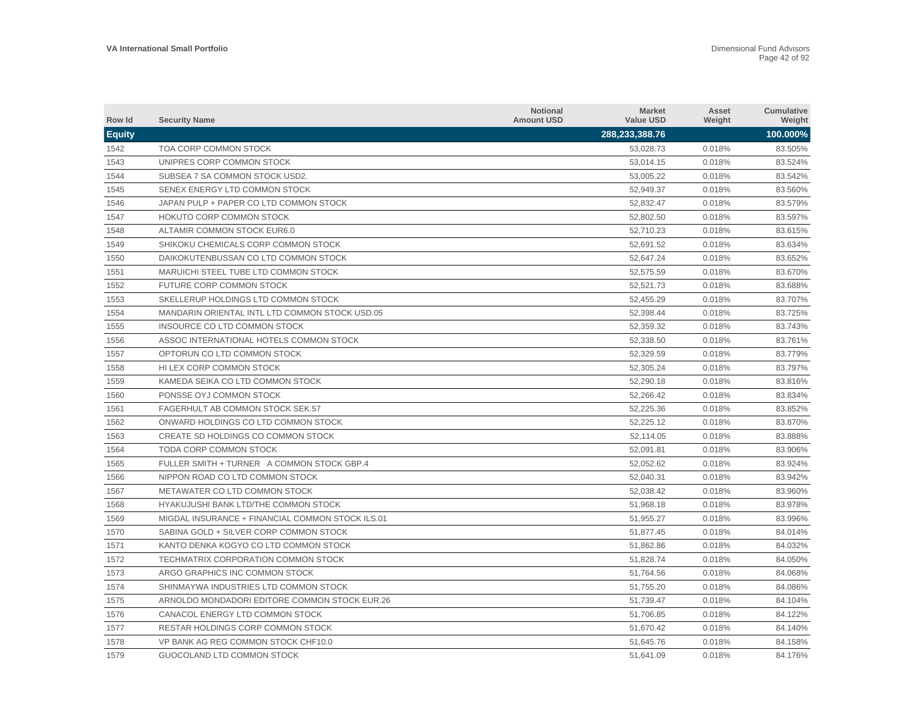| Row Id        | <b>Security Name</b>                             | <b>Notional</b><br><b>Amount USD</b> | <b>Market</b><br><b>Value USD</b> | Asset<br>Weight | Cumulative<br>Weight |
|---------------|--------------------------------------------------|--------------------------------------|-----------------------------------|-----------------|----------------------|
| <b>Equity</b> |                                                  |                                      | 288,233,388.76                    |                 | 100.000%             |
| 1542          | TOA CORP COMMON STOCK                            |                                      | 53,028.73                         | 0.018%          | 83.505%              |
| 1543          | UNIPRES CORP COMMON STOCK                        |                                      | 53,014.15                         | 0.018%          | 83.524%              |
| 1544          | SUBSEA 7 SA COMMON STOCK USD2.                   |                                      | 53,005.22                         | 0.018%          | 83.542%              |
| 1545          | SENEX ENERGY LTD COMMON STOCK                    |                                      | 52,949.37                         | 0.018%          | 83.560%              |
| 1546          | JAPAN PULP + PAPER CO LTD COMMON STOCK           |                                      | 52.832.47                         | 0.018%          | 83.579%              |
| 1547          | HOKUTO CORP COMMON STOCK                         |                                      | 52,802.50                         | 0.018%          | 83.597%              |
| 1548          | ALTAMIR COMMON STOCK EUR6.0                      |                                      | 52,710.23                         | 0.018%          | 83.615%              |
| 1549          | SHIKOKU CHEMICALS CORP COMMON STOCK              |                                      | 52.691.52                         | 0.018%          | 83.634%              |
| 1550          | DAIKOKUTENBUSSAN CO LTD COMMON STOCK             |                                      | 52,647.24                         | 0.018%          | 83.652%              |
| 1551          | MARUICHI STEEL TUBE LTD COMMON STOCK             |                                      | 52.575.59                         | 0.018%          | 83.670%              |
| 1552          | FUTURE CORP COMMON STOCK                         |                                      | 52,521.73                         | 0.018%          | 83.688%              |
| 1553          | SKELLERUP HOLDINGS LTD COMMON STOCK              |                                      | 52,455.29                         | 0.018%          | 83.707%              |
| 1554          | MANDARIN ORIENTAL INTL LTD COMMON STOCK USD.05   |                                      | 52,398.44                         | 0.018%          | 83.725%              |
| 1555          | INSOURCE CO LTD COMMON STOCK                     |                                      | 52,359.32                         | 0.018%          | 83.743%              |
| 1556          | ASSOC INTERNATIONAL HOTELS COMMON STOCK          |                                      | 52,338.50                         | 0.018%          | 83.761%              |
| 1557          | OPTORUN CO LTD COMMON STOCK                      |                                      | 52.329.59                         | 0.018%          | 83.779%              |
| 1558          | HI LEX CORP COMMON STOCK                         |                                      | 52.305.24                         | 0.018%          | 83.797%              |
| 1559          | KAMEDA SEIKA CO LTD COMMON STOCK                 |                                      | 52,290.18                         | 0.018%          | 83.816%              |
| 1560          | PONSSE OYJ COMMON STOCK                          |                                      | 52,266.42                         | 0.018%          | 83.834%              |
| 1561          | <b>FAGERHULT AB COMMON STOCK SEK.57</b>          |                                      | 52,225.36                         | 0.018%          | 83.852%              |
| 1562          | ONWARD HOLDINGS CO LTD COMMON STOCK              |                                      | 52,225.12                         | 0.018%          | 83.870%              |
| 1563          | CREATE SD HOLDINGS CO COMMON STOCK               |                                      | 52,114.05                         | 0.018%          | 83.888%              |
| 1564          | TODA CORP COMMON STOCK                           |                                      | 52,091.81                         | 0.018%          | 83.906%              |
| 1565          | FULLER SMITH + TURNER A COMMON STOCK GBP.4       |                                      | 52,052.62                         | 0.018%          | 83.924%              |
| 1566          | NIPPON ROAD CO LTD COMMON STOCK                  |                                      | 52,040.31                         | 0.018%          | 83.942%              |
| 1567          | METAWATER CO LTD COMMON STOCK                    |                                      | 52,038.42                         | 0.018%          | 83.960%              |
| 1568          | HYAKUJUSHI BANK LTD/THE COMMON STOCK             |                                      | 51.968.18                         | 0.018%          | 83.978%              |
| 1569          | MIGDAL INSURANCE + FINANCIAL COMMON STOCK ILS.01 |                                      | 51,955.27                         | 0.018%          | 83.996%              |
| 1570          | SABINA GOLD + SILVER CORP COMMON STOCK           |                                      | 51,877.45                         | 0.018%          | 84.014%              |
| 1571          | KANTO DENKA KOGYO CO LTD COMMON STOCK            |                                      | 51,862.86                         | 0.018%          | 84.032%              |
| 1572          | TECHMATRIX CORPORATION COMMON STOCK              |                                      | 51,828.74                         | 0.018%          | 84.050%              |
| 1573          | ARGO GRAPHICS INC COMMON STOCK                   |                                      | 51,764.56                         | 0.018%          | 84.068%              |
| 1574          | SHINMAYWA INDUSTRIES LTD COMMON STOCK            |                                      | 51,755.20                         | 0.018%          | 84.086%              |
| 1575          | ARNOLDO MONDADORI EDITORE COMMON STOCK EUR.26    |                                      | 51,739.47                         | 0.018%          | 84.104%              |
| 1576          | CANACOL ENERGY LTD COMMON STOCK                  |                                      | 51,706.85                         | 0.018%          | 84.122%              |
| 1577          | RESTAR HOLDINGS CORP COMMON STOCK                |                                      | 51,670.42                         | 0.018%          | 84.140%              |
| 1578          | VP BANK AG REG COMMON STOCK CHF10.0              |                                      | 51.645.76                         | 0.018%          | 84.158%              |
| 1579          | GUOCOLAND LTD COMMON STOCK                       |                                      | 51,641.09                         | 0.018%          | 84.176%              |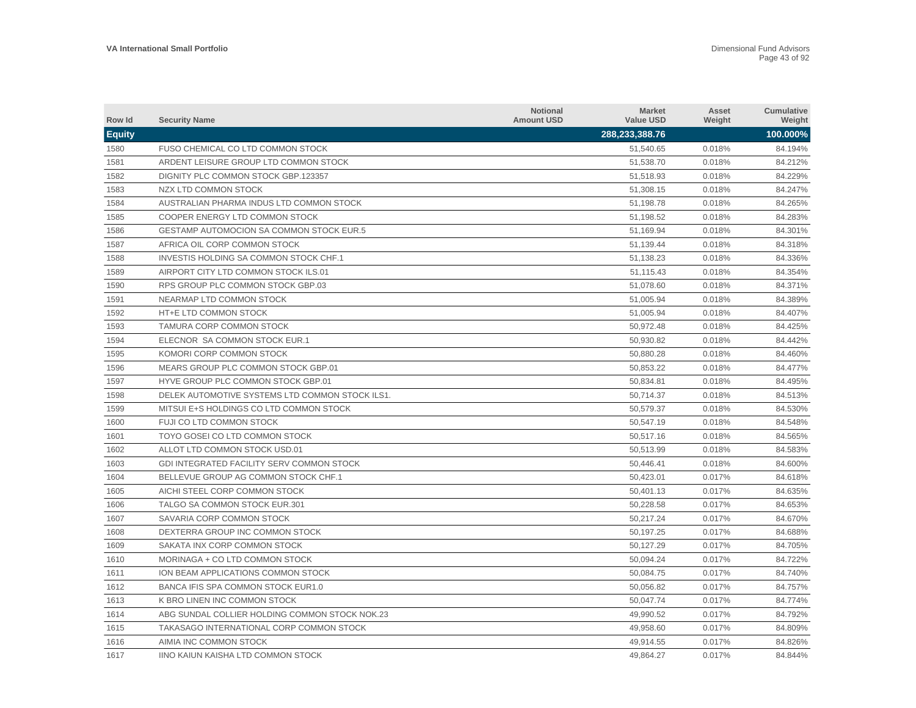| Row Id        | <b>Security Name</b>                             | <b>Notional</b><br><b>Amount USD</b> | <b>Market</b><br><b>Value USD</b> | Asset<br>Weight | <b>Cumulative</b><br>Weight |
|---------------|--------------------------------------------------|--------------------------------------|-----------------------------------|-----------------|-----------------------------|
| <b>Equity</b> |                                                  |                                      | 288,233,388.76                    |                 | 100.000%                    |
| 1580          | FUSO CHEMICAL CO LTD COMMON STOCK                |                                      | 51,540.65                         | 0.018%          | 84.194%                     |
| 1581          | ARDENT LEISURE GROUP LTD COMMON STOCK            |                                      | 51,538.70                         | 0.018%          | 84.212%                     |
| 1582          | DIGNITY PLC COMMON STOCK GBP.123357              |                                      | 51.518.93                         | 0.018%          | 84.229%                     |
| 1583          | NZX LTD COMMON STOCK                             |                                      | 51,308.15                         | 0.018%          | 84.247%                     |
| 1584          | AUSTRALIAN PHARMA INDUS LTD COMMON STOCK         |                                      | 51,198.78                         | 0.018%          | 84.265%                     |
| 1585          | COOPER ENERGY LTD COMMON STOCK                   |                                      | 51,198.52                         | 0.018%          | 84.283%                     |
| 1586          | GESTAMP AUTOMOCION SA COMMON STOCK EUR.5         |                                      | 51,169.94                         | 0.018%          | 84.301%                     |
| 1587          | AFRICA OIL CORP COMMON STOCK                     |                                      | 51,139.44                         | 0.018%          | 84.318%                     |
| 1588          | <b>INVESTIS HOLDING SA COMMON STOCK CHF.1</b>    |                                      | 51,138.23                         | 0.018%          | 84.336%                     |
| 1589          | AIRPORT CITY LTD COMMON STOCK ILS.01             |                                      | 51,115.43                         | 0.018%          | 84.354%                     |
| 1590          | RPS GROUP PLC COMMON STOCK GBP.03                |                                      | 51,078.60                         | 0.018%          | 84.371%                     |
| 1591          | NEARMAP LTD COMMON STOCK                         |                                      | 51,005.94                         | 0.018%          | 84.389%                     |
| 1592          | <b>HT+E LTD COMMON STOCK</b>                     |                                      | 51,005.94                         | 0.018%          | 84.407%                     |
| 1593          | <b>TAMURA CORP COMMON STOCK</b>                  |                                      | 50,972.48                         | 0.018%          | 84.425%                     |
| 1594          | ELECNOR SA COMMON STOCK EUR.1                    |                                      | 50,930.82                         | 0.018%          | 84.442%                     |
| 1595          | KOMORI CORP COMMON STOCK                         |                                      | 50,880.28                         | 0.018%          | 84.460%                     |
| 1596          | MEARS GROUP PLC COMMON STOCK GBP.01              |                                      | 50,853.22                         | 0.018%          | 84.477%                     |
| 1597          | HYVE GROUP PLC COMMON STOCK GBP.01               |                                      | 50,834.81                         | 0.018%          | 84.495%                     |
| 1598          | DELEK AUTOMOTIVE SYSTEMS LTD COMMON STOCK ILS1.  |                                      | 50,714.37                         | 0.018%          | 84.513%                     |
| 1599          | MITSUI E+S HOLDINGS CO LTD COMMON STOCK          |                                      | 50,579.37                         | 0.018%          | 84.530%                     |
| 1600          | FUJI CO LTD COMMON STOCK                         |                                      | 50,547.19                         | 0.018%          | 84.548%                     |
| 1601          | TOYO GOSEI CO LTD COMMON STOCK                   |                                      | 50,517.16                         | 0.018%          | 84.565%                     |
| 1602          | ALLOT LTD COMMON STOCK USD.01                    |                                      | 50,513.99                         | 0.018%          | 84.583%                     |
| 1603          | <b>GDI INTEGRATED FACILITY SERV COMMON STOCK</b> |                                      | 50,446.41                         | 0.018%          | 84.600%                     |
| 1604          | BELLEVUE GROUP AG COMMON STOCK CHF.1             |                                      | 50,423.01                         | 0.017%          | 84.618%                     |
| 1605          | AICHI STEEL CORP COMMON STOCK                    |                                      | 50,401.13                         | 0.017%          | 84.635%                     |
| 1606          | TALGO SA COMMON STOCK EUR.301                    |                                      | 50,228.58                         | 0.017%          | 84.653%                     |
| 1607          | SAVARIA CORP COMMON STOCK                        |                                      | 50,217.24                         | 0.017%          | 84.670%                     |
| 1608          | DEXTERRA GROUP INC COMMON STOCK                  |                                      | 50,197.25                         | 0.017%          | 84.688%                     |
| 1609          | SAKATA INX CORP COMMON STOCK                     |                                      | 50,127.29                         | 0.017%          | 84.705%                     |
| 1610          | MORINAGA + CO LTD COMMON STOCK                   |                                      | 50,094.24                         | 0.017%          | 84.722%                     |
| 1611          | ION BEAM APPLICATIONS COMMON STOCK               |                                      | 50,084.75                         | 0.017%          | 84.740%                     |
| 1612          | BANCA IFIS SPA COMMON STOCK EUR1.0               |                                      | 50,056.82                         | 0.017%          | 84.757%                     |
| 1613          | K BRO LINEN INC COMMON STOCK                     |                                      | 50,047.74                         | 0.017%          | 84.774%                     |
| 1614          | ABG SUNDAL COLLIER HOLDING COMMON STOCK NOK.23   |                                      | 49,990.52                         | 0.017%          | 84.792%                     |
| 1615          | TAKASAGO INTERNATIONAL CORP COMMON STOCK         |                                      | 49.958.60                         | 0.017%          | 84.809%                     |
| 1616          | AIMIA INC COMMON STOCK                           |                                      | 49,914.55                         | 0.017%          | 84.826%                     |
| 1617          | <b>IINO KAIUN KAISHA LTD COMMON STOCK</b>        |                                      | 49.864.27                         | 0.017%          | 84.844%                     |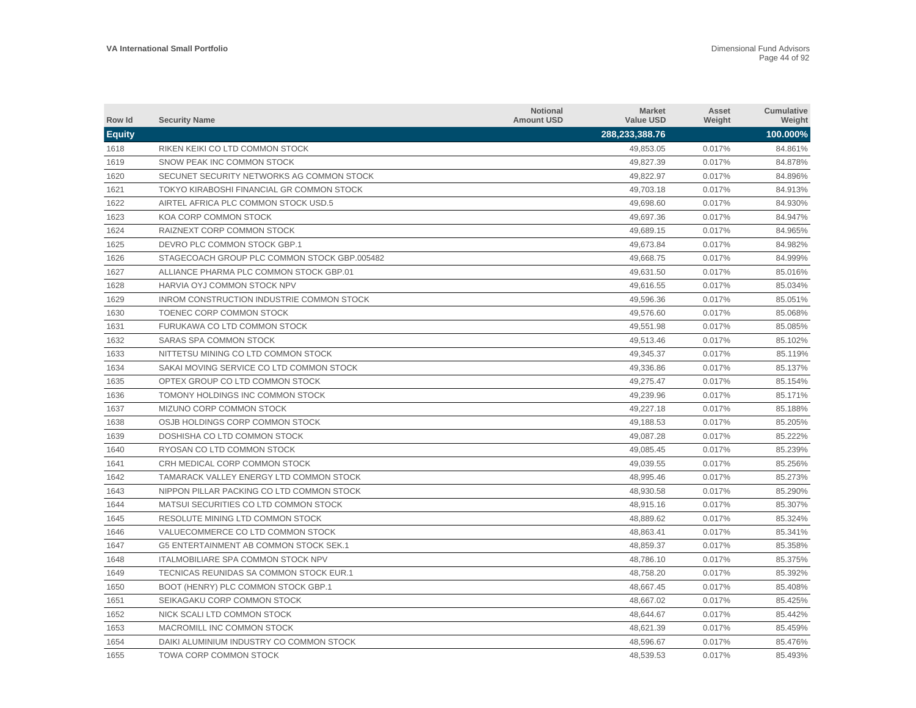| Row Id        | <b>Security Name</b>                         | <b>Notional</b><br><b>Amount USD</b> | <b>Market</b><br><b>Value USD</b> | Asset<br>Weight | <b>Cumulative</b><br>Weight |
|---------------|----------------------------------------------|--------------------------------------|-----------------------------------|-----------------|-----------------------------|
| <b>Equity</b> |                                              |                                      | 288,233,388.76                    |                 | 100.000%                    |
| 1618          | RIKEN KEIKI CO LTD COMMON STOCK              |                                      | 49,853.05                         | 0.017%          | 84.861%                     |
| 1619          | SNOW PEAK INC COMMON STOCK                   |                                      | 49,827.39                         | 0.017%          | 84.878%                     |
| 1620          | SECUNET SECURITY NETWORKS AG COMMON STOCK    |                                      | 49,822.97                         | 0.017%          | 84.896%                     |
| 1621          | TOKYO KIRABOSHI FINANCIAL GR COMMON STOCK    |                                      | 49,703.18                         | 0.017%          | 84.913%                     |
| 1622          | AIRTEL AFRICA PLC COMMON STOCK USD.5         |                                      | 49,698.60                         | 0.017%          | 84.930%                     |
| 1623          | KOA CORP COMMON STOCK                        |                                      | 49,697.36                         | 0.017%          | 84.947%                     |
| 1624          | RAIZNEXT CORP COMMON STOCK                   |                                      | 49,689.15                         | 0.017%          | 84.965%                     |
| 1625          | DEVRO PLC COMMON STOCK GBP.1                 |                                      | 49,673.84                         | 0.017%          | 84.982%                     |
| 1626          | STAGECOACH GROUP PLC COMMON STOCK GBP.005482 |                                      | 49,668.75                         | 0.017%          | 84.999%                     |
| 1627          | ALLIANCE PHARMA PLC COMMON STOCK GBP.01      |                                      | 49.631.50                         | 0.017%          | 85.016%                     |
| 1628          | HARVIA OYJ COMMON STOCK NPV                  |                                      | 49,616.55                         | 0.017%          | 85.034%                     |
| 1629          | INROM CONSTRUCTION INDUSTRIE COMMON STOCK    |                                      | 49,596.36                         | 0.017%          | 85.051%                     |
| 1630          | TOENEC CORP COMMON STOCK                     |                                      | 49,576.60                         | 0.017%          | 85.068%                     |
| 1631          | FURUKAWA CO LTD COMMON STOCK                 |                                      | 49,551.98                         | 0.017%          | 85.085%                     |
| 1632          | SARAS SPA COMMON STOCK                       |                                      | 49,513.46                         | 0.017%          | 85.102%                     |
| 1633          | NITTETSU MINING CO LTD COMMON STOCK          |                                      | 49.345.37                         | 0.017%          | 85.119%                     |
| 1634          | SAKAI MOVING SERVICE CO LTD COMMON STOCK     |                                      | 49,336.86                         | 0.017%          | 85.137%                     |
| 1635          | OPTEX GROUP CO LTD COMMON STOCK              |                                      | 49,275.47                         | 0.017%          | 85.154%                     |
| 1636          | TOMONY HOLDINGS INC COMMON STOCK             |                                      | 49,239.96                         | 0.017%          | 85.171%                     |
| 1637          | MIZUNO CORP COMMON STOCK                     |                                      | 49,227.18                         | 0.017%          | 85.188%                     |
| 1638          | OSJB HOLDINGS CORP COMMON STOCK              |                                      | 49,188.53                         | 0.017%          | 85.205%                     |
| 1639          | DOSHISHA CO LTD COMMON STOCK                 |                                      | 49,087.28                         | 0.017%          | 85.222%                     |
| 1640          | RYOSAN CO LTD COMMON STOCK                   |                                      | 49,085.45                         | 0.017%          | 85.239%                     |
| 1641          | CRH MEDICAL CORP COMMON STOCK                |                                      | 49,039.55                         | 0.017%          | 85.256%                     |
| 1642          | TAMARACK VALLEY ENERGY LTD COMMON STOCK      |                                      | 48,995.46                         | 0.017%          | 85.273%                     |
| 1643          | NIPPON PILLAR PACKING CO LTD COMMON STOCK    |                                      | 48,930.58                         | 0.017%          | 85.290%                     |
| 1644          | MATSUI SECURITIES CO LTD COMMON STOCK        |                                      | 48.915.16                         | 0.017%          | 85.307%                     |
| 1645          | RESOLUTE MINING LTD COMMON STOCK             |                                      | 48,889.62                         | 0.017%          | 85.324%                     |
| 1646          | VALUECOMMERCE CO LTD COMMON STOCK            |                                      | 48,863.41                         | 0.017%          | 85.341%                     |
| 1647          | G5 ENTERTAINMENT AB COMMON STOCK SEK.1       |                                      | 48,859.37                         | 0.017%          | 85.358%                     |
| 1648          | <b>ITALMOBILIARE SPA COMMON STOCK NPV</b>    |                                      | 48,786.10                         | 0.017%          | 85.375%                     |
| 1649          | TECNICAS REUNIDAS SA COMMON STOCK EUR.1      |                                      | 48,758.20                         | 0.017%          | 85.392%                     |
| 1650          | BOOT (HENRY) PLC COMMON STOCK GBP.1          |                                      | 48,667.45                         | 0.017%          | 85.408%                     |
| 1651          | SEIKAGAKU CORP COMMON STOCK                  |                                      | 48,667.02                         | 0.017%          | 85.425%                     |
| 1652          | NICK SCALI LTD COMMON STOCK                  |                                      | 48,644.67                         | 0.017%          | 85.442%                     |
| 1653          | MACROMILL INC COMMON STOCK                   |                                      | 48,621.39                         | 0.017%          | 85.459%                     |
| 1654          | DAIKI ALUMINIUM INDUSTRY CO COMMON STOCK     |                                      | 48.596.67                         | 0.017%          | 85.476%                     |
| 1655          | TOWA CORP COMMON STOCK                       |                                      | 48,539.53                         | 0.017%          | 85.493%                     |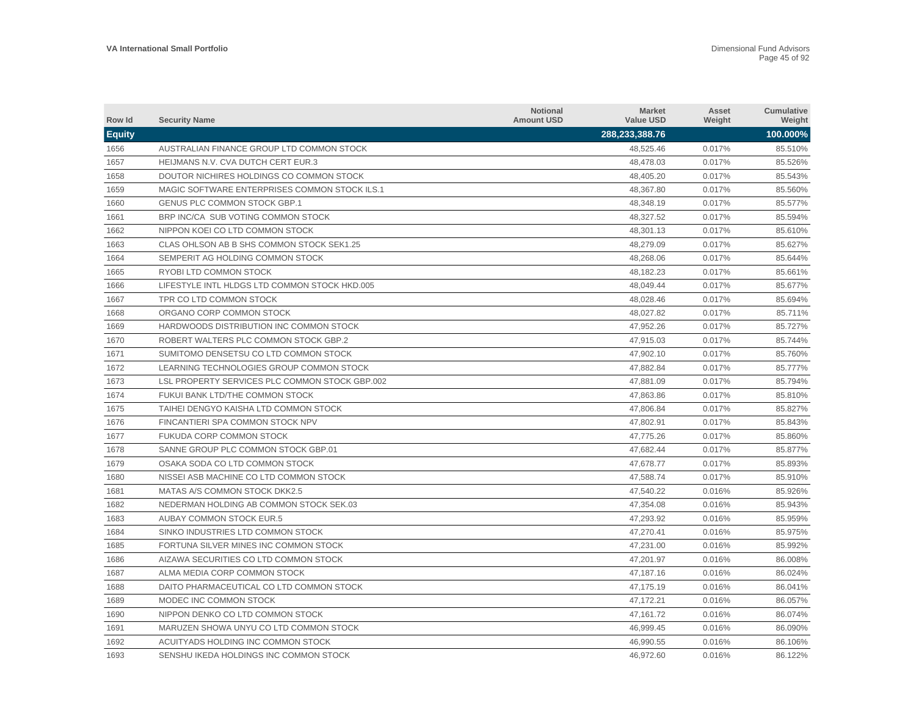| Row Id        | <b>Security Name</b>                           | <b>Notional</b><br><b>Amount USD</b> | <b>Market</b><br><b>Value USD</b> | Asset<br>Weight | <b>Cumulative</b><br>Weight |
|---------------|------------------------------------------------|--------------------------------------|-----------------------------------|-----------------|-----------------------------|
| <b>Equity</b> |                                                |                                      | 288,233,388.76                    |                 | 100.000%                    |
| 1656          | AUSTRALIAN FINANCE GROUP LTD COMMON STOCK      |                                      | 48.525.46                         | 0.017%          | 85.510%                     |
| 1657          | HEIJMANS N.V. CVA DUTCH CERT EUR.3             |                                      | 48,478.03                         | 0.017%          | 85.526%                     |
| 1658          | DOUTOR NICHIRES HOLDINGS CO COMMON STOCK       |                                      | 48,405.20                         | 0.017%          | 85.543%                     |
| 1659          | MAGIC SOFTWARE ENTERPRISES COMMON STOCK ILS.1  |                                      | 48,367.80                         | 0.017%          | 85.560%                     |
| 1660          | <b>GENUS PLC COMMON STOCK GBP.1</b>            |                                      | 48,348.19                         | 0.017%          | 85.577%                     |
| 1661          | BRP INC/CA SUB VOTING COMMON STOCK             |                                      | 48,327.52                         | 0.017%          | 85.594%                     |
| 1662          | NIPPON KOEI CO LTD COMMON STOCK                |                                      | 48,301.13                         | 0.017%          | 85.610%                     |
| 1663          | CLAS OHLSON AB B SHS COMMON STOCK SEK1.25      |                                      | 48,279.09                         | 0.017%          | 85.627%                     |
| 1664          | SEMPERIT AG HOLDING COMMON STOCK               |                                      | 48,268.06                         | 0.017%          | 85.644%                     |
| 1665          | RYOBI LTD COMMON STOCK                         |                                      | 48,182.23                         | 0.017%          | 85.661%                     |
| 1666          | LIFESTYLE INTL HLDGS LTD COMMON STOCK HKD.005  |                                      | 48,049.44                         | 0.017%          | 85.677%                     |
| 1667          | TPR CO LTD COMMON STOCK                        |                                      | 48,028.46                         | 0.017%          | 85.694%                     |
| 1668          | ORGANO CORP COMMON STOCK                       |                                      | 48.027.82                         | 0.017%          | 85.711%                     |
| 1669          | HARDWOODS DISTRIBUTION INC COMMON STOCK        |                                      | 47,952.26                         | 0.017%          | 85.727%                     |
| 1670          | ROBERT WALTERS PLC COMMON STOCK GBP.2          |                                      | 47,915.03                         | 0.017%          | 85.744%                     |
| 1671          | SUMITOMO DENSETSU CO LTD COMMON STOCK          |                                      | 47.902.10                         | 0.017%          | 85.760%                     |
| 1672          | LEARNING TECHNOLOGIES GROUP COMMON STOCK       |                                      | 47,882.84                         | 0.017%          | 85.777%                     |
| 1673          | LSL PROPERTY SERVICES PLC COMMON STOCK GBP.002 |                                      | 47,881.09                         | 0.017%          | 85.794%                     |
| 1674          | FUKUI BANK LTD/THE COMMON STOCK                |                                      | 47,863.86                         | 0.017%          | 85.810%                     |
| 1675          | TAIHEI DENGYO KAISHA LTD COMMON STOCK          |                                      | 47,806.84                         | 0.017%          | 85.827%                     |
| 1676          | FINCANTIERI SPA COMMON STOCK NPV               |                                      | 47,802.91                         | 0.017%          | 85.843%                     |
| 1677          | FUKUDA CORP COMMON STOCK                       |                                      | 47,775.26                         | 0.017%          | 85.860%                     |
| 1678          | SANNE GROUP PLC COMMON STOCK GBP.01            |                                      | 47,682.44                         | 0.017%          | 85.877%                     |
| 1679          | OSAKA SODA CO LTD COMMON STOCK                 |                                      | 47,678.77                         | 0.017%          | 85.893%                     |
| 1680          | NISSEI ASB MACHINE CO LTD COMMON STOCK         |                                      | 47,588.74                         | 0.017%          | 85.910%                     |
| 1681          | MATAS A/S COMMON STOCK DKK2.5                  |                                      | 47,540.22                         | 0.016%          | 85.926%                     |
| 1682          | NEDERMAN HOLDING AB COMMON STOCK SEK.03        |                                      | 47,354.08                         | 0.016%          | 85.943%                     |
| 1683          | <b>AUBAY COMMON STOCK EUR.5</b>                |                                      | 47,293.92                         | 0.016%          | 85.959%                     |
| 1684          | SINKO INDUSTRIES LTD COMMON STOCK              |                                      | 47,270.41                         | 0.016%          | 85.975%                     |
| 1685          | FORTUNA SILVER MINES INC COMMON STOCK          |                                      | 47,231.00                         | 0.016%          | 85.992%                     |
| 1686          | AIZAWA SECURITIES CO LTD COMMON STOCK          |                                      | 47,201.97                         | 0.016%          | 86.008%                     |
| 1687          | ALMA MEDIA CORP COMMON STOCK                   |                                      | 47,187.16                         | 0.016%          | 86.024%                     |
| 1688          | DAITO PHARMACEUTICAL CO LTD COMMON STOCK       |                                      | 47,175.19                         | 0.016%          | 86.041%                     |
| 1689          | MODEC INC COMMON STOCK                         |                                      | 47,172.21                         | 0.016%          | 86.057%                     |
| 1690          | NIPPON DENKO CO LTD COMMON STOCK               |                                      | 47,161.72                         | 0.016%          | 86.074%                     |
| 1691          | MARUZEN SHOWA UNYU CO LTD COMMON STOCK         |                                      | 46,999.45                         | 0.016%          | 86.090%                     |
| 1692          | ACUITYADS HOLDING INC COMMON STOCK             |                                      | 46.990.55                         | 0.016%          | 86.106%                     |
| 1693          | SENSHU IKEDA HOLDINGS INC COMMON STOCK         |                                      | 46.972.60                         | 0.016%          | 86.122%                     |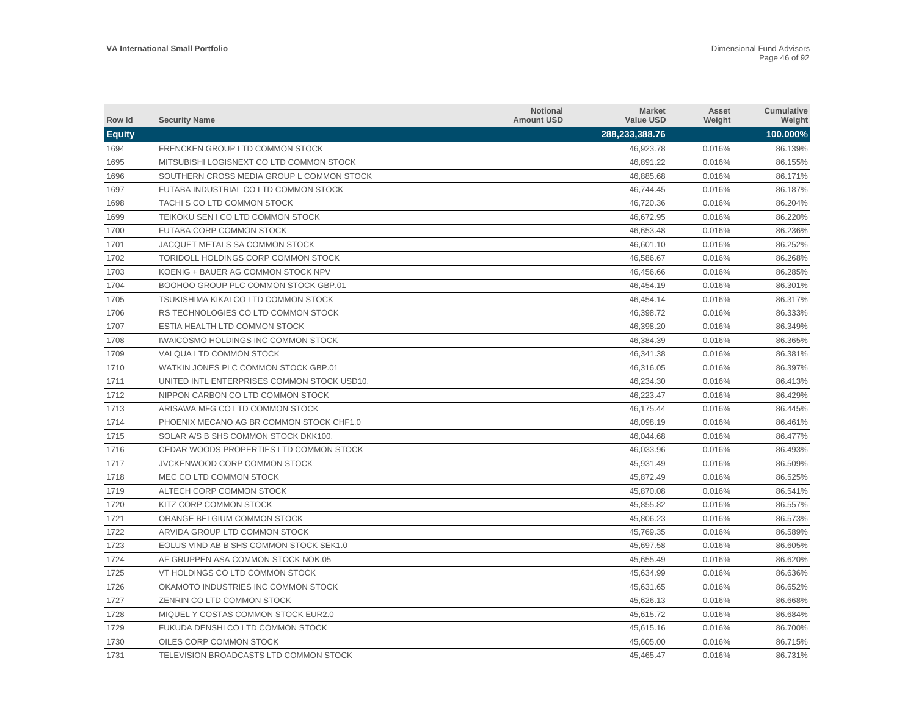| Row Id        | <b>Security Name</b>                        | <b>Notional</b><br><b>Amount USD</b> | <b>Market</b><br><b>Value USD</b> | Asset<br>Weight | Cumulative<br>Weight |
|---------------|---------------------------------------------|--------------------------------------|-----------------------------------|-----------------|----------------------|
| <b>Equity</b> |                                             |                                      | 288,233,388.76                    |                 | 100.000%             |
| 1694          | FRENCKEN GROUP LTD COMMON STOCK             |                                      | 46,923.78                         | 0.016%          | 86.139%              |
| 1695          | MITSUBISHI LOGISNEXT CO LTD COMMON STOCK    |                                      | 46,891.22                         | 0.016%          | 86.155%              |
| 1696          | SOUTHERN CROSS MEDIA GROUP L COMMON STOCK   |                                      | 46,885.68                         | 0.016%          | 86.171%              |
| 1697          | FUTABA INDUSTRIAL CO LTD COMMON STOCK       |                                      | 46,744.45                         | 0.016%          | 86.187%              |
| 1698          | TACHI S CO LTD COMMON STOCK                 |                                      | 46,720.36                         | 0.016%          | 86.204%              |
| 1699          | TEIKOKU SEN I CO LTD COMMON STOCK           |                                      | 46,672.95                         | 0.016%          | 86.220%              |
| 1700          | FUTABA CORP COMMON STOCK                    |                                      | 46,653.48                         | 0.016%          | 86.236%              |
| 1701          | JACQUET METALS SA COMMON STOCK              |                                      | 46,601.10                         | 0.016%          | 86.252%              |
| 1702          | TORIDOLL HOLDINGS CORP COMMON STOCK         |                                      | 46,586.67                         | 0.016%          | 86.268%              |
| 1703          | KOENIG + BAUER AG COMMON STOCK NPV          |                                      | 46,456.66                         | 0.016%          | 86.285%              |
| 1704          | BOOHOO GROUP PLC COMMON STOCK GBP.01        |                                      | 46,454.19                         | 0.016%          | 86.301%              |
| 1705          | TSUKISHIMA KIKAI CO LTD COMMON STOCK        |                                      | 46,454.14                         | 0.016%          | 86.317%              |
| 1706          | RS TECHNOLOGIES CO LTD COMMON STOCK         |                                      | 46,398.72                         | 0.016%          | 86.333%              |
| 1707          | ESTIA HEALTH LTD COMMON STOCK               |                                      | 46,398.20                         | 0.016%          | 86.349%              |
| 1708          | <b>IWAICOSMO HOLDINGS INC COMMON STOCK</b>  |                                      | 46,384.39                         | 0.016%          | 86.365%              |
| 1709          | VALQUA LTD COMMON STOCK                     |                                      | 46,341.38                         | 0.016%          | 86.381%              |
| 1710          | WATKIN JONES PLC COMMON STOCK GBP.01        |                                      | 46,316.05                         | 0.016%          | 86.397%              |
| 1711          | UNITED INTL ENTERPRISES COMMON STOCK USD10. |                                      | 46,234.30                         | 0.016%          | 86.413%              |
| 1712          | NIPPON CARBON CO LTD COMMON STOCK           |                                      | 46,223.47                         | 0.016%          | 86.429%              |
| 1713          | ARISAWA MFG CO LTD COMMON STOCK             |                                      | 46,175.44                         | 0.016%          | 86.445%              |
| 1714          | PHOENIX MECANO AG BR COMMON STOCK CHF1.0    |                                      | 46,098.19                         | 0.016%          | 86.461%              |
| 1715          | SOLAR A/S B SHS COMMON STOCK DKK100.        |                                      | 46,044.68                         | 0.016%          | 86.477%              |
| 1716          | CEDAR WOODS PROPERTIES LTD COMMON STOCK     |                                      | 46,033.96                         | 0.016%          | 86.493%              |
| 1717          | JVCKENWOOD CORP COMMON STOCK                |                                      | 45.931.49                         | 0.016%          | 86.509%              |
| 1718          | MEC CO LTD COMMON STOCK                     |                                      | 45,872.49                         | 0.016%          | 86.525%              |
| 1719          | ALTECH CORP COMMON STOCK                    |                                      | 45.870.08                         | 0.016%          | 86.541%              |
| 1720          | KITZ CORP COMMON STOCK                      |                                      | 45,855.82                         | 0.016%          | 86.557%              |
| 1721          | ORANGE BELGIUM COMMON STOCK                 |                                      | 45,806.23                         | 0.016%          | 86.573%              |
| 1722          | ARVIDA GROUP LTD COMMON STOCK               |                                      | 45,769.35                         | 0.016%          | 86.589%              |
| 1723          | EOLUS VIND AB B SHS COMMON STOCK SEK1.0     |                                      | 45,697.58                         | 0.016%          | 86.605%              |
| 1724          | AF GRUPPEN ASA COMMON STOCK NOK.05          |                                      | 45,655.49                         | 0.016%          | 86.620%              |
| 1725          | VT HOLDINGS CO LTD COMMON STOCK             |                                      | 45,634.99                         | 0.016%          | 86.636%              |
| 1726          | OKAMOTO INDUSTRIES INC COMMON STOCK         |                                      | 45,631.65                         | 0.016%          | 86.652%              |
| 1727          | ZENRIN CO LTD COMMON STOCK                  |                                      | 45,626.13                         | 0.016%          | 86.668%              |
| 1728          | MIQUEL Y COSTAS COMMON STOCK EUR2.0         |                                      | 45,615.72                         | 0.016%          | 86.684%              |
| 1729          | FUKUDA DENSHI CO LTD COMMON STOCK           |                                      | 45.615.16                         | 0.016%          | 86.700%              |
| 1730          | OILES CORP COMMON STOCK                     |                                      | 45,605.00                         | 0.016%          | 86.715%              |
| 1731          | TELEVISION BROADCASTS LTD COMMON STOCK      |                                      | 45.465.47                         | 0.016%          | 86.731%              |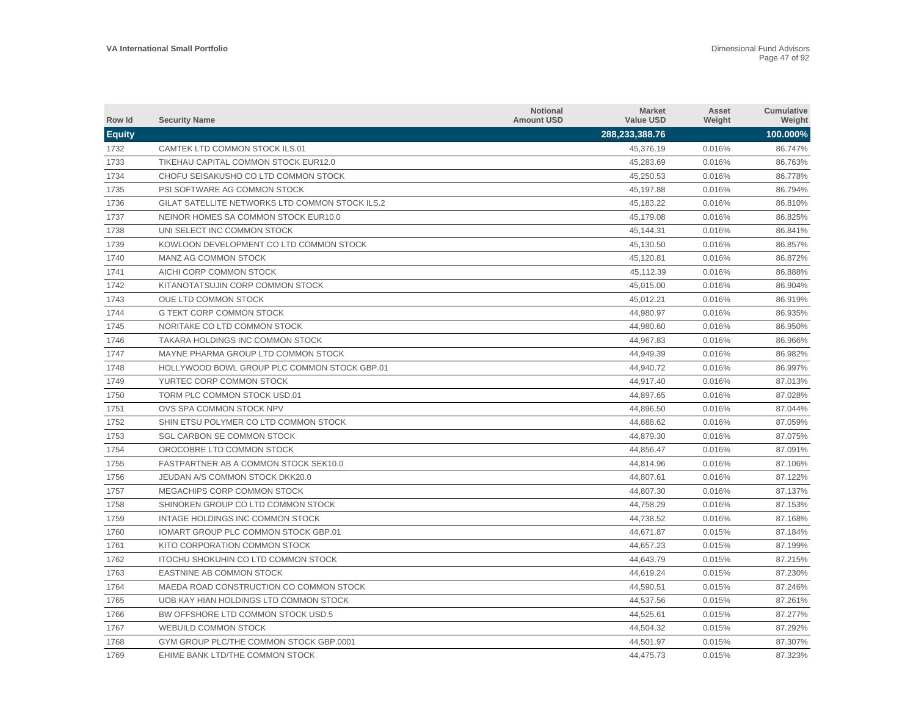| Row Id        | <b>Security Name</b>                                   | <b>Notional</b><br><b>Amount USD</b> | <b>Market</b><br><b>Value USD</b> | Asset<br>Weight | Cumulative<br>Weight |
|---------------|--------------------------------------------------------|--------------------------------------|-----------------------------------|-----------------|----------------------|
| <b>Equity</b> |                                                        |                                      | 288,233,388.76                    |                 | 100.000%             |
| 1732          | CAMTEK LTD COMMON STOCK ILS.01                         |                                      | 45,376.19                         | 0.016%          | 86.747%              |
| 1733          | TIKEHAU CAPITAL COMMON STOCK EUR12.0                   |                                      | 45,283.69                         | 0.016%          | 86.763%              |
| 1734          | CHOFU SEISAKUSHO CO LTD COMMON STOCK                   |                                      | 45,250.53                         | 0.016%          | 86.778%              |
| 1735          | PSI SOFTWARE AG COMMON STOCK                           |                                      | 45,197.88                         | 0.016%          | 86.794%              |
| 1736          | <b>GILAT SATELLITE NETWORKS LTD COMMON STOCK ILS.2</b> |                                      | 45,183.22                         | 0.016%          | 86.810%              |
| 1737          | NEINOR HOMES SA COMMON STOCK EUR10.0                   |                                      | 45,179.08                         | 0.016%          | 86.825%              |
| 1738          | UNI SELECT INC COMMON STOCK                            |                                      | 45,144.31                         | 0.016%          | 86.841%              |
| 1739          | KOWLOON DEVELOPMENT CO LTD COMMON STOCK                |                                      | 45,130.50                         | 0.016%          | 86.857%              |
| 1740          | MANZ AG COMMON STOCK                                   |                                      | 45,120.81                         | 0.016%          | 86.872%              |
| 1741          | AICHI CORP COMMON STOCK                                |                                      | 45,112.39                         | 0.016%          | 86.888%              |
| 1742          | KITANOTATSUJIN CORP COMMON STOCK                       |                                      | 45,015.00                         | 0.016%          | 86.904%              |
| 1743          | OUE LTD COMMON STOCK                                   |                                      | 45,012.21                         | 0.016%          | 86.919%              |
| 1744          | <b>G TEKT CORP COMMON STOCK</b>                        |                                      | 44,980.97                         | 0.016%          | 86.935%              |
| 1745          | NORITAKE CO LTD COMMON STOCK                           |                                      | 44.980.60                         | 0.016%          | 86.950%              |
| 1746          | TAKARA HOLDINGS INC COMMON STOCK                       |                                      | 44,967.83                         | 0.016%          | 86.966%              |
| 1747          | MAYNE PHARMA GROUP LTD COMMON STOCK                    |                                      | 44.949.39                         | 0.016%          | 86.982%              |
| 1748          | HOLLYWOOD BOWL GROUP PLC COMMON STOCK GBP.01           |                                      | 44,940.72                         | 0.016%          | 86.997%              |
| 1749          | YURTEC CORP COMMON STOCK                               |                                      | 44,917.40                         | 0.016%          | 87.013%              |
| 1750          | TORM PLC COMMON STOCK USD.01                           |                                      | 44,897.65                         | 0.016%          | 87.028%              |
| 1751          | OVS SPA COMMON STOCK NPV                               |                                      | 44,896.50                         | 0.016%          | 87.044%              |
| 1752          | SHIN ETSU POLYMER CO LTD COMMON STOCK                  |                                      | 44,888.62                         | 0.016%          | 87.059%              |
| 1753          | <b>SGL CARBON SE COMMON STOCK</b>                      |                                      | 44,879.30                         | 0.016%          | 87.075%              |
| 1754          | OROCOBRE LTD COMMON STOCK                              |                                      | 44,856.47                         | 0.016%          | 87.091%              |
| 1755          | FASTPARTNER AB A COMMON STOCK SEK10.0                  |                                      | 44,814.96                         | 0.016%          | 87.106%              |
| 1756          | JEUDAN A/S COMMON STOCK DKK20.0                        |                                      | 44,807.61                         | 0.016%          | 87.122%              |
| 1757          | MEGACHIPS CORP COMMON STOCK                            |                                      | 44,807.30                         | 0.016%          | 87.137%              |
| 1758          | SHINOKEN GROUP CO LTD COMMON STOCK                     |                                      | 44,758.29                         | 0.016%          | 87.153%              |
| 1759          | INTAGE HOLDINGS INC COMMON STOCK                       |                                      | 44,738.52                         | 0.016%          | 87.168%              |
| 1760          | IOMART GROUP PLC COMMON STOCK GBP.01                   |                                      | 44,671.87                         | 0.015%          | 87.184%              |
| 1761          | KITO CORPORATION COMMON STOCK                          |                                      | 44,657.23                         | 0.015%          | 87.199%              |
| 1762          | ITOCHU SHOKUHIN CO LTD COMMON STOCK                    |                                      | 44.643.79                         | 0.015%          | 87.215%              |
| 1763          | <b>EASTNINE AB COMMON STOCK</b>                        |                                      | 44,619.24                         | 0.015%          | 87.230%              |
| 1764          | MAEDA ROAD CONSTRUCTION CO COMMON STOCK                |                                      | 44,590.51                         | 0.015%          | 87.246%              |
| 1765          | UOB KAY HIAN HOLDINGS LTD COMMON STOCK                 |                                      | 44,537.56                         | 0.015%          | 87.261%              |
| 1766          | BW OFFSHORE LTD COMMON STOCK USD.5                     |                                      | 44.525.61                         | 0.015%          | 87.277%              |
| 1767          | <b>WEBUILD COMMON STOCK</b>                            |                                      | 44.504.32                         | 0.015%          | 87.292%              |
| 1768          | GYM GROUP PLC/THE COMMON STOCK GBP.0001                |                                      | 44,501.97                         | 0.015%          | 87.307%              |
| 1769          | EHIME BANK LTD/THE COMMON STOCK                        |                                      | 44.475.73                         | 0.015%          | 87.323%              |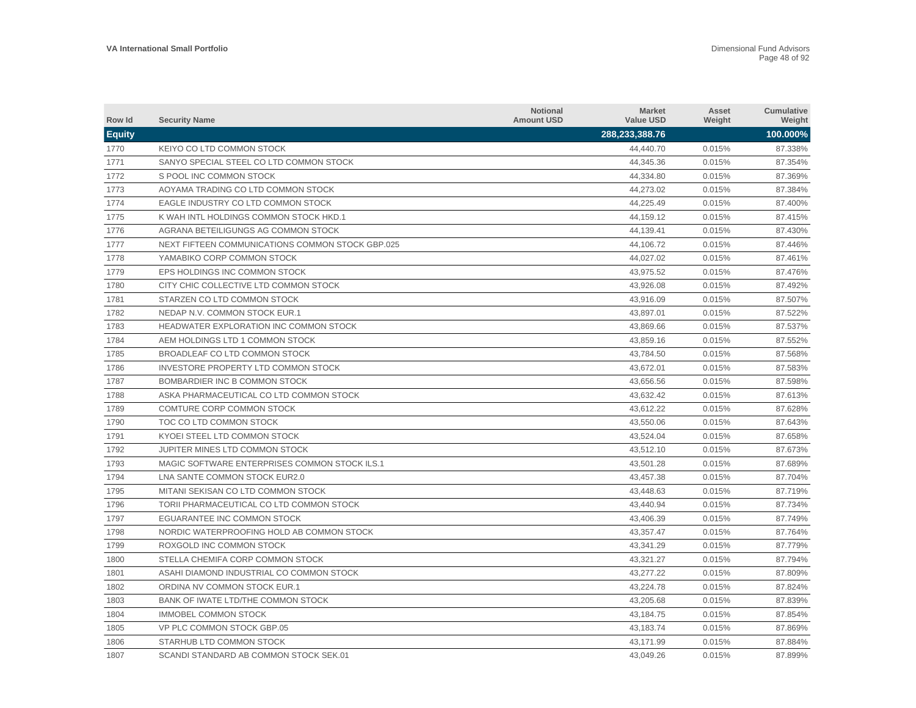| Row Id        | <b>Security Name</b>                             | <b>Notional</b><br><b>Amount USD</b> | <b>Market</b><br><b>Value USD</b> | Asset<br>Weight | Cumulative<br>Weight |
|---------------|--------------------------------------------------|--------------------------------------|-----------------------------------|-----------------|----------------------|
| <b>Equity</b> |                                                  |                                      | 288,233,388.76                    |                 | 100.000%             |
| 1770          | KEIYO CO LTD COMMON STOCK                        |                                      | 44,440.70                         | 0.015%          | 87.338%              |
| 1771          | SANYO SPECIAL STEEL CO LTD COMMON STOCK          |                                      | 44,345.36                         | 0.015%          | 87.354%              |
| 1772          | S POOL INC COMMON STOCK                          |                                      | 44,334.80                         | 0.015%          | 87.369%              |
| 1773          | AOYAMA TRADING CO LTD COMMON STOCK               |                                      | 44,273.02                         | 0.015%          | 87.384%              |
| 1774          | EAGLE INDUSTRY CO LTD COMMON STOCK               |                                      | 44,225.49                         | 0.015%          | 87.400%              |
| 1775          | K WAH INTL HOLDINGS COMMON STOCK HKD.1           |                                      | 44,159.12                         | 0.015%          | 87.415%              |
| 1776          | AGRANA BETEILIGUNGS AG COMMON STOCK              |                                      | 44,139.41                         | 0.015%          | 87.430%              |
| 1777          | NEXT FIFTEEN COMMUNICATIONS COMMON STOCK GBP.025 |                                      | 44,106.72                         | 0.015%          | 87.446%              |
| 1778          | YAMABIKO CORP COMMON STOCK                       |                                      | 44,027.02                         | 0.015%          | 87.461%              |
| 1779          | EPS HOLDINGS INC COMMON STOCK                    |                                      | 43,975.52                         | 0.015%          | 87.476%              |
| 1780          | CITY CHIC COLLECTIVE LTD COMMON STOCK            |                                      | 43,926.08                         | 0.015%          | 87.492%              |
| 1781          | STARZEN CO LTD COMMON STOCK                      |                                      | 43,916.09                         | 0.015%          | 87.507%              |
| 1782          | NEDAP N.V. COMMON STOCK EUR.1                    |                                      | 43.897.01                         | 0.015%          | 87.522%              |
| 1783          | <b>HEADWATER EXPLORATION INC COMMON STOCK</b>    |                                      | 43,869.66                         | 0.015%          | 87.537%              |
| 1784          | AEM HOLDINGS LTD 1 COMMON STOCK                  |                                      | 43.859.16                         | 0.015%          | 87.552%              |
| 1785          | BROADLEAF CO LTD COMMON STOCK                    |                                      | 43.784.50                         | 0.015%          | 87.568%              |
| 1786          | <b>INVESTORE PROPERTY LTD COMMON STOCK</b>       |                                      | 43,672.01                         | 0.015%          | 87.583%              |
| 1787          | BOMBARDIER INC B COMMON STOCK                    |                                      | 43,656.56                         | 0.015%          | 87.598%              |
| 1788          | ASKA PHARMACEUTICAL CO LTD COMMON STOCK          |                                      | 43,632.42                         | 0.015%          | 87.613%              |
| 1789          | COMTURE CORP COMMON STOCK                        |                                      | 43,612.22                         | 0.015%          | 87.628%              |
| 1790          | TOC CO LTD COMMON STOCK                          |                                      | 43,550.06                         | 0.015%          | 87.643%              |
| 1791          | KYOEI STEEL LTD COMMON STOCK                     |                                      | 43,524.04                         | 0.015%          | 87.658%              |
| 1792          | JUPITER MINES LTD COMMON STOCK                   |                                      | 43.512.10                         | 0.015%          | 87.673%              |
| 1793          | MAGIC SOFTWARE ENTERPRISES COMMON STOCK ILS.1    |                                      | 43,501.28                         | 0.015%          | 87.689%              |
| 1794          | LNA SANTE COMMON STOCK EUR2.0                    |                                      | 43,457.38                         | 0.015%          | 87.704%              |
| 1795          | MITANI SEKISAN CO LTD COMMON STOCK               |                                      | 43,448.63                         | 0.015%          | 87.719%              |
| 1796          | TORII PHARMACEUTICAL CO LTD COMMON STOCK         |                                      | 43,440.94                         | 0.015%          | 87.734%              |
| 1797          | EGUARANTEE INC COMMON STOCK                      |                                      | 43,406.39                         | 0.015%          | 87.749%              |
| 1798          | NORDIC WATERPROOFING HOLD AB COMMON STOCK        |                                      | 43,357.47                         | 0.015%          | 87.764%              |
| 1799          | ROXGOLD INC COMMON STOCK                         |                                      | 43,341.29                         | 0.015%          | 87.779%              |
| 1800          | STELLA CHEMIFA CORP COMMON STOCK                 |                                      | 43,321.27                         | 0.015%          | 87.794%              |
| 1801          | ASAHI DIAMOND INDUSTRIAL CO COMMON STOCK         |                                      | 43,277.22                         | 0.015%          | 87.809%              |
| 1802          | ORDINA NV COMMON STOCK EUR.1                     |                                      | 43,224.78                         | 0.015%          | 87.824%              |
| 1803          | BANK OF IWATE LTD/THE COMMON STOCK               |                                      | 43,205.68                         | 0.015%          | 87.839%              |
| 1804          | <b>IMMOBEL COMMON STOCK</b>                      |                                      | 43.184.75                         | 0.015%          | 87.854%              |
| 1805          | VP PLC COMMON STOCK GBP.05                       |                                      | 43,183.74                         | 0.015%          | 87.869%              |
| 1806          | STARHUB LTD COMMON STOCK                         |                                      | 43.171.99                         | 0.015%          | 87.884%              |
| 1807          | SCANDI STANDARD AB COMMON STOCK SEK.01           |                                      | 43.049.26                         | 0.015%          | 87.899%              |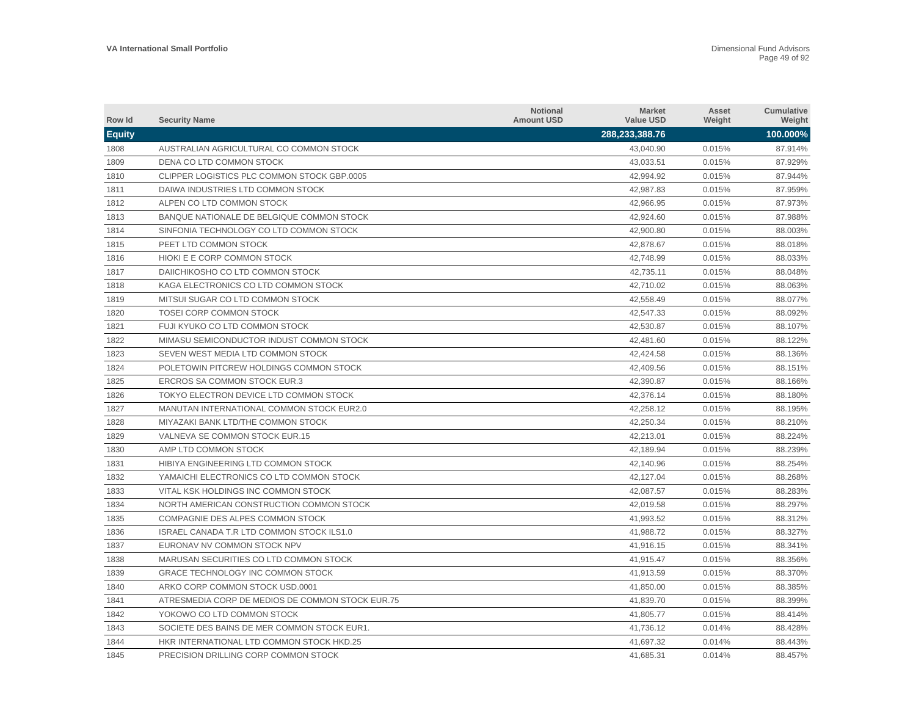| Row Id        | <b>Security Name</b>                             | <b>Notional</b><br><b>Amount USD</b> | <b>Market</b><br><b>Value USD</b> | Asset<br>Weight | Cumulative<br>Weight |
|---------------|--------------------------------------------------|--------------------------------------|-----------------------------------|-----------------|----------------------|
| <b>Equity</b> |                                                  |                                      | 288,233,388.76                    |                 | 100.000%             |
| 1808          | AUSTRALIAN AGRICULTURAL CO COMMON STOCK          |                                      | 43,040.90                         | 0.015%          | 87.914%              |
| 1809          | DENA CO LTD COMMON STOCK                         |                                      | 43,033.51                         | 0.015%          | 87.929%              |
| 1810          | CLIPPER LOGISTICS PLC COMMON STOCK GBP.0005      |                                      | 42,994.92                         | 0.015%          | 87.944%              |
| 1811          | DAIWA INDUSTRIES LTD COMMON STOCK                |                                      | 42,987.83                         | 0.015%          | 87.959%              |
| 1812          | ALPEN CO LTD COMMON STOCK                        |                                      | 42.966.95                         | 0.015%          | 87.973%              |
| 1813          | BANQUE NATIONALE DE BELGIQUE COMMON STOCK        |                                      | 42,924.60                         | 0.015%          | 87.988%              |
| 1814          | SINFONIA TECHNOLOGY CO LTD COMMON STOCK          |                                      | 42,900.80                         | 0.015%          | 88.003%              |
| 1815          | PEET LTD COMMON STOCK                            |                                      | 42.878.67                         | 0.015%          | 88.018%              |
| 1816          | HIOKI E E CORP COMMON STOCK                      |                                      | 42,748.99                         | 0.015%          | 88.033%              |
| 1817          | DAIICHIKOSHO CO LTD COMMON STOCK                 |                                      | 42,735.11                         | 0.015%          | 88.048%              |
| 1818          | KAGA ELECTRONICS CO LTD COMMON STOCK             |                                      | 42,710.02                         | 0.015%          | 88.063%              |
| 1819          | MITSUI SUGAR CO LTD COMMON STOCK                 |                                      | 42,558.49                         | 0.015%          | 88.077%              |
| 1820          | TOSEI CORP COMMON STOCK                          |                                      | 42,547.33                         | 0.015%          | 88.092%              |
| 1821          | FUJI KYUKO CO LTD COMMON STOCK                   |                                      | 42,530.87                         | 0.015%          | 88.107%              |
| 1822          | MIMASU SEMICONDUCTOR INDUST COMMON STOCK         |                                      | 42,481.60                         | 0.015%          | 88.122%              |
| 1823          | SEVEN WEST MEDIA LTD COMMON STOCK                |                                      | 42,424.58                         | 0.015%          | 88.136%              |
| 1824          | POLETOWIN PITCREW HOLDINGS COMMON STOCK          |                                      | 42.409.56                         | 0.015%          | 88.151%              |
| 1825          | ERCROS SA COMMON STOCK EUR.3                     |                                      | 42,390.87                         | 0.015%          | 88.166%              |
| 1826          | TOKYO ELECTRON DEVICE LTD COMMON STOCK           |                                      | 42,376.14                         | 0.015%          | 88.180%              |
| 1827          | MANUTAN INTERNATIONAL COMMON STOCK EUR2.0        |                                      | 42,258.12                         | 0.015%          | 88.195%              |
| 1828          | MIYAZAKI BANK LTD/THE COMMON STOCK               |                                      | 42,250.34                         | 0.015%          | 88.210%              |
| 1829          | VALNEVA SE COMMON STOCK EUR.15                   |                                      | 42,213.01                         | 0.015%          | 88.224%              |
| 1830          | AMP LTD COMMON STOCK                             |                                      | 42,189.94                         | 0.015%          | 88.239%              |
| 1831          | HIBIYA ENGINEERING LTD COMMON STOCK              |                                      | 42,140.96                         | 0.015%          | 88.254%              |
| 1832          | YAMAICHI ELECTRONICS CO LTD COMMON STOCK         |                                      | 42,127.04                         | 0.015%          | 88.268%              |
| 1833          | VITAL KSK HOLDINGS INC COMMON STOCK              |                                      | 42,087.57                         | 0.015%          | 88.283%              |
| 1834          | NORTH AMERICAN CONSTRUCTION COMMON STOCK         |                                      | 42.019.58                         | 0.015%          | 88.297%              |
| 1835          | COMPAGNIE DES ALPES COMMON STOCK                 |                                      | 41,993.52                         | 0.015%          | 88.312%              |
| 1836          | ISRAEL CANADA T.R LTD COMMON STOCK ILS1.0        |                                      | 41,988.72                         | 0.015%          | 88.327%              |
| 1837          | EURONAV NV COMMON STOCK NPV                      |                                      | 41,916.15                         | 0.015%          | 88.341%              |
| 1838          | MARUSAN SECURITIES CO LTD COMMON STOCK           |                                      | 41,915.47                         | 0.015%          | 88.356%              |
| 1839          | GRACE TECHNOLOGY INC COMMON STOCK                |                                      | 41,913.59                         | 0.015%          | 88.370%              |
| 1840          | ARKO CORP COMMON STOCK USD.0001                  |                                      | 41,850.00                         | 0.015%          | 88.385%              |
| 1841          | ATRESMEDIA CORP DE MEDIOS DE COMMON STOCK EUR.75 |                                      | 41,839.70                         | 0.015%          | 88.399%              |
| 1842          | YOKOWO CO LTD COMMON STOCK                       |                                      | 41,805.77                         | 0.015%          | 88.414%              |
| 1843          | SOCIETE DES BAINS DE MER COMMON STOCK EUR1.      |                                      | 41,736.12                         | 0.014%          | 88.428%              |
| 1844          | HKR INTERNATIONAL LTD COMMON STOCK HKD.25        |                                      | 41.697.32                         | 0.014%          | 88.443%              |
| 1845          | PRECISION DRILLING CORP COMMON STOCK             |                                      | 41.685.31                         | 0.014%          | 88.457%              |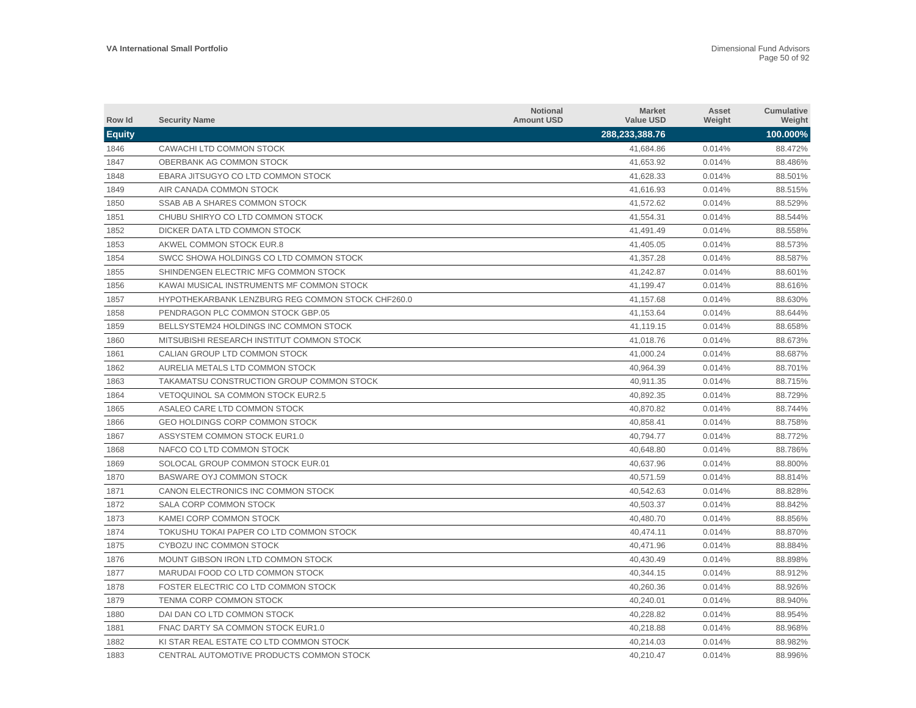| Row Id        | <b>Security Name</b>                              | <b>Notional</b><br><b>Amount USD</b> | <b>Market</b><br><b>Value USD</b> | Asset<br>Weight | Cumulative<br>Weight |
|---------------|---------------------------------------------------|--------------------------------------|-----------------------------------|-----------------|----------------------|
| <b>Equity</b> |                                                   |                                      | 288,233,388.76                    |                 | 100.000%             |
| 1846          | CAWACHI LTD COMMON STOCK                          |                                      | 41.684.86                         | 0.014%          | 88.472%              |
| 1847          | OBERBANK AG COMMON STOCK                          |                                      | 41,653.92                         | 0.014%          | 88.486%              |
| 1848          | EBARA JITSUGYO CO LTD COMMON STOCK                |                                      | 41,628.33                         | 0.014%          | 88.501%              |
| 1849          | AIR CANADA COMMON STOCK                           |                                      | 41,616.93                         | 0.014%          | 88.515%              |
| 1850          | SSAB AB A SHARES COMMON STOCK                     |                                      | 41,572.62                         | 0.014%          | 88.529%              |
| 1851          | CHUBU SHIRYO CO LTD COMMON STOCK                  |                                      | 41,554.31                         | 0.014%          | 88.544%              |
| 1852          | DICKER DATA LTD COMMON STOCK                      |                                      | 41,491.49                         | 0.014%          | 88.558%              |
| 1853          | AKWEL COMMON STOCK EUR.8                          |                                      | 41.405.05                         | 0.014%          | 88.573%              |
| 1854          | SWCC SHOWA HOLDINGS CO LTD COMMON STOCK           |                                      | 41,357.28                         | 0.014%          | 88.587%              |
| 1855          | SHINDENGEN ELECTRIC MFG COMMON STOCK              |                                      | 41.242.87                         | 0.014%          | 88.601%              |
| 1856          | KAWAI MUSICAL INSTRUMENTS MF COMMON STOCK         |                                      | 41,199.47                         | 0.014%          | 88.616%              |
| 1857          | HYPOTHEKARBANK LENZBURG REG COMMON STOCK CHF260.0 |                                      | 41,157.68                         | 0.014%          | 88.630%              |
| 1858          | PENDRAGON PLC COMMON STOCK GBP.05                 |                                      | 41,153.64                         | 0.014%          | 88.644%              |
| 1859          | BELLSYSTEM24 HOLDINGS INC COMMON STOCK            |                                      | 41,119.15                         | 0.014%          | 88.658%              |
| 1860          | MITSUBISHI RESEARCH INSTITUT COMMON STOCK         |                                      | 41,018.76                         | 0.014%          | 88.673%              |
| 1861          | CALIAN GROUP LTD COMMON STOCK                     |                                      | 41,000.24                         | 0.014%          | 88.687%              |
| 1862          | AURELIA METALS LTD COMMON STOCK                   |                                      | 40,964.39                         | 0.014%          | 88.701%              |
| 1863          | TAKAMATSU CONSTRUCTION GROUP COMMON STOCK         |                                      | 40,911.35                         | 0.014%          | 88.715%              |
| 1864          | VETOQUINOL SA COMMON STOCK EUR2.5                 |                                      | 40,892.35                         | 0.014%          | 88.729%              |
| 1865          | ASALEO CARE LTD COMMON STOCK                      |                                      | 40,870.82                         | 0.014%          | 88.744%              |
| 1866          | <b>GEO HOLDINGS CORP COMMON STOCK</b>             |                                      | 40.858.41                         | 0.014%          | 88.758%              |
| 1867          | ASSYSTEM COMMON STOCK EUR1.0                      |                                      | 40.794.77                         | 0.014%          | 88.772%              |
| 1868          | NAFCO CO LTD COMMON STOCK                         |                                      | 40.648.80                         | 0.014%          | 88.786%              |
| 1869          | SOLOCAL GROUP COMMON STOCK EUR.01                 |                                      | 40,637.96                         | 0.014%          | 88.800%              |
| 1870          | BASWARE OYJ COMMON STOCK                          |                                      | 40,571.59                         | 0.014%          | 88.814%              |
| 1871          | CANON ELECTRONICS INC COMMON STOCK                |                                      | 40,542.63                         | 0.014%          | 88.828%              |
| 1872          | <b>SALA CORP COMMON STOCK</b>                     |                                      | 40,503.37                         | 0.014%          | 88.842%              |
| 1873          | KAMEI CORP COMMON STOCK                           |                                      | 40,480.70                         | 0.014%          | 88.856%              |
| 1874          | TOKUSHU TOKAI PAPER CO LTD COMMON STOCK           |                                      | 40,474.11                         | 0.014%          | 88.870%              |
| 1875          | CYBOZU INC COMMON STOCK                           |                                      | 40,471.96                         | 0.014%          | 88.884%              |
| 1876          | MOUNT GIBSON IRON LTD COMMON STOCK                |                                      | 40,430.49                         | 0.014%          | 88.898%              |
| 1877          | MARUDAI FOOD CO LTD COMMON STOCK                  |                                      | 40,344.15                         | 0.014%          | 88.912%              |
| 1878          | FOSTER ELECTRIC CO LTD COMMON STOCK               |                                      | 40,260.36                         | 0.014%          | 88.926%              |
| 1879          | <b>TENMA CORP COMMON STOCK</b>                    |                                      | 40,240.01                         | 0.014%          | 88.940%              |
| 1880          | DAI DAN CO LTD COMMON STOCK                       |                                      | 40,228.82                         | 0.014%          | 88.954%              |
| 1881          | FNAC DARTY SA COMMON STOCK EUR1.0                 |                                      | 40,218.88                         | 0.014%          | 88.968%              |
| 1882          | KI STAR REAL ESTATE CO LTD COMMON STOCK           |                                      | 40.214.03                         | 0.014%          | 88.982%              |
| 1883          | CENTRAL AUTOMOTIVE PRODUCTS COMMON STOCK          |                                      | 40,210.47                         | 0.014%          | 88.996%              |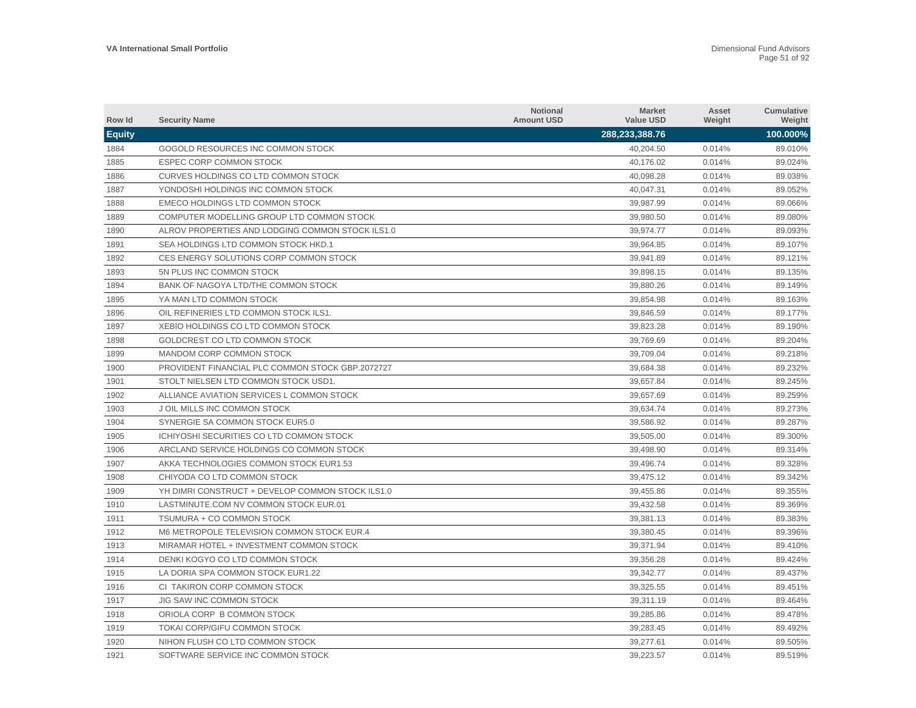| Row Id        | <b>Security Name</b>                             | <b>Notional</b><br><b>Amount USD</b> | <b>Market</b><br><b>Value USD</b> | Asset<br>Weight | <b>Cumulative</b><br>Weight |
|---------------|--------------------------------------------------|--------------------------------------|-----------------------------------|-----------------|-----------------------------|
| <b>Equity</b> |                                                  |                                      | 288,233,388.76                    |                 | 100.000%                    |
| 1884          | GOGOLD RESOURCES INC COMMON STOCK                |                                      | 40.204.50                         | 0.014%          | 89.010%                     |
| 1885          | ESPEC CORP COMMON STOCK                          |                                      | 40,176.02                         | 0.014%          | 89.024%                     |
| 1886          | CURVES HOLDINGS CO LTD COMMON STOCK              |                                      | 40,098.28                         | 0.014%          | 89.038%                     |
| 1887          | YONDOSHI HOLDINGS INC COMMON STOCK               |                                      | 40,047.31                         | 0.014%          | 89.052%                     |
| 1888          | EMECO HOLDINGS LTD COMMON STOCK                  |                                      | 39,987.99                         | 0.014%          | 89.066%                     |
| 1889          | COMPUTER MODELLING GROUP LTD COMMON STOCK        |                                      | 39,980.50                         | 0.014%          | 89.080%                     |
| 1890          | ALROV PROPERTIES AND LODGING COMMON STOCK ILS1.0 |                                      | 39,974.77                         | 0.014%          | 89.093%                     |
| 1891          | SEA HOLDINGS LTD COMMON STOCK HKD.1              |                                      | 39,964.85                         | 0.014%          | 89.107%                     |
| 1892          | CES ENERGY SOLUTIONS CORP COMMON STOCK           |                                      | 39,941.89                         | 0.014%          | 89.121%                     |
| 1893          | 5N PLUS INC COMMON STOCK                         |                                      | 39,898.15                         | 0.014%          | 89.135%                     |
| 1894          | BANK OF NAGOYA LTD/THE COMMON STOCK              |                                      | 39,880.26                         | 0.014%          | 89.149%                     |
| 1895          | YA MAN LTD COMMON STOCK                          |                                      | 39,854.98                         | 0.014%          | 89.163%                     |
| 1896          | OIL REFINERIES LTD COMMON STOCK ILS1.            |                                      | 39,846.59                         | 0.014%          | 89.177%                     |
| 1897          | XEBIO HOLDINGS CO LTD COMMON STOCK               |                                      | 39,823.28                         | 0.014%          | 89.190%                     |
| 1898          | GOLDCREST CO LTD COMMON STOCK                    |                                      | 39,769.69                         | 0.014%          | 89.204%                     |
| 1899          | MANDOM CORP COMMON STOCK                         |                                      | 39,709.04                         | 0.014%          | 89.218%                     |
| 1900          | PROVIDENT FINANCIAL PLC COMMON STOCK GBP.2072727 |                                      | 39,684.38                         | 0.014%          | 89.232%                     |
| 1901          | STOLT NIELSEN LTD COMMON STOCK USD1.             |                                      | 39,657.84                         | 0.014%          | 89.245%                     |
| 1902          | ALLIANCE AVIATION SERVICES L COMMON STOCK        |                                      | 39,657.69                         | 0.014%          | 89.259%                     |
| 1903          | J OIL MILLS INC COMMON STOCK                     |                                      | 39,634.74                         | 0.014%          | 89.273%                     |
| 1904          | SYNERGIE SA COMMON STOCK EUR5.0                  |                                      | 39,586.92                         | 0.014%          | 89.287%                     |
| 1905          | ICHIYOSHI SECURITIES CO LTD COMMON STOCK         |                                      | 39,505.00                         | 0.014%          | 89.300%                     |
| 1906          | ARCLAND SERVICE HOLDINGS CO COMMON STOCK         |                                      | 39,498.90                         | 0.014%          | 89.314%                     |
| 1907          | AKKA TECHNOLOGIES COMMON STOCK EUR1.53           |                                      | 39,496.74                         | 0.014%          | 89.328%                     |
| 1908          | CHIYODA CO LTD COMMON STOCK                      |                                      | 39,475.12                         | 0.014%          | 89.342%                     |
| 1909          | YH DIMRI CONSTRUCT + DEVELOP COMMON STOCK ILS1.0 |                                      | 39,455.86                         | 0.014%          | 89.355%                     |
| 1910          | LASTMINUTE.COM NV COMMON STOCK EUR.01            |                                      | 39,432.58                         | 0.014%          | 89.369%                     |
| 1911          | TSUMURA + CO COMMON STOCK                        |                                      | 39,381.13                         | 0.014%          | 89.383%                     |
| 1912          | M6 METROPOLE TELEVISION COMMON STOCK EUR.4       |                                      | 39,380.45                         | 0.014%          | 89.396%                     |
| 1913          | MIRAMAR HOTEL + INVESTMENT COMMON STOCK          |                                      | 39,371.94                         | 0.014%          | 89.410%                     |
| 1914          | DENKI KOGYO CO LTD COMMON STOCK                  |                                      | 39,356.28                         | 0.014%          | 89.424%                     |
| 1915          | LA DORIA SPA COMMON STOCK EUR1.22                |                                      | 39,342.77                         | 0.014%          | 89.437%                     |
| 1916          | CI TAKIRON CORP COMMON STOCK                     |                                      | 39,325.55                         | 0.014%          | 89.451%                     |
| 1917          | <b>JIG SAW INC COMMON STOCK</b>                  |                                      | 39,311.19                         | 0.014%          | 89.464%                     |
| 1918          | ORIOLA CORP B COMMON STOCK                       |                                      | 39,285.86                         | 0.014%          | 89.478%                     |
| 1919          | TOKAI CORP/GIFU COMMON STOCK                     |                                      | 39,283.45                         | 0.014%          | 89.492%                     |
| 1920          | NIHON FLUSH CO LTD COMMON STOCK                  |                                      | 39.277.61                         | 0.014%          | 89.505%                     |
| 1921          | SOFTWARE SERVICE INC COMMON STOCK                |                                      | 39,223.57                         | 0.014%          | 89.519%                     |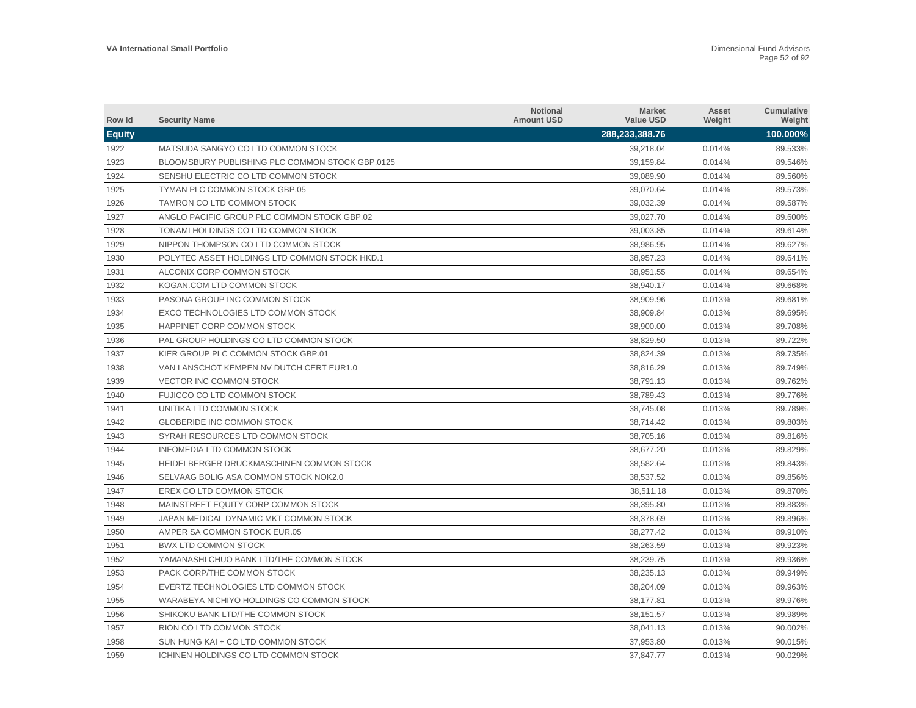| Row Id        | <b>Security Name</b>                            | <b>Notional</b><br><b>Amount USD</b> | <b>Market</b><br><b>Value USD</b> | Asset<br>Weight | <b>Cumulative</b><br>Weight |
|---------------|-------------------------------------------------|--------------------------------------|-----------------------------------|-----------------|-----------------------------|
| <b>Equity</b> |                                                 |                                      | 288,233,388.76                    |                 | 100.000%                    |
| 1922          | MATSUDA SANGYO CO LTD COMMON STOCK              |                                      | 39.218.04                         | 0.014%          | 89.533%                     |
| 1923          | BLOOMSBURY PUBLISHING PLC COMMON STOCK GBP.0125 |                                      | 39,159.84                         | 0.014%          | 89.546%                     |
| 1924          | SENSHU ELECTRIC CO LTD COMMON STOCK             |                                      | 39,089.90                         | 0.014%          | 89.560%                     |
| 1925          | TYMAN PLC COMMON STOCK GBP.05                   |                                      | 39,070.64                         | 0.014%          | 89.573%                     |
| 1926          | TAMRON CO LTD COMMON STOCK                      |                                      | 39,032.39                         | 0.014%          | 89.587%                     |
| 1927          | ANGLO PACIFIC GROUP PLC COMMON STOCK GBP.02     |                                      | 39,027.70                         | 0.014%          | 89.600%                     |
| 1928          | TONAMI HOLDINGS CO LTD COMMON STOCK             |                                      | 39,003.85                         | 0.014%          | 89.614%                     |
| 1929          | NIPPON THOMPSON CO LTD COMMON STOCK             |                                      | 38,986.95                         | 0.014%          | 89.627%                     |
| 1930          | POLYTEC ASSET HOLDINGS LTD COMMON STOCK HKD.1   |                                      | 38,957.23                         | 0.014%          | 89.641%                     |
| 1931          | ALCONIX CORP COMMON STOCK                       |                                      | 38,951.55                         | 0.014%          | 89.654%                     |
| 1932          | KOGAN.COM LTD COMMON STOCK                      |                                      | 38,940.17                         | 0.014%          | 89.668%                     |
| 1933          | PASONA GROUP INC COMMON STOCK                   |                                      | 38,909.96                         | 0.013%          | 89.681%                     |
| 1934          | EXCO TECHNOLOGIES LTD COMMON STOCK              |                                      | 38,909.84                         | 0.013%          | 89.695%                     |
| 1935          | HAPPINET CORP COMMON STOCK                      |                                      | 38,900.00                         | 0.013%          | 89.708%                     |
| 1936          | PAL GROUP HOLDINGS CO LTD COMMON STOCK          |                                      | 38.829.50                         | 0.013%          | 89.722%                     |
| 1937          | KIER GROUP PLC COMMON STOCK GBP.01              |                                      | 38,824.39                         | 0.013%          | 89.735%                     |
| 1938          | VAN LANSCHOT KEMPEN NV DUTCH CERT EUR1.0        |                                      | 38,816.29                         | 0.013%          | 89.749%                     |
| 1939          | <b>VECTOR INC COMMON STOCK</b>                  |                                      | 38,791.13                         | 0.013%          | 89.762%                     |
| 1940          | FUJICCO CO LTD COMMON STOCK                     |                                      | 38,789.43                         | 0.013%          | 89.776%                     |
| 1941          | UNITIKA LTD COMMON STOCK                        |                                      | 38,745.08                         | 0.013%          | 89.789%                     |
| 1942          | <b>GLOBERIDE INC COMMON STOCK</b>               |                                      | 38,714.42                         | 0.013%          | 89.803%                     |
| 1943          | SYRAH RESOURCES LTD COMMON STOCK                |                                      | 38,705.16                         | 0.013%          | 89.816%                     |
| 1944          | <b>INFOMEDIA LTD COMMON STOCK</b>               |                                      | 38,677.20                         | 0.013%          | 89.829%                     |
| 1945          | HEIDELBERGER DRUCKMASCHINEN COMMON STOCK        |                                      | 38,582.64                         | 0.013%          | 89.843%                     |
| 1946          | SELVAAG BOLIG ASA COMMON STOCK NOK2.0           |                                      | 38,537.52                         | 0.013%          | 89.856%                     |
| 1947          | EREX CO LTD COMMON STOCK                        |                                      | 38,511.18                         | 0.013%          | 89.870%                     |
| 1948          | MAINSTREET EQUITY CORP COMMON STOCK             |                                      | 38,395.80                         | 0.013%          | 89.883%                     |
| 1949          | JAPAN MEDICAL DYNAMIC MKT COMMON STOCK          |                                      | 38,378.69                         | 0.013%          | 89.896%                     |
| 1950          | AMPER SA COMMON STOCK EUR.05                    |                                      | 38,277.42                         | 0.013%          | 89.910%                     |
| 1951          | <b>BWX LTD COMMON STOCK</b>                     |                                      | 38,263.59                         | 0.013%          | 89.923%                     |
| 1952          | YAMANASHI CHUO BANK LTD/THE COMMON STOCK        |                                      | 38,239.75                         | 0.013%          | 89.936%                     |
| 1953          | PACK CORP/THE COMMON STOCK                      |                                      | 38,235.13                         | 0.013%          | 89.949%                     |
| 1954          | EVERTZ TECHNOLOGIES LTD COMMON STOCK            |                                      | 38,204.09                         | 0.013%          | 89.963%                     |
| 1955          | WARABEYA NICHIYO HOLDINGS CO COMMON STOCK       |                                      | 38,177.81                         | 0.013%          | 89.976%                     |
| 1956          | SHIKOKU BANK LTD/THE COMMON STOCK               |                                      | 38,151.57                         | 0.013%          | 89.989%                     |
| 1957          | RION CO LTD COMMON STOCK                        |                                      | 38,041.13                         | 0.013%          | 90.002%                     |
| 1958          | SUN HUNG KAI + CO LTD COMMON STOCK              |                                      | 37.953.80                         | 0.013%          | 90.015%                     |
| 1959          | ICHINEN HOLDINGS CO LTD COMMON STOCK            |                                      | 37.847.77                         | 0.013%          | 90.029%                     |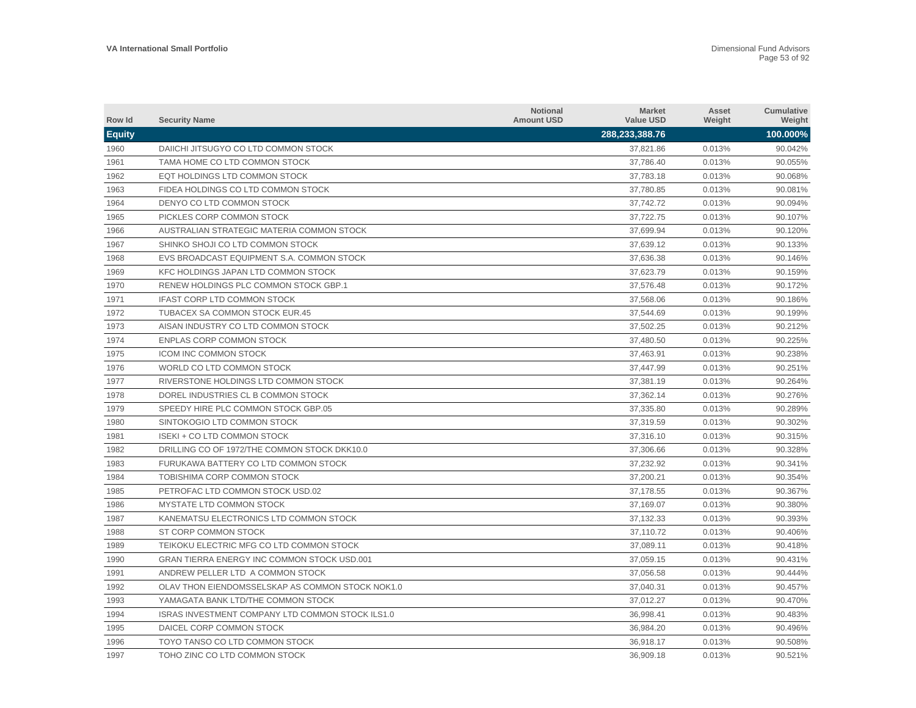| Row Id        | <b>Security Name</b>                                    | <b>Notional</b><br><b>Amount USD</b> | <b>Market</b><br><b>Value USD</b> | Asset<br>Weight | <b>Cumulative</b><br>Weight |
|---------------|---------------------------------------------------------|--------------------------------------|-----------------------------------|-----------------|-----------------------------|
| <b>Equity</b> |                                                         |                                      | 288,233,388.76                    |                 | 100.000%                    |
| 1960          | DAIICHI JITSUGYO CO LTD COMMON STOCK                    |                                      | 37,821.86                         | 0.013%          | 90.042%                     |
| 1961          | TAMA HOME CO LTD COMMON STOCK                           |                                      | 37,786.40                         | 0.013%          | 90.055%                     |
| 1962          | EQT HOLDINGS LTD COMMON STOCK                           |                                      | 37,783.18                         | 0.013%          | 90.068%                     |
| 1963          | FIDEA HOLDINGS CO LTD COMMON STOCK                      |                                      | 37,780.85                         | 0.013%          | 90.081%                     |
| 1964          | DENYO CO LTD COMMON STOCK                               |                                      | 37,742.72                         | 0.013%          | 90.094%                     |
| 1965          | PICKLES CORP COMMON STOCK                               |                                      | 37,722.75                         | 0.013%          | 90.107%                     |
| 1966          | AUSTRALIAN STRATEGIC MATERIA COMMON STOCK               |                                      | 37,699.94                         | 0.013%          | 90.120%                     |
| 1967          | SHINKO SHOJI CO LTD COMMON STOCK                        |                                      | 37,639.12                         | 0.013%          | 90.133%                     |
| 1968          | EVS BROADCAST EQUIPMENT S.A. COMMON STOCK               |                                      | 37,636.38                         | 0.013%          | 90.146%                     |
| 1969          | KFC HOLDINGS JAPAN LTD COMMON STOCK                     |                                      | 37,623.79                         | 0.013%          | 90.159%                     |
| 1970          | RENEW HOLDINGS PLC COMMON STOCK GBP.1                   |                                      | 37,576.48                         | 0.013%          | 90.172%                     |
| 1971          | <b>IFAST CORP LTD COMMON STOCK</b>                      |                                      | 37,568.06                         | 0.013%          | 90.186%                     |
| 1972          | TUBACEX SA COMMON STOCK EUR.45                          |                                      | 37.544.69                         | 0.013%          | 90.199%                     |
| 1973          | AISAN INDUSTRY CO LTD COMMON STOCK                      |                                      | 37,502.25                         | 0.013%          | 90.212%                     |
| 1974          | <b>ENPLAS CORP COMMON STOCK</b>                         |                                      | 37,480.50                         | 0.013%          | 90.225%                     |
| 1975          | <b>ICOM INC COMMON STOCK</b>                            |                                      | 37,463.91                         | 0.013%          | 90.238%                     |
| 1976          | WORLD CO LTD COMMON STOCK                               |                                      | 37,447.99                         | 0.013%          | 90.251%                     |
| 1977          | RIVERSTONE HOLDINGS LTD COMMON STOCK                    |                                      | 37,381.19                         | 0.013%          | 90.264%                     |
| 1978          | DOREL INDUSTRIES CL B COMMON STOCK                      |                                      | 37,362.14                         | 0.013%          | 90.276%                     |
| 1979          | SPEEDY HIRE PLC COMMON STOCK GBP.05                     |                                      | 37,335.80                         | 0.013%          | 90.289%                     |
| 1980          | SINTOKOGIO LTD COMMON STOCK                             |                                      | 37,319.59                         | 0.013%          | 90.302%                     |
| 1981          | ISEKI + CO LTD COMMON STOCK                             |                                      | 37,316.10                         | 0.013%          | 90.315%                     |
| 1982          | DRILLING CO OF 1972/THE COMMON STOCK DKK10.0            |                                      | 37,306.66                         | 0.013%          | 90.328%                     |
| 1983          | FURUKAWA BATTERY CO LTD COMMON STOCK                    |                                      | 37,232.92                         | 0.013%          | 90.341%                     |
| 1984          | TOBISHIMA CORP COMMON STOCK                             |                                      | 37,200.21                         | 0.013%          | 90.354%                     |
| 1985          | PETROFAC LTD COMMON STOCK USD.02                        |                                      | 37,178.55                         | 0.013%          | 90.367%                     |
| 1986          | MYSTATE LTD COMMON STOCK                                |                                      | 37,169.07                         | 0.013%          | 90.380%                     |
| 1987          | KANEMATSU ELECTRONICS LTD COMMON STOCK                  |                                      | 37,132.33                         | 0.013%          | 90.393%                     |
| 1988          | ST CORP COMMON STOCK                                    |                                      | 37,110.72                         | 0.013%          | 90.406%                     |
| 1989          | TEIKOKU ELECTRIC MFG CO LTD COMMON STOCK                |                                      | 37,089.11                         | 0.013%          | 90.418%                     |
| 1990          | GRAN TIERRA ENERGY INC COMMON STOCK USD.001             |                                      | 37,059.15                         | 0.013%          | 90.431%                     |
| 1991          | ANDREW PELLER LTD A COMMON STOCK                        |                                      | 37,056.58                         | 0.013%          | 90.444%                     |
| 1992          | OLAV THON EIENDOMSSELSKAP AS COMMON STOCK NOK1.0        |                                      | 37,040.31                         | 0.013%          | 90.457%                     |
| 1993          | YAMAGATA BANK LTD/THE COMMON STOCK                      |                                      | 37,012.27                         | 0.013%          | 90.470%                     |
| 1994          | <b>ISRAS INVESTMENT COMPANY LTD COMMON STOCK ILS1.0</b> |                                      | 36,998.41                         | 0.013%          | 90.483%                     |
| 1995          | DAICEL CORP COMMON STOCK                                |                                      | 36,984.20                         | 0.013%          | 90.496%                     |
| 1996          | TOYO TANSO CO LTD COMMON STOCK                          |                                      | 36.918.17                         | 0.013%          | 90.508%                     |
| 1997          | TOHO ZINC CO LTD COMMON STOCK                           |                                      | 36.909.18                         | 0.013%          | 90.521%                     |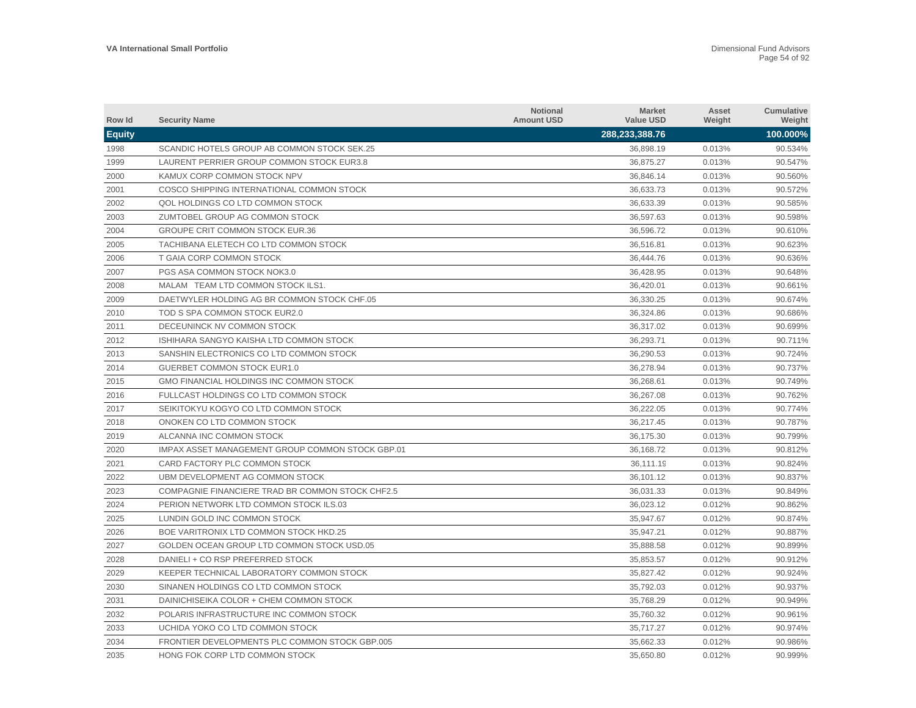| Row Id        | <b>Security Name</b>                             | <b>Notional</b><br><b>Amount USD</b> | <b>Market</b><br><b>Value USD</b> | Asset<br>Weight | Cumulative<br>Weight |
|---------------|--------------------------------------------------|--------------------------------------|-----------------------------------|-----------------|----------------------|
| <b>Equity</b> |                                                  |                                      | 288,233,388.76                    |                 | 100.000%             |
| 1998          | SCANDIC HOTELS GROUP AB COMMON STOCK SEK.25      |                                      | 36,898.19                         | 0.013%          | 90.534%              |
| 1999          | LAURENT PERRIER GROUP COMMON STOCK EUR3.8        |                                      | 36,875.27                         | 0.013%          | 90.547%              |
| 2000          | KAMUX CORP COMMON STOCK NPV                      |                                      | 36,846.14                         | 0.013%          | 90.560%              |
| 2001          | COSCO SHIPPING INTERNATIONAL COMMON STOCK        |                                      | 36,633.73                         | 0.013%          | 90.572%              |
| 2002          | QOL HOLDINGS CO LTD COMMON STOCK                 |                                      | 36,633.39                         | 0.013%          | 90.585%              |
| 2003          | ZUMTOBEL GROUP AG COMMON STOCK                   |                                      | 36.597.63                         | 0.013%          | 90.598%              |
| 2004          | <b>GROUPE CRIT COMMON STOCK EUR.36</b>           |                                      | 36,596.72                         | 0.013%          | 90.610%              |
| 2005          | TACHIBANA ELETECH CO LTD COMMON STOCK            |                                      | 36.516.81                         | 0.013%          | 90.623%              |
| 2006          | T GAIA CORP COMMON STOCK                         |                                      | 36,444.76                         | 0.013%          | 90.636%              |
| 2007          | PGS ASA COMMON STOCK NOK3.0                      |                                      | 36,428.95                         | 0.013%          | 90.648%              |
| 2008          | MALAM TEAM LTD COMMON STOCK ILS1.                |                                      | 36,420.01                         | 0.013%          | 90.661%              |
| 2009          | DAETWYLER HOLDING AG BR COMMON STOCK CHF.05      |                                      | 36,330.25                         | 0.013%          | 90.674%              |
| 2010          | TOD S SPA COMMON STOCK EUR2.0                    |                                      | 36,324.86                         | 0.013%          | 90.686%              |
| 2011          | DECEUNINCK NV COMMON STOCK                       |                                      | 36,317.02                         | 0.013%          | 90.699%              |
| 2012          | ISHIHARA SANGYO KAISHA LTD COMMON STOCK          |                                      | 36,293.71                         | 0.013%          | 90.711%              |
| 2013          | SANSHIN ELECTRONICS CO LTD COMMON STOCK          |                                      | 36,290.53                         | 0.013%          | 90.724%              |
| 2014          | <b>GUERBET COMMON STOCK EUR1.0</b>               |                                      | 36,278.94                         | 0.013%          | 90.737%              |
| 2015          | GMO FINANCIAL HOLDINGS INC COMMON STOCK          |                                      | 36,268.61                         | 0.013%          | 90.749%              |
| 2016          | FULLCAST HOLDINGS CO LTD COMMON STOCK            |                                      | 36,267.08                         | 0.013%          | 90.762%              |
| 2017          | SEIKITOKYU KOGYO CO LTD COMMON STOCK             |                                      | 36,222.05                         | 0.013%          | 90.774%              |
| 2018          | ONOKEN CO LTD COMMON STOCK                       |                                      | 36.217.45                         | 0.013%          | 90.787%              |
| 2019          | ALCANNA INC COMMON STOCK                         |                                      | 36,175.30                         | 0.013%          | 90.799%              |
| 2020          | IMPAX ASSET MANAGEMENT GROUP COMMON STOCK GBP.01 |                                      | 36.168.72                         | 0.013%          | 90.812%              |
| 2021          | CARD FACTORY PLC COMMON STOCK                    |                                      | 36,111.19                         | 0.013%          | 90.824%              |
| 2022          | UBM DEVELOPMENT AG COMMON STOCK                  |                                      | 36,101.12                         | 0.013%          | 90.837%              |
| 2023          | COMPAGNIE FINANCIERE TRAD BR COMMON STOCK CHF2.5 |                                      | 36,031.33                         | 0.013%          | 90.849%              |
| 2024          | PERION NETWORK LTD COMMON STOCK ILS.03           |                                      | 36,023.12                         | 0.012%          | 90.862%              |
| 2025          | LUNDIN GOLD INC COMMON STOCK                     |                                      | 35,947.67                         | 0.012%          | 90.874%              |
| 2026          | BOE VARITRONIX LTD COMMON STOCK HKD.25           |                                      | 35,947.21                         | 0.012%          | 90.887%              |
| 2027          | GOLDEN OCEAN GROUP LTD COMMON STOCK USD.05       |                                      | 35,888.58                         | 0.012%          | 90.899%              |
| 2028          | DANIELI + CO RSP PREFERRED STOCK                 |                                      | 35,853.57                         | 0.012%          | 90.912%              |
| 2029          | KEEPER TECHNICAL LABORATORY COMMON STOCK         |                                      | 35,827.42                         | 0.012%          | 90.924%              |
| 2030          | SINANEN HOLDINGS CO LTD COMMON STOCK             |                                      | 35,792.03                         | 0.012%          | 90.937%              |
| 2031          | DAINICHISEIKA COLOR + CHEM COMMON STOCK          |                                      | 35,768.29                         | 0.012%          | 90.949%              |
| 2032          | POLARIS INFRASTRUCTURE INC COMMON STOCK          |                                      | 35.760.32                         | 0.012%          | 90.961%              |
| 2033          | UCHIDA YOKO CO LTD COMMON STOCK                  |                                      | 35,717.27                         | 0.012%          | 90.974%              |
| 2034          | FRONTIER DEVELOPMENTS PLC COMMON STOCK GBP.005   |                                      | 35.662.33                         | 0.012%          | 90.986%              |
| 2035          | HONG FOK CORP LTD COMMON STOCK                   |                                      | 35.650.80                         | 0.012%          | 90.999%              |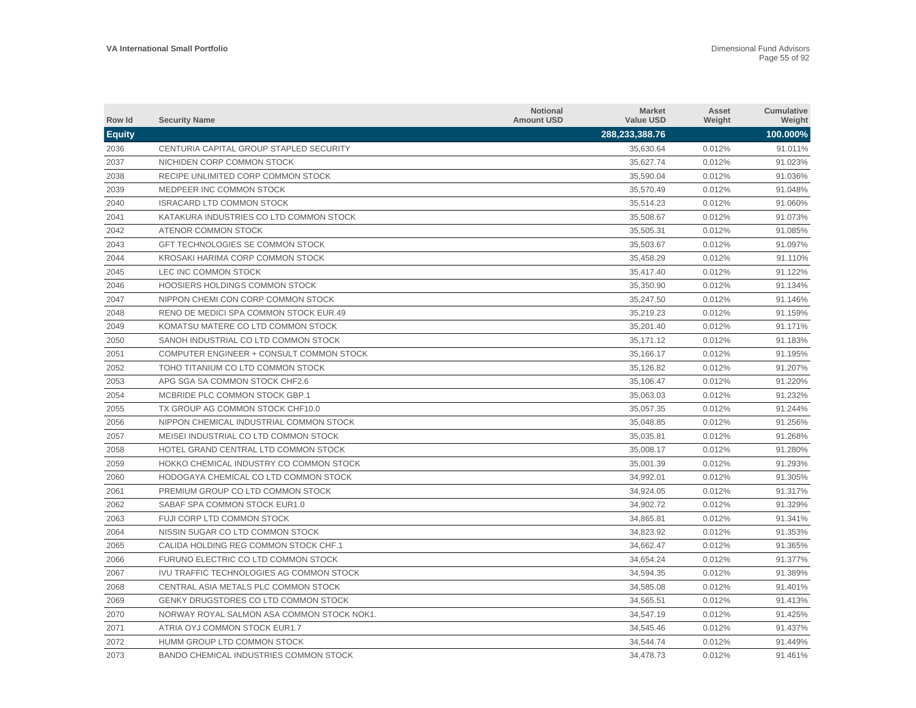| Row Id        | <b>Security Name</b>                          | <b>Notional</b><br><b>Amount USD</b> | <b>Market</b><br><b>Value USD</b> | Asset<br>Weight | Cumulative<br>Weight |
|---------------|-----------------------------------------------|--------------------------------------|-----------------------------------|-----------------|----------------------|
| <b>Equity</b> |                                               |                                      | 288,233,388.76                    |                 | 100.000%             |
| 2036          | CENTURIA CAPITAL GROUP STAPLED SECURITY       |                                      | 35.630.64                         | 0.012%          | 91.011%              |
| 2037          | NICHIDEN CORP COMMON STOCK                    |                                      | 35,627.74                         | 0.012%          | 91.023%              |
| 2038          | RECIPE UNLIMITED CORP COMMON STOCK            |                                      | 35,590.04                         | 0.012%          | 91.036%              |
| 2039          | MEDPEER INC COMMON STOCK                      |                                      | 35,570.49                         | 0.012%          | 91.048%              |
| 2040          | <b>ISRACARD LTD COMMON STOCK</b>              |                                      | 35,514.23                         | 0.012%          | 91.060%              |
| 2041          | KATAKURA INDUSTRIES CO LTD COMMON STOCK       |                                      | 35,508.67                         | 0.012%          | 91.073%              |
| 2042          | ATENOR COMMON STOCK                           |                                      | 35,505.31                         | 0.012%          | 91.085%              |
| 2043          | GFT TECHNOLOGIES SE COMMON STOCK              |                                      | 35,503.67                         | 0.012%          | 91.097%              |
| 2044          | KROSAKI HARIMA CORP COMMON STOCK              |                                      | 35,458.29                         | 0.012%          | 91.110%              |
| 2045          | LEC INC COMMON STOCK                          |                                      | 35,417.40                         | 0.012%          | 91.122%              |
| 2046          | <b>HOOSIERS HOLDINGS COMMON STOCK</b>         |                                      | 35,350.90                         | 0.012%          | 91.134%              |
| 2047          | NIPPON CHEMI CON CORP COMMON STOCK            |                                      | 35,247.50                         | 0.012%          | 91.146%              |
| 2048          | RENO DE MEDICI SPA COMMON STOCK EUR.49        |                                      | 35,219.23                         | 0.012%          | 91.159%              |
| 2049          | KOMATSU MATERE CO LTD COMMON STOCK            |                                      | 35,201.40                         | 0.012%          | 91.171%              |
| 2050          | SANOH INDUSTRIAL CO LTD COMMON STOCK          |                                      | 35,171.12                         | 0.012%          | 91.183%              |
| 2051          | COMPUTER ENGINEER + CONSULT COMMON STOCK      |                                      | 35.166.17                         | 0.012%          | 91.195%              |
| 2052          | TOHO TITANIUM CO LTD COMMON STOCK             |                                      | 35,126.82                         | 0.012%          | 91.207%              |
| 2053          | APG SGA SA COMMON STOCK CHF2.6                |                                      | 35,106.47                         | 0.012%          | 91.220%              |
| 2054          | MCBRIDE PLC COMMON STOCK GBP.1                |                                      | 35,063.03                         | 0.012%          | 91.232%              |
| 2055          | TX GROUP AG COMMON STOCK CHF10.0              |                                      | 35,057.35                         | 0.012%          | 91.244%              |
| 2056          | NIPPON CHEMICAL INDUSTRIAL COMMON STOCK       |                                      | 35,048.85                         | 0.012%          | 91.256%              |
| 2057          | MEISEI INDUSTRIAL CO LTD COMMON STOCK         |                                      | 35,035.81                         | 0.012%          | 91.268%              |
| 2058          | HOTEL GRAND CENTRAL LTD COMMON STOCK          |                                      | 35,008.17                         | 0.012%          | 91.280%              |
| 2059          | HOKKO CHEMICAL INDUSTRY CO COMMON STOCK       |                                      | 35,001.39                         | 0.012%          | 91.293%              |
| 2060          | HODOGAYA CHEMICAL CO LTD COMMON STOCK         |                                      | 34,992.01                         | 0.012%          | 91.305%              |
| 2061          | PREMIUM GROUP CO LTD COMMON STOCK             |                                      | 34,924.05                         | 0.012%          | 91.317%              |
| 2062          | SABAF SPA COMMON STOCK EUR1.0                 |                                      | 34,902.72                         | 0.012%          | 91.329%              |
| 2063          | FUJI CORP LTD COMMON STOCK                    |                                      | 34,865.81                         | 0.012%          | 91.341%              |
| 2064          | NISSIN SUGAR CO LTD COMMON STOCK              |                                      | 34,823.92                         | 0.012%          | 91.353%              |
| 2065          | CALIDA HOLDING REG COMMON STOCK CHF.1         |                                      | 34,662.47                         | 0.012%          | 91.365%              |
| 2066          | FURUNO ELECTRIC CO LTD COMMON STOCK           |                                      | 34,654.24                         | 0.012%          | 91.377%              |
| 2067          | IVU TRAFFIC TECHNOLOGIES AG COMMON STOCK      |                                      | 34,594.35                         | 0.012%          | 91.389%              |
| 2068          | CENTRAL ASIA METALS PLC COMMON STOCK          |                                      | 34,585.08                         | 0.012%          | 91.401%              |
| 2069          | GENKY DRUGSTORES CO LTD COMMON STOCK          |                                      | 34,565.51                         | 0.012%          | 91.413%              |
| 2070          | NORWAY ROYAL SALMON ASA COMMON STOCK NOK1.    |                                      | 34,547.19                         | 0.012%          | 91.425%              |
| 2071          | ATRIA OYJ COMMON STOCK EUR1.7                 |                                      | 34,545.46                         | 0.012%          | 91.437%              |
| 2072          | HUMM GROUP LTD COMMON STOCK                   |                                      | 34.544.74                         | 0.012%          | 91.449%              |
| 2073          | <b>BANDO CHEMICAL INDUSTRIES COMMON STOCK</b> |                                      | 34,478.73                         | 0.012%          | 91.461%              |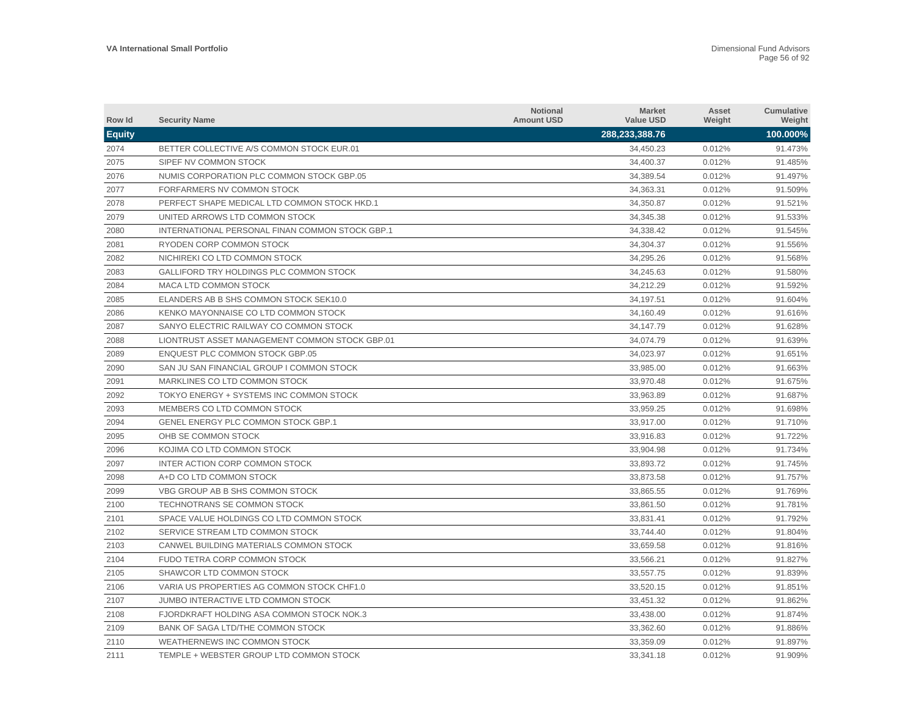| Row Id        | <b>Security Name</b>                            | <b>Notional</b><br><b>Amount USD</b> | <b>Market</b><br><b>Value USD</b> | Asset<br>Weight | <b>Cumulative</b><br>Weight |
|---------------|-------------------------------------------------|--------------------------------------|-----------------------------------|-----------------|-----------------------------|
| <b>Equity</b> |                                                 |                                      | 288,233,388.76                    |                 | 100.000%                    |
| 2074          | BETTER COLLECTIVE A/S COMMON STOCK EUR.01       |                                      | 34,450.23                         | 0.012%          | 91.473%                     |
| 2075          | SIPEF NV COMMON STOCK                           |                                      | 34,400.37                         | 0.012%          | 91.485%                     |
| 2076          | NUMIS CORPORATION PLC COMMON STOCK GBP.05       |                                      | 34,389.54                         | 0.012%          | 91.497%                     |
| 2077          | FORFARMERS NV COMMON STOCK                      |                                      | 34,363.31                         | 0.012%          | 91.509%                     |
| 2078          | PERFECT SHAPE MEDICAL LTD COMMON STOCK HKD.1    |                                      | 34,350.87                         | 0.012%          | 91.521%                     |
| 2079          | UNITED ARROWS LTD COMMON STOCK                  |                                      | 34,345.38                         | 0.012%          | 91.533%                     |
| 2080          | INTERNATIONAL PERSONAL FINAN COMMON STOCK GBP.1 |                                      | 34,338.42                         | 0.012%          | 91.545%                     |
| 2081          | RYODEN CORP COMMON STOCK                        |                                      | 34.304.37                         | 0.012%          | 91.556%                     |
| 2082          | NICHIREKI CO LTD COMMON STOCK                   |                                      | 34,295.26                         | 0.012%          | 91.568%                     |
| 2083          | GALLIFORD TRY HOLDINGS PLC COMMON STOCK         |                                      | 34,245.63                         | 0.012%          | 91.580%                     |
| 2084          | <b>MACA LTD COMMON STOCK</b>                    |                                      | 34,212.29                         | 0.012%          | 91.592%                     |
| 2085          | ELANDERS AB B SHS COMMON STOCK SEK10.0          |                                      | 34,197.51                         | 0.012%          | 91.604%                     |
| 2086          | KENKO MAYONNAISE CO LTD COMMON STOCK            |                                      | 34,160.49                         | 0.012%          | 91.616%                     |
| 2087          | SANYO ELECTRIC RAILWAY CO COMMON STOCK          |                                      | 34,147.79                         | 0.012%          | 91.628%                     |
| 2088          | LIONTRUST ASSET MANAGEMENT COMMON STOCK GBP.01  |                                      | 34,074.79                         | 0.012%          | 91.639%                     |
| 2089          | <b>ENQUEST PLC COMMON STOCK GBP.05</b>          |                                      | 34,023.97                         | 0.012%          | 91.651%                     |
| 2090          | SAN JU SAN FINANCIAL GROUP I COMMON STOCK       |                                      | 33,985.00                         | 0.012%          | 91.663%                     |
| 2091          | MARKLINES CO LTD COMMON STOCK                   |                                      | 33,970.48                         | 0.012%          | 91.675%                     |
| 2092          | TOKYO ENERGY + SYSTEMS INC COMMON STOCK         |                                      | 33,963.89                         | 0.012%          | 91.687%                     |
| 2093          | MEMBERS CO LTD COMMON STOCK                     |                                      | 33,959.25                         | 0.012%          | 91.698%                     |
| 2094          | <b>GENEL ENERGY PLC COMMON STOCK GBP.1</b>      |                                      | 33,917.00                         | 0.012%          | 91.710%                     |
| 2095          | OHB SE COMMON STOCK                             |                                      | 33.916.83                         | 0.012%          | 91.722%                     |
| 2096          | KOJIMA CO LTD COMMON STOCK                      |                                      | 33.904.98                         | 0.012%          | 91.734%                     |
| 2097          | INTER ACTION CORP COMMON STOCK                  |                                      | 33,893.72                         | 0.012%          | 91.745%                     |
| 2098          | A+D CO LTD COMMON STOCK                         |                                      | 33,873.58                         | 0.012%          | 91.757%                     |
| 2099          | VBG GROUP AB B SHS COMMON STOCK                 |                                      | 33,865.55                         | 0.012%          | 91.769%                     |
| 2100          | TECHNOTRANS SE COMMON STOCK                     |                                      | 33,861.50                         | 0.012%          | 91.781%                     |
| 2101          | SPACE VALUE HOLDINGS CO LTD COMMON STOCK        |                                      | 33,831.41                         | 0.012%          | 91.792%                     |
| 2102          | SERVICE STREAM LTD COMMON STOCK                 |                                      | 33,744.40                         | 0.012%          | 91.804%                     |
| 2103          | CANWEL BUILDING MATERIALS COMMON STOCK          |                                      | 33,659.58                         | 0.012%          | 91.816%                     |
| 2104          | FUDO TETRA CORP COMMON STOCK                    |                                      | 33,566.21                         | 0.012%          | 91.827%                     |
| 2105          | SHAWCOR LTD COMMON STOCK                        |                                      | 33,557.75                         | 0.012%          | 91.839%                     |
| 2106          | VARIA US PROPERTIES AG COMMON STOCK CHF1.0      |                                      | 33,520.15                         | 0.012%          | 91.851%                     |
| 2107          | JUMBO INTERACTIVE LTD COMMON STOCK              |                                      | 33,451.32                         | 0.012%          | 91.862%                     |
| 2108          | FJORDKRAFT HOLDING ASA COMMON STOCK NOK.3       |                                      | 33,438.00                         | 0.012%          | 91.874%                     |
| 2109          | BANK OF SAGA LTD/THE COMMON STOCK               |                                      | 33,362.60                         | 0.012%          | 91.886%                     |
| 2110          | WEATHERNEWS INC COMMON STOCK                    |                                      | 33.359.09                         | 0.012%          | 91.897%                     |
| 2111          | TEMPLE + WEBSTER GROUP LTD COMMON STOCK         |                                      | 33,341.18                         | 0.012%          | 91.909%                     |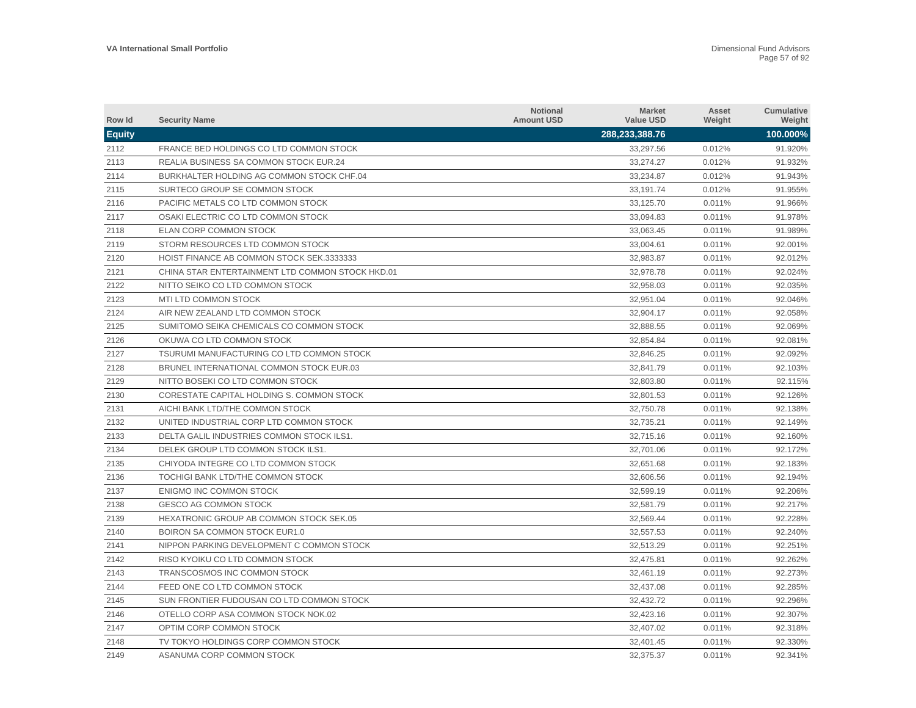| Row Id        | <b>Security Name</b>                             | Notional<br><b>Amount USD</b> | <b>Market</b><br><b>Value USD</b> | Asset<br>Weight | Cumulative<br>Weight |
|---------------|--------------------------------------------------|-------------------------------|-----------------------------------|-----------------|----------------------|
| <b>Equity</b> |                                                  |                               | 288,233,388.76                    |                 | 100.000%             |
| 2112          | FRANCE BED HOLDINGS CO LTD COMMON STOCK          |                               | 33,297.56                         | 0.012%          | 91.920%              |
| 2113          | REALIA BUSINESS SA COMMON STOCK EUR.24           |                               | 33,274.27                         | 0.012%          | 91.932%              |
| 2114          | BURKHALTER HOLDING AG COMMON STOCK CHF.04        |                               | 33,234.87                         | 0.012%          | 91.943%              |
| 2115          | SURTECO GROUP SE COMMON STOCK                    |                               | 33,191.74                         | 0.012%          | 91.955%              |
| 2116          | PACIFIC METALS CO LTD COMMON STOCK               |                               | 33,125.70                         | 0.011%          | 91.966%              |
| 2117          | OSAKI ELECTRIC CO LTD COMMON STOCK               |                               | 33,094.83                         | 0.011%          | 91.978%              |
| 2118          | ELAN CORP COMMON STOCK                           |                               | 33,063.45                         | 0.011%          | 91.989%              |
| 2119          | STORM RESOURCES LTD COMMON STOCK                 |                               | 33.004.61                         | 0.011%          | 92.001%              |
| 2120          | HOIST FINANCE AB COMMON STOCK SEK.3333333        |                               | 32,983.87                         | 0.011%          | 92.012%              |
| 2121          | CHINA STAR ENTERTAINMENT LTD COMMON STOCK HKD.01 |                               | 32,978.78                         | 0.011%          | 92.024%              |
| 2122          | NITTO SEIKO CO LTD COMMON STOCK                  |                               | 32,958.03                         | 0.011%          | 92.035%              |
| 2123          | MTI LTD COMMON STOCK                             |                               | 32,951.04                         | 0.011%          | 92.046%              |
| 2124          | AIR NEW ZEALAND LTD COMMON STOCK                 |                               | 32,904.17                         | 0.011%          | 92.058%              |
| 2125          | SUMITOMO SEIKA CHEMICALS CO COMMON STOCK         |                               | 32,888.55                         | 0.011%          | 92.069%              |
| 2126          | OKUWA CO LTD COMMON STOCK                        |                               | 32,854.84                         | 0.011%          | 92.081%              |
| 2127          | TSURUMI MANUFACTURING CO LTD COMMON STOCK        |                               | 32,846.25                         | 0.011%          | 92.092%              |
| 2128          | BRUNEL INTERNATIONAL COMMON STOCK EUR.03         |                               | 32,841.79                         | 0.011%          | 92.103%              |
| 2129          | NITTO BOSEKI CO LTD COMMON STOCK                 |                               | 32,803.80                         | 0.011%          | 92.115%              |
| 2130          | CORESTATE CAPITAL HOLDING S. COMMON STOCK        |                               | 32,801.53                         | 0.011%          | 92.126%              |
| 2131          | AICHI BANK LTD/THE COMMON STOCK                  |                               | 32,750.78                         | 0.011%          | 92.138%              |
| 2132          | UNITED INDUSTRIAL CORP LTD COMMON STOCK          |                               | 32,735.21                         | 0.011%          | 92.149%              |
| 2133          | DELTA GALIL INDUSTRIES COMMON STOCK ILS1.        |                               | 32,715.16                         | 0.011%          | 92.160%              |
| 2134          | DELEK GROUP LTD COMMON STOCK ILS1.               |                               | 32.701.06                         | 0.011%          | 92.172%              |
| 2135          | CHIYODA INTEGRE CO LTD COMMON STOCK              |                               | 32,651.68                         | 0.011%          | 92.183%              |
| 2136          | TOCHIGI BANK LTD/THE COMMON STOCK                |                               | 32,606.56                         | 0.011%          | 92.194%              |
| 2137          | ENIGMO INC COMMON STOCK                          |                               | 32,599.19                         | 0.011%          | 92.206%              |
| 2138          | <b>GESCO AG COMMON STOCK</b>                     |                               | 32,581.79                         | 0.011%          | 92.217%              |
| 2139          | HEXATRONIC GROUP AB COMMON STOCK SEK.05          |                               | 32,569.44                         | 0.011%          | 92.228%              |
| 2140          | BOIRON SA COMMON STOCK EUR1.0                    |                               | 32,557.53                         | 0.011%          | 92.240%              |
| 2141          | NIPPON PARKING DEVELOPMENT C COMMON STOCK        |                               | 32,513.29                         | 0.011%          | 92.251%              |
| 2142          | RISO KYOIKU CO LTD COMMON STOCK                  |                               | 32,475.81                         | 0.011%          | 92.262%              |
| 2143          | TRANSCOSMOS INC COMMON STOCK                     |                               | 32,461.19                         | 0.011%          | 92.273%              |
| 2144          | FEED ONE CO LTD COMMON STOCK                     |                               | 32,437.08                         | 0.011%          | 92.285%              |
| 2145          | SUN FRONTIER FUDOUSAN CO LTD COMMON STOCK        |                               | 32,432.72                         | 0.011%          | 92.296%              |
| 2146          | OTELLO CORP ASA COMMON STOCK NOK.02              |                               | 32,423.16                         | 0.011%          | 92.307%              |
| 2147          | OPTIM CORP COMMON STOCK                          |                               | 32,407.02                         | 0.011%          | 92.318%              |
| 2148          | TV TOKYO HOLDINGS CORP COMMON STOCK              |                               | 32.401.45                         | 0.011%          | 92.330%              |
| 2149          | ASANUMA CORP COMMON STOCK                        |                               | 32,375.37                         | 0.011%          | 92.341%              |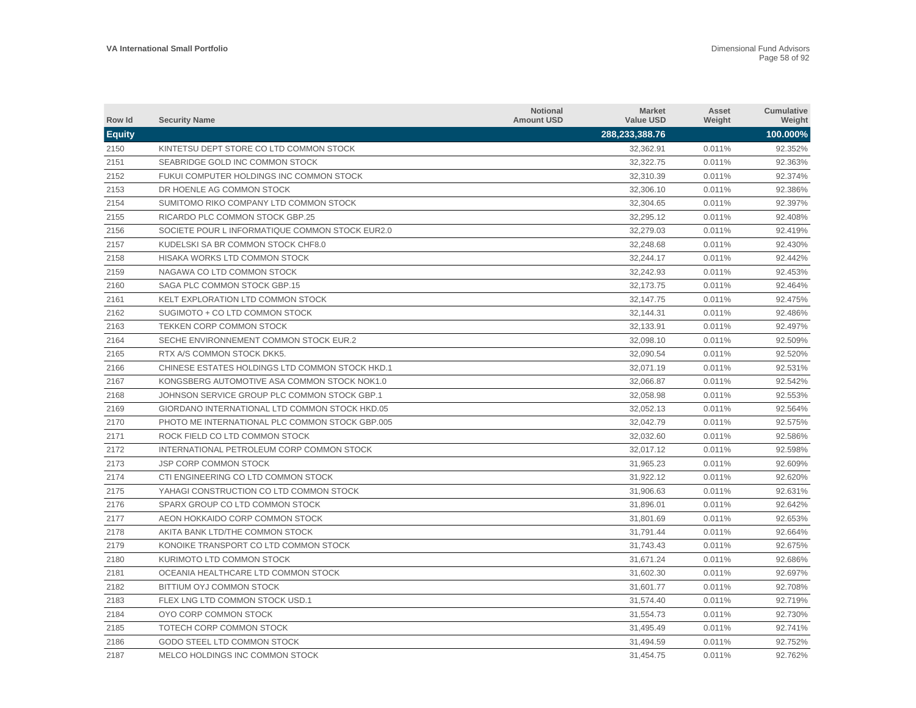| Row Id        | <b>Security Name</b>                            | <b>Notional</b><br><b>Amount USD</b> | <b>Market</b><br><b>Value USD</b> | Asset<br>Weight | Cumulative<br>Weight |
|---------------|-------------------------------------------------|--------------------------------------|-----------------------------------|-----------------|----------------------|
| <b>Equity</b> |                                                 |                                      | 288,233,388.76                    |                 | 100.000%             |
| 2150          | KINTETSU DEPT STORE CO LTD COMMON STOCK         |                                      | 32,362.91                         | 0.011%          | 92.352%              |
| 2151          | SEABRIDGE GOLD INC COMMON STOCK                 |                                      | 32,322.75                         | 0.011%          | 92.363%              |
| 2152          | FUKUI COMPUTER HOLDINGS INC COMMON STOCK        |                                      | 32,310.39                         | 0.011%          | 92.374%              |
| 2153          | DR HOENLE AG COMMON STOCK                       |                                      | 32,306.10                         | 0.011%          | 92.386%              |
| 2154          | SUMITOMO RIKO COMPANY LTD COMMON STOCK          |                                      | 32,304.65                         | 0.011%          | 92.397%              |
| 2155          | RICARDO PLC COMMON STOCK GBP.25                 |                                      | 32,295.12                         | 0.011%          | 92.408%              |
| 2156          | SOCIETE POUR L INFORMATIQUE COMMON STOCK EUR2.0 |                                      | 32,279.03                         | 0.011%          | 92.419%              |
| 2157          | KUDELSKI SA BR COMMON STOCK CHF8.0              |                                      | 32.248.68                         | 0.011%          | 92.430%              |
| 2158          | HISAKA WORKS LTD COMMON STOCK                   |                                      | 32,244.17                         | 0.011%          | 92.442%              |
| 2159          | NAGAWA CO LTD COMMON STOCK                      |                                      | 32,242.93                         | 0.011%          | 92.453%              |
| 2160          | SAGA PLC COMMON STOCK GBP.15                    |                                      | 32,173.75                         | 0.011%          | 92.464%              |
| 2161          | KELT EXPLORATION LTD COMMON STOCK               |                                      | 32,147.75                         | 0.011%          | 92.475%              |
| 2162          | SUGIMOTO + CO LTD COMMON STOCK                  |                                      | 32,144.31                         | 0.011%          | 92.486%              |
| 2163          | <b>TEKKEN CORP COMMON STOCK</b>                 |                                      | 32,133.91                         | 0.011%          | 92.497%              |
| 2164          | SECHE ENVIRONNEMENT COMMON STOCK EUR.2          |                                      | 32,098.10                         | 0.011%          | 92.509%              |
| 2165          | RTX A/S COMMON STOCK DKK5.                      |                                      | 32,090.54                         | 0.011%          | 92.520%              |
| 2166          | CHINESE ESTATES HOLDINGS LTD COMMON STOCK HKD.1 |                                      | 32.071.19                         | 0.011%          | 92.531%              |
| 2167          | KONGSBERG AUTOMOTIVE ASA COMMON STOCK NOK1.0    |                                      | 32,066.87                         | 0.011%          | 92.542%              |
| 2168          | JOHNSON SERVICE GROUP PLC COMMON STOCK GBP.1    |                                      | 32,058.98                         | 0.011%          | 92.553%              |
| 2169          | GIORDANO INTERNATIONAL LTD COMMON STOCK HKD.05  |                                      | 32,052.13                         | 0.011%          | 92.564%              |
| 2170          | PHOTO ME INTERNATIONAL PLC COMMON STOCK GBP.005 |                                      | 32,042.79                         | 0.011%          | 92.575%              |
| 2171          | ROCK FIELD CO LTD COMMON STOCK                  |                                      | 32,032.60                         | 0.011%          | 92.586%              |
| 2172          | INTERNATIONAL PETROLEUM CORP COMMON STOCK       |                                      | 32,017.12                         | 0.011%          | 92.598%              |
| 2173          | <b>JSP CORP COMMON STOCK</b>                    |                                      | 31,965.23                         | 0.011%          | 92.609%              |
| 2174          | CTI ENGINEERING CO LTD COMMON STOCK             |                                      | 31,922.12                         | 0.011%          | 92.620%              |
| 2175          | YAHAGI CONSTRUCTION CO LTD COMMON STOCK         |                                      | 31,906.63                         | 0.011%          | 92.631%              |
| 2176          | SPARX GROUP CO LTD COMMON STOCK                 |                                      | 31,896.01                         | 0.011%          | 92.642%              |
| 2177          | AEON HOKKAIDO CORP COMMON STOCK                 |                                      | 31.801.69                         | 0.011%          | 92.653%              |
| 2178          | AKITA BANK LTD/THE COMMON STOCK                 |                                      | 31,791.44                         | 0.011%          | 92.664%              |
| 2179          | KONOIKE TRANSPORT CO LTD COMMON STOCK           |                                      | 31,743.43                         | 0.011%          | 92.675%              |
| 2180          | KURIMOTO LTD COMMON STOCK                       |                                      | 31,671.24                         | 0.011%          | 92.686%              |
| 2181          | OCEANIA HEALTHCARE LTD COMMON STOCK             |                                      | 31,602.30                         | 0.011%          | 92.697%              |
| 2182          | BITTIUM OYJ COMMON STOCK                        |                                      | 31,601.77                         | 0.011%          | 92.708%              |
| 2183          | FLEX LNG LTD COMMON STOCK USD.1                 |                                      | 31,574.40                         | 0.011%          | 92.719%              |
| 2184          | OYO CORP COMMON STOCK                           |                                      | 31,554.73                         | 0.011%          | 92.730%              |
| 2185          | TOTECH CORP COMMON STOCK                        |                                      | 31,495.49                         | 0.011%          | 92.741%              |
| 2186          | <b>GODO STEEL LTD COMMON STOCK</b>              |                                      | 31.494.59                         | 0.011%          | 92.752%              |
| 2187          | MELCO HOLDINGS INC COMMON STOCK                 |                                      | 31,454.75                         | 0.011%          | 92.762%              |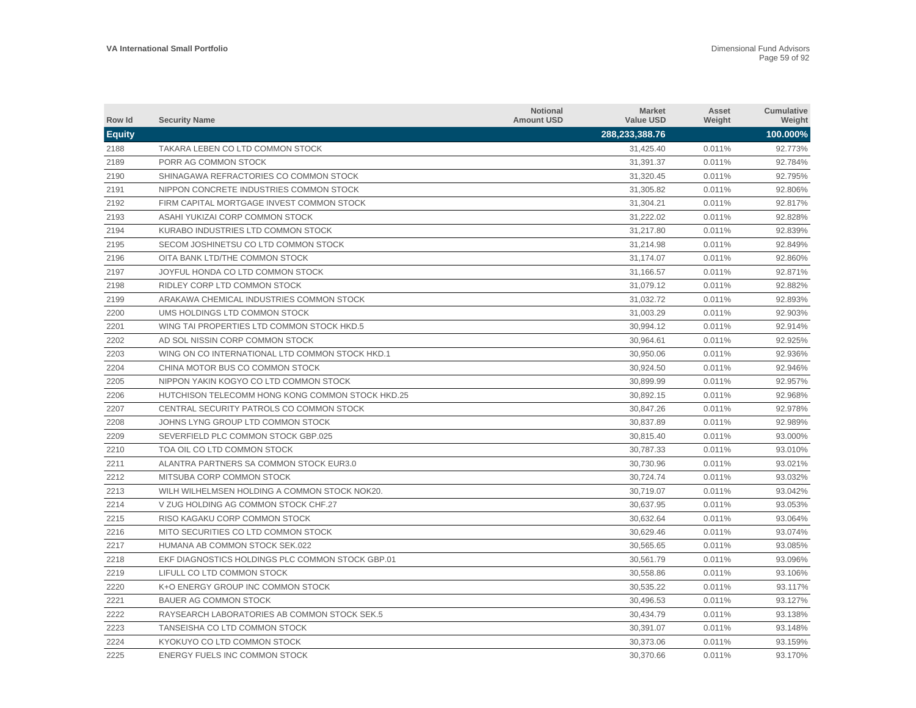| Row Id        | <b>Security Name</b>                             | <b>Notional</b><br><b>Amount USD</b> | <b>Market</b><br><b>Value USD</b> | Asset<br>Weight | Cumulative<br>Weight |
|---------------|--------------------------------------------------|--------------------------------------|-----------------------------------|-----------------|----------------------|
| <b>Equity</b> |                                                  |                                      | 288,233,388.76                    |                 | 100.000%             |
| 2188          | TAKARA LEBEN CO LTD COMMON STOCK                 |                                      | 31,425.40                         | 0.011%          | 92.773%              |
| 2189          | PORR AG COMMON STOCK                             |                                      | 31,391.37                         | 0.011%          | 92.784%              |
| 2190          | SHINAGAWA REFRACTORIES CO COMMON STOCK           |                                      | 31,320.45                         | 0.011%          | 92.795%              |
| 2191          | NIPPON CONCRETE INDUSTRIES COMMON STOCK          |                                      | 31,305.82                         | 0.011%          | 92.806%              |
| 2192          | FIRM CAPITAL MORTGAGE INVEST COMMON STOCK        |                                      | 31,304.21                         | 0.011%          | 92.817%              |
| 2193          | ASAHI YUKIZAI CORP COMMON STOCK                  |                                      | 31,222.02                         | 0.011%          | 92.828%              |
| 2194          | KURABO INDUSTRIES LTD COMMON STOCK               |                                      | 31,217.80                         | 0.011%          | 92.839%              |
| 2195          | SECOM JOSHINETSU CO LTD COMMON STOCK             |                                      | 31,214.98                         | 0.011%          | 92.849%              |
| 2196          | OITA BANK LTD/THE COMMON STOCK                   |                                      | 31,174.07                         | 0.011%          | 92.860%              |
| 2197          | JOYFUL HONDA CO LTD COMMON STOCK                 |                                      | 31,166.57                         | 0.011%          | 92.871%              |
| 2198          | RIDLEY CORP LTD COMMON STOCK                     |                                      | 31,079.12                         | 0.011%          | 92.882%              |
| 2199          | ARAKAWA CHEMICAL INDUSTRIES COMMON STOCK         |                                      | 31,032.72                         | 0.011%          | 92.893%              |
| 2200          | UMS HOLDINGS LTD COMMON STOCK                    |                                      | 31,003.29                         | 0.011%          | 92.903%              |
| 2201          | WING TAI PROPERTIES LTD COMMON STOCK HKD.5       |                                      | 30,994.12                         | 0.011%          | 92.914%              |
| 2202          | AD SOL NISSIN CORP COMMON STOCK                  |                                      | 30,964.61                         | 0.011%          | 92.925%              |
| 2203          | WING ON CO INTERNATIONAL LTD COMMON STOCK HKD.1  |                                      | 30.950.06                         | 0.011%          | 92.936%              |
| 2204          | CHINA MOTOR BUS CO COMMON STOCK                  |                                      | 30,924.50                         | 0.011%          | 92.946%              |
| 2205          | NIPPON YAKIN KOGYO CO LTD COMMON STOCK           |                                      | 30,899.99                         | 0.011%          | 92.957%              |
| 2206          | HUTCHISON TELECOMM HONG KONG COMMON STOCK HKD.25 |                                      | 30,892.15                         | 0.011%          | 92.968%              |
| 2207          | CENTRAL SECURITY PATROLS CO COMMON STOCK         |                                      | 30,847.26                         | 0.011%          | 92.978%              |
| 2208          | JOHNS LYNG GROUP LTD COMMON STOCK                |                                      | 30,837.89                         | 0.011%          | 92.989%              |
| 2209          | SEVERFIELD PLC COMMON STOCK GBP.025              |                                      | 30,815.40                         | 0.011%          | 93.000%              |
| 2210          | TOA OIL CO LTD COMMON STOCK                      |                                      | 30,787.33                         | 0.011%          | 93.010%              |
| 2211          | ALANTRA PARTNERS SA COMMON STOCK EUR3.0          |                                      | 30,730.96                         | 0.011%          | 93.021%              |
| 2212          | MITSUBA CORP COMMON STOCK                        |                                      | 30,724.74                         | 0.011%          | 93.032%              |
| 2213          | WILH WILHELMSEN HOLDING A COMMON STOCK NOK20.    |                                      | 30,719.07                         | 0.011%          | 93.042%              |
| 2214          | V ZUG HOLDING AG COMMON STOCK CHF.27             |                                      | 30,637.95                         | 0.011%          | 93.053%              |
| 2215          | RISO KAGAKU CORP COMMON STOCK                    |                                      | 30,632.64                         | 0.011%          | 93.064%              |
| 2216          | MITO SECURITIES CO LTD COMMON STOCK              |                                      | 30,629.46                         | 0.011%          | 93.074%              |
| 2217          | HUMANA AB COMMON STOCK SEK.022                   |                                      | 30,565.65                         | 0.011%          | 93.085%              |
| 2218          | EKF DIAGNOSTICS HOLDINGS PLC COMMON STOCK GBP.01 |                                      | 30,561.79                         | 0.011%          | 93.096%              |
| 2219          | LIFULL CO LTD COMMON STOCK                       |                                      | 30,558.86                         | 0.011%          | 93.106%              |
| 2220          | K+O ENERGY GROUP INC COMMON STOCK                |                                      | 30,535.22                         | 0.011%          | 93.117%              |
| 2221          | <b>BAUER AG COMMON STOCK</b>                     |                                      | 30,496.53                         | 0.011%          | 93.127%              |
| 2222          | RAYSEARCH LABORATORIES AB COMMON STOCK SEK.5     |                                      | 30.434.79                         | 0.011%          | 93.138%              |
| 2223          | TANSEISHA CO LTD COMMON STOCK                    |                                      | 30,391.07                         | 0.011%          | 93.148%              |
| 2224          | KYOKUYO CO LTD COMMON STOCK                      |                                      | 30.373.06                         | 0.011%          | 93.159%              |
| 2225          | ENERGY FUELS INC COMMON STOCK                    |                                      | 30,370.66                         | 0.011%          | 93.170%              |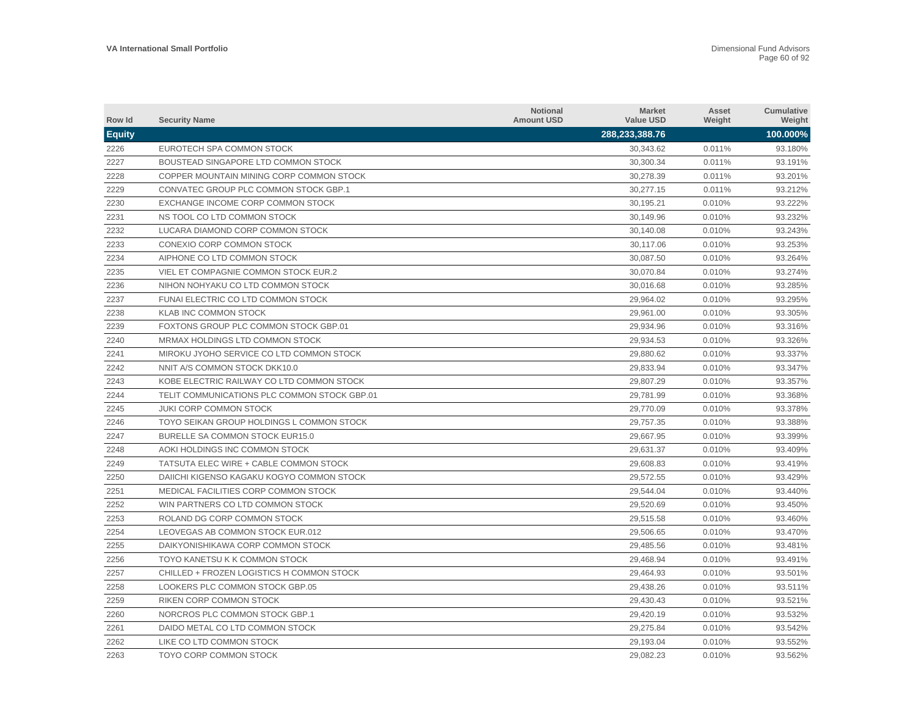| Row Id        | <b>Security Name</b>                         | <b>Notional</b><br><b>Amount USD</b> | <b>Market</b><br><b>Value USD</b> | Asset<br>Weight | Cumulative<br>Weight |
|---------------|----------------------------------------------|--------------------------------------|-----------------------------------|-----------------|----------------------|
| <b>Equity</b> |                                              |                                      | 288,233,388.76                    |                 | 100.000%             |
| 2226          | EUROTECH SPA COMMON STOCK                    |                                      | 30,343.62                         | 0.011%          | 93.180%              |
| 2227          | BOUSTEAD SINGAPORE LTD COMMON STOCK          |                                      | 30,300.34                         | 0.011%          | 93.191%              |
| 2228          | COPPER MOUNTAIN MINING CORP COMMON STOCK     |                                      | 30,278.39                         | 0.011%          | 93.201%              |
| 2229          | CONVATEC GROUP PLC COMMON STOCK GBP.1        |                                      | 30,277.15                         | 0.011%          | 93.212%              |
| 2230          | EXCHANGE INCOME CORP COMMON STOCK            |                                      | 30,195.21                         | 0.010%          | 93.222%              |
| 2231          | NS TOOL CO LTD COMMON STOCK                  |                                      | 30,149.96                         | 0.010%          | 93.232%              |
| 2232          | LUCARA DIAMOND CORP COMMON STOCK             |                                      | 30,140.08                         | 0.010%          | 93.243%              |
| 2233          | CONEXIO CORP COMMON STOCK                    |                                      | 30,117.06                         | 0.010%          | 93.253%              |
| 2234          | AIPHONE CO LTD COMMON STOCK                  |                                      | 30,087.50                         | 0.010%          | 93.264%              |
| 2235          | VIEL ET COMPAGNIE COMMON STOCK EUR.2         |                                      | 30,070.84                         | 0.010%          | 93.274%              |
| 2236          | NIHON NOHYAKU CO LTD COMMON STOCK            |                                      | 30,016.68                         | 0.010%          | 93.285%              |
| 2237          | FUNAI ELECTRIC CO LTD COMMON STOCK           |                                      | 29,964.02                         | 0.010%          | 93.295%              |
| 2238          | <b>KLAB INC COMMON STOCK</b>                 |                                      | 29,961.00                         | 0.010%          | 93.305%              |
| 2239          | FOXTONS GROUP PLC COMMON STOCK GBP.01        |                                      | 29,934.96                         | 0.010%          | 93.316%              |
| 2240          | MRMAX HOLDINGS LTD COMMON STOCK              |                                      | 29,934.53                         | 0.010%          | 93.326%              |
| 2241          | MIROKU JYOHO SERVICE CO LTD COMMON STOCK     |                                      | 29,880.62                         | 0.010%          | 93.337%              |
| 2242          | NNIT A/S COMMON STOCK DKK10.0                |                                      | 29.833.94                         | 0.010%          | 93.347%              |
| 2243          | KOBE ELECTRIC RAILWAY CO LTD COMMON STOCK    |                                      | 29,807.29                         | 0.010%          | 93.357%              |
| 2244          | TELIT COMMUNICATIONS PLC COMMON STOCK GBP.01 |                                      | 29,781.99                         | 0.010%          | 93.368%              |
| 2245          | <b>JUKI CORP COMMON STOCK</b>                |                                      | 29,770.09                         | 0.010%          | 93.378%              |
| 2246          | TOYO SEIKAN GROUP HOLDINGS L COMMON STOCK    |                                      | 29,757.35                         | 0.010%          | 93.388%              |
| 2247          | BURELLE SA COMMON STOCK EUR15.0              |                                      | 29,667.95                         | 0.010%          | 93.399%              |
| 2248          | AOKI HOLDINGS INC COMMON STOCK               |                                      | 29,631.37                         | 0.010%          | 93.409%              |
| 2249          | TATSUTA ELEC WIRE + CABLE COMMON STOCK       |                                      | 29,608.83                         | 0.010%          | 93.419%              |
| 2250          | DAIICHI KIGENSO KAGAKU KOGYO COMMON STOCK    |                                      | 29,572.55                         | 0.010%          | 93.429%              |
| 2251          | MEDICAL FACILITIES CORP COMMON STOCK         |                                      | 29,544.04                         | 0.010%          | 93.440%              |
| 2252          | WIN PARTNERS CO LTD COMMON STOCK             |                                      | 29,520.69                         | 0.010%          | 93.450%              |
| 2253          | ROLAND DG CORP COMMON STOCK                  |                                      | 29,515.58                         | 0.010%          | 93.460%              |
| 2254          | LEOVEGAS AB COMMON STOCK EUR.012             |                                      | 29,506.65                         | 0.010%          | 93.470%              |
| 2255          | DAIKYONISHIKAWA CORP COMMON STOCK            |                                      | 29,485.56                         | 0.010%          | 93.481%              |
| 2256          | TOYO KANETSU K K COMMON STOCK                |                                      | 29,468.94                         | 0.010%          | 93.491%              |
| 2257          | CHILLED + FROZEN LOGISTICS H COMMON STOCK    |                                      | 29,464.93                         | 0.010%          | 93.501%              |
| 2258          | LOOKERS PLC COMMON STOCK GBP.05              |                                      | 29,438.26                         | 0.010%          | 93.511%              |
| 2259          | RIKEN CORP COMMON STOCK                      |                                      | 29,430.43                         | 0.010%          | 93.521%              |
| 2260          | NORCROS PLC COMMON STOCK GBP.1               |                                      | 29,420.19                         | 0.010%          | 93.532%              |
| 2261          | DAIDO METAL CO LTD COMMON STOCK              |                                      | 29,275.84                         | 0.010%          | 93.542%              |
| 2262          | LIKE CO LTD COMMON STOCK                     |                                      | 29.193.04                         | 0.010%          | 93.552%              |
| 2263          | TOYO CORP COMMON STOCK                       |                                      | 29,082.23                         | 0.010%          | 93.562%              |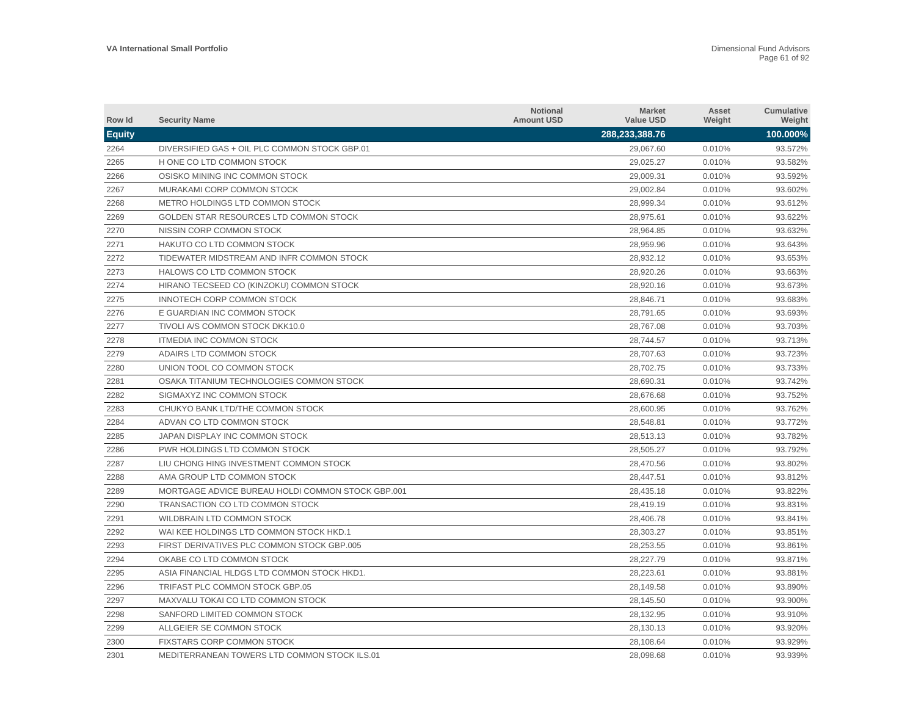| Row Id        | <b>Security Name</b>                              | <b>Notional</b><br><b>Amount USD</b> | <b>Market</b><br><b>Value USD</b> | Asset<br>Weight | Cumulative<br>Weight |
|---------------|---------------------------------------------------|--------------------------------------|-----------------------------------|-----------------|----------------------|
| <b>Equity</b> |                                                   |                                      | 288,233,388.76                    |                 | 100.000%             |
| 2264          | DIVERSIFIED GAS + OIL PLC COMMON STOCK GBP.01     |                                      | 29,067.60                         | 0.010%          | 93.572%              |
| 2265          | H ONE CO LTD COMMON STOCK                         |                                      | 29,025.27                         | 0.010%          | 93.582%              |
| 2266          | OSISKO MINING INC COMMON STOCK                    |                                      | 29,009.31                         | 0.010%          | 93.592%              |
| 2267          | MURAKAMI CORP COMMON STOCK                        |                                      | 29,002.84                         | 0.010%          | 93.602%              |
| 2268          | METRO HOLDINGS LTD COMMON STOCK                   |                                      | 28,999.34                         | 0.010%          | 93.612%              |
| 2269          | GOLDEN STAR RESOURCES LTD COMMON STOCK            |                                      | 28,975.61                         | 0.010%          | 93.622%              |
| 2270          | NISSIN CORP COMMON STOCK                          |                                      | 28,964.85                         | 0.010%          | 93.632%              |
| 2271          | HAKUTO CO LTD COMMON STOCK                        |                                      | 28,959.96                         | 0.010%          | 93.643%              |
| 2272          | TIDEWATER MIDSTREAM AND INFR COMMON STOCK         |                                      | 28,932.12                         | 0.010%          | 93.653%              |
| 2273          | <b>HALOWS CO LTD COMMON STOCK</b>                 |                                      | 28,920.26                         | 0.010%          | 93.663%              |
| 2274          | HIRANO TECSEED CO (KINZOKU) COMMON STOCK          |                                      | 28,920.16                         | 0.010%          | 93.673%              |
| 2275          | INNOTECH CORP COMMON STOCK                        |                                      | 28,846.71                         | 0.010%          | 93.683%              |
| 2276          | E GUARDIAN INC COMMON STOCK                       |                                      | 28,791.65                         | 0.010%          | 93.693%              |
| 2277          | TIVOLI A/S COMMON STOCK DKK10.0                   |                                      | 28,767.08                         | 0.010%          | 93.703%              |
| 2278          | <b>ITMEDIA INC COMMON STOCK</b>                   |                                      | 28,744.57                         | 0.010%          | 93.713%              |
| 2279          | ADAIRS LTD COMMON STOCK                           |                                      | 28,707.63                         | 0.010%          | 93.723%              |
| 2280          | UNION TOOL CO COMMON STOCK                        |                                      | 28,702.75                         | 0.010%          | 93.733%              |
| 2281          | OSAKA TITANIUM TECHNOLOGIES COMMON STOCK          |                                      | 28,690.31                         | 0.010%          | 93.742%              |
| 2282          | SIGMAXYZ INC COMMON STOCK                         |                                      | 28,676.68                         | 0.010%          | 93.752%              |
| 2283          | CHUKYO BANK LTD/THE COMMON STOCK                  |                                      | 28,600.95                         | 0.010%          | 93.762%              |
| 2284          | ADVAN CO LTD COMMON STOCK                         |                                      | 28,548.81                         | 0.010%          | 93.772%              |
| 2285          | JAPAN DISPLAY INC COMMON STOCK                    |                                      | 28,513.13                         | 0.010%          | 93.782%              |
| 2286          | PWR HOLDINGS LTD COMMON STOCK                     |                                      | 28,505.27                         | 0.010%          | 93.792%              |
| 2287          | LIU CHONG HING INVESTMENT COMMON STOCK            |                                      | 28,470.56                         | 0.010%          | 93.802%              |
| 2288          | AMA GROUP LTD COMMON STOCK                        |                                      | 28,447.51                         | 0.010%          | 93.812%              |
| 2289          | MORTGAGE ADVICE BUREAU HOLDI COMMON STOCK GBP.001 |                                      | 28,435.18                         | 0.010%          | 93.822%              |
| 2290          | TRANSACTION CO LTD COMMON STOCK                   |                                      | 28,419.19                         | 0.010%          | 93.831%              |
| 2291          | WILDBRAIN LTD COMMON STOCK                        |                                      | 28,406.78                         | 0.010%          | 93.841%              |
| 2292          | WAI KEE HOLDINGS LTD COMMON STOCK HKD.1           |                                      | 28,303.27                         | 0.010%          | 93.851%              |
| 2293          | FIRST DERIVATIVES PLC COMMON STOCK GBP.005        |                                      | 28,253.55                         | 0.010%          | 93.861%              |
| 2294          | OKABE CO LTD COMMON STOCK                         |                                      | 28,227.79                         | 0.010%          | 93.871%              |
| 2295          | ASIA FINANCIAL HLDGS LTD COMMON STOCK HKD1.       |                                      | 28,223.61                         | 0.010%          | 93.881%              |
| 2296          | TRIFAST PLC COMMON STOCK GBP.05                   |                                      | 28,149.58                         | 0.010%          | 93.890%              |
| 2297          | MAXVALU TOKAI CO LTD COMMON STOCK                 |                                      | 28,145.50                         | 0.010%          | 93.900%              |
| 2298          | SANFORD LIMITED COMMON STOCK                      |                                      | 28,132.95                         | 0.010%          | 93.910%              |
| 2299          | ALLGEIER SE COMMON STOCK                          |                                      | 28,130.13                         | 0.010%          | 93.920%              |
| 2300          | <b>FIXSTARS CORP COMMON STOCK</b>                 |                                      | 28.108.64                         | 0.010%          | 93.929%              |
| 2301          | MEDITERRANEAN TOWERS LTD COMMON STOCK ILS.01      |                                      | 28.098.68                         | 0.010%          | 93.939%              |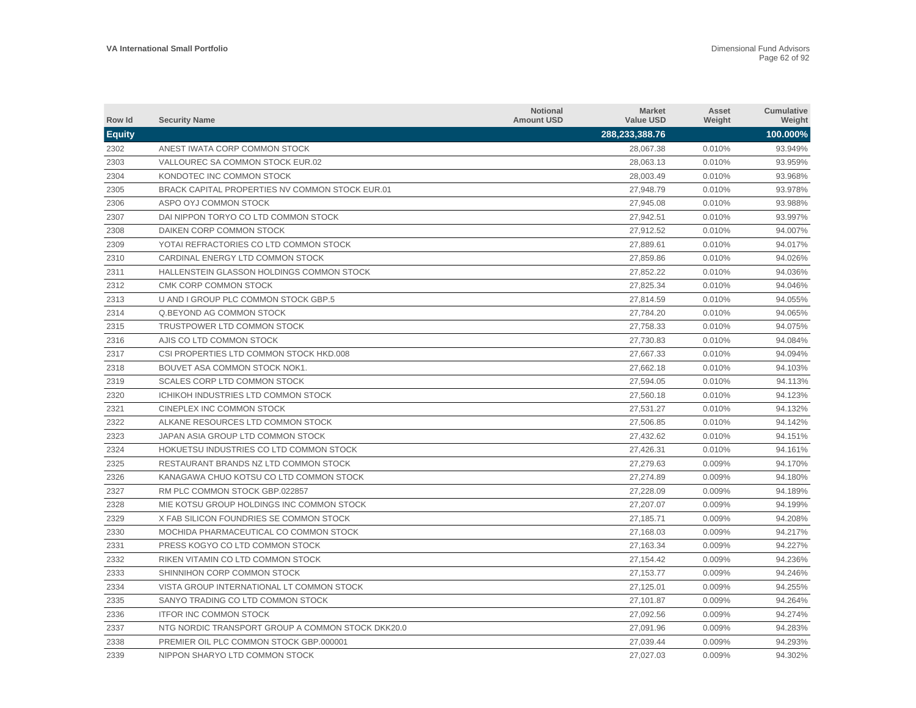| Row Id        | <b>Security Name</b>                              | <b>Notional</b><br><b>Amount USD</b> | <b>Market</b><br><b>Value USD</b> | Asset<br>Weight | <b>Cumulative</b><br>Weight |
|---------------|---------------------------------------------------|--------------------------------------|-----------------------------------|-----------------|-----------------------------|
| <b>Equity</b> |                                                   |                                      | 288,233,388.76                    |                 | 100.000%                    |
| 2302          | ANEST IWATA CORP COMMON STOCK                     |                                      | 28,067.38                         | 0.010%          | 93.949%                     |
| 2303          | VALLOUREC SA COMMON STOCK EUR.02                  |                                      | 28,063.13                         | 0.010%          | 93.959%                     |
| 2304          | KONDOTEC INC COMMON STOCK                         |                                      | 28,003.49                         | 0.010%          | 93.968%                     |
| 2305          | BRACK CAPITAL PROPERTIES NV COMMON STOCK EUR.01   |                                      | 27,948.79                         | 0.010%          | 93.978%                     |
| 2306          | ASPO OYJ COMMON STOCK                             |                                      | 27,945.08                         | 0.010%          | 93.988%                     |
| 2307          | DAI NIPPON TORYO CO LTD COMMON STOCK              |                                      | 27,942.51                         | 0.010%          | 93.997%                     |
| 2308          | DAIKEN CORP COMMON STOCK                          |                                      | 27,912.52                         | 0.010%          | 94.007%                     |
| 2309          | YOTAI REFRACTORIES CO LTD COMMON STOCK            |                                      | 27,889.61                         | 0.010%          | 94.017%                     |
| 2310          | CARDINAL ENERGY LTD COMMON STOCK                  |                                      | 27,859.86                         | 0.010%          | 94.026%                     |
| 2311          | HALLENSTEIN GLASSON HOLDINGS COMMON STOCK         |                                      | 27,852.22                         | 0.010%          | 94.036%                     |
| 2312          | CMK CORP COMMON STOCK                             |                                      | 27,825.34                         | 0.010%          | 94.046%                     |
| 2313          | U AND I GROUP PLC COMMON STOCK GBP.5              |                                      | 27,814.59                         | 0.010%          | 94.055%                     |
| 2314          | Q.BEYOND AG COMMON STOCK                          |                                      | 27,784.20                         | 0.010%          | 94.065%                     |
| 2315          | TRUSTPOWER LTD COMMON STOCK                       |                                      | 27,758.33                         | 0.010%          | 94.075%                     |
| 2316          | AJIS CO LTD COMMON STOCK                          |                                      | 27,730.83                         | 0.010%          | 94.084%                     |
| 2317          | CSI PROPERTIES LTD COMMON STOCK HKD.008           |                                      | 27.667.33                         | 0.010%          | 94.094%                     |
| 2318          | BOUVET ASA COMMON STOCK NOK1.                     |                                      | 27,662.18                         | 0.010%          | 94.103%                     |
| 2319          | <b>SCALES CORP LTD COMMON STOCK</b>               |                                      | 27,594.05                         | 0.010%          | 94.113%                     |
| 2320          | ICHIKOH INDUSTRIES LTD COMMON STOCK               |                                      | 27,560.18                         | 0.010%          | 94.123%                     |
| 2321          | CINEPLEX INC COMMON STOCK                         |                                      | 27,531.27                         | 0.010%          | 94.132%                     |
| 2322          | ALKANE RESOURCES LTD COMMON STOCK                 |                                      | 27,506.85                         | 0.010%          | 94.142%                     |
| 2323          | JAPAN ASIA GROUP LTD COMMON STOCK                 |                                      | 27,432.62                         | 0.010%          | 94.151%                     |
| 2324          | HOKUETSU INDUSTRIES CO LTD COMMON STOCK           |                                      | 27,426.31                         | 0.010%          | 94.161%                     |
| 2325          | RESTAURANT BRANDS NZ LTD COMMON STOCK             |                                      | 27,279.63                         | 0.009%          | 94.170%                     |
| 2326          | KANAGAWA CHUO KOTSU CO LTD COMMON STOCK           |                                      | 27,274.89                         | 0.009%          | 94.180%                     |
| 2327          | RM PLC COMMON STOCK GBP.022857                    |                                      | 27,228.09                         | 0.009%          | 94.189%                     |
| 2328          | MIE KOTSU GROUP HOLDINGS INC COMMON STOCK         |                                      | 27,207.07                         | 0.009%          | 94.199%                     |
| 2329          | X FAB SILICON FOUNDRIES SE COMMON STOCK           |                                      | 27,185.71                         | 0.009%          | 94.208%                     |
| 2330          | MOCHIDA PHARMACEUTICAL CO COMMON STOCK            |                                      | 27,168.03                         | 0.009%          | 94.217%                     |
| 2331          | PRESS KOGYO CO LTD COMMON STOCK                   |                                      | 27,163.34                         | 0.009%          | 94.227%                     |
| 2332          | RIKEN VITAMIN CO LTD COMMON STOCK                 |                                      | 27,154.42                         | 0.009%          | 94.236%                     |
| 2333          | SHINNIHON CORP COMMON STOCK                       |                                      | 27,153.77                         | 0.009%          | 94.246%                     |
| 2334          | VISTA GROUP INTERNATIONAL LT COMMON STOCK         |                                      | 27,125.01                         | 0.009%          | 94.255%                     |
| 2335          | SANYO TRADING CO LTD COMMON STOCK                 |                                      | 27,101.87                         | 0.009%          | 94.264%                     |
| 2336          | <b>ITFOR INC COMMON STOCK</b>                     |                                      | 27,092.56                         | 0.009%          | 94.274%                     |
| 2337          | NTG NORDIC TRANSPORT GROUP A COMMON STOCK DKK20.0 |                                      | 27,091.96                         | 0.009%          | 94.283%                     |
| 2338          | PREMIER OIL PLC COMMON STOCK GBP.000001           |                                      | 27.039.44                         | 0.009%          | 94.293%                     |
| 2339          | NIPPON SHARYO LTD COMMON STOCK                    |                                      | 27.027.03                         | 0.009%          | 94.302%                     |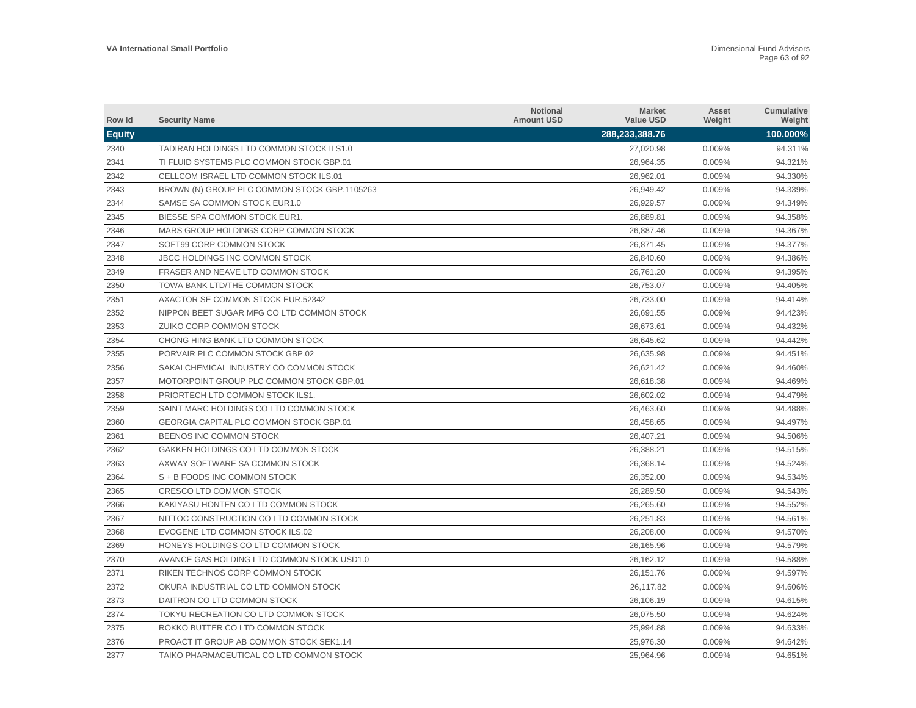| Row Id        | <b>Security Name</b>                           | <b>Notional</b><br><b>Amount USD</b> | <b>Market</b><br><b>Value USD</b> | Asset<br>Weight | Cumulative<br>Weight |
|---------------|------------------------------------------------|--------------------------------------|-----------------------------------|-----------------|----------------------|
| <b>Equity</b> |                                                |                                      | 288,233,388.76                    |                 | 100.000%             |
| 2340          | TADIRAN HOLDINGS LTD COMMON STOCK ILS1.0       |                                      | 27,020.98                         | 0.009%          | 94.311%              |
| 2341          | TI FLUID SYSTEMS PLC COMMON STOCK GBP.01       |                                      | 26,964.35                         | 0.009%          | 94.321%              |
| 2342          | CELLCOM ISRAEL LTD COMMON STOCK ILS.01         |                                      | 26,962.01                         | 0.009%          | 94.330%              |
| 2343          | BROWN (N) GROUP PLC COMMON STOCK GBP.1105263   |                                      | 26,949.42                         | 0.009%          | 94.339%              |
| 2344          | SAMSE SA COMMON STOCK EUR1.0                   |                                      | 26.929.57                         | 0.009%          | 94.349%              |
| 2345          | BIESSE SPA COMMON STOCK EUR1.                  |                                      | 26,889.81                         | 0.009%          | 94.358%              |
| 2346          | MARS GROUP HOLDINGS CORP COMMON STOCK          |                                      | 26,887.46                         | 0.009%          | 94.367%              |
| 2347          | SOFT99 CORP COMMON STOCK                       |                                      | 26,871.45                         | 0.009%          | 94.377%              |
| 2348          | <b>JBCC HOLDINGS INC COMMON STOCK</b>          |                                      | 26,840.60                         | 0.009%          | 94.386%              |
| 2349          | FRASER AND NEAVE LTD COMMON STOCK              |                                      | 26,761.20                         | 0.009%          | 94.395%              |
| 2350          | TOWA BANK LTD/THE COMMON STOCK                 |                                      | 26,753.07                         | 0.009%          | 94.405%              |
| 2351          | AXACTOR SE COMMON STOCK EUR.52342              |                                      | 26,733.00                         | 0.009%          | 94.414%              |
| 2352          | NIPPON BEET SUGAR MFG CO LTD COMMON STOCK      |                                      | 26,691.55                         | 0.009%          | 94.423%              |
| 2353          | ZUIKO CORP COMMON STOCK                        |                                      | 26,673.61                         | 0.009%          | 94.432%              |
| 2354          | CHONG HING BANK LTD COMMON STOCK               |                                      | 26,645.62                         | 0.009%          | 94.442%              |
| 2355          | PORVAIR PLC COMMON STOCK GBP.02                |                                      | 26,635.98                         | 0.009%          | 94.451%              |
| 2356          | SAKAI CHEMICAL INDUSTRY CO COMMON STOCK        |                                      | 26.621.42                         | 0.009%          | 94.460%              |
| 2357          | MOTORPOINT GROUP PLC COMMON STOCK GBP.01       |                                      | 26,618.38                         | 0.009%          | 94.469%              |
| 2358          | PRIORTECH LTD COMMON STOCK ILS1.               |                                      | 26,602.02                         | 0.009%          | 94.479%              |
| 2359          | SAINT MARC HOLDINGS CO LTD COMMON STOCK        |                                      | 26,463.60                         | 0.009%          | 94.488%              |
| 2360          | GEORGIA CAPITAL PLC COMMON STOCK GBP.01        |                                      | 26,458.65                         | 0.009%          | 94.497%              |
| 2361          | BEENOS INC COMMON STOCK                        |                                      | 26,407.21                         | 0.009%          | 94.506%              |
| 2362          | GAKKEN HOLDINGS CO LTD COMMON STOCK            |                                      | 26,388.21                         | 0.009%          | 94.515%              |
| 2363          | AXWAY SOFTWARE SA COMMON STOCK                 |                                      | 26,368.14                         | 0.009%          | 94.524%              |
| 2364          | S + B FOODS INC COMMON STOCK                   |                                      | 26,352.00                         | 0.009%          | 94.534%              |
| 2365          | CRESCO LTD COMMON STOCK                        |                                      | 26,289.50                         | 0.009%          | 94.543%              |
| 2366          | KAKIYASU HONTEN CO LTD COMMON STOCK            |                                      | 26,265.60                         | 0.009%          | 94.552%              |
| 2367          | NITTOC CONSTRUCTION CO LTD COMMON STOCK        |                                      | 26,251.83                         | 0.009%          | 94.561%              |
| 2368          | EVOGENE LTD COMMON STOCK ILS.02                |                                      | 26,208.00                         | 0.009%          | 94.570%              |
| 2369          | HONEYS HOLDINGS CO LTD COMMON STOCK            |                                      | 26,165.96                         | 0.009%          | 94.579%              |
| 2370          | AVANCE GAS HOLDING LTD COMMON STOCK USD1.0     |                                      | 26,162.12                         | 0.009%          | 94.588%              |
| 2371          | RIKEN TECHNOS CORP COMMON STOCK                |                                      | 26,151.76                         | 0.009%          | 94.597%              |
| 2372          | OKURA INDUSTRIAL CO LTD COMMON STOCK           |                                      | 26,117.82                         | 0.009%          | 94.606%              |
| 2373          | DAITRON CO LTD COMMON STOCK                    |                                      | 26,106.19                         | 0.009%          | 94.615%              |
| 2374          | TOKYU RECREATION CO LTD COMMON STOCK           |                                      | 26,075.50                         | 0.009%          | 94.624%              |
| 2375          | ROKKO BUTTER CO LTD COMMON STOCK               |                                      | 25,994.88                         | 0.009%          | 94.633%              |
| 2376          | <b>PROACT IT GROUP AB COMMON STOCK SEK1.14</b> |                                      | 25.976.30                         | 0.009%          | 94.642%              |
| 2377          | TAIKO PHARMACEUTICAL CO LTD COMMON STOCK       |                                      | 25,964.96                         | 0.009%          | 94.651%              |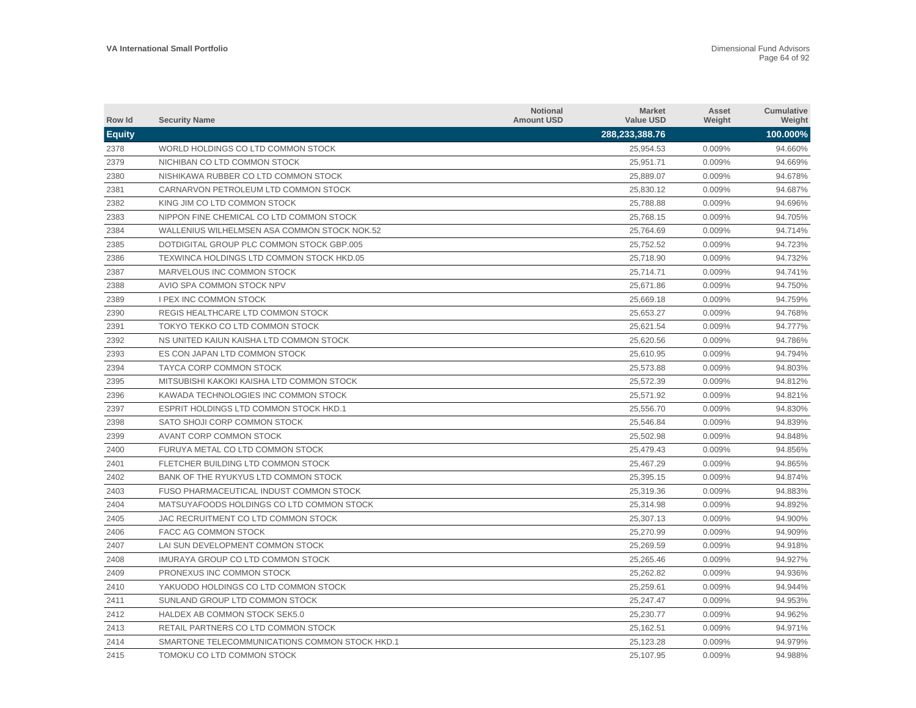| Row Id        | <b>Security Name</b>                           | <b>Notional</b><br><b>Amount USD</b> | <b>Market</b><br><b>Value USD</b> | Asset<br>Weight | Cumulative<br>Weight |
|---------------|------------------------------------------------|--------------------------------------|-----------------------------------|-----------------|----------------------|
| <b>Equity</b> |                                                |                                      | 288,233,388.76                    |                 | 100.000%             |
| 2378          | WORLD HOLDINGS CO LTD COMMON STOCK             |                                      | 25.954.53                         | 0.009%          | 94.660%              |
| 2379          | NICHIBAN CO LTD COMMON STOCK                   |                                      | 25,951.71                         | 0.009%          | 94.669%              |
| 2380          | NISHIKAWA RUBBER CO LTD COMMON STOCK           |                                      | 25,889.07                         | 0.009%          | 94.678%              |
| 2381          | CARNARVON PETROLEUM LTD COMMON STOCK           |                                      | 25,830.12                         | 0.009%          | 94.687%              |
| 2382          | KING JIM CO LTD COMMON STOCK                   |                                      | 25,788.88                         | 0.009%          | 94.696%              |
| 2383          | NIPPON FINE CHEMICAL CO LTD COMMON STOCK       |                                      | 25,768.15                         | 0.009%          | 94.705%              |
| 2384          | WALLENIUS WILHELMSEN ASA COMMON STOCK NOK.52   |                                      | 25,764.69                         | 0.009%          | 94.714%              |
| 2385          | DOTDIGITAL GROUP PLC COMMON STOCK GBP.005      |                                      | 25,752.52                         | 0.009%          | 94.723%              |
| 2386          | TEXWINCA HOLDINGS LTD COMMON STOCK HKD.05      |                                      | 25,718.90                         | 0.009%          | 94.732%              |
| 2387          | MARVELOUS INC COMMON STOCK                     |                                      | 25,714.71                         | 0.009%          | 94.741%              |
| 2388          | AVIO SPA COMMON STOCK NPV                      |                                      | 25,671.86                         | 0.009%          | 94.750%              |
| 2389          | <b>I PEX INC COMMON STOCK</b>                  |                                      | 25,669.18                         | 0.009%          | 94.759%              |
| 2390          | REGIS HEALTHCARE LTD COMMON STOCK              |                                      | 25.653.27                         | 0.009%          | 94.768%              |
| 2391          | TOKYO TEKKO CO LTD COMMON STOCK                |                                      | 25,621.54                         | 0.009%          | 94.777%              |
| 2392          | NS UNITED KAIUN KAISHA LTD COMMON STOCK        |                                      | 25,620.56                         | 0.009%          | 94.786%              |
| 2393          | ES CON JAPAN LTD COMMON STOCK                  |                                      | 25.610.95                         | 0.009%          | 94.794%              |
| 2394          | TAYCA CORP COMMON STOCK                        |                                      | 25,573.88                         | 0.009%          | 94.803%              |
| 2395          | MITSUBISHI KAKOKI KAISHA LTD COMMON STOCK      |                                      | 25,572.39                         | 0.009%          | 94.812%              |
| 2396          | KAWADA TECHNOLOGIES INC COMMON STOCK           |                                      | 25,571.92                         | 0.009%          | 94.821%              |
| 2397          | ESPRIT HOLDINGS LTD COMMON STOCK HKD.1         |                                      | 25,556.70                         | 0.009%          | 94.830%              |
| 2398          | SATO SHOJI CORP COMMON STOCK                   |                                      | 25,546.84                         | 0.009%          | 94.839%              |
| 2399          | AVANT CORP COMMON STOCK                        |                                      | 25,502.98                         | 0.009%          | 94.848%              |
| 2400          | FURUYA METAL CO LTD COMMON STOCK               |                                      | 25,479.43                         | 0.009%          | 94.856%              |
| 2401          | FLETCHER BUILDING LTD COMMON STOCK             |                                      | 25,467.29                         | 0.009%          | 94.865%              |
| 2402          | BANK OF THE RYUKYUS LTD COMMON STOCK           |                                      | 25,395.15                         | 0.009%          | 94.874%              |
| 2403          | FUSO PHARMACEUTICAL INDUST COMMON STOCK        |                                      | 25,319.36                         | 0.009%          | 94.883%              |
| 2404          | MATSUYAFOODS HOLDINGS CO LTD COMMON STOCK      |                                      | 25,314.98                         | 0.009%          | 94.892%              |
| 2405          | JAC RECRUITMENT CO LTD COMMON STOCK            |                                      | 25,307.13                         | 0.009%          | 94.900%              |
| 2406          | <b>FACC AG COMMON STOCK</b>                    |                                      | 25,270.99                         | 0.009%          | 94.909%              |
| 2407          | LAI SUN DEVELOPMENT COMMON STOCK               |                                      | 25,269.59                         | 0.009%          | 94.918%              |
| 2408          | IMURAYA GROUP CO LTD COMMON STOCK              |                                      | 25,265.46                         | 0.009%          | 94.927%              |
| 2409          | PRONEXUS INC COMMON STOCK                      |                                      | 25,262.82                         | 0.009%          | 94.936%              |
| 2410          | YAKUODO HOLDINGS CO LTD COMMON STOCK           |                                      | 25,259.61                         | 0.009%          | 94.944%              |
| 2411          | SUNLAND GROUP LTD COMMON STOCK                 |                                      | 25,247.47                         | 0.009%          | 94.953%              |
| 2412          | HALDEX AB COMMON STOCK SEK5.0                  |                                      | 25,230.77                         | 0.009%          | 94.962%              |
| 2413          | RETAIL PARTNERS CO LTD COMMON STOCK            |                                      | 25,162.51                         | 0.009%          | 94.971%              |
| 2414          | SMARTONE TELECOMMUNICATIONS COMMON STOCK HKD.1 |                                      | 25.123.28                         | 0.009%          | 94.979%              |
| 2415          | TOMOKU CO LTD COMMON STOCK                     |                                      | 25.107.95                         | 0.009%          | 94.988%              |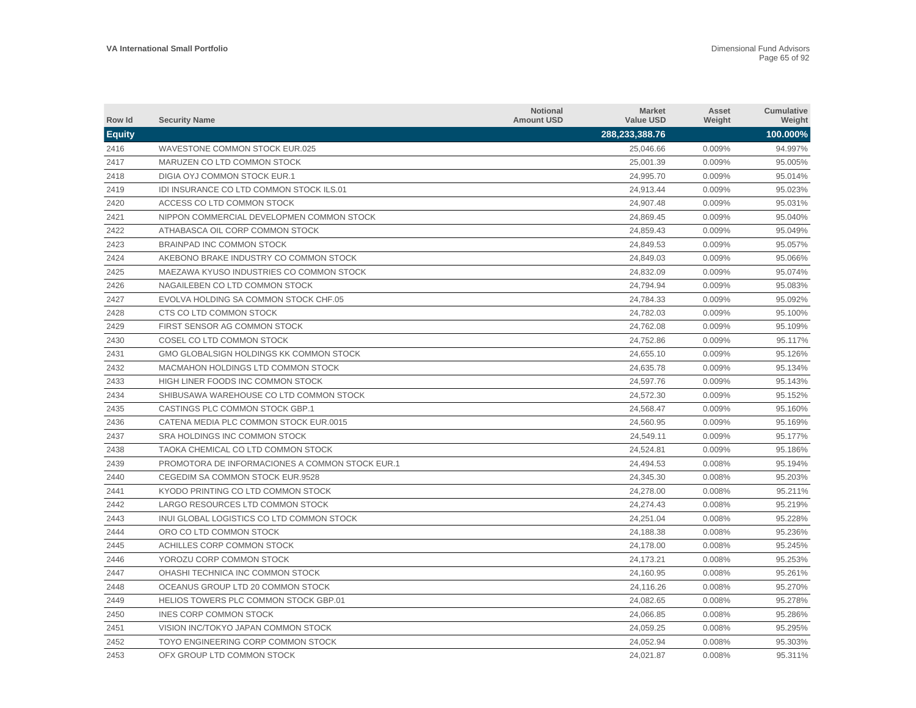| Row Id        | <b>Security Name</b>                            | <b>Notional</b><br><b>Amount USD</b> | <b>Market</b><br><b>Value USD</b> | Asset<br>Weight | Cumulative<br>Weight |
|---------------|-------------------------------------------------|--------------------------------------|-----------------------------------|-----------------|----------------------|
| <b>Equity</b> |                                                 |                                      | 288,233,388.76                    |                 | 100.000%             |
| 2416          | WAVESTONE COMMON STOCK EUR.025                  |                                      | 25,046.66                         | 0.009%          | 94.997%              |
| 2417          | MARUZEN CO LTD COMMON STOCK                     |                                      | 25,001.39                         | 0.009%          | 95.005%              |
| 2418          | DIGIA OYJ COMMON STOCK EUR.1                    |                                      | 24,995.70                         | 0.009%          | 95.014%              |
| 2419          | IDI INSURANCE CO LTD COMMON STOCK ILS.01        |                                      | 24,913.44                         | 0.009%          | 95.023%              |
| 2420          | ACCESS CO LTD COMMON STOCK                      |                                      | 24,907.48                         | 0.009%          | 95.031%              |
| 2421          | NIPPON COMMERCIAL DEVELOPMEN COMMON STOCK       |                                      | 24,869.45                         | 0.009%          | 95.040%              |
| 2422          | ATHABASCA OIL CORP COMMON STOCK                 |                                      | 24,859.43                         | 0.009%          | 95.049%              |
| 2423          | <b>BRAINPAD INC COMMON STOCK</b>                |                                      | 24.849.53                         | 0.009%          | 95.057%              |
| 2424          | AKEBONO BRAKE INDUSTRY CO COMMON STOCK          |                                      | 24,849.03                         | 0.009%          | 95.066%              |
| 2425          | MAEZAWA KYUSO INDUSTRIES CO COMMON STOCK        |                                      | 24,832.09                         | 0.009%          | 95.074%              |
| 2426          | NAGAILEBEN CO LTD COMMON STOCK                  |                                      | 24,794.94                         | 0.009%          | 95.083%              |
| 2427          | EVOLVA HOLDING SA COMMON STOCK CHF.05           |                                      | 24,784.33                         | 0.009%          | 95.092%              |
| 2428          | CTS CO LTD COMMON STOCK                         |                                      | 24,782.03                         | 0.009%          | 95.100%              |
| 2429          | FIRST SENSOR AG COMMON STOCK                    |                                      | 24,762.08                         | 0.009%          | 95.109%              |
| 2430          | COSEL CO LTD COMMON STOCK                       |                                      | 24,752.86                         | 0.009%          | 95.117%              |
| 2431          | GMO GLOBALSIGN HOLDINGS KK COMMON STOCK         |                                      | 24,655.10                         | 0.009%          | 95.126%              |
| 2432          | MACMAHON HOLDINGS LTD COMMON STOCK              |                                      | 24.635.78                         | 0.009%          | 95.134%              |
| 2433          | HIGH LINER FOODS INC COMMON STOCK               |                                      | 24,597.76                         | 0.009%          | 95.143%              |
| 2434          | SHIBUSAWA WAREHOUSE CO LTD COMMON STOCK         |                                      | 24,572.30                         | 0.009%          | 95.152%              |
| 2435          | CASTINGS PLC COMMON STOCK GBP.1                 |                                      | 24,568.47                         | 0.009%          | 95.160%              |
| 2436          | CATENA MEDIA PLC COMMON STOCK EUR.0015          |                                      | 24,560.95                         | 0.009%          | 95.169%              |
| 2437          | SRA HOLDINGS INC COMMON STOCK                   |                                      | 24,549.11                         | 0.009%          | 95.177%              |
| 2438          | TAOKA CHEMICAL CO LTD COMMON STOCK              |                                      | 24,524.81                         | 0.009%          | 95.186%              |
| 2439          | PROMOTORA DE INFORMACIONES A COMMON STOCK EUR.1 |                                      | 24,494.53                         | 0.008%          | 95.194%              |
| 2440          | CEGEDIM SA COMMON STOCK EUR.9528                |                                      | 24,345.30                         | 0.008%          | 95.203%              |
| 2441          | KYODO PRINTING CO LTD COMMON STOCK              |                                      | 24,278.00                         | 0.008%          | 95.211%              |
| 2442          | LARGO RESOURCES LTD COMMON STOCK                |                                      | 24.274.43                         | 0.008%          | 95.219%              |
| 2443          | INUI GLOBAL LOGISTICS CO LTD COMMON STOCK       |                                      | 24,251.04                         | 0.008%          | 95.228%              |
| 2444          | ORO CO LTD COMMON STOCK                         |                                      | 24,188.38                         | 0.008%          | 95.236%              |
| 2445          | ACHILLES CORP COMMON STOCK                      |                                      | 24,178.00                         | 0.008%          | 95.245%              |
| 2446          | YOROZU CORP COMMON STOCK                        |                                      | 24,173.21                         | 0.008%          | 95.253%              |
| 2447          | OHASHI TECHNICA INC COMMON STOCK                |                                      | 24,160.95                         | 0.008%          | 95.261%              |
| 2448          | OCEANUS GROUP LTD 20 COMMON STOCK               |                                      | 24,116.26                         | 0.008%          | 95.270%              |
| 2449          | HELIOS TOWERS PLC COMMON STOCK GBP.01           |                                      | 24,082.65                         | 0.008%          | 95.278%              |
| 2450          | INES CORP COMMON STOCK                          |                                      | 24,066.85                         | 0.008%          | 95.286%              |
| 2451          | VISION INC/TOKYO JAPAN COMMON STOCK             |                                      | 24,059.25                         | 0.008%          | 95.295%              |
| 2452          | TOYO ENGINEERING CORP COMMON STOCK              |                                      | 24.052.94                         | 0.008%          | 95.303%              |
| 2453          | OFX GROUP LTD COMMON STOCK                      |                                      | 24,021.87                         | 0.008%          | 95.311%              |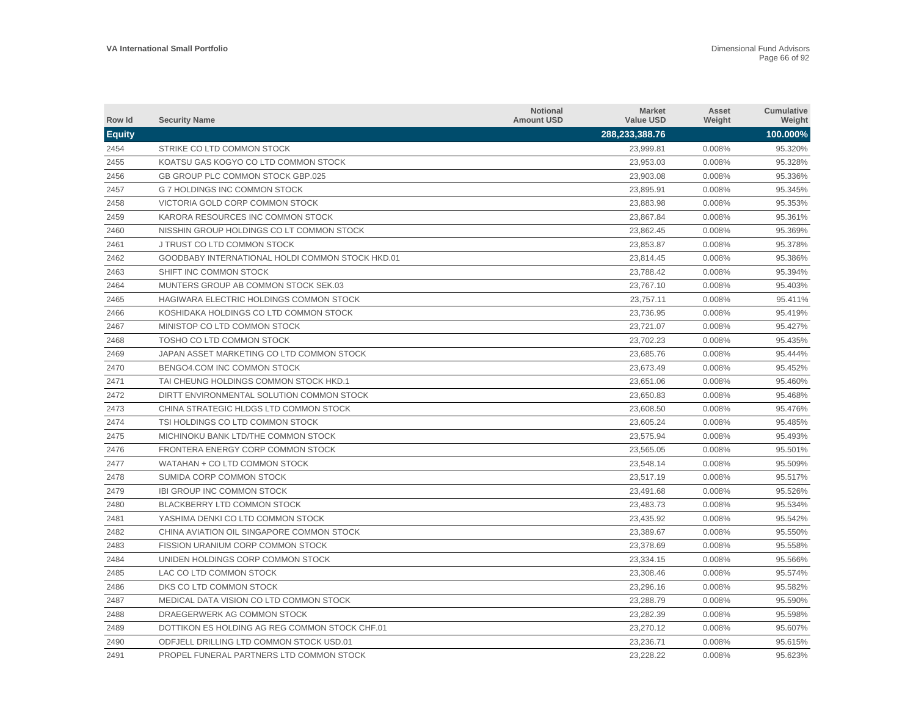| Row Id        | <b>Security Name</b>                             | <b>Notional</b><br><b>Amount USD</b> | <b>Market</b><br><b>Value USD</b> | Asset<br>Weight | <b>Cumulative</b><br>Weight |
|---------------|--------------------------------------------------|--------------------------------------|-----------------------------------|-----------------|-----------------------------|
| <b>Equity</b> |                                                  |                                      | 288,233,388.76                    |                 | 100.000%                    |
| 2454          | STRIKE CO LTD COMMON STOCK                       |                                      | 23,999.81                         | 0.008%          | 95.320%                     |
| 2455          | KOATSU GAS KOGYO CO LTD COMMON STOCK             |                                      | 23,953.03                         | 0.008%          | 95.328%                     |
| 2456          | GB GROUP PLC COMMON STOCK GBP.025                |                                      | 23,903.08                         | 0.008%          | 95.336%                     |
| 2457          | G 7 HOLDINGS INC COMMON STOCK                    |                                      | 23,895.91                         | 0.008%          | 95.345%                     |
| 2458          | VICTORIA GOLD CORP COMMON STOCK                  |                                      | 23,883.98                         | 0.008%          | 95.353%                     |
| 2459          | KARORA RESOURCES INC COMMON STOCK                |                                      | 23,867.84                         | 0.008%          | 95.361%                     |
| 2460          | NISSHIN GROUP HOLDINGS CO LT COMMON STOCK        |                                      | 23,862.45                         | 0.008%          | 95.369%                     |
| 2461          | J TRUST CO LTD COMMON STOCK                      |                                      | 23.853.87                         | 0.008%          | 95.378%                     |
| 2462          | GOODBABY INTERNATIONAL HOLDI COMMON STOCK HKD.01 |                                      | 23,814.45                         | 0.008%          | 95.386%                     |
| 2463          | SHIFT INC COMMON STOCK                           |                                      | 23.788.42                         | 0.008%          | 95.394%                     |
| 2464          | MUNTERS GROUP AB COMMON STOCK SEK.03             |                                      | 23,767.10                         | 0.008%          | 95.403%                     |
| 2465          | HAGIWARA ELECTRIC HOLDINGS COMMON STOCK          |                                      | 23,757.11                         | 0.008%          | 95.411%                     |
| 2466          | KOSHIDAKA HOLDINGS CO LTD COMMON STOCK           |                                      | 23,736.95                         | 0.008%          | 95.419%                     |
| 2467          | MINISTOP CO LTD COMMON STOCK                     |                                      | 23,721.07                         | 0.008%          | 95.427%                     |
| 2468          | TOSHO CO LTD COMMON STOCK                        |                                      | 23,702.23                         | 0.008%          | 95.435%                     |
| 2469          | JAPAN ASSET MARKETING CO LTD COMMON STOCK        |                                      | 23,685.76                         | 0.008%          | 95.444%                     |
| 2470          | BENGO4.COM INC COMMON STOCK                      |                                      | 23.673.49                         | 0.008%          | 95.452%                     |
| 2471          | TAI CHEUNG HOLDINGS COMMON STOCK HKD.1           |                                      | 23,651.06                         | 0.008%          | 95.460%                     |
| 2472          | DIRTT ENVIRONMENTAL SOLUTION COMMON STOCK        |                                      | 23,650.83                         | 0.008%          | 95.468%                     |
| 2473          | CHINA STRATEGIC HLDGS LTD COMMON STOCK           |                                      | 23,608.50                         | 0.008%          | 95.476%                     |
| 2474          | TSI HOLDINGS CO LTD COMMON STOCK                 |                                      | 23,605.24                         | 0.008%          | 95.485%                     |
| 2475          | MICHINOKU BANK LTD/THE COMMON STOCK              |                                      | 23,575.94                         | 0.008%          | 95.493%                     |
| 2476          | FRONTERA ENERGY CORP COMMON STOCK                |                                      | 23,565.05                         | 0.008%          | 95.501%                     |
| 2477          | WATAHAN + CO LTD COMMON STOCK                    |                                      | 23,548.14                         | 0.008%          | 95.509%                     |
| 2478          | SUMIDA CORP COMMON STOCK                         |                                      | 23,517.19                         | 0.008%          | 95.517%                     |
| 2479          | IBI GROUP INC COMMON STOCK                       |                                      | 23,491.68                         | 0.008%          | 95.526%                     |
| 2480          | BLACKBERRY LTD COMMON STOCK                      |                                      | 23,483.73                         | 0.008%          | 95.534%                     |
| 2481          | YASHIMA DENKI CO LTD COMMON STOCK                |                                      | 23,435.92                         | 0.008%          | 95.542%                     |
| 2482          | CHINA AVIATION OIL SINGAPORE COMMON STOCK        |                                      | 23,389.67                         | 0.008%          | 95.550%                     |
| 2483          | FISSION URANIUM CORP COMMON STOCK                |                                      | 23,378.69                         | 0.008%          | 95.558%                     |
| 2484          | UNIDEN HOLDINGS CORP COMMON STOCK                |                                      | 23,334.15                         | 0.008%          | 95.566%                     |
| 2485          | LAC CO LTD COMMON STOCK                          |                                      | 23,308.46                         | 0.008%          | 95.574%                     |
| 2486          | DKS CO LTD COMMON STOCK                          |                                      | 23,296.16                         | 0.008%          | 95.582%                     |
| 2487          | MEDICAL DATA VISION CO LTD COMMON STOCK          |                                      | 23,288.79                         | 0.008%          | 95.590%                     |
| 2488          | DRAEGERWERK AG COMMON STOCK                      |                                      | 23,282.39                         | 0.008%          | 95.598%                     |
| 2489          | DOTTIKON ES HOLDING AG REG COMMON STOCK CHF.01   |                                      | 23,270.12                         | 0.008%          | 95.607%                     |
| 2490          | ODFJELL DRILLING LTD COMMON STOCK USD.01         |                                      | 23,236.71                         | 0.008%          | 95.615%                     |
| 2491          | PROPEL FUNERAL PARTNERS LTD COMMON STOCK         |                                      | 23.228.22                         | 0.008%          | 95.623%                     |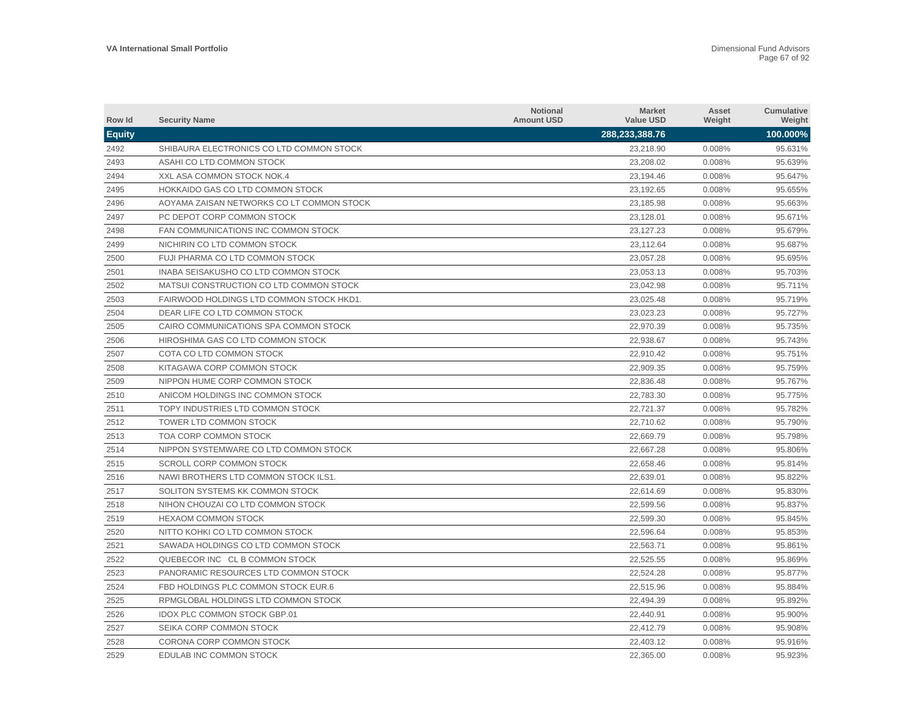| Row Id        | <b>Security Name</b>                      | <b>Notional</b><br><b>Amount USD</b> | <b>Market</b><br><b>Value USD</b> | Asset<br>Weight | <b>Cumulative</b><br>Weight |
|---------------|-------------------------------------------|--------------------------------------|-----------------------------------|-----------------|-----------------------------|
| <b>Equity</b> |                                           |                                      | 288,233,388.76                    |                 | 100.000%                    |
| 2492          | SHIBAURA ELECTRONICS CO LTD COMMON STOCK  |                                      | 23,218.90                         | 0.008%          | 95.631%                     |
| 2493          | ASAHI CO LTD COMMON STOCK                 |                                      | 23,208.02                         | 0.008%          | 95.639%                     |
| 2494          | XXL ASA COMMON STOCK NOK.4                |                                      | 23,194.46                         | 0.008%          | 95.647%                     |
| 2495          | HOKKAIDO GAS CO LTD COMMON STOCK          |                                      | 23,192.65                         | 0.008%          | 95.655%                     |
| 2496          | AOYAMA ZAISAN NETWORKS CO LT COMMON STOCK |                                      | 23.185.98                         | 0.008%          | 95.663%                     |
| 2497          | PC DEPOT CORP COMMON STOCK                |                                      | 23,128.01                         | 0.008%          | 95.671%                     |
| 2498          | FAN COMMUNICATIONS INC COMMON STOCK       |                                      | 23,127.23                         | 0.008%          | 95.679%                     |
| 2499          | NICHIRIN CO LTD COMMON STOCK              |                                      | 23,112.64                         | 0.008%          | 95.687%                     |
| 2500          | FUJI PHARMA CO LTD COMMON STOCK           |                                      | 23,057.28                         | 0.008%          | 95.695%                     |
| 2501          | INABA SEISAKUSHO CO LTD COMMON STOCK      |                                      | 23,053.13                         | 0.008%          | 95.703%                     |
| 2502          | MATSUI CONSTRUCTION CO LTD COMMON STOCK   |                                      | 23,042.98                         | 0.008%          | 95.711%                     |
| 2503          | FAIRWOOD HOLDINGS LTD COMMON STOCK HKD1.  |                                      | 23,025.48                         | 0.008%          | 95.719%                     |
| 2504          | DEAR LIFE CO LTD COMMON STOCK             |                                      | 23,023.23                         | 0.008%          | 95.727%                     |
| 2505          | CAIRO COMMUNICATIONS SPA COMMON STOCK     |                                      | 22,970.39                         | 0.008%          | 95.735%                     |
| 2506          | HIROSHIMA GAS CO LTD COMMON STOCK         |                                      | 22,938.67                         | 0.008%          | 95.743%                     |
| 2507          | COTA CO LTD COMMON STOCK                  |                                      | 22.910.42                         | 0.008%          | 95.751%                     |
| 2508          | KITAGAWA CORP COMMON STOCK                |                                      | 22.909.35                         | 0.008%          | 95.759%                     |
| 2509          | NIPPON HUME CORP COMMON STOCK             |                                      | 22,836.48                         | 0.008%          | 95.767%                     |
| 2510          | ANICOM HOLDINGS INC COMMON STOCK          |                                      | 22,783.30                         | 0.008%          | 95.775%                     |
| 2511          | TOPY INDUSTRIES LTD COMMON STOCK          |                                      | 22,721.37                         | 0.008%          | 95.782%                     |
| 2512          | <b>TOWER LTD COMMON STOCK</b>             |                                      | 22,710.62                         | 0.008%          | 95.790%                     |
| 2513          | TOA CORP COMMON STOCK                     |                                      | 22,669.79                         | 0.008%          | 95.798%                     |
| 2514          | NIPPON SYSTEMWARE CO LTD COMMON STOCK     |                                      | 22,667.28                         | 0.008%          | 95.806%                     |
| 2515          | <b>SCROLL CORP COMMON STOCK</b>           |                                      | 22,658.46                         | 0.008%          | 95.814%                     |
| 2516          | NAWI BROTHERS LTD COMMON STOCK ILS1.      |                                      | 22,639.01                         | 0.008%          | 95.822%                     |
| 2517          | SOLITON SYSTEMS KK COMMON STOCK           |                                      | 22,614.69                         | 0.008%          | 95.830%                     |
| 2518          | NIHON CHOUZAI CO LTD COMMON STOCK         |                                      | 22,599.56                         | 0.008%          | 95.837%                     |
| 2519          | <b>HEXAOM COMMON STOCK</b>                |                                      | 22,599.30                         | 0.008%          | 95.845%                     |
| 2520          | NITTO KOHKI CO LTD COMMON STOCK           |                                      | 22,596.64                         | 0.008%          | 95.853%                     |
| 2521          | SAWADA HOLDINGS CO LTD COMMON STOCK       |                                      | 22,563.71                         | 0.008%          | 95.861%                     |
| 2522          | QUEBECOR INC CL B COMMON STOCK            |                                      | 22,525.55                         | 0.008%          | 95.869%                     |
| 2523          | PANORAMIC RESOURCES LTD COMMON STOCK      |                                      | 22,524.28                         | 0.008%          | 95.877%                     |
| 2524          | FBD HOLDINGS PLC COMMON STOCK EUR.6       |                                      | 22,515.96                         | 0.008%          | 95.884%                     |
| 2525          | RPMGLOBAL HOLDINGS LTD COMMON STOCK       |                                      | 22,494.39                         | 0.008%          | 95.892%                     |
| 2526          | <b>IDOX PLC COMMON STOCK GBP.01</b>       |                                      | 22,440.91                         | 0.008%          | 95.900%                     |
| 2527          | SEIKA CORP COMMON STOCK                   |                                      | 22,412.79                         | 0.008%          | 95.908%                     |
| 2528          | CORONA CORP COMMON STOCK                  |                                      | 22,403.12                         | 0.008%          | 95.916%                     |
| 2529          | EDULAB INC COMMON STOCK                   |                                      | 22,365.00                         | 0.008%          | 95.923%                     |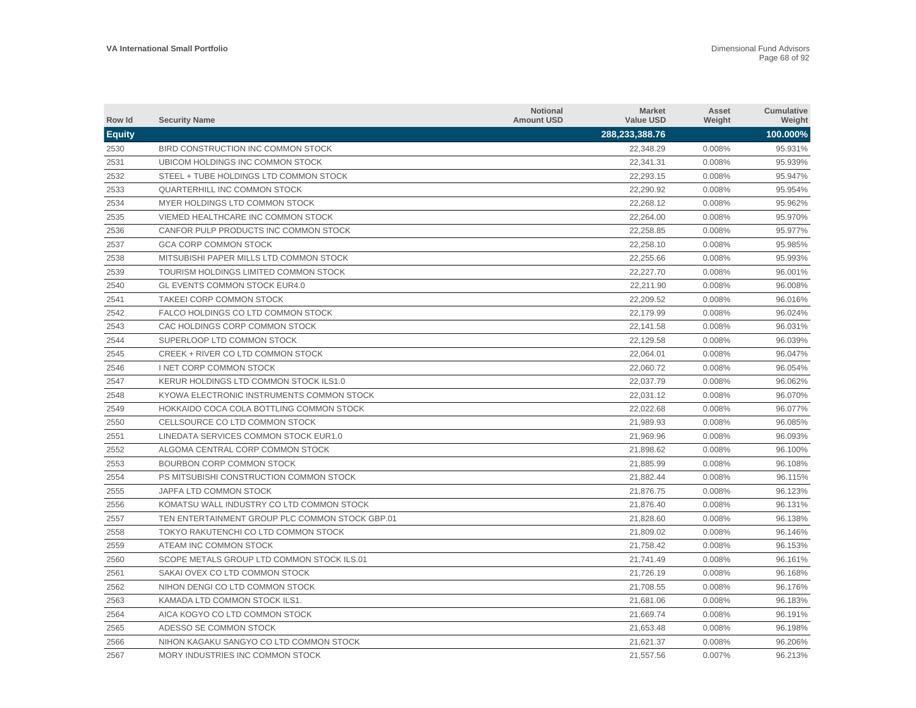| Row Id        | <b>Security Name</b>                            | <b>Notional</b><br><b>Amount USD</b> | <b>Market</b><br><b>Value USD</b> | Asset<br>Weight | Cumulative<br>Weight |
|---------------|-------------------------------------------------|--------------------------------------|-----------------------------------|-----------------|----------------------|
| <b>Equity</b> |                                                 |                                      | 288,233,388.76                    |                 | 100.000%             |
| 2530          | BIRD CONSTRUCTION INC COMMON STOCK              |                                      | 22,348.29                         | 0.008%          | 95.931%              |
| 2531          | UBICOM HOLDINGS INC COMMON STOCK                |                                      | 22,341.31                         | 0.008%          | 95.939%              |
| 2532          | STEEL + TUBE HOLDINGS LTD COMMON STOCK          |                                      | 22,293.15                         | 0.008%          | 95.947%              |
| 2533          | <b>QUARTERHILL INC COMMON STOCK</b>             |                                      | 22,290.92                         | 0.008%          | 95.954%              |
| 2534          | MYER HOLDINGS LTD COMMON STOCK                  |                                      | 22,268.12                         | 0.008%          | 95.962%              |
| 2535          | VIEMED HEALTHCARE INC COMMON STOCK              |                                      | 22.264.00                         | 0.008%          | 95.970%              |
| 2536          | CANFOR PULP PRODUCTS INC COMMON STOCK           |                                      | 22,258.85                         | 0.008%          | 95.977%              |
| 2537          | <b>GCA CORP COMMON STOCK</b>                    |                                      | 22.258.10                         | 0.008%          | 95.985%              |
| 2538          | MITSUBISHI PAPER MILLS LTD COMMON STOCK         |                                      | 22.255.66                         | 0.008%          | 95.993%              |
| 2539          | TOURISM HOLDINGS LIMITED COMMON STOCK           |                                      | 22.227.70                         | 0.008%          | 96.001%              |
| 2540          | <b>GL EVENTS COMMON STOCK EUR4.0</b>            |                                      | 22,211.90                         | 0.008%          | 96.008%              |
| 2541          | TAKEEI CORP COMMON STOCK                        |                                      | 22,209.52                         | 0.008%          | 96.016%              |
| 2542          | FALCO HOLDINGS CO LTD COMMON STOCK              |                                      | 22,179.99                         | 0.008%          | 96.024%              |
| 2543          | CAC HOLDINGS CORP COMMON STOCK                  |                                      | 22,141.58                         | 0.008%          | 96.031%              |
| 2544          | SUPERLOOP LTD COMMON STOCK                      |                                      | 22,129.58                         | 0.008%          | 96.039%              |
| 2545          | CREEK + RIVER CO LTD COMMON STOCK               |                                      | 22,064.01                         | 0.008%          | 96.047%              |
| 2546          | I NET CORP COMMON STOCK                         |                                      | 22,060.72                         | 0.008%          | 96.054%              |
| 2547          | KERUR HOLDINGS LTD COMMON STOCK ILS1.0          |                                      | 22,037.79                         | 0.008%          | 96.062%              |
| 2548          | KYOWA ELECTRONIC INSTRUMENTS COMMON STOCK       |                                      | 22,031.12                         | 0.008%          | 96.070%              |
| 2549          | HOKKAIDO COCA COLA BOTTLING COMMON STOCK        |                                      | 22,022.68                         | 0.008%          | 96.077%              |
| 2550          | CELLSOURCE CO LTD COMMON STOCK                  |                                      | 21.989.93                         | 0.008%          | 96.085%              |
| 2551          | LINEDATA SERVICES COMMON STOCK EUR1.0           |                                      | 21,969.96                         | 0.008%          | 96.093%              |
| 2552          | ALGOMA CENTRAL CORP COMMON STOCK                |                                      | 21.898.62                         | 0.008%          | 96.100%              |
| 2553          | <b>BOURBON CORP COMMON STOCK</b>                |                                      | 21,885.99                         | 0.008%          | 96.108%              |
| 2554          | PS MITSUBISHI CONSTRUCTION COMMON STOCK         |                                      | 21,882.44                         | 0.008%          | 96.115%              |
| 2555          | <b>JAPFA LTD COMMON STOCK</b>                   |                                      | 21,876.75                         | 0.008%          | 96.123%              |
| 2556          | KOMATSU WALL INDUSTRY CO LTD COMMON STOCK       |                                      | 21,876.40                         | 0.008%          | 96.131%              |
| 2557          | TEN ENTERTAINMENT GROUP PLC COMMON STOCK GBP.01 |                                      | 21,828.60                         | 0.008%          | 96.138%              |
| 2558          | TOKYO RAKUTENCHI CO LTD COMMON STOCK            |                                      | 21,809.02                         | 0.008%          | 96.146%              |
| 2559          | ATEAM INC COMMON STOCK                          |                                      | 21,758.42                         | 0.008%          | 96.153%              |
| 2560          | SCOPE METALS GROUP LTD COMMON STOCK ILS.01      |                                      | 21,741.49                         | 0.008%          | 96.161%              |
| 2561          | SAKAI OVEX CO LTD COMMON STOCK                  |                                      | 21,726.19                         | 0.008%          | 96.168%              |
| 2562          | NIHON DENGI CO LTD COMMON STOCK                 |                                      | 21,708.55                         | 0.008%          | 96.176%              |
| 2563          | KAMADA LTD COMMON STOCK ILS1.                   |                                      | 21,681.06                         | 0.008%          | 96.183%              |
| 2564          | AICA KOGYO CO LTD COMMON STOCK                  |                                      | 21.669.74                         | 0.008%          | 96.191%              |
| 2565          | ADESSO SE COMMON STOCK                          |                                      | 21,653.48                         | 0.008%          | 96.198%              |
| 2566          | NIHON KAGAKU SANGYO CO LTD COMMON STOCK         |                                      | 21.621.37                         | 0.008%          | 96.206%              |
| 2567          | MORY INDUSTRIES INC COMMON STOCK                |                                      | 21,557.56                         | 0.007%          | 96.213%              |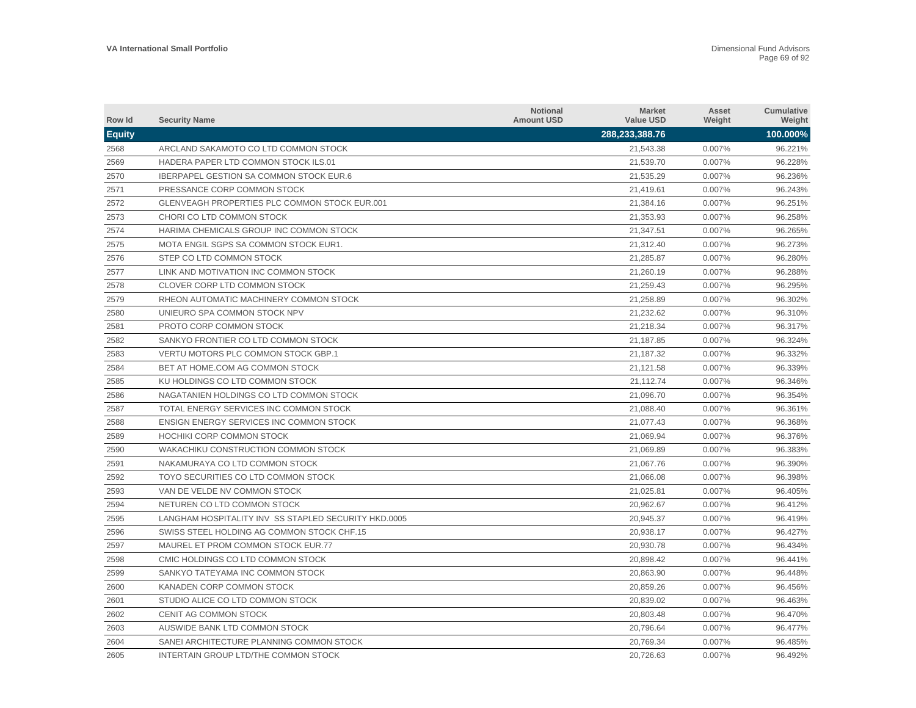| Row Id        | <b>Security Name</b>                                 | <b>Notional</b><br><b>Amount USD</b> | <b>Market</b><br><b>Value USD</b> | Asset<br>Weight | Cumulative<br>Weight |
|---------------|------------------------------------------------------|--------------------------------------|-----------------------------------|-----------------|----------------------|
| <b>Equity</b> |                                                      |                                      | 288,233,388.76                    |                 | 100.000%             |
| 2568          | ARCLAND SAKAMOTO CO LTD COMMON STOCK                 |                                      | 21,543.38                         | 0.007%          | 96.221%              |
| 2569          | HADERA PAPER LTD COMMON STOCK ILS.01                 |                                      | 21,539.70                         | 0.007%          | 96.228%              |
| 2570          | <b>IBERPAPEL GESTION SA COMMON STOCK EUR.6</b>       |                                      | 21,535.29                         | 0.007%          | 96.236%              |
| 2571          | PRESSANCE CORP COMMON STOCK                          |                                      | 21,419.61                         | 0.007%          | 96.243%              |
| 2572          | GLENVEAGH PROPERTIES PLC COMMON STOCK EUR.001        |                                      | 21,384.16                         | 0.007%          | 96.251%              |
| 2573          | CHORI CO LTD COMMON STOCK                            |                                      | 21,353.93                         | 0.007%          | 96.258%              |
| 2574          | HARIMA CHEMICALS GROUP INC COMMON STOCK              |                                      | 21,347.51                         | 0.007%          | 96.265%              |
| 2575          | MOTA ENGIL SGPS SA COMMON STOCK EUR1.                |                                      | 21,312.40                         | 0.007%          | 96.273%              |
| 2576          | STEP CO LTD COMMON STOCK                             |                                      | 21,285.87                         | 0.007%          | 96.280%              |
| 2577          | LINK AND MOTIVATION INC COMMON STOCK                 |                                      | 21,260.19                         | 0.007%          | 96.288%              |
| 2578          | CLOVER CORP LTD COMMON STOCK                         |                                      | 21,259.43                         | 0.007%          | 96.295%              |
| 2579          | RHEON AUTOMATIC MACHINERY COMMON STOCK               |                                      | 21,258.89                         | 0.007%          | 96.302%              |
| 2580          | UNIEURO SPA COMMON STOCK NPV                         |                                      | 21,232.62                         | 0.007%          | 96.310%              |
| 2581          | PROTO CORP COMMON STOCK                              |                                      | 21,218.34                         | 0.007%          | 96.317%              |
| 2582          | SANKYO FRONTIER CO LTD COMMON STOCK                  |                                      | 21,187.85                         | 0.007%          | 96.324%              |
| 2583          | VERTU MOTORS PLC COMMON STOCK GBP.1                  |                                      | 21,187.32                         | 0.007%          | 96.332%              |
| 2584          | BET AT HOME.COM AG COMMON STOCK                      |                                      | 21,121.58                         | 0.007%          | 96.339%              |
| 2585          | KU HOLDINGS CO LTD COMMON STOCK                      |                                      | 21,112.74                         | 0.007%          | 96.346%              |
| 2586          | NAGATANIEN HOLDINGS CO LTD COMMON STOCK              |                                      | 21,096.70                         | 0.007%          | 96.354%              |
| 2587          | TOTAL ENERGY SERVICES INC COMMON STOCK               |                                      | 21,088.40                         | 0.007%          | 96.361%              |
| 2588          | ENSIGN ENERGY SERVICES INC COMMON STOCK              |                                      | 21,077.43                         | 0.007%          | 96.368%              |
| 2589          | HOCHIKI CORP COMMON STOCK                            |                                      | 21,069.94                         | 0.007%          | 96.376%              |
| 2590          | WAKACHIKU CONSTRUCTION COMMON STOCK                  |                                      | 21,069.89                         | 0.007%          | 96.383%              |
| 2591          | NAKAMURAYA CO LTD COMMON STOCK                       |                                      | 21,067.76                         | 0.007%          | 96.390%              |
| 2592          | TOYO SECURITIES CO LTD COMMON STOCK                  |                                      | 21,066.08                         | 0.007%          | 96.398%              |
| 2593          | VAN DE VELDE NV COMMON STOCK                         |                                      | 21,025.81                         | 0.007%          | 96.405%              |
| 2594          | NETUREN CO LTD COMMON STOCK                          |                                      | 20,962.67                         | 0.007%          | 96.412%              |
| 2595          | LANGHAM HOSPITALITY INV SS STAPLED SECURITY HKD.0005 |                                      | 20,945.37                         | 0.007%          | 96.419%              |
| 2596          | SWISS STEEL HOLDING AG COMMON STOCK CHF.15           |                                      | 20,938.17                         | 0.007%          | 96.427%              |
| 2597          | MAUREL ET PROM COMMON STOCK EUR.77                   |                                      | 20,930.78                         | 0.007%          | 96.434%              |
| 2598          | CMIC HOLDINGS CO LTD COMMON STOCK                    |                                      | 20,898.42                         | 0.007%          | 96.441%              |
| 2599          | SANKYO TATEYAMA INC COMMON STOCK                     |                                      | 20,863.90                         | 0.007%          | 96.448%              |
| 2600          | KANADEN CORP COMMON STOCK                            |                                      | 20,859.26                         | 0.007%          | 96.456%              |
| 2601          | STUDIO ALICE CO LTD COMMON STOCK                     |                                      | 20,839.02                         | 0.007%          | 96.463%              |
| 2602          | CENIT AG COMMON STOCK                                |                                      | 20,803.48                         | 0.007%          | 96.470%              |
| 2603          | AUSWIDE BANK LTD COMMON STOCK                        |                                      | 20,796.64                         | 0.007%          | 96.477%              |
| 2604          | SANEI ARCHITECTURE PLANNING COMMON STOCK             |                                      | 20.769.34                         | 0.007%          | 96.485%              |
| 2605          | INTERTAIN GROUP LTD/THE COMMON STOCK                 |                                      | 20,726.63                         | 0.007%          | 96.492%              |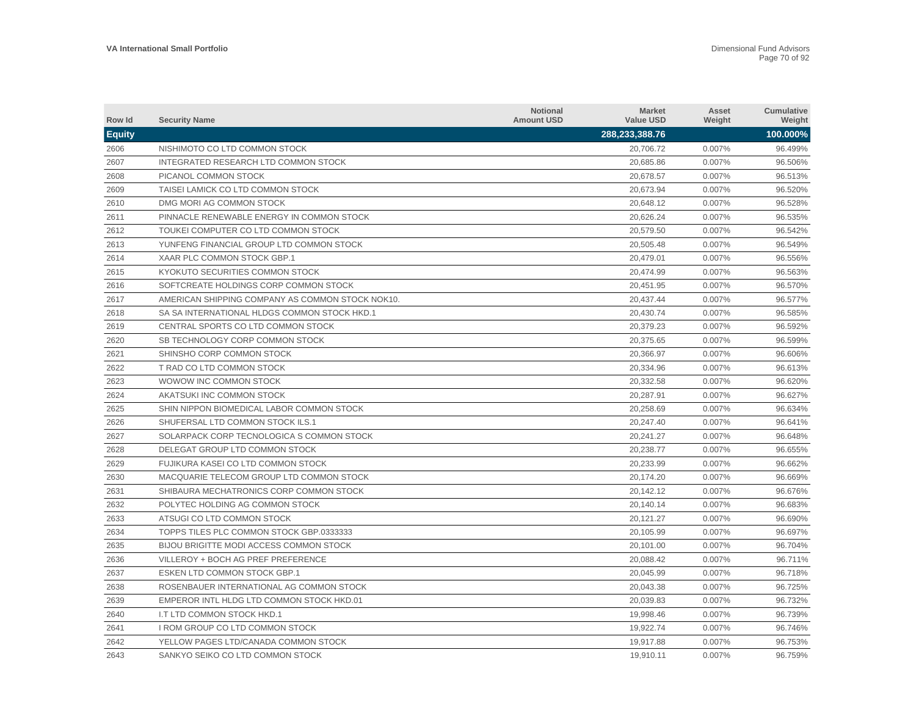| Row Id        | <b>Security Name</b>                             | <b>Notional</b><br><b>Amount USD</b> | <b>Market</b><br><b>Value USD</b> | Asset<br>Weight | <b>Cumulative</b><br>Weight |
|---------------|--------------------------------------------------|--------------------------------------|-----------------------------------|-----------------|-----------------------------|
| <b>Equity</b> |                                                  |                                      | 288,233,388.76                    |                 | 100.000%                    |
| 2606          | NISHIMOTO CO LTD COMMON STOCK                    |                                      | 20,706.72                         | 0.007%          | 96.499%                     |
| 2607          | <b>INTEGRATED RESEARCH LTD COMMON STOCK</b>      |                                      | 20,685.86                         | 0.007%          | 96.506%                     |
| 2608          | PICANOL COMMON STOCK                             |                                      | 20,678.57                         | 0.007%          | 96.513%                     |
| 2609          | TAISEI LAMICK CO LTD COMMON STOCK                |                                      | 20,673.94                         | 0.007%          | 96.520%                     |
| 2610          | DMG MORI AG COMMON STOCK                         |                                      | 20,648.12                         | 0.007%          | 96.528%                     |
| 2611          | PINNACLE RENEWABLE ENERGY IN COMMON STOCK        |                                      | 20,626.24                         | 0.007%          | 96.535%                     |
| 2612          | TOUKEI COMPUTER CO LTD COMMON STOCK              |                                      | 20,579.50                         | 0.007%          | 96.542%                     |
| 2613          | YUNFENG FINANCIAL GROUP LTD COMMON STOCK         |                                      | 20,505.48                         | 0.007%          | 96.549%                     |
| 2614          | XAAR PLC COMMON STOCK GBP.1                      |                                      | 20,479.01                         | 0.007%          | 96.556%                     |
| 2615          | KYOKUTO SECURITIES COMMON STOCK                  |                                      | 20,474.99                         | 0.007%          | 96.563%                     |
| 2616          | SOFTCREATE HOLDINGS CORP COMMON STOCK            |                                      | 20,451.95                         | 0.007%          | 96.570%                     |
| 2617          | AMERICAN SHIPPING COMPANY AS COMMON STOCK NOK10. |                                      | 20,437.44                         | 0.007%          | 96.577%                     |
| 2618          | SA SA INTERNATIONAL HLDGS COMMON STOCK HKD.1     |                                      | 20.430.74                         | 0.007%          | 96.585%                     |
| 2619          | CENTRAL SPORTS CO LTD COMMON STOCK               |                                      | 20,379.23                         | 0.007%          | 96.592%                     |
| 2620          | SB TECHNOLOGY CORP COMMON STOCK                  |                                      | 20.375.65                         | 0.007%          | 96.599%                     |
| 2621          | SHINSHO CORP COMMON STOCK                        |                                      | 20.366.97                         | 0.007%          | 96.606%                     |
| 2622          | T RAD CO LTD COMMON STOCK                        |                                      | 20,334.96                         | 0.007%          | 96.613%                     |
| 2623          | WOWOW INC COMMON STOCK                           |                                      | 20,332.58                         | 0.007%          | 96.620%                     |
| 2624          | AKATSUKI INC COMMON STOCK                        |                                      | 20,287.91                         | 0.007%          | 96.627%                     |
| 2625          | SHIN NIPPON BIOMEDICAL LABOR COMMON STOCK        |                                      | 20,258.69                         | 0.007%          | 96.634%                     |
| 2626          | SHUFERSAL LTD COMMON STOCK ILS.1                 |                                      | 20,247.40                         | 0.007%          | 96.641%                     |
| 2627          | SOLARPACK CORP TECNOLOGICA S COMMON STOCK        |                                      | 20,241.27                         | 0.007%          | 96.648%                     |
| 2628          | DELEGAT GROUP LTD COMMON STOCK                   |                                      | 20,238.77                         | 0.007%          | 96.655%                     |
| 2629          | FUJIKURA KASEI CO LTD COMMON STOCK               |                                      | 20,233.99                         | 0.007%          | 96.662%                     |
| 2630          | MACQUARIE TELECOM GROUP LTD COMMON STOCK         |                                      | 20,174.20                         | 0.007%          | 96.669%                     |
| 2631          | SHIBAURA MECHATRONICS CORP COMMON STOCK          |                                      | 20,142.12                         | 0.007%          | 96.676%                     |
| 2632          | POLYTEC HOLDING AG COMMON STOCK                  |                                      | 20,140.14                         | 0.007%          | 96.683%                     |
| 2633          | ATSUGI CO LTD COMMON STOCK                       |                                      | 20,121.27                         | 0.007%          | 96.690%                     |
| 2634          | TOPPS TILES PLC COMMON STOCK GBP.0333333         |                                      | 20,105.99                         | 0.007%          | 96.697%                     |
| 2635          | <b>BIJOU BRIGITTE MODI ACCESS COMMON STOCK</b>   |                                      | 20,101.00                         | 0.007%          | 96.704%                     |
| 2636          | VILLEROY + BOCH AG PREF PREFERENCE               |                                      | 20,088.42                         | 0.007%          | 96.711%                     |
| 2637          | ESKEN LTD COMMON STOCK GBP.1                     |                                      | 20,045.99                         | 0.007%          | 96.718%                     |
| 2638          | ROSENBAUER INTERNATIONAL AG COMMON STOCK         |                                      | 20,043.38                         | 0.007%          | 96.725%                     |
| 2639          | EMPEROR INTL HLDG LTD COMMON STOCK HKD.01        |                                      | 20,039.83                         | 0.007%          | 96.732%                     |
| 2640          | I.T LTD COMMON STOCK HKD.1                       |                                      | 19,998.46                         | 0.007%          | 96.739%                     |
| 2641          | <b>I ROM GROUP CO LTD COMMON STOCK</b>           |                                      | 19,922.74                         | 0.007%          | 96.746%                     |
| 2642          | YELLOW PAGES LTD/CANADA COMMON STOCK             |                                      | 19.917.88                         | 0.007%          | 96.753%                     |
| 2643          | SANKYO SEIKO CO LTD COMMON STOCK                 |                                      | 19,910.11                         | 0.007%          | 96.759%                     |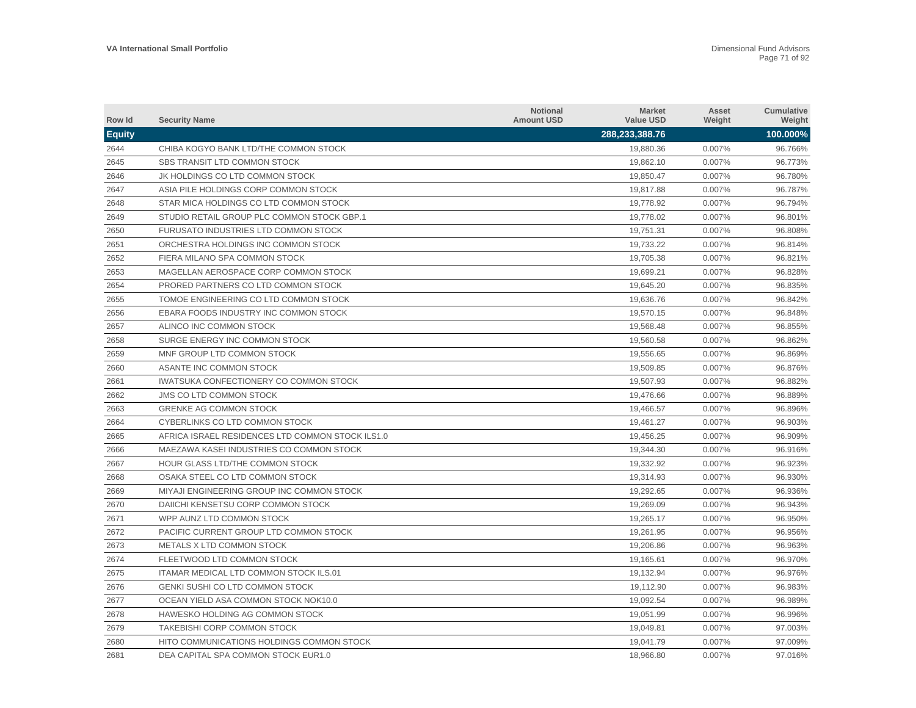| Row Id        | <b>Security Name</b>                             | Notional<br><b>Amount USD</b> | <b>Market</b><br><b>Value USD</b> | Asset<br>Weight | Cumulative<br>Weight |
|---------------|--------------------------------------------------|-------------------------------|-----------------------------------|-----------------|----------------------|
| <b>Equity</b> |                                                  |                               | 288,233,388.76                    |                 | 100.000%             |
| 2644          | CHIBA KOGYO BANK LTD/THE COMMON STOCK            |                               | 19,880.36                         | 0.007%          | 96.766%              |
| 2645          | <b>SBS TRANSIT LTD COMMON STOCK</b>              |                               | 19,862.10                         | 0.007%          | 96.773%              |
| 2646          | JK HOLDINGS CO LTD COMMON STOCK                  |                               | 19,850.47                         | 0.007%          | 96.780%              |
| 2647          | ASIA PILE HOLDINGS CORP COMMON STOCK             |                               | 19,817.88                         | 0.007%          | 96.787%              |
| 2648          | STAR MICA HOLDINGS CO LTD COMMON STOCK           |                               | 19,778.92                         | 0.007%          | 96.794%              |
| 2649          | STUDIO RETAIL GROUP PLC COMMON STOCK GBP.1       |                               | 19,778.02                         | 0.007%          | 96.801%              |
| 2650          | FURUSATO INDUSTRIES LTD COMMON STOCK             |                               | 19,751.31                         | 0.007%          | 96.808%              |
| 2651          | ORCHESTRA HOLDINGS INC COMMON STOCK              |                               | 19,733.22                         | 0.007%          | 96.814%              |
| 2652          | FIERA MILANO SPA COMMON STOCK                    |                               | 19,705.38                         | 0.007%          | 96.821%              |
| 2653          | MAGELLAN AEROSPACE CORP COMMON STOCK             |                               | 19,699.21                         | 0.007%          | 96.828%              |
| 2654          | PRORED PARTNERS CO LTD COMMON STOCK              |                               | 19,645.20                         | 0.007%          | 96.835%              |
| 2655          | TOMOE ENGINEERING CO LTD COMMON STOCK            |                               | 19,636.76                         | 0.007%          | 96.842%              |
| 2656          | EBARA FOODS INDUSTRY INC COMMON STOCK            |                               | 19,570.15                         | 0.007%          | 96.848%              |
| 2657          | ALINCO INC COMMON STOCK                          |                               | 19,568.48                         | 0.007%          | 96.855%              |
| 2658          | SURGE ENERGY INC COMMON STOCK                    |                               | 19,560.58                         | 0.007%          | 96.862%              |
| 2659          | MNF GROUP LTD COMMON STOCK                       |                               | 19,556.65                         | 0.007%          | 96.869%              |
| 2660          | ASANTE INC COMMON STOCK                          |                               | 19,509.85                         | 0.007%          | 96.876%              |
| 2661          | IWATSUKA CONFECTIONERY CO COMMON STOCK           |                               | 19,507.93                         | 0.007%          | 96.882%              |
| 2662          | <b>JMS CO LTD COMMON STOCK</b>                   |                               | 19,476.66                         | 0.007%          | 96.889%              |
| 2663          | <b>GRENKE AG COMMON STOCK</b>                    |                               | 19.466.57                         | 0.007%          | 96.896%              |
| 2664          | CYBERLINKS CO LTD COMMON STOCK                   |                               | 19,461.27                         | 0.007%          | 96.903%              |
| 2665          | AFRICA ISRAEL RESIDENCES LTD COMMON STOCK ILS1.0 |                               | 19,456.25                         | 0.007%          | 96.909%              |
| 2666          | MAEZAWA KASEI INDUSTRIES CO COMMON STOCK         |                               | 19,344.30                         | 0.007%          | 96.916%              |
| 2667          | HOUR GLASS LTD/THE COMMON STOCK                  |                               | 19,332.92                         | 0.007%          | 96.923%              |
| 2668          | OSAKA STEEL CO LTD COMMON STOCK                  |                               | 19,314.93                         | 0.007%          | 96.930%              |
| 2669          | MIYAJI ENGINEERING GROUP INC COMMON STOCK        |                               | 19,292.65                         | 0.007%          | 96.936%              |
| 2670          | DAIICHI KENSETSU CORP COMMON STOCK               |                               | 19,269.09                         | 0.007%          | 96.943%              |
| 2671          | WPP AUNZ LTD COMMON STOCK                        |                               | 19.265.17                         | 0.007%          | 96.950%              |
| 2672          | PACIFIC CURRENT GROUP LTD COMMON STOCK           |                               | 19.261.95                         | 0.007%          | 96.956%              |
| 2673          | METALS X LTD COMMON STOCK                        |                               | 19,206.86                         | 0.007%          | 96.963%              |
| 2674          | FLEETWOOD LTD COMMON STOCK                       |                               | 19,165.61                         | 0.007%          | 96.970%              |
| 2675          | ITAMAR MEDICAL LTD COMMON STOCK ILS.01           |                               | 19,132.94                         | 0.007%          | 96.976%              |
| 2676          | GENKI SUSHI CO LTD COMMON STOCK                  |                               | 19,112.90                         | 0.007%          | 96.983%              |
| 2677          | OCEAN YIELD ASA COMMON STOCK NOK10.0             |                               | 19,092.54                         | 0.007%          | 96.989%              |
| 2678          | HAWESKO HOLDING AG COMMON STOCK                  |                               | 19,051.99                         | 0.007%          | 96.996%              |
| 2679          | TAKEBISHI CORP COMMON STOCK                      |                               | 19,049.81                         | 0.007%          | 97.003%              |
| 2680          | HITO COMMUNICATIONS HOLDINGS COMMON STOCK        |                               | 19.041.79                         | 0.007%          | 97.009%              |
| 2681          | DEA CAPITAL SPA COMMON STOCK EUR1.0              |                               | 18,966.80                         | 0.007%          | 97.016%              |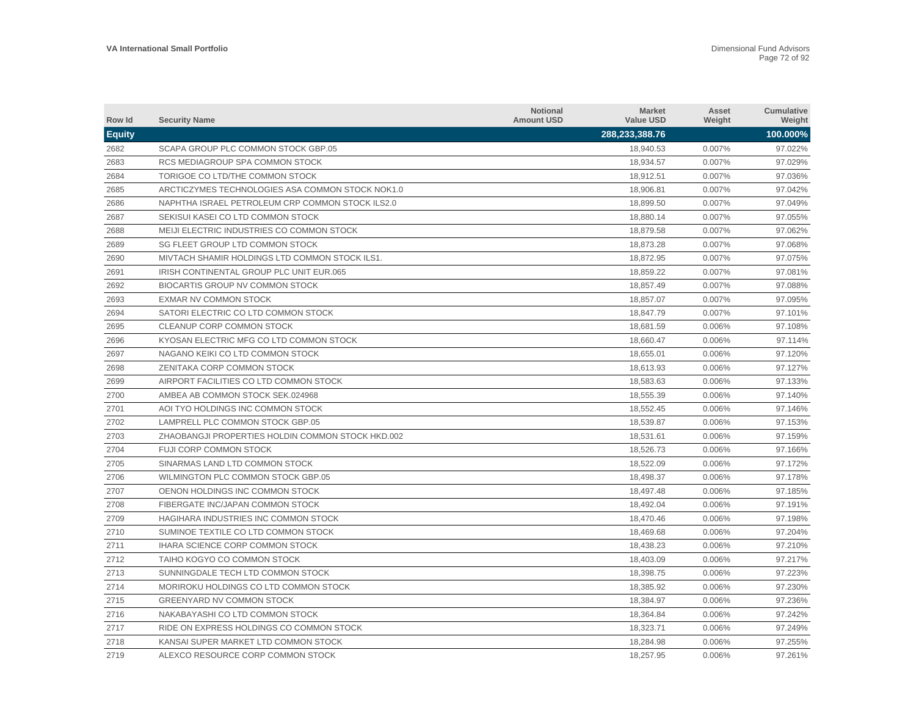| Row Id        | <b>Security Name</b>                              | <b>Notional</b><br><b>Amount USD</b> | <b>Market</b><br><b>Value USD</b> | Asset<br>Weight | <b>Cumulative</b><br>Weight |
|---------------|---------------------------------------------------|--------------------------------------|-----------------------------------|-----------------|-----------------------------|
| <b>Equity</b> |                                                   |                                      | 288,233,388.76                    |                 | 100.000%                    |
| 2682          | SCAPA GROUP PLC COMMON STOCK GBP.05               |                                      | 18,940.53                         | 0.007%          | 97.022%                     |
| 2683          | RCS MEDIAGROUP SPA COMMON STOCK                   |                                      | 18,934.57                         | 0.007%          | 97.029%                     |
| 2684          | TORIGOE CO LTD/THE COMMON STOCK                   |                                      | 18,912.51                         | 0.007%          | 97.036%                     |
| 2685          | ARCTICZYMES TECHNOLOGIES ASA COMMON STOCK NOK1.0  |                                      | 18,906.81                         | 0.007%          | 97.042%                     |
| 2686          | NAPHTHA ISRAEL PETROLEUM CRP COMMON STOCK ILS2.0  |                                      | 18,899.50                         | 0.007%          | 97.049%                     |
| 2687          | SEKISUI KASEI CO LTD COMMON STOCK                 |                                      | 18,880.14                         | 0.007%          | 97.055%                     |
| 2688          | MEIJI ELECTRIC INDUSTRIES CO COMMON STOCK         |                                      | 18,879.58                         | 0.007%          | 97.062%                     |
| 2689          | SG FLEET GROUP LTD COMMON STOCK                   |                                      | 18,873.28                         | 0.007%          | 97.068%                     |
| 2690          | MIVTACH SHAMIR HOLDINGS LTD COMMON STOCK ILS1.    |                                      | 18,872.95                         | 0.007%          | 97.075%                     |
| 2691          | IRISH CONTINENTAL GROUP PLC UNIT EUR.065          |                                      | 18,859.22                         | 0.007%          | 97.081%                     |
| 2692          | <b>BIOCARTIS GROUP NV COMMON STOCK</b>            |                                      | 18,857.49                         | 0.007%          | 97.088%                     |
| 2693          | EXMAR NV COMMON STOCK                             |                                      | 18,857.07                         | 0.007%          | 97.095%                     |
| 2694          | SATORI ELECTRIC CO LTD COMMON STOCK               |                                      | 18.847.79                         | 0.007%          | 97.101%                     |
| 2695          | <b>CLEANUP CORP COMMON STOCK</b>                  |                                      | 18,681.59                         | 0.006%          | 97.108%                     |
| 2696          | KYOSAN ELECTRIC MFG CO LTD COMMON STOCK           |                                      | 18,660.47                         | 0.006%          | 97.114%                     |
| 2697          | NAGANO KEIKI CO LTD COMMON STOCK                  |                                      | 18.655.01                         | 0.006%          | 97.120%                     |
| 2698          | ZENITAKA CORP COMMON STOCK                        |                                      | 18,613.93                         | 0.006%          | 97.127%                     |
| 2699          | AIRPORT FACILITIES CO LTD COMMON STOCK            |                                      | 18,583.63                         | 0.006%          | 97.133%                     |
| 2700          | AMBEA AB COMMON STOCK SEK.024968                  |                                      | 18,555.39                         | 0.006%          | 97.140%                     |
| 2701          | AOI TYO HOLDINGS INC COMMON STOCK                 |                                      | 18,552.45                         | 0.006%          | 97.146%                     |
| 2702          | LAMPRELL PLC COMMON STOCK GBP.05                  |                                      | 18,539.87                         | 0.006%          | 97.153%                     |
| 2703          | ZHAOBANGJI PROPERTIES HOLDIN COMMON STOCK HKD.002 |                                      | 18,531.61                         | 0.006%          | 97.159%                     |
| 2704          | <b>FUJI CORP COMMON STOCK</b>                     |                                      | 18,526.73                         | 0.006%          | 97.166%                     |
| 2705          | SINARMAS LAND LTD COMMON STOCK                    |                                      | 18,522.09                         | 0.006%          | 97.172%                     |
| 2706          | WILMINGTON PLC COMMON STOCK GBP.05                |                                      | 18,498.37                         | 0.006%          | 97.178%                     |
| 2707          | OENON HOLDINGS INC COMMON STOCK                   |                                      | 18,497.48                         | 0.006%          | 97.185%                     |
| 2708          | FIBERGATE INC/JAPAN COMMON STOCK                  |                                      | 18,492.04                         | 0.006%          | 97.191%                     |
| 2709          | HAGIHARA INDUSTRIES INC COMMON STOCK              |                                      | 18,470.46                         | 0.006%          | 97.198%                     |
| 2710          | SUMINOE TEXTILE CO LTD COMMON STOCK               |                                      | 18,469.68                         | 0.006%          | 97.204%                     |
| 2711          | <b>IHARA SCIENCE CORP COMMON STOCK</b>            |                                      | 18,438.23                         | 0.006%          | 97.210%                     |
| 2712          | TAIHO KOGYO CO COMMON STOCK                       |                                      | 18,403.09                         | 0.006%          | 97.217%                     |
| 2713          | SUNNINGDALE TECH LTD COMMON STOCK                 |                                      | 18,398.75                         | 0.006%          | 97.223%                     |
| 2714          | MORIROKU HOLDINGS CO LTD COMMON STOCK             |                                      | 18,385.92                         | 0.006%          | 97.230%                     |
| 2715          | GREENYARD NV COMMON STOCK                         |                                      | 18,384.97                         | 0.006%          | 97.236%                     |
| 2716          | NAKABAYASHI CO LTD COMMON STOCK                   |                                      | 18,364.84                         | 0.006%          | 97.242%                     |
| 2717          | RIDE ON EXPRESS HOLDINGS CO COMMON STOCK          |                                      | 18,323.71                         | 0.006%          | 97.249%                     |
| 2718          | KANSAI SUPER MARKET LTD COMMON STOCK              |                                      | 18.284.98                         | 0.006%          | 97.255%                     |
| 2719          | ALEXCO RESOURCE CORP COMMON STOCK                 |                                      | 18,257.95                         | 0.006%          | 97.261%                     |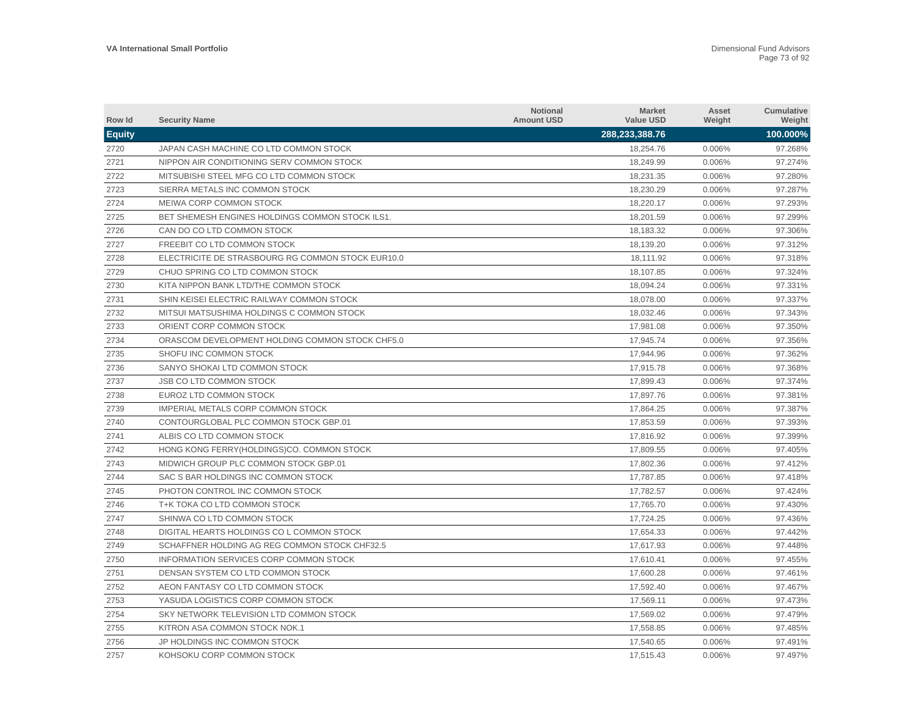| Row Id        | <b>Security Name</b>                              | Notional<br><b>Amount USD</b> | <b>Market</b><br><b>Value USD</b> | Asset<br>Weight | <b>Cumulative</b><br>Weight |
|---------------|---------------------------------------------------|-------------------------------|-----------------------------------|-----------------|-----------------------------|
| <b>Equity</b> |                                                   |                               | 288,233,388.76                    |                 | 100.000%                    |
| 2720          | JAPAN CASH MACHINE CO LTD COMMON STOCK            |                               | 18,254.76                         | 0.006%          | 97.268%                     |
| 2721          | NIPPON AIR CONDITIONING SERV COMMON STOCK         |                               | 18,249.99                         | 0.006%          | 97.274%                     |
| 2722          | MITSUBISHI STEEL MFG CO LTD COMMON STOCK          |                               | 18,231.35                         | 0.006%          | 97.280%                     |
| 2723          | SIERRA METALS INC COMMON STOCK                    |                               | 18,230.29                         | 0.006%          | 97.287%                     |
| 2724          | MEIWA CORP COMMON STOCK                           |                               | 18,220.17                         | 0.006%          | 97.293%                     |
| 2725          | BET SHEMESH ENGINES HOLDINGS COMMON STOCK ILS1.   |                               | 18,201.59                         | 0.006%          | 97.299%                     |
| 2726          | CAN DO CO LTD COMMON STOCK                        |                               | 18,183.32                         | 0.006%          | 97.306%                     |
| 2727          | FREEBIT CO LTD COMMON STOCK                       |                               | 18,139.20                         | 0.006%          | 97.312%                     |
| 2728          | ELECTRICITE DE STRASBOURG RG COMMON STOCK EUR10.0 |                               | 18,111.92                         | 0.006%          | 97.318%                     |
| 2729          | CHUO SPRING CO LTD COMMON STOCK                   |                               | 18,107.85                         | 0.006%          | 97.324%                     |
| 2730          | KITA NIPPON BANK LTD/THE COMMON STOCK             |                               | 18,094.24                         | 0.006%          | 97.331%                     |
| 2731          | SHIN KEISEI ELECTRIC RAILWAY COMMON STOCK         |                               | 18,078.00                         | 0.006%          | 97.337%                     |
| 2732          | MITSUI MATSUSHIMA HOLDINGS C COMMON STOCK         |                               | 18,032.46                         | 0.006%          | 97.343%                     |
| 2733          | ORIENT CORP COMMON STOCK                          |                               | 17,981.08                         | 0.006%          | 97.350%                     |
| 2734          | ORASCOM DEVELOPMENT HOLDING COMMON STOCK CHF5.0   |                               | 17,945.74                         | 0.006%          | 97.356%                     |
| 2735          | SHOFU INC COMMON STOCK                            |                               | 17,944.96                         | 0.006%          | 97.362%                     |
| 2736          | SANYO SHOKAI LTD COMMON STOCK                     |                               | 17.915.78                         | 0.006%          | 97.368%                     |
| 2737          | <b>JSB CO LTD COMMON STOCK</b>                    |                               | 17,899.43                         | 0.006%          | 97.374%                     |
| 2738          | EUROZ LTD COMMON STOCK                            |                               | 17,897.76                         | 0.006%          | 97.381%                     |
| 2739          | <b>IMPERIAL METALS CORP COMMON STOCK</b>          |                               | 17,864.25                         | 0.006%          | 97.387%                     |
| 2740          | CONTOURGLOBAL PLC COMMON STOCK GBP.01             |                               | 17,853.59                         | 0.006%          | 97.393%                     |
| 2741          | ALBIS CO LTD COMMON STOCK                         |                               | 17,816.92                         | 0.006%          | 97.399%                     |
| 2742          | HONG KONG FERRY (HOLDINGS)CO. COMMON STOCK        |                               | 17,809.55                         | 0.006%          | 97.405%                     |
| 2743          | MIDWICH GROUP PLC COMMON STOCK GBP.01             |                               | 17,802.36                         | 0.006%          | 97.412%                     |
| 2744          | SAC S BAR HOLDINGS INC COMMON STOCK               |                               | 17,787.85                         | 0.006%          | 97.418%                     |
| 2745          | PHOTON CONTROL INC COMMON STOCK                   |                               | 17,782.57                         | 0.006%          | 97.424%                     |
| 2746          | T+K TOKA CO LTD COMMON STOCK                      |                               | 17,765.70                         | 0.006%          | 97.430%                     |
| 2747          | SHINWA CO LTD COMMON STOCK                        |                               | 17,724.25                         | 0.006%          | 97.436%                     |
| 2748          | DIGITAL HEARTS HOLDINGS CO L COMMON STOCK         |                               | 17,654.33                         | 0.006%          | 97.442%                     |
| 2749          | SCHAFFNER HOLDING AG REG COMMON STOCK CHF32.5     |                               | 17,617.93                         | 0.006%          | 97.448%                     |
| 2750          | INFORMATION SERVICES CORP COMMON STOCK            |                               | 17,610.41                         | 0.006%          | 97.455%                     |
| 2751          | DENSAN SYSTEM CO LTD COMMON STOCK                 |                               | 17,600.28                         | 0.006%          | 97.461%                     |
| 2752          | AEON FANTASY CO LTD COMMON STOCK                  |                               | 17,592.40                         | 0.006%          | 97.467%                     |
| 2753          | YASUDA LOGISTICS CORP COMMON STOCK                |                               | 17,569.11                         | 0.006%          | 97.473%                     |
| 2754          | SKY NETWORK TELEVISION LTD COMMON STOCK           |                               | 17,569.02                         | 0.006%          | 97.479%                     |
| 2755          | KITRON ASA COMMON STOCK NOK.1                     |                               | 17,558.85                         | 0.006%          | 97.485%                     |
| 2756          | JP HOLDINGS INC COMMON STOCK                      |                               | 17.540.65                         | 0.006%          | 97.491%                     |
| 2757          | KOHSOKU CORP COMMON STOCK                         |                               | 17,515.43                         | 0.006%          | 97.497%                     |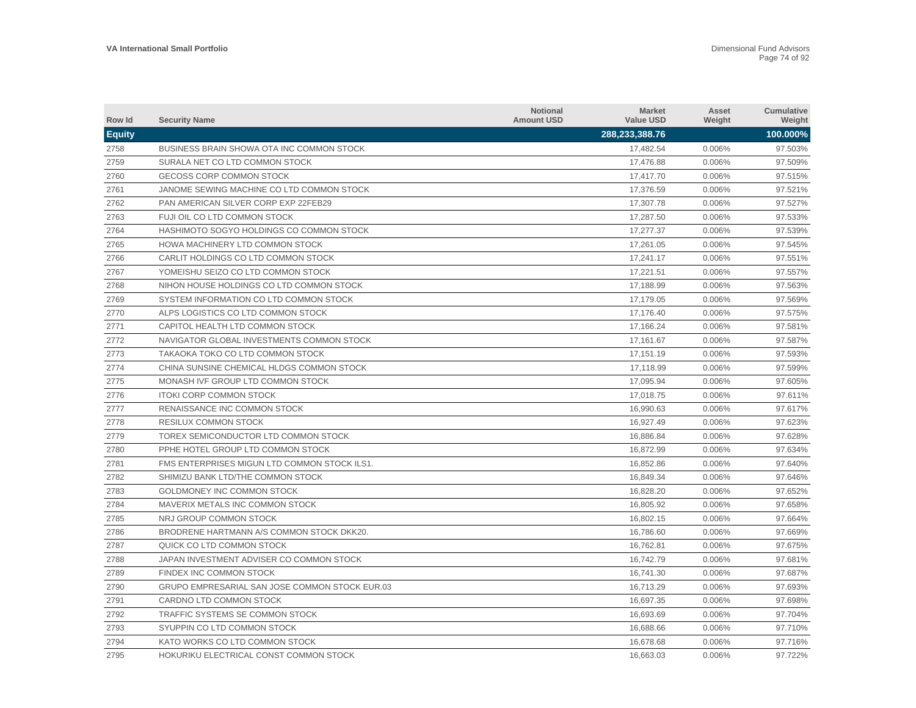| Row Id        | <b>Security Name</b>                           | <b>Notional</b><br><b>Amount USD</b> | <b>Market</b><br><b>Value USD</b> | Asset<br>Weight | <b>Cumulative</b><br>Weight |
|---------------|------------------------------------------------|--------------------------------------|-----------------------------------|-----------------|-----------------------------|
| <b>Equity</b> |                                                |                                      | 288,233,388.76                    |                 | 100.000%                    |
| 2758          | BUSINESS BRAIN SHOWA OTA INC COMMON STOCK      |                                      | 17,482.54                         | 0.006%          | 97.503%                     |
| 2759          | SURALA NET CO LTD COMMON STOCK                 |                                      | 17,476.88                         | 0.006%          | 97.509%                     |
| 2760          | GECOSS CORP COMMON STOCK                       |                                      | 17,417.70                         | 0.006%          | 97.515%                     |
| 2761          | JANOME SEWING MACHINE CO LTD COMMON STOCK      |                                      | 17,376.59                         | 0.006%          | 97.521%                     |
| 2762          | <b>PAN AMERICAN SILVER CORP EXP 22FEB29</b>    |                                      | 17,307.78                         | 0.006%          | 97.527%                     |
| 2763          | FUJI OIL CO LTD COMMON STOCK                   |                                      | 17.287.50                         | 0.006%          | 97.533%                     |
| 2764          | HASHIMOTO SOGYO HOLDINGS CO COMMON STOCK       |                                      | 17,277.37                         | 0.006%          | 97.539%                     |
| 2765          | HOWA MACHINERY LTD COMMON STOCK                |                                      | 17.261.05                         | 0.006%          | 97.545%                     |
| 2766          | CARLIT HOLDINGS CO LTD COMMON STOCK            |                                      | 17,241.17                         | 0.006%          | 97.551%                     |
| 2767          | YOMEISHU SEIZO CO LTD COMMON STOCK             |                                      | 17,221.51                         | 0.006%          | 97.557%                     |
| 2768          | NIHON HOUSE HOLDINGS CO LTD COMMON STOCK       |                                      | 17,188.99                         | 0.006%          | 97.563%                     |
| 2769          | SYSTEM INFORMATION CO LTD COMMON STOCK         |                                      | 17,179.05                         | 0.006%          | 97.569%                     |
| 2770          | ALPS LOGISTICS CO LTD COMMON STOCK             |                                      | 17,176.40                         | 0.006%          | 97.575%                     |
| 2771          | CAPITOL HEALTH LTD COMMON STOCK                |                                      | 17,166.24                         | 0.006%          | 97.581%                     |
| 2772          | NAVIGATOR GLOBAL INVESTMENTS COMMON STOCK      |                                      | 17,161.67                         | 0.006%          | 97.587%                     |
| 2773          | TAKAOKA TOKO CO LTD COMMON STOCK               |                                      | 17,151.19                         | 0.006%          | 97.593%                     |
| 2774          | CHINA SUNSINE CHEMICAL HLDGS COMMON STOCK      |                                      | 17.118.99                         | 0.006%          | 97.599%                     |
| 2775          | MONASH IVF GROUP LTD COMMON STOCK              |                                      | 17,095.94                         | 0.006%          | 97.605%                     |
| 2776          | <b>ITOKI CORP COMMON STOCK</b>                 |                                      | 17,018.75                         | 0.006%          | 97.611%                     |
| 2777          | RENAISSANCE INC COMMON STOCK                   |                                      | 16,990.63                         | 0.006%          | 97.617%                     |
| 2778          | <b>RESILUX COMMON STOCK</b>                    |                                      | 16,927.49                         | 0.006%          | 97.623%                     |
| 2779          | TOREX SEMICONDUCTOR LTD COMMON STOCK           |                                      | 16,886.84                         | 0.006%          | 97.628%                     |
| 2780          | PPHE HOTEL GROUP LTD COMMON STOCK              |                                      | 16,872.99                         | 0.006%          | 97.634%                     |
| 2781          | FMS ENTERPRISES MIGUN LTD COMMON STOCK ILS1.   |                                      | 16,852.86                         | 0.006%          | 97.640%                     |
| 2782          | SHIMIZU BANK LTD/THE COMMON STOCK              |                                      | 16,849.34                         | 0.006%          | 97.646%                     |
| 2783          | GOLDMONEY INC COMMON STOCK                     |                                      | 16,828.20                         | 0.006%          | 97.652%                     |
| 2784          | MAVERIX METALS INC COMMON STOCK                |                                      | 16.805.92                         | 0.006%          | 97.658%                     |
| 2785          | NRJ GROUP COMMON STOCK                         |                                      | 16,802.15                         | 0.006%          | 97.664%                     |
| 2786          | BRODRENE HARTMANN A/S COMMON STOCK DKK20.      |                                      | 16,786.60                         | 0.006%          | 97.669%                     |
| 2787          | QUICK CO LTD COMMON STOCK                      |                                      | 16,762.81                         | 0.006%          | 97.675%                     |
| 2788          | JAPAN INVESTMENT ADVISER CO COMMON STOCK       |                                      | 16,742.79                         | 0.006%          | 97.681%                     |
| 2789          | FINDEX INC COMMON STOCK                        |                                      | 16,741.30                         | 0.006%          | 97.687%                     |
| 2790          | GRUPO EMPRESARIAL SAN JOSE COMMON STOCK EUR.03 |                                      | 16,713.29                         | 0.006%          | 97.693%                     |
| 2791          | CARDNO LTD COMMON STOCK                        |                                      | 16,697.35                         | 0.006%          | 97.698%                     |
| 2792          | TRAFFIC SYSTEMS SE COMMON STOCK                |                                      | 16,693.69                         | 0.006%          | 97.704%                     |
| 2793          | SYUPPIN CO LTD COMMON STOCK                    |                                      | 16,688.66                         | 0.006%          | 97.710%                     |
| 2794          | KATO WORKS CO LTD COMMON STOCK                 |                                      | 16.678.68                         | 0.006%          | 97.716%                     |
| 2795          | HOKURIKU ELECTRICAL CONST COMMON STOCK         |                                      | 16.663.03                         | 0.006%          | 97.722%                     |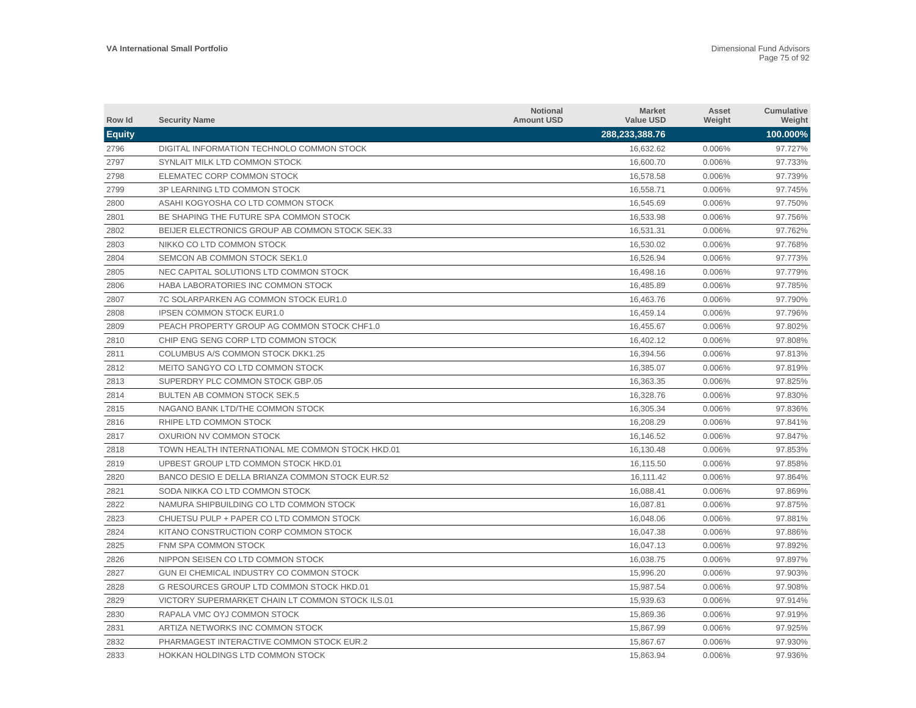| Row Id        | <b>Security Name</b>                             | <b>Notional</b><br><b>Amount USD</b> | <b>Market</b><br><b>Value USD</b> | Asset<br>Weight | <b>Cumulative</b><br>Weight |
|---------------|--------------------------------------------------|--------------------------------------|-----------------------------------|-----------------|-----------------------------|
| <b>Equity</b> |                                                  |                                      | 288,233,388.76                    |                 | 100.000%                    |
| 2796          | DIGITAL INFORMATION TECHNOLO COMMON STOCK        |                                      | 16,632.62                         | 0.006%          | 97.727%                     |
| 2797          | SYNLAIT MILK LTD COMMON STOCK                    |                                      | 16,600.70                         | 0.006%          | 97.733%                     |
| 2798          | ELEMATEC CORP COMMON STOCK                       |                                      | 16,578.58                         | 0.006%          | 97.739%                     |
| 2799          | 3P LEARNING LTD COMMON STOCK                     |                                      | 16,558.71                         | 0.006%          | 97.745%                     |
| 2800          | ASAHI KOGYOSHA CO LTD COMMON STOCK               |                                      | 16,545.69                         | 0.006%          | 97.750%                     |
| 2801          | BE SHAPING THE FUTURE SPA COMMON STOCK           |                                      | 16,533.98                         | 0.006%          | 97.756%                     |
| 2802          | BEIJER ELECTRONICS GROUP AB COMMON STOCK SEK.33  |                                      | 16,531.31                         | 0.006%          | 97.762%                     |
| 2803          | NIKKO CO LTD COMMON STOCK                        |                                      | 16.530.02                         | 0.006%          | 97.768%                     |
| 2804          | SEMCON AB COMMON STOCK SEK1.0                    |                                      | 16,526.94                         | 0.006%          | 97.773%                     |
| 2805          | NEC CAPITAL SOLUTIONS LTD COMMON STOCK           |                                      | 16,498.16                         | 0.006%          | 97.779%                     |
| 2806          | HABA LABORATORIES INC COMMON STOCK               |                                      | 16,485.89                         | 0.006%          | 97.785%                     |
| 2807          | 7C SOLARPARKEN AG COMMON STOCK EUR1.0            |                                      | 16,463.76                         | 0.006%          | 97.790%                     |
| 2808          | <b>IPSEN COMMON STOCK EUR1.0</b>                 |                                      | 16,459.14                         | 0.006%          | 97.796%                     |
| 2809          | PEACH PROPERTY GROUP AG COMMON STOCK CHF1.0      |                                      | 16,455.67                         | 0.006%          | 97.802%                     |
| 2810          | CHIP ENG SENG CORP LTD COMMON STOCK              |                                      | 16,402.12                         | 0.006%          | 97.808%                     |
| 2811          | COLUMBUS A/S COMMON STOCK DKK1.25                |                                      | 16,394.56                         | 0.006%          | 97.813%                     |
| 2812          | MEITO SANGYO CO LTD COMMON STOCK                 |                                      | 16.385.07                         | 0.006%          | 97.819%                     |
| 2813          | SUPERDRY PLC COMMON STOCK GBP.05                 |                                      | 16,363.35                         | 0.006%          | 97.825%                     |
| 2814          | <b>BULTEN AB COMMON STOCK SEK.5</b>              |                                      | 16,328.76                         | 0.006%          | 97.830%                     |
| 2815          | NAGANO BANK LTD/THE COMMON STOCK                 |                                      | 16,305.34                         | 0.006%          | 97.836%                     |
| 2816          | RHIPE LTD COMMON STOCK                           |                                      | 16,208.29                         | 0.006%          | 97.841%                     |
| 2817          | OXURION NV COMMON STOCK                          |                                      | 16,146.52                         | 0.006%          | 97.847%                     |
| 2818          | TOWN HEALTH INTERNATIONAL ME COMMON STOCK HKD.01 |                                      | 16,130.48                         | 0.006%          | 97.853%                     |
| 2819          | UPBEST GROUP LTD COMMON STOCK HKD.01             |                                      | 16,115.50                         | 0.006%          | 97.858%                     |
| 2820          | BANCO DESIO E DELLA BRIANZA COMMON STOCK EUR.52  |                                      | 16,111.42                         | 0.006%          | 97.864%                     |
| 2821          | SODA NIKKA CO LTD COMMON STOCK                   |                                      | 16,088.41                         | 0.006%          | 97.869%                     |
| 2822          | NAMURA SHIPBUILDING CO LTD COMMON STOCK          |                                      | 16.087.81                         | 0.006%          | 97.875%                     |
| 2823          | CHUETSU PULP + PAPER CO LTD COMMON STOCK         |                                      | 16,048.06                         | 0.006%          | 97.881%                     |
| 2824          | KITANO CONSTRUCTION CORP COMMON STOCK            |                                      | 16,047.38                         | 0.006%          | 97.886%                     |
| 2825          | FNM SPA COMMON STOCK                             |                                      | 16,047.13                         | 0.006%          | 97.892%                     |
| 2826          | NIPPON SEISEN CO LTD COMMON STOCK                |                                      | 16,038.75                         | 0.006%          | 97.897%                     |
| 2827          | GUN EI CHEMICAL INDUSTRY CO COMMON STOCK         |                                      | 15,996.20                         | 0.006%          | 97.903%                     |
| 2828          | G RESOURCES GROUP LTD COMMON STOCK HKD.01        |                                      | 15,987.54                         | 0.006%          | 97.908%                     |
| 2829          | VICTORY SUPERMARKET CHAIN LT COMMON STOCK ILS.01 |                                      | 15,939.63                         | 0.006%          | 97.914%                     |
| 2830          | RAPALA VMC OYJ COMMON STOCK                      |                                      | 15,869.36                         | 0.006%          | 97.919%                     |
| 2831          | ARTIZA NETWORKS INC COMMON STOCK                 |                                      | 15,867.99                         | 0.006%          | 97.925%                     |
| 2832          | PHARMAGEST INTERACTIVE COMMON STOCK EUR.2        |                                      | 15.867.67                         | 0.006%          | 97.930%                     |
| 2833          | HOKKAN HOLDINGS LTD COMMON STOCK                 |                                      | 15.863.94                         | 0.006%          | 97.936%                     |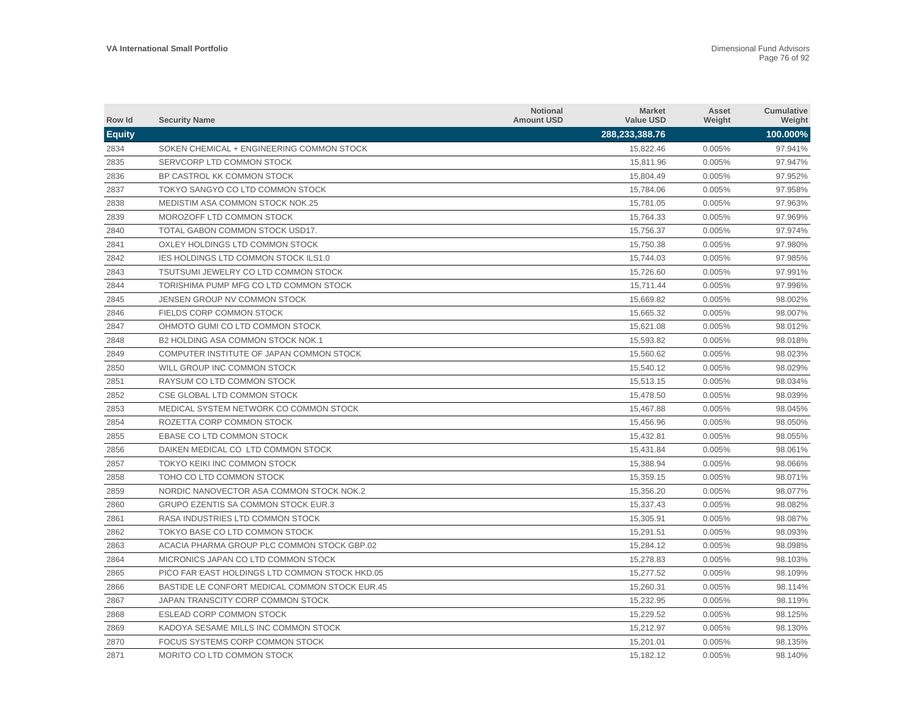| Row Id        | <b>Security Name</b>                           | Notional<br><b>Amount USD</b> | <b>Market</b><br><b>Value USD</b> | Asset<br>Weight | <b>Cumulative</b><br>Weight |
|---------------|------------------------------------------------|-------------------------------|-----------------------------------|-----------------|-----------------------------|
| <b>Equity</b> |                                                |                               | 288,233,388.76                    |                 | 100.000%                    |
| 2834          | SOKEN CHEMICAL + ENGINEERING COMMON STOCK      |                               | 15,822.46                         | 0.005%          | 97.941%                     |
| 2835          | SERVCORP LTD COMMON STOCK                      |                               | 15,811.96                         | 0.005%          | 97.947%                     |
| 2836          | BP CASTROL KK COMMON STOCK                     |                               | 15,804.49                         | 0.005%          | 97.952%                     |
| 2837          | TOKYO SANGYO CO LTD COMMON STOCK               |                               | 15,784.06                         | 0.005%          | 97.958%                     |
| 2838          | MEDISTIM ASA COMMON STOCK NOK.25               |                               | 15,781.05                         | 0.005%          | 97.963%                     |
| 2839          | MOROZOFF LTD COMMON STOCK                      |                               | 15,764.33                         | 0.005%          | 97.969%                     |
| 2840          | TOTAL GABON COMMON STOCK USD17.                |                               | 15,756.37                         | 0.005%          | 97.974%                     |
| 2841          | OXLEY HOLDINGS LTD COMMON STOCK                |                               | 15,750.38                         | 0.005%          | 97.980%                     |
| 2842          | IES HOLDINGS LTD COMMON STOCK ILS1.0           |                               | 15,744.03                         | 0.005%          | 97.985%                     |
| 2843          | TSUTSUMI JEWELRY CO LTD COMMON STOCK           |                               | 15,726.60                         | 0.005%          | 97.991%                     |
| 2844          | TORISHIMA PUMP MFG CO LTD COMMON STOCK         |                               | 15,711.44                         | 0.005%          | 97.996%                     |
| 2845          | JENSEN GROUP NV COMMON STOCK                   |                               | 15,669.82                         | 0.005%          | 98.002%                     |
| 2846          | FIELDS CORP COMMON STOCK                       |                               | 15,665.32                         | 0.005%          | 98.007%                     |
| 2847          | OHMOTO GUMI CO LTD COMMON STOCK                |                               | 15,621.08                         | 0.005%          | 98.012%                     |
| 2848          | B2 HOLDING ASA COMMON STOCK NOK.1              |                               | 15,593.82                         | 0.005%          | 98.018%                     |
| 2849          | COMPUTER INSTITUTE OF JAPAN COMMON STOCK       |                               | 15,560.62                         | 0.005%          | 98.023%                     |
| 2850          | WILL GROUP INC COMMON STOCK                    |                               | 15.540.12                         | 0.005%          | 98.029%                     |
| 2851          | RAYSUM CO LTD COMMON STOCK                     |                               | 15,513.15                         | 0.005%          | 98.034%                     |
| 2852          | CSE GLOBAL LTD COMMON STOCK                    |                               | 15,478.50                         | 0.005%          | 98.039%                     |
| 2853          | MEDICAL SYSTEM NETWORK CO COMMON STOCK         |                               | 15,467.88                         | 0.005%          | 98.045%                     |
| 2854          | ROZETTA CORP COMMON STOCK                      |                               | 15,456.96                         | 0.005%          | 98.050%                     |
| 2855          | EBASE CO LTD COMMON STOCK                      |                               | 15,432.81                         | 0.005%          | 98.055%                     |
| 2856          | DAIKEN MEDICAL CO LTD COMMON STOCK             |                               | 15,431.84                         | 0.005%          | 98.061%                     |
| 2857          | TOKYO KEIKI INC COMMON STOCK                   |                               | 15,388.94                         | 0.005%          | 98.066%                     |
| 2858          | TOHO CO LTD COMMON STOCK                       |                               | 15,359.15                         | 0.005%          | 98.071%                     |
| 2859          | NORDIC NANOVECTOR ASA COMMON STOCK NOK.2       |                               | 15,356.20                         | 0.005%          | 98.077%                     |
| 2860          | GRUPO EZENTIS SA COMMON STOCK EUR.3            |                               | 15,337.43                         | 0.005%          | 98.082%                     |
| 2861          | RASA INDUSTRIES LTD COMMON STOCK               |                               | 15,305.91                         | 0.005%          | 98.087%                     |
| 2862          | TOKYO BASE CO LTD COMMON STOCK                 |                               | 15,291.51                         | 0.005%          | 98.093%                     |
| 2863          | ACACIA PHARMA GROUP PLC COMMON STOCK GBP.02    |                               | 15,284.12                         | 0.005%          | 98.098%                     |
| 2864          | MICRONICS JAPAN CO LTD COMMON STOCK            |                               | 15,278.83                         | 0.005%          | 98.103%                     |
| 2865          | PICO FAR EAST HOLDINGS LTD COMMON STOCK HKD.05 |                               | 15,277.52                         | 0.005%          | 98.109%                     |
| 2866          | BASTIDE LE CONFORT MEDICAL COMMON STOCK EUR.45 |                               | 15,260.31                         | 0.005%          | 98.114%                     |
| 2867          | JAPAN TRANSCITY CORP COMMON STOCK              |                               | 15,232.95                         | 0.005%          | 98.119%                     |
| 2868          | ESLEAD CORP COMMON STOCK                       |                               | 15,229.52                         | 0.005%          | 98.125%                     |
| 2869          | KADOYA SESAME MILLS INC COMMON STOCK           |                               | 15,212.97                         | 0.005%          | 98.130%                     |
| 2870          | FOCUS SYSTEMS CORP COMMON STOCK                |                               | 15,201.01                         | 0.005%          | 98.135%                     |
| 2871          | MORITO CO LTD COMMON STOCK                     |                               | 15,182.12                         | 0.005%          | 98.140%                     |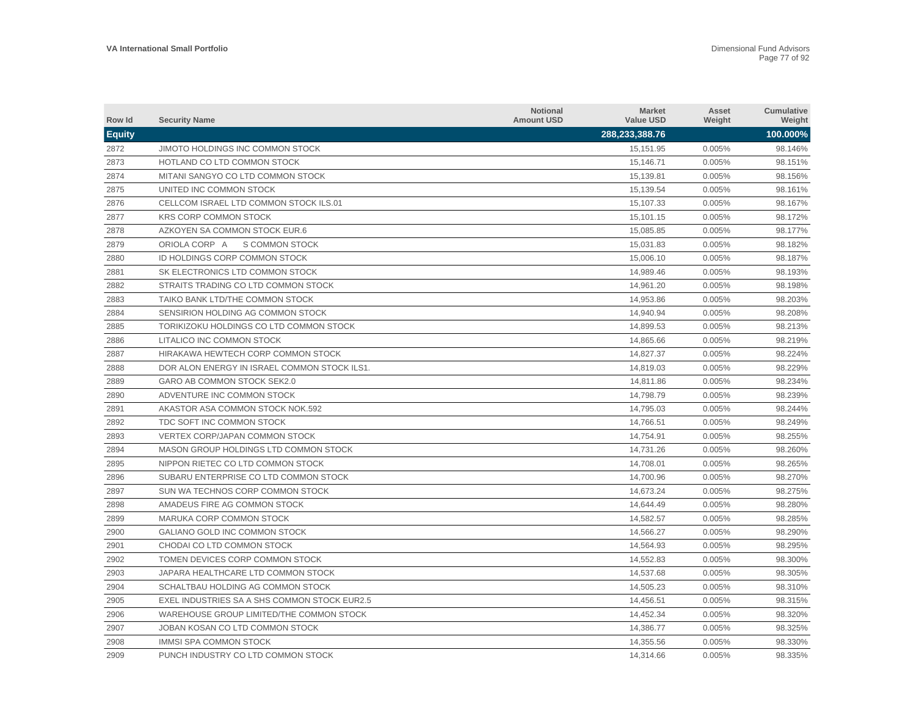| Row Id        | <b>Security Name</b>                         | <b>Notional</b><br><b>Amount USD</b> | <b>Market</b><br><b>Value USD</b> | Asset<br>Weight | Cumulative<br>Weight |
|---------------|----------------------------------------------|--------------------------------------|-----------------------------------|-----------------|----------------------|
| <b>Equity</b> |                                              |                                      | 288,233,388.76                    |                 | 100.000%             |
| 2872          | JIMOTO HOLDINGS INC COMMON STOCK             |                                      | 15,151.95                         | 0.005%          | 98.146%              |
| 2873          | HOTLAND CO LTD COMMON STOCK                  |                                      | 15,146.71                         | 0.005%          | 98.151%              |
| 2874          | MITANI SANGYO CO LTD COMMON STOCK            |                                      | 15,139.81                         | 0.005%          | 98.156%              |
| 2875          | UNITED INC COMMON STOCK                      |                                      | 15,139.54                         | 0.005%          | 98.161%              |
| 2876          | CELLCOM ISRAEL LTD COMMON STOCK ILS.01       |                                      | 15,107.33                         | 0.005%          | 98.167%              |
| 2877          | <b>KRS CORP COMMON STOCK</b>                 |                                      | 15,101.15                         | 0.005%          | 98.172%              |
| 2878          | AZKOYEN SA COMMON STOCK EUR.6                |                                      | 15,085.85                         | 0.005%          | 98.177%              |
| 2879          | ORIOLA CORP A<br>S COMMON STOCK              |                                      | 15,031.83                         | 0.005%          | 98.182%              |
| 2880          | ID HOLDINGS CORP COMMON STOCK                |                                      | 15,006.10                         | 0.005%          | 98.187%              |
| 2881          | SK ELECTRONICS LTD COMMON STOCK              |                                      | 14,989.46                         | 0.005%          | 98.193%              |
| 2882          | STRAITS TRADING CO LTD COMMON STOCK          |                                      | 14,961.20                         | 0.005%          | 98.198%              |
| 2883          | TAIKO BANK LTD/THE COMMON STOCK              |                                      | 14,953.86                         | 0.005%          | 98.203%              |
| 2884          | SENSIRION HOLDING AG COMMON STOCK            |                                      | 14.940.94                         | 0.005%          | 98.208%              |
| 2885          | TORIKIZOKU HOLDINGS CO LTD COMMON STOCK      |                                      | 14,899.53                         | 0.005%          | 98.213%              |
| 2886          | LITALICO INC COMMON STOCK                    |                                      | 14.865.66                         | 0.005%          | 98.219%              |
| 2887          | HIRAKAWA HEWTECH CORP COMMON STOCK           |                                      | 14.827.37                         | 0.005%          | 98.224%              |
| 2888          | DOR ALON ENERGY IN ISRAEL COMMON STOCK ILS1. |                                      | 14,819.03                         | 0.005%          | 98.229%              |
| 2889          | GARO AB COMMON STOCK SEK2.0                  |                                      | 14,811.86                         | 0.005%          | 98.234%              |
| 2890          | ADVENTURE INC COMMON STOCK                   |                                      | 14,798.79                         | 0.005%          | 98.239%              |
| 2891          | AKASTOR ASA COMMON STOCK NOK.592             |                                      | 14,795.03                         | 0.005%          | 98.244%              |
| 2892          | TDC SOFT INC COMMON STOCK                    |                                      | 14,766.51                         | 0.005%          | 98.249%              |
| 2893          | <b>VERTEX CORP/JAPAN COMMON STOCK</b>        |                                      | 14,754.91                         | 0.005%          | 98.255%              |
| 2894          | MASON GROUP HOLDINGS LTD COMMON STOCK        |                                      | 14,731.26                         | 0.005%          | 98.260%              |
| 2895          | NIPPON RIETEC CO LTD COMMON STOCK            |                                      | 14,708.01                         | 0.005%          | 98.265%              |
| 2896          | SUBARU ENTERPRISE CO LTD COMMON STOCK        |                                      | 14,700.96                         | 0.005%          | 98.270%              |
| 2897          | SUN WA TECHNOS CORP COMMON STOCK             |                                      | 14,673.24                         | 0.005%          | 98.275%              |
| 2898          | AMADEUS FIRE AG COMMON STOCK                 |                                      | 14,644.49                         | 0.005%          | 98.280%              |
| 2899          | MARUKA CORP COMMON STOCK                     |                                      | 14,582.57                         | 0.005%          | 98.285%              |
| 2900          | GALIANO GOLD INC COMMON STOCK                |                                      | 14,566.27                         | 0.005%          | 98.290%              |
| 2901          | CHODAI CO LTD COMMON STOCK                   |                                      | 14,564.93                         | 0.005%          | 98.295%              |
| 2902          | TOMEN DEVICES CORP COMMON STOCK              |                                      | 14,552.83                         | 0.005%          | 98.300%              |
| 2903          | JAPARA HEALTHCARE LTD COMMON STOCK           |                                      | 14,537.68                         | 0.005%          | 98.305%              |
| 2904          | SCHALTBAU HOLDING AG COMMON STOCK            |                                      | 14,505.23                         | 0.005%          | 98.310%              |
| 2905          | EXEL INDUSTRIES SA A SHS COMMON STOCK EUR2.5 |                                      | 14,456.51                         | 0.005%          | 98.315%              |
| 2906          | WAREHOUSE GROUP LIMITED/THE COMMON STOCK     |                                      | 14.452.34                         | 0.005%          | 98.320%              |
| 2907          | JOBAN KOSAN CO LTD COMMON STOCK              |                                      | 14,386.77                         | 0.005%          | 98.325%              |
| 2908          | <b>IMMSI SPA COMMON STOCK</b>                |                                      | 14.355.56                         | 0.005%          | 98.330%              |
| 2909          | PUNCH INDUSTRY CO LTD COMMON STOCK           |                                      | 14,314.66                         | 0.005%          | 98.335%              |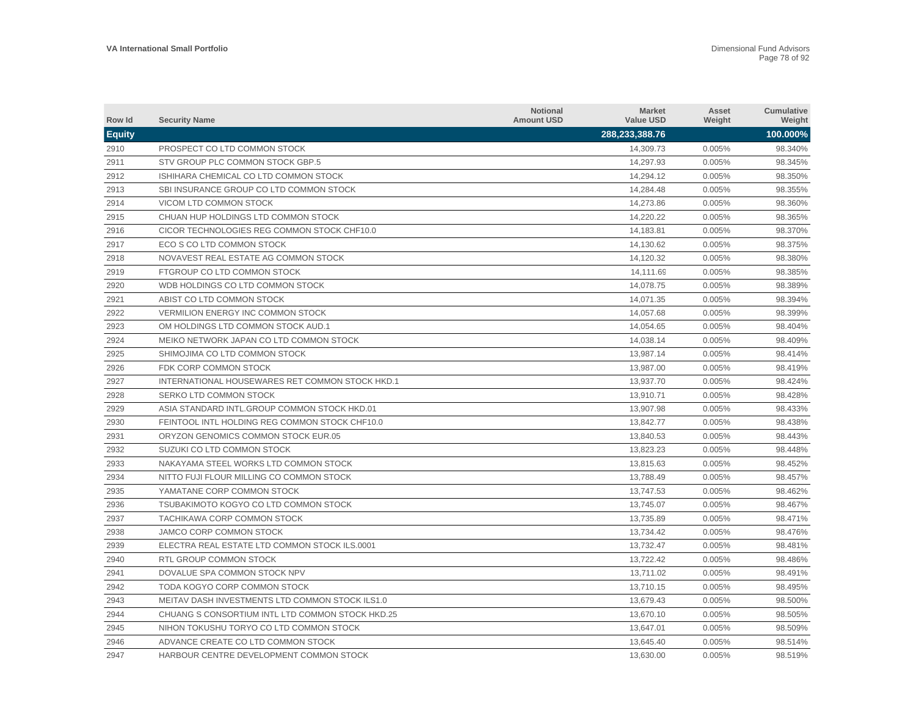| Row Id        | <b>Security Name</b>                             | <b>Notional</b><br><b>Amount USD</b> | <b>Market</b><br><b>Value USD</b> | Asset<br>Weight | <b>Cumulative</b><br>Weight |
|---------------|--------------------------------------------------|--------------------------------------|-----------------------------------|-----------------|-----------------------------|
| <b>Equity</b> |                                                  |                                      | 288,233,388.76                    |                 | 100.000%                    |
| 2910          | PROSPECT CO LTD COMMON STOCK                     |                                      | 14,309.73                         | 0.005%          | 98.340%                     |
| 2911          | STV GROUP PLC COMMON STOCK GBP.5                 |                                      | 14,297.93                         | 0.005%          | 98.345%                     |
| 2912          | ISHIHARA CHEMICAL CO LTD COMMON STOCK            |                                      | 14,294.12                         | 0.005%          | 98.350%                     |
| 2913          | SBI INSURANCE GROUP CO LTD COMMON STOCK          |                                      | 14,284.48                         | 0.005%          | 98.355%                     |
| 2914          | VICOM LTD COMMON STOCK                           |                                      | 14,273.86                         | 0.005%          | 98.360%                     |
| 2915          | CHUAN HUP HOLDINGS LTD COMMON STOCK              |                                      | 14,220.22                         | 0.005%          | 98.365%                     |
| 2916          | CICOR TECHNOLOGIES REG COMMON STOCK CHF10.0      |                                      | 14,183.81                         | 0.005%          | 98.370%                     |
| 2917          | ECO S CO LTD COMMON STOCK                        |                                      | 14.130.62                         | 0.005%          | 98.375%                     |
| 2918          | NOVAVEST REAL ESTATE AG COMMON STOCK             |                                      | 14,120.32                         | 0.005%          | 98.380%                     |
| 2919          | FTGROUP CO LTD COMMON STOCK                      |                                      | 14,111.69                         | 0.005%          | 98.385%                     |
| 2920          | WDB HOLDINGS CO LTD COMMON STOCK                 |                                      | 14,078.75                         | 0.005%          | 98.389%                     |
| 2921          | ABIST CO LTD COMMON STOCK                        |                                      | 14,071.35                         | 0.005%          | 98.394%                     |
| 2922          | VERMILION ENERGY INC COMMON STOCK                |                                      | 14,057.68                         | 0.005%          | 98.399%                     |
| 2923          | OM HOLDINGS LTD COMMON STOCK AUD.1               |                                      | 14,054.65                         | 0.005%          | 98.404%                     |
| 2924          | MEIKO NETWORK JAPAN CO LTD COMMON STOCK          |                                      | 14,038.14                         | 0.005%          | 98.409%                     |
| 2925          | SHIMOJIMA CO LTD COMMON STOCK                    |                                      | 13.987.14                         | 0.005%          | 98.414%                     |
| 2926          | FDK CORP COMMON STOCK                            |                                      | 13.987.00                         | 0.005%          | 98.419%                     |
| 2927          | INTERNATIONAL HOUSEWARES RET COMMON STOCK HKD.1  |                                      | 13,937.70                         | 0.005%          | 98.424%                     |
| 2928          | SERKO LTD COMMON STOCK                           |                                      | 13,910.71                         | 0.005%          | 98.428%                     |
| 2929          | ASIA STANDARD INTL.GROUP COMMON STOCK HKD.01     |                                      | 13,907.98                         | 0.005%          | 98.433%                     |
| 2930          | FEINTOOL INTL HOLDING REG COMMON STOCK CHF10.0   |                                      | 13,842.77                         | 0.005%          | 98.438%                     |
| 2931          | ORYZON GENOMICS COMMON STOCK EUR.05              |                                      | 13,840.53                         | 0.005%          | 98.443%                     |
| 2932          | SUZUKI CO LTD COMMON STOCK                       |                                      | 13,823.23                         | 0.005%          | 98.448%                     |
| 2933          | NAKAYAMA STEEL WORKS LTD COMMON STOCK            |                                      | 13,815.63                         | 0.005%          | 98.452%                     |
| 2934          | NITTO FUJI FLOUR MILLING CO COMMON STOCK         |                                      | 13,788.49                         | 0.005%          | 98.457%                     |
| 2935          | YAMATANE CORP COMMON STOCK                       |                                      | 13,747.53                         | 0.005%          | 98.462%                     |
| 2936          | TSUBAKIMOTO KOGYO CO LTD COMMON STOCK            |                                      | 13,745.07                         | 0.005%          | 98.467%                     |
| 2937          | TACHIKAWA CORP COMMON STOCK                      |                                      | 13,735.89                         | 0.005%          | 98.471%                     |
| 2938          | <b>JAMCO CORP COMMON STOCK</b>                   |                                      | 13,734.42                         | 0.005%          | 98.476%                     |
| 2939          | ELECTRA REAL ESTATE LTD COMMON STOCK ILS.0001    |                                      | 13,732.47                         | 0.005%          | 98.481%                     |
| 2940          | RTL GROUP COMMON STOCK                           |                                      | 13,722.42                         | 0.005%          | 98.486%                     |
| 2941          | DOVALUE SPA COMMON STOCK NPV                     |                                      | 13,711.02                         | 0.005%          | 98.491%                     |
| 2942          | TODA KOGYO CORP COMMON STOCK                     |                                      | 13,710.15                         | 0.005%          | 98.495%                     |
| 2943          | MEITAV DASH INVESTMENTS LTD COMMON STOCK ILS1.0  |                                      | 13,679.43                         | 0.005%          | 98.500%                     |
| 2944          | CHUANG S CONSORTIUM INTL LTD COMMON STOCK HKD.25 |                                      | 13,670.10                         | 0.005%          | 98.505%                     |
| 2945          | NIHON TOKUSHU TORYO CO LTD COMMON STOCK          |                                      | 13,647.01                         | 0.005%          | 98.509%                     |
| 2946          | ADVANCE CREATE CO LTD COMMON STOCK               |                                      | 13.645.40                         | 0.005%          | 98.514%                     |
| 2947          | HARBOUR CENTRE DEVELOPMENT COMMON STOCK          |                                      | 13,630.00                         | 0.005%          | 98.519%                     |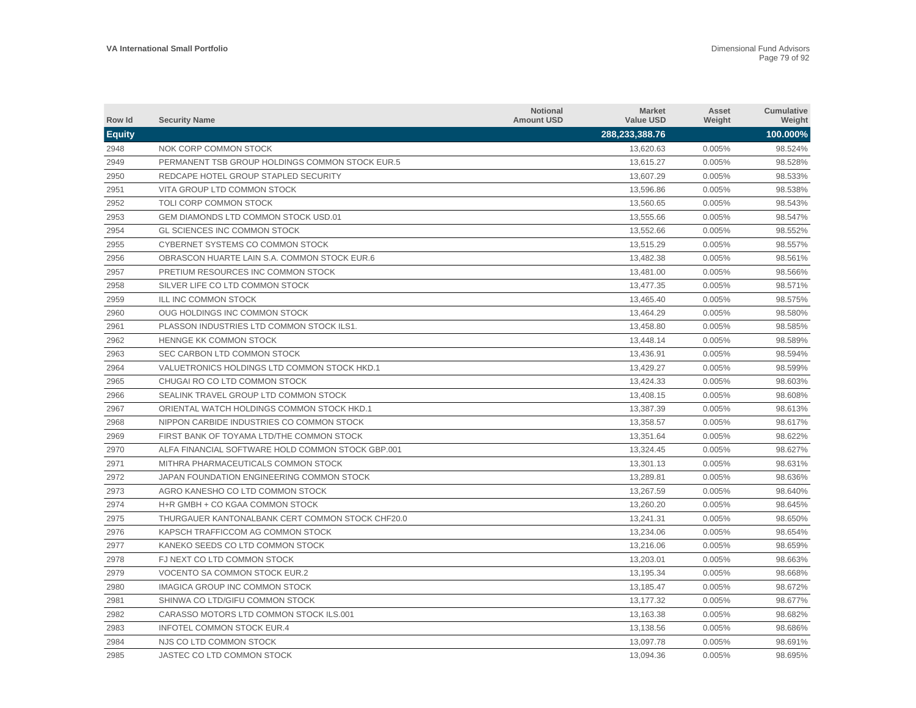| Row Id        | <b>Security Name</b>                              | <b>Notional</b><br><b>Amount USD</b> | <b>Market</b><br><b>Value USD</b> | Asset<br>Weight | <b>Cumulative</b><br>Weight |
|---------------|---------------------------------------------------|--------------------------------------|-----------------------------------|-----------------|-----------------------------|
| <b>Equity</b> |                                                   |                                      | 288,233,388.76                    |                 | 100.000%                    |
| 2948          | NOK CORP COMMON STOCK                             |                                      | 13,620.63                         | 0.005%          | 98.524%                     |
| 2949          | PERMANENT TSB GROUP HOLDINGS COMMON STOCK EUR.5   |                                      | 13,615.27                         | 0.005%          | 98.528%                     |
| 2950          | REDCAPE HOTEL GROUP STAPLED SECURITY              |                                      | 13,607.29                         | 0.005%          | 98.533%                     |
| 2951          | VITA GROUP LTD COMMON STOCK                       |                                      | 13,596.86                         | 0.005%          | 98.538%                     |
| 2952          | TOLI CORP COMMON STOCK                            |                                      | 13,560.65                         | 0.005%          | 98.543%                     |
| 2953          | <b>GEM DIAMONDS LTD COMMON STOCK USD.01</b>       |                                      | 13,555.66                         | 0.005%          | 98.547%                     |
| 2954          | <b>GL SCIENCES INC COMMON STOCK</b>               |                                      | 13,552.66                         | 0.005%          | 98.552%                     |
| 2955          | CYBERNET SYSTEMS CO COMMON STOCK                  |                                      | 13.515.29                         | 0.005%          | 98.557%                     |
| 2956          | OBRASCON HUARTE LAIN S.A. COMMON STOCK EUR.6      |                                      | 13,482.38                         | 0.005%          | 98.561%                     |
| 2957          | PRETIUM RESOURCES INC COMMON STOCK                |                                      | 13,481.00                         | 0.005%          | 98.566%                     |
| 2958          | SILVER LIFE CO LTD COMMON STOCK                   |                                      | 13,477.35                         | 0.005%          | 98.571%                     |
| 2959          | ILL INC COMMON STOCK                              |                                      | 13,465.40                         | 0.005%          | 98.575%                     |
| 2960          | OUG HOLDINGS INC COMMON STOCK                     |                                      | 13,464.29                         | 0.005%          | 98.580%                     |
| 2961          | PLASSON INDUSTRIES LTD COMMON STOCK ILS1.         |                                      | 13,458.80                         | 0.005%          | 98.585%                     |
| 2962          | <b>HENNGE KK COMMON STOCK</b>                     |                                      | 13,448.14                         | 0.005%          | 98.589%                     |
| 2963          | SEC CARBON LTD COMMON STOCK                       |                                      | 13,436.91                         | 0.005%          | 98.594%                     |
| 2964          | VALUETRONICS HOLDINGS LTD COMMON STOCK HKD.1      |                                      | 13.429.27                         | 0.005%          | 98.599%                     |
| 2965          | CHUGAI RO CO LTD COMMON STOCK                     |                                      | 13,424.33                         | 0.005%          | 98.603%                     |
| 2966          | SEALINK TRAVEL GROUP LTD COMMON STOCK             |                                      | 13,408.15                         | 0.005%          | 98.608%                     |
| 2967          | ORIENTAL WATCH HOLDINGS COMMON STOCK HKD.1        |                                      | 13,387.39                         | 0.005%          | 98.613%                     |
| 2968          | NIPPON CARBIDE INDUSTRIES CO COMMON STOCK         |                                      | 13,358.57                         | 0.005%          | 98.617%                     |
| 2969          | FIRST BANK OF TOYAMA LTD/THE COMMON STOCK         |                                      | 13,351.64                         | 0.005%          | 98.622%                     |
| 2970          | ALFA FINANCIAL SOFTWARE HOLD COMMON STOCK GBP.001 |                                      | 13,324.45                         | 0.005%          | 98.627%                     |
| 2971          | MITHRA PHARMACEUTICALS COMMON STOCK               |                                      | 13,301.13                         | 0.005%          | 98.631%                     |
| 2972          | JAPAN FOUNDATION ENGINEERING COMMON STOCK         |                                      | 13,289.81                         | 0.005%          | 98.636%                     |
| 2973          | AGRO KANESHO CO LTD COMMON STOCK                  |                                      | 13,267.59                         | 0.005%          | 98.640%                     |
| 2974          | H+R GMBH + CO KGAA COMMON STOCK                   |                                      | 13.260.20                         | 0.005%          | 98.645%                     |
| 2975          | THURGAUER KANTONALBANK CERT COMMON STOCK CHF20.0  |                                      | 13,241.31                         | 0.005%          | 98.650%                     |
| 2976          | KAPSCH TRAFFICCOM AG COMMON STOCK                 |                                      | 13,234.06                         | 0.005%          | 98.654%                     |
| 2977          | KANEKO SEEDS CO LTD COMMON STOCK                  |                                      | 13,216.06                         | 0.005%          | 98.659%                     |
| 2978          | FJ NEXT CO LTD COMMON STOCK                       |                                      | 13,203.01                         | 0.005%          | 98.663%                     |
| 2979          | VOCENTO SA COMMON STOCK EUR.2                     |                                      | 13,195.34                         | 0.005%          | 98.668%                     |
| 2980          | IMAGICA GROUP INC COMMON STOCK                    |                                      | 13,185.47                         | 0.005%          | 98.672%                     |
| 2981          | SHINWA CO LTD/GIFU COMMON STOCK                   |                                      | 13,177.32                         | 0.005%          | 98.677%                     |
| 2982          | CARASSO MOTORS LTD COMMON STOCK ILS.001           |                                      | 13,163.38                         | 0.005%          | 98.682%                     |
| 2983          | <b>INFOTEL COMMON STOCK EUR.4</b>                 |                                      | 13,138.56                         | 0.005%          | 98.686%                     |
| 2984          | NJS CO LTD COMMON STOCK                           |                                      | 13.097.78                         | 0.005%          | 98.691%                     |
| 2985          | JASTEC CO LTD COMMON STOCK                        |                                      | 13,094.36                         | 0.005%          | 98.695%                     |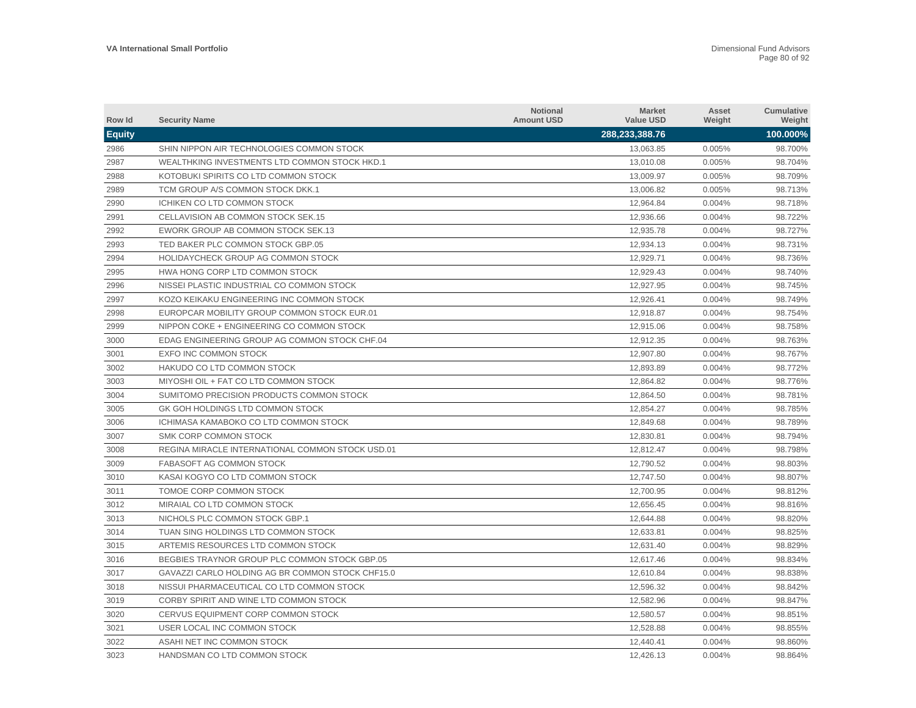| Row Id        | <b>Security Name</b>                             | <b>Notional</b><br><b>Amount USD</b> | <b>Market</b><br><b>Value USD</b> | Asset<br>Weight | Cumulative<br>Weight |
|---------------|--------------------------------------------------|--------------------------------------|-----------------------------------|-----------------|----------------------|
| <b>Equity</b> |                                                  |                                      | 288,233,388.76                    |                 | 100.000%             |
| 2986          | SHIN NIPPON AIR TECHNOLOGIES COMMON STOCK        |                                      | 13,063.85                         | 0.005%          | 98.700%              |
| 2987          | WEALTHKING INVESTMENTS LTD COMMON STOCK HKD.1    |                                      | 13,010.08                         | 0.005%          | 98.704%              |
| 2988          | KOTOBUKI SPIRITS CO LTD COMMON STOCK             |                                      | 13,009.97                         | 0.005%          | 98.709%              |
| 2989          | TCM GROUP A/S COMMON STOCK DKK.1                 |                                      | 13.006.82                         | 0.005%          | 98.713%              |
| 2990          | <b>ICHIKEN CO LTD COMMON STOCK</b>               |                                      | 12,964.84                         | 0.004%          | 98.718%              |
| 2991          | CELLAVISION AB COMMON STOCK SEK.15               |                                      | 12,936.66                         | 0.004%          | 98.722%              |
| 2992          | EWORK GROUP AB COMMON STOCK SEK.13               |                                      | 12,935.78                         | 0.004%          | 98.727%              |
| 2993          | TED BAKER PLC COMMON STOCK GBP.05                |                                      | 12,934.13                         | 0.004%          | 98.731%              |
| 2994          | <b>HOLIDAYCHECK GROUP AG COMMON STOCK</b>        |                                      | 12,929.71                         | 0.004%          | 98.736%              |
| 2995          | HWA HONG CORP LTD COMMON STOCK                   |                                      | 12,929.43                         | 0.004%          | 98.740%              |
| 2996          | NISSEI PLASTIC INDUSTRIAL CO COMMON STOCK        |                                      | 12,927.95                         | 0.004%          | 98.745%              |
| 2997          | KOZO KEIKAKU ENGINEERING INC COMMON STOCK        |                                      | 12,926.41                         | 0.004%          | 98.749%              |
| 2998          | EUROPCAR MOBILITY GROUP COMMON STOCK EUR.01      |                                      | 12,918.87                         | 0.004%          | 98.754%              |
| 2999          | NIPPON COKE + ENGINEERING CO COMMON STOCK        |                                      | 12,915.06                         | 0.004%          | 98.758%              |
| 3000          | EDAG ENGINEERING GROUP AG COMMON STOCK CHF.04    |                                      | 12.912.35                         | 0.004%          | 98.763%              |
| 3001          | <b>EXFO INC COMMON STOCK</b>                     |                                      | 12.907.80                         | 0.004%          | 98.767%              |
| 3002          | HAKUDO CO LTD COMMON STOCK                       |                                      | 12,893.89                         | 0.004%          | 98.772%              |
| 3003          | MIYOSHI OIL + FAT CO LTD COMMON STOCK            |                                      | 12,864.82                         | 0.004%          | 98.776%              |
| 3004          | SUMITOMO PRECISION PRODUCTS COMMON STOCK         |                                      | 12,864.50                         | 0.004%          | 98.781%              |
| 3005          | GK GOH HOLDINGS LTD COMMON STOCK                 |                                      | 12,854.27                         | 0.004%          | 98.785%              |
| 3006          | ICHIMASA KAMABOKO CO LTD COMMON STOCK            |                                      | 12,849.68                         | 0.004%          | 98.789%              |
| 3007          | SMK CORP COMMON STOCK                            |                                      | 12,830.81                         | 0.004%          | 98.794%              |
| 3008          | REGINA MIRACLE INTERNATIONAL COMMON STOCK USD.01 |                                      | 12,812.47                         | 0.004%          | 98.798%              |
| 3009          | FABASOFT AG COMMON STOCK                         |                                      | 12,790.52                         | 0.004%          | 98.803%              |
| 3010          | KASAI KOGYO CO LTD COMMON STOCK                  |                                      | 12,747.50                         | 0.004%          | 98.807%              |
| 3011          | TOMOE CORP COMMON STOCK                          |                                      | 12,700.95                         | 0.004%          | 98.812%              |
| 3012          | MIRAIAL CO LTD COMMON STOCK                      |                                      | 12,656.45                         | 0.004%          | 98.816%              |
| 3013          | NICHOLS PLC COMMON STOCK GBP.1                   |                                      | 12,644.88                         | 0.004%          | 98.820%              |
| 3014          | TUAN SING HOLDINGS LTD COMMON STOCK              |                                      | 12,633.81                         | 0.004%          | 98.825%              |
| 3015          | ARTEMIS RESOURCES LTD COMMON STOCK               |                                      | 12.631.40                         | 0.004%          | 98.829%              |
| 3016          | BEGBIES TRAYNOR GROUP PLC COMMON STOCK GBP.05    |                                      | 12,617.46                         | 0.004%          | 98.834%              |
| 3017          | GAVAZZI CARLO HOLDING AG BR COMMON STOCK CHF15.0 |                                      | 12,610.84                         | 0.004%          | 98.838%              |
| 3018          | NISSUI PHARMACEUTICAL CO LTD COMMON STOCK        |                                      | 12,596.32                         | 0.004%          | 98.842%              |
| 3019          | CORBY SPIRIT AND WINE LTD COMMON STOCK           |                                      | 12,582.96                         | 0.004%          | 98.847%              |
| 3020          | CERVUS EQUIPMENT CORP COMMON STOCK               |                                      | 12,580.57                         | 0.004%          | 98.851%              |
| 3021          | USER LOCAL INC COMMON STOCK                      |                                      | 12,528.88                         | 0.004%          | 98.855%              |
| 3022          | ASAHI NET INC COMMON STOCK                       |                                      | 12.440.41                         | 0.004%          | 98.860%              |
| 3023          | HANDSMAN CO LTD COMMON STOCK                     |                                      | 12.426.13                         | 0.004%          | 98.864%              |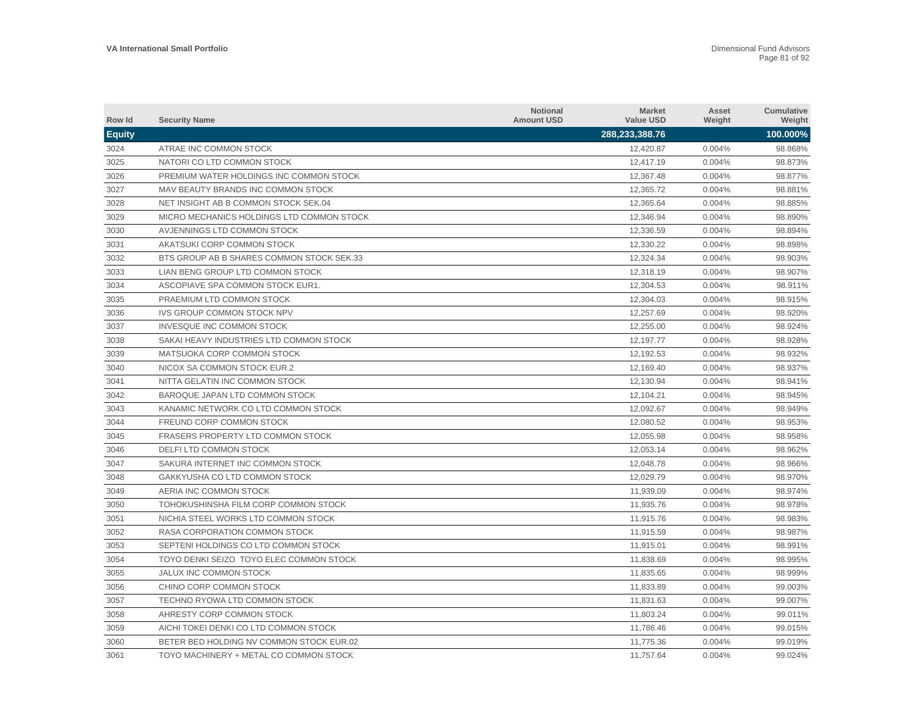| Row Id        | <b>Security Name</b>                      | <b>Notional</b><br><b>Amount USD</b> | <b>Market</b><br><b>Value USD</b> | Asset<br>Weight | <b>Cumulative</b><br>Weight |
|---------------|-------------------------------------------|--------------------------------------|-----------------------------------|-----------------|-----------------------------|
| <b>Equity</b> |                                           |                                      | 288,233,388.76                    |                 | 100.000%                    |
| 3024          | ATRAE INC COMMON STOCK                    |                                      | 12,420.87                         | 0.004%          | 98.868%                     |
| 3025          | NATORI CO LTD COMMON STOCK                |                                      | 12,417.19                         | 0.004%          | 98.873%                     |
| 3026          | PREMIUM WATER HOLDINGS INC COMMON STOCK   |                                      | 12,367.48                         | 0.004%          | 98.877%                     |
| 3027          | MAV BEAUTY BRANDS INC COMMON STOCK        |                                      | 12,365.72                         | 0.004%          | 98.881%                     |
| 3028          | NET INSIGHT AB B COMMON STOCK SEK.04      |                                      | 12,365.64                         | 0.004%          | 98.885%                     |
| 3029          | MICRO MECHANICS HOLDINGS LTD COMMON STOCK |                                      | 12.346.94                         | 0.004%          | 98.890%                     |
| 3030          | AVJENNINGS LTD COMMON STOCK               |                                      | 12,336.59                         | 0.004%          | 98.894%                     |
| 3031          | AKATSUKI CORP COMMON STOCK                |                                      | 12.330.22                         | 0.004%          | 98.898%                     |
| 3032          | BTS GROUP AB B SHARES COMMON STOCK SEK.33 |                                      | 12,324.34                         | 0.004%          | 98.903%                     |
| 3033          | LIAN BENG GROUP LTD COMMON STOCK          |                                      | 12.318.19                         | 0.004%          | 98.907%                     |
| 3034          | ASCOPIAVE SPA COMMON STOCK EUR1.          |                                      | 12,304.53                         | 0.004%          | 98.911%                     |
| 3035          | PRAEMIUM LTD COMMON STOCK                 |                                      | 12,304.03                         | 0.004%          | 98.915%                     |
| 3036          | <b>IVS GROUP COMMON STOCK NPV</b>         |                                      | 12,257.69                         | 0.004%          | 98.920%                     |
| 3037          | INVESQUE INC COMMON STOCK                 |                                      | 12,255.00                         | 0.004%          | 98.924%                     |
| 3038          | SAKAI HEAVY INDUSTRIES LTD COMMON STOCK   |                                      | 12,197.77                         | 0.004%          | 98.928%                     |
| 3039          | MATSUOKA CORP COMMON STOCK                |                                      | 12,192.53                         | 0.004%          | 98.932%                     |
| 3040          | NICOX SA COMMON STOCK EUR.2               |                                      | 12.169.40                         | 0.004%          | 98.937%                     |
| 3041          | NITTA GELATIN INC COMMON STOCK            |                                      | 12,130.94                         | 0.004%          | 98.941%                     |
| 3042          | BAROQUE JAPAN LTD COMMON STOCK            |                                      | 12,104.21                         | 0.004%          | 98.945%                     |
| 3043          | KANAMIC NETWORK CO LTD COMMON STOCK       |                                      | 12,092.67                         | 0.004%          | 98.949%                     |
| 3044          | FREUND CORP COMMON STOCK                  |                                      | 12,080.52                         | 0.004%          | 98.953%                     |
| 3045          | <b>FRASERS PROPERTY LTD COMMON STOCK</b>  |                                      | 12,055.98                         | 0.004%          | 98.958%                     |
| 3046          | DELFI LTD COMMON STOCK                    |                                      | 12,053.14                         | 0.004%          | 98.962%                     |
| 3047          | SAKURA INTERNET INC COMMON STOCK          |                                      | 12,048.78                         | 0.004%          | 98.966%                     |
| 3048          | GAKKYUSHA CO LTD COMMON STOCK             |                                      | 12,029.79                         | 0.004%          | 98.970%                     |
| 3049          | AERIA INC COMMON STOCK                    |                                      | 11,939.09                         | 0.004%          | 98.974%                     |
| 3050          | TOHOKUSHINSHA FILM CORP COMMON STOCK      |                                      | 11,935.76                         | 0.004%          | 98.978%                     |
| 3051          | NICHIA STEEL WORKS LTD COMMON STOCK       |                                      | 11,915.76                         | 0.004%          | 98.983%                     |
| 3052          | RASA CORPORATION COMMON STOCK             |                                      | 11,915.59                         | 0.004%          | 98.987%                     |
| 3053          | SEPTENI HOLDINGS CO LTD COMMON STOCK      |                                      | 11,915.01                         | 0.004%          | 98.991%                     |
| 3054          | TOYO DENKI SEIZO TOYO ELEC COMMON STOCK   |                                      | 11,838.69                         | 0.004%          | 98.995%                     |
| 3055          | <b>JALUX INC COMMON STOCK</b>             |                                      | 11,835.65                         | 0.004%          | 98.999%                     |
| 3056          | CHINO CORP COMMON STOCK                   |                                      | 11,833.89                         | 0.004%          | 99.003%                     |
| 3057          | TECHNO RYOWA LTD COMMON STOCK             |                                      | 11,831.63                         | 0.004%          | 99.007%                     |
| 3058          | AHRESTY CORP COMMON STOCK                 |                                      | 11,803.24                         | 0.004%          | 99.011%                     |
| 3059          | AICHI TOKEI DENKI CO LTD COMMON STOCK     |                                      | 11,786.46                         | 0.004%          | 99.015%                     |
| 3060          | BETER BED HOLDING NV COMMON STOCK EUR.02  |                                      | 11,775.36                         | 0.004%          | 99.019%                     |
| 3061          | TOYO MACHINERY + METAL CO COMMON STOCK    |                                      | 11,757.64                         | 0.004%          | 99.024%                     |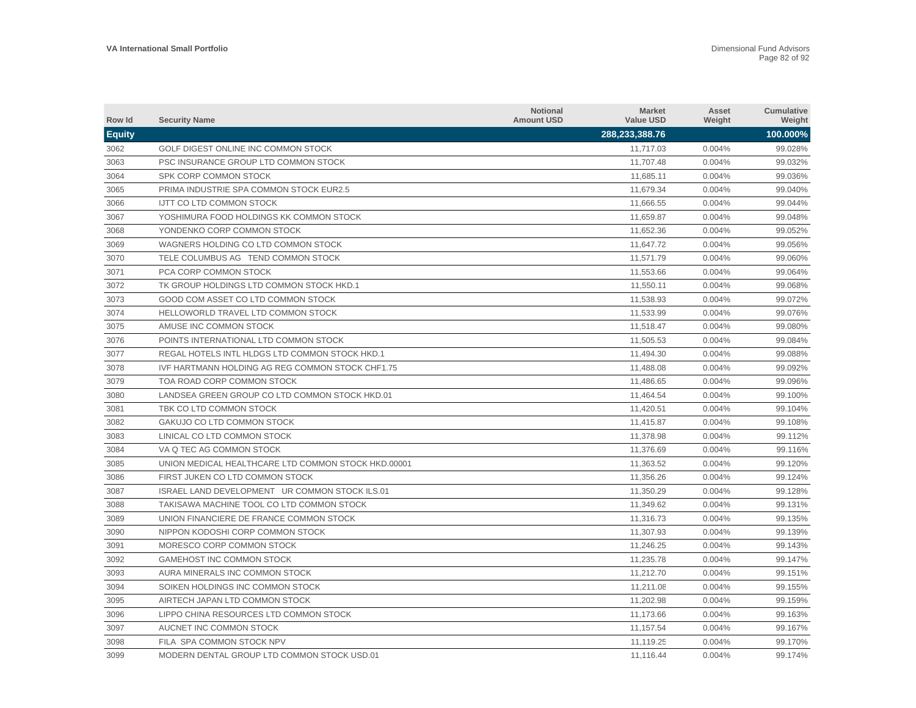| Row Id        | <b>Security Name</b>                                | <b>Notional</b><br><b>Amount USD</b> | <b>Market</b><br><b>Value USD</b> | Asset<br>Weight | <b>Cumulative</b><br>Weight |
|---------------|-----------------------------------------------------|--------------------------------------|-----------------------------------|-----------------|-----------------------------|
| <b>Equity</b> |                                                     |                                      | 288,233,388.76                    |                 | 100.000%                    |
| 3062          | GOLF DIGEST ONLINE INC COMMON STOCK                 |                                      | 11,717.03                         | 0.004%          | 99.028%                     |
| 3063          | PSC INSURANCE GROUP LTD COMMON STOCK                |                                      | 11,707.48                         | 0.004%          | 99.032%                     |
| 3064          | SPK CORP COMMON STOCK                               |                                      | 11,685.11                         | 0.004%          | 99.036%                     |
| 3065          | PRIMA INDUSTRIE SPA COMMON STOCK EUR2.5             |                                      | 11,679.34                         | 0.004%          | 99.040%                     |
| 3066          | IJTT CO LTD COMMON STOCK                            |                                      | 11,666.55                         | 0.004%          | 99.044%                     |
| 3067          | YOSHIMURA FOOD HOLDINGS KK COMMON STOCK             |                                      | 11,659.87                         | 0.004%          | 99.048%                     |
| 3068          | YONDENKO CORP COMMON STOCK                          |                                      | 11,652.36                         | 0.004%          | 99.052%                     |
| 3069          | WAGNERS HOLDING CO LTD COMMON STOCK                 |                                      | 11,647.72                         | 0.004%          | 99.056%                     |
| 3070          | TELE COLUMBUS AG TEND COMMON STOCK                  |                                      | 11,571.79                         | 0.004%          | 99.060%                     |
| 3071          | PCA CORP COMMON STOCK                               |                                      | 11,553.66                         | 0.004%          | 99.064%                     |
| 3072          | TK GROUP HOLDINGS LTD COMMON STOCK HKD.1            |                                      | 11,550.11                         | 0.004%          | 99.068%                     |
| 3073          | GOOD COM ASSET CO LTD COMMON STOCK                  |                                      | 11,538.93                         | 0.004%          | 99.072%                     |
| 3074          | <b>HELLOWORLD TRAVEL LTD COMMON STOCK</b>           |                                      | 11,533.99                         | 0.004%          | 99.076%                     |
| 3075          | AMUSE INC COMMON STOCK                              |                                      | 11,518.47                         | 0.004%          | 99.080%                     |
| 3076          | POINTS INTERNATIONAL LTD COMMON STOCK               |                                      | 11,505.53                         | 0.004%          | 99.084%                     |
| 3077          | REGAL HOTELS INTL HLDGS LTD COMMON STOCK HKD.1      |                                      | 11,494.30                         | 0.004%          | 99.088%                     |
| 3078          | IVF HARTMANN HOLDING AG REG COMMON STOCK CHF1.75    |                                      | 11,488.08                         | 0.004%          | 99.092%                     |
| 3079          | TOA ROAD CORP COMMON STOCK                          |                                      | 11,486.65                         | 0.004%          | 99.096%                     |
| 3080          | LANDSEA GREEN GROUP CO LTD COMMON STOCK HKD.01      |                                      | 11,464.54                         | 0.004%          | 99.100%                     |
| 3081          | TBK CO LTD COMMON STOCK                             |                                      | 11,420.51                         | 0.004%          | 99.104%                     |
| 3082          | GAKUJO CO LTD COMMON STOCK                          |                                      | 11,415.87                         | 0.004%          | 99.108%                     |
| 3083          | LINICAL CO LTD COMMON STOCK                         |                                      | 11,378.98                         | 0.004%          | 99.112%                     |
| 3084          | VA Q TEC AG COMMON STOCK                            |                                      | 11,376.69                         | 0.004%          | 99.116%                     |
| 3085          | UNION MEDICAL HEALTHCARE LTD COMMON STOCK HKD.00001 |                                      | 11,363.52                         | 0.004%          | 99.120%                     |
| 3086          | FIRST JUKEN CO LTD COMMON STOCK                     |                                      | 11,356.26                         | 0.004%          | 99.124%                     |
| 3087          | ISRAEL LAND DEVELOPMENT UR COMMON STOCK ILS.01      |                                      | 11,350.29                         | 0.004%          | 99.128%                     |
| 3088          | TAKISAWA MACHINE TOOL CO LTD COMMON STOCK           |                                      | 11,349.62                         | 0.004%          | 99.131%                     |
| 3089          | UNION FINANCIERE DE FRANCE COMMON STOCK             |                                      | 11,316.73                         | 0.004%          | 99.135%                     |
| 3090          | NIPPON KODOSHI CORP COMMON STOCK                    |                                      | 11,307.93                         | 0.004%          | 99.139%                     |
| 3091          | MORESCO CORP COMMON STOCK                           |                                      | 11,246.25                         | 0.004%          | 99.143%                     |
| 3092          | GAMEHOST INC COMMON STOCK                           |                                      | 11,235.78                         | 0.004%          | 99.147%                     |
| 3093          | AURA MINERALS INC COMMON STOCK                      |                                      | 11,212.70                         | 0.004%          | 99.151%                     |
| 3094          | SOIKEN HOLDINGS INC COMMON STOCK                    |                                      | 11,211.08                         | 0.004%          | 99.155%                     |
| 3095          | AIRTECH JAPAN LTD COMMON STOCK                      |                                      | 11,202.98                         | 0.004%          | 99.159%                     |
| 3096          | LIPPO CHINA RESOURCES LTD COMMON STOCK              |                                      | 11,173.66                         | 0.004%          | 99.163%                     |
| 3097          | AUCNET INC COMMON STOCK                             |                                      | 11,157.54                         | 0.004%          | 99.167%                     |
| 3098          | FILA SPA COMMON STOCK NPV                           |                                      | 11.119.25                         | 0.004%          | 99.170%                     |
| 3099          | MODERN DENTAL GROUP LTD COMMON STOCK USD.01         |                                      | 11.116.44                         | 0.004%          | 99.174%                     |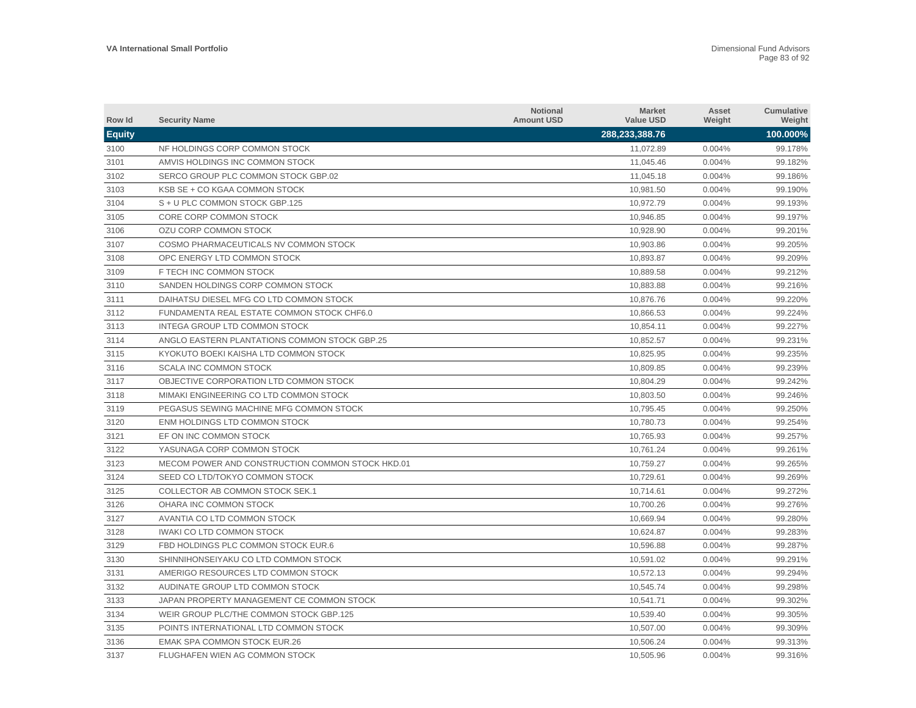| Row Id        | <b>Security Name</b>                             | <b>Notional</b><br><b>Amount USD</b> | <b>Market</b><br><b>Value USD</b> | Asset<br>Weight | Cumulative<br>Weight |
|---------------|--------------------------------------------------|--------------------------------------|-----------------------------------|-----------------|----------------------|
| <b>Equity</b> |                                                  |                                      | 288,233,388.76                    |                 | 100.000%             |
| 3100          | NF HOLDINGS CORP COMMON STOCK                    |                                      | 11,072.89                         | 0.004%          | 99.178%              |
| 3101          | AMVIS HOLDINGS INC COMMON STOCK                  |                                      | 11,045.46                         | 0.004%          | 99.182%              |
| 3102          | SERCO GROUP PLC COMMON STOCK GBP.02              |                                      | 11,045.18                         | 0.004%          | 99.186%              |
| 3103          | KSB SE + CO KGAA COMMON STOCK                    |                                      | 10,981.50                         | 0.004%          | 99.190%              |
| 3104          | S + U PLC COMMON STOCK GBP.125                   |                                      | 10,972.79                         | 0.004%          | 99.193%              |
| 3105          | CORE CORP COMMON STOCK                           |                                      | 10.946.85                         | 0.004%          | 99.197%              |
| 3106          | OZU CORP COMMON STOCK                            |                                      | 10,928.90                         | 0.004%          | 99.201%              |
| 3107          | COSMO PHARMACEUTICALS NV COMMON STOCK            |                                      | 10.903.86                         | 0.004%          | 99.205%              |
| 3108          | OPC ENERGY LTD COMMON STOCK                      |                                      | 10,893.87                         | 0.004%          | 99.209%              |
| 3109          | F TECH INC COMMON STOCK                          |                                      | 10,889.58                         | 0.004%          | 99.212%              |
| 3110          | SANDEN HOLDINGS CORP COMMON STOCK                |                                      | 10,883.88                         | 0.004%          | 99.216%              |
| 3111          | DAIHATSU DIESEL MFG CO LTD COMMON STOCK          |                                      | 10,876.76                         | 0.004%          | 99.220%              |
| 3112          | FUNDAMENTA REAL ESTATE COMMON STOCK CHF6.0       |                                      | 10,866.53                         | 0.004%          | 99.224%              |
| 3113          | <b>INTEGA GROUP LTD COMMON STOCK</b>             |                                      | 10,854.11                         | 0.004%          | 99.227%              |
| 3114          | ANGLO EASTERN PLANTATIONS COMMON STOCK GBP.25    |                                      | 10,852.57                         | 0.004%          | 99.231%              |
| 3115          | KYOKUTO BOEKI KAISHA LTD COMMON STOCK            |                                      | 10,825.95                         | 0.004%          | 99.235%              |
| 3116          | <b>SCALA INC COMMON STOCK</b>                    |                                      | 10.809.85                         | 0.004%          | 99.239%              |
| 3117          | OBJECTIVE CORPORATION LTD COMMON STOCK           |                                      | 10,804.29                         | 0.004%          | 99.242%              |
| 3118          | MIMAKI ENGINEERING CO LTD COMMON STOCK           |                                      | 10,803.50                         | 0.004%          | 99.246%              |
| 3119          | PEGASUS SEWING MACHINE MFG COMMON STOCK          |                                      | 10,795.45                         | 0.004%          | 99.250%              |
| 3120          | ENM HOLDINGS LTD COMMON STOCK                    |                                      | 10,780.73                         | 0.004%          | 99.254%              |
| 3121          | EF ON INC COMMON STOCK                           |                                      | 10,765.93                         | 0.004%          | 99.257%              |
| 3122          | YASUNAGA CORP COMMON STOCK                       |                                      | 10,761.24                         | 0.004%          | 99.261%              |
| 3123          | MECOM POWER AND CONSTRUCTION COMMON STOCK HKD.01 |                                      | 10,759.27                         | 0.004%          | 99.265%              |
| 3124          | SEED CO LTD/TOKYO COMMON STOCK                   |                                      | 10,729.61                         | 0.004%          | 99.269%              |
| 3125          | COLLECTOR AB COMMON STOCK SEK.1                  |                                      | 10,714.61                         | 0.004%          | 99.272%              |
| 3126          | OHARA INC COMMON STOCK                           |                                      | 10,700.26                         | 0.004%          | 99.276%              |
| 3127          | AVANTIA CO LTD COMMON STOCK                      |                                      | 10.669.94                         | 0.004%          | 99.280%              |
| 3128          | <b>IWAKI CO LTD COMMON STOCK</b>                 |                                      | 10,624.87                         | 0.004%          | 99.283%              |
| 3129          | FBD HOLDINGS PLC COMMON STOCK EUR.6              |                                      | 10,596.88                         | 0.004%          | 99.287%              |
| 3130          | SHINNIHONSEIYAKU CO LTD COMMON STOCK             |                                      | 10,591.02                         | 0.004%          | 99.291%              |
| 3131          | AMERIGO RESOURCES LTD COMMON STOCK               |                                      | 10,572.13                         | 0.004%          | 99.294%              |
| 3132          | AUDINATE GROUP LTD COMMON STOCK                  |                                      | 10,545.74                         | 0.004%          | 99.298%              |
| 3133          | JAPAN PROPERTY MANAGEMENT CE COMMON STOCK        |                                      | 10,541.71                         | 0.004%          | 99.302%              |
| 3134          | WEIR GROUP PLC/THE COMMON STOCK GBP.125          |                                      | 10,539.40                         | 0.004%          | 99.305%              |
| 3135          | POINTS INTERNATIONAL LTD COMMON STOCK            |                                      | 10,507.00                         | 0.004%          | 99.309%              |
| 3136          | <b>EMAK SPA COMMON STOCK EUR.26</b>              |                                      | 10.506.24                         | 0.004%          | 99.313%              |
| 3137          | FLUGHAFEN WIEN AG COMMON STOCK                   |                                      | 10,505.96                         | 0.004%          | 99.316%              |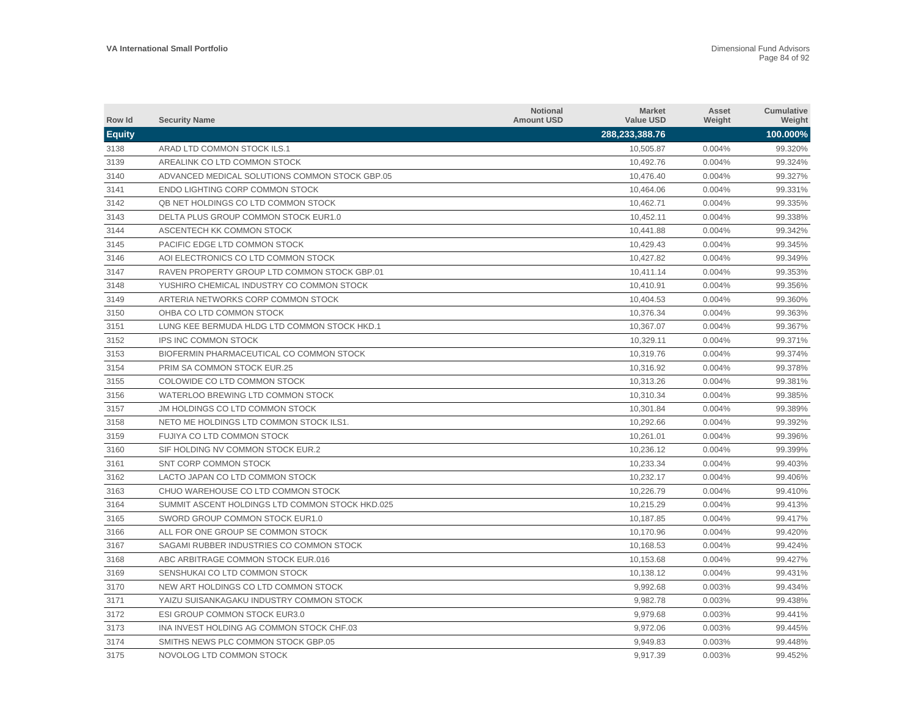| Row Id        | <b>Security Name</b>                            | <b>Notional</b><br><b>Amount USD</b> | <b>Market</b><br><b>Value USD</b> | Asset<br>Weight | <b>Cumulative</b><br>Weight |
|---------------|-------------------------------------------------|--------------------------------------|-----------------------------------|-----------------|-----------------------------|
| <b>Equity</b> |                                                 |                                      | 288,233,388.76                    |                 | 100.000%                    |
| 3138          | ARAD LTD COMMON STOCK ILS.1                     |                                      | 10.505.87                         | 0.004%          | 99.320%                     |
| 3139          | AREALINK CO LTD COMMON STOCK                    |                                      | 10,492.76                         | 0.004%          | 99.324%                     |
| 3140          | ADVANCED MEDICAL SOLUTIONS COMMON STOCK GBP.05  |                                      | 10,476.40                         | 0.004%          | 99.327%                     |
| 3141          | ENDO LIGHTING CORP COMMON STOCK                 |                                      | 10,464.06                         | 0.004%          | 99.331%                     |
| 3142          | QB NET HOLDINGS CO LTD COMMON STOCK             |                                      | 10,462.71                         | 0.004%          | 99.335%                     |
| 3143          | DELTA PLUS GROUP COMMON STOCK EUR1.0            |                                      | 10,452.11                         | 0.004%          | 99.338%                     |
| 3144          | ASCENTECH KK COMMON STOCK                       |                                      | 10,441.88                         | 0.004%          | 99.342%                     |
| 3145          | PACIFIC EDGE LTD COMMON STOCK                   |                                      | 10.429.43                         | 0.004%          | 99.345%                     |
| 3146          | AOI ELECTRONICS CO LTD COMMON STOCK             |                                      | 10,427.82                         | 0.004%          | 99.349%                     |
| 3147          | RAVEN PROPERTY GROUP LTD COMMON STOCK GBP.01    |                                      | 10.411.14                         | 0.004%          | 99.353%                     |
| 3148          | YUSHIRO CHEMICAL INDUSTRY CO COMMON STOCK       |                                      | 10,410.91                         | 0.004%          | 99.356%                     |
| 3149          | ARTERIA NETWORKS CORP COMMON STOCK              |                                      | 10,404.53                         | 0.004%          | 99.360%                     |
| 3150          | OHBA CO LTD COMMON STOCK                        |                                      | 10,376.34                         | 0.004%          | 99.363%                     |
| 3151          | LUNG KEE BERMUDA HLDG LTD COMMON STOCK HKD.1    |                                      | 10,367.07                         | 0.004%          | 99.367%                     |
| 3152          | <b>IPS INC COMMON STOCK</b>                     |                                      | 10,329.11                         | 0.004%          | 99.371%                     |
| 3153          | BIOFERMIN PHARMACEUTICAL CO COMMON STOCK        |                                      | 10.319.76                         | 0.004%          | 99.374%                     |
| 3154          | PRIM SA COMMON STOCK EUR.25                     |                                      | 10.316.92                         | 0.004%          | 99.378%                     |
| 3155          | COLOWIDE CO LTD COMMON STOCK                    |                                      | 10,313.26                         | 0.004%          | 99.381%                     |
| 3156          | WATERLOO BREWING LTD COMMON STOCK               |                                      | 10,310.34                         | 0.004%          | 99.385%                     |
| 3157          | JM HOLDINGS CO LTD COMMON STOCK                 |                                      | 10,301.84                         | 0.004%          | 99.389%                     |
| 3158          | NETO ME HOLDINGS LTD COMMON STOCK ILS1.         |                                      | 10,292.66                         | 0.004%          | 99.392%                     |
| 3159          | <b>FUJIYA CO LTD COMMON STOCK</b>               |                                      | 10,261.01                         | 0.004%          | 99.396%                     |
| 3160          | SIF HOLDING NV COMMON STOCK EUR.2               |                                      | 10,236.12                         | 0.004%          | 99.399%                     |
| 3161          | SNT CORP COMMON STOCK                           |                                      | 10,233.34                         | 0.004%          | 99.403%                     |
| 3162          | LACTO JAPAN CO LTD COMMON STOCK                 |                                      | 10,232.17                         | 0.004%          | 99.406%                     |
| 3163          | CHUO WAREHOUSE CO LTD COMMON STOCK              |                                      | 10,226.79                         | 0.004%          | 99.410%                     |
| 3164          | SUMMIT ASCENT HOLDINGS LTD COMMON STOCK HKD.025 |                                      | 10,215.29                         | 0.004%          | 99.413%                     |
| 3165          | SWORD GROUP COMMON STOCK EUR1.0                 |                                      | 10,187.85                         | 0.004%          | 99.417%                     |
| 3166          | ALL FOR ONE GROUP SE COMMON STOCK               |                                      | 10,170.96                         | 0.004%          | 99.420%                     |
| 3167          | SAGAMI RUBBER INDUSTRIES CO COMMON STOCK        |                                      | 10,168.53                         | 0.004%          | 99.424%                     |
| 3168          | ABC ARBITRAGE COMMON STOCK EUR.016              |                                      | 10,153.68                         | 0.004%          | 99.427%                     |
| 3169          | SENSHUKAI CO LTD COMMON STOCK                   |                                      | 10,138.12                         | 0.004%          | 99.431%                     |
| 3170          | NEW ART HOLDINGS CO LTD COMMON STOCK            |                                      | 9,992.68                          | 0.003%          | 99.434%                     |
| 3171          | YAIZU SUISANKAGAKU INDUSTRY COMMON STOCK        |                                      | 9,982.78                          | 0.003%          | 99.438%                     |
| 3172          | ESI GROUP COMMON STOCK EUR3.0                   |                                      | 9,979.68                          | 0.003%          | 99.441%                     |
| 3173          | INA INVEST HOLDING AG COMMON STOCK CHF.03       |                                      | 9,972.06                          | 0.003%          | 99.445%                     |
| 3174          | SMITHS NEWS PLC COMMON STOCK GBP.05             |                                      | 9.949.83                          | 0.003%          | 99.448%                     |
| 3175          | NOVOLOG LTD COMMON STOCK                        |                                      | 9,917.39                          | 0.003%          | 99.452%                     |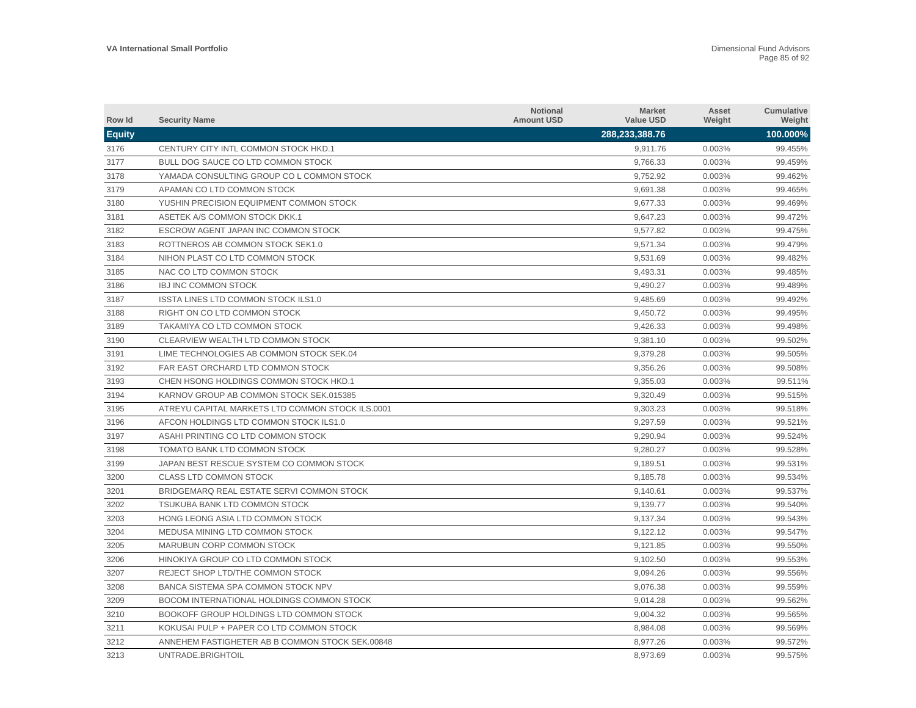| Row Id        | <b>Security Name</b>                             | <b>Notional</b><br><b>Amount USD</b> | <b>Market</b><br><b>Value USD</b> | Asset<br>Weight | Cumulative<br>Weight |
|---------------|--------------------------------------------------|--------------------------------------|-----------------------------------|-----------------|----------------------|
| <b>Equity</b> |                                                  |                                      | 288,233,388.76                    |                 | 100.000%             |
| 3176          | CENTURY CITY INTL COMMON STOCK HKD.1             |                                      | 9.911.76                          | 0.003%          | 99.455%              |
| 3177          | BULL DOG SAUCE CO LTD COMMON STOCK               |                                      | 9,766.33                          | 0.003%          | 99.459%              |
| 3178          | YAMADA CONSULTING GROUP CO L COMMON STOCK        |                                      | 9,752.92                          | 0.003%          | 99.462%              |
| 3179          | APAMAN CO LTD COMMON STOCK                       |                                      | 9,691.38                          | 0.003%          | 99.465%              |
| 3180          | YUSHIN PRECISION EQUIPMENT COMMON STOCK          |                                      | 9,677.33                          | 0.003%          | 99.469%              |
| 3181          | ASETEK A/S COMMON STOCK DKK.1                    |                                      | 9.647.23                          | 0.003%          | 99.472%              |
| 3182          | ESCROW AGENT JAPAN INC COMMON STOCK              |                                      | 9,577.82                          | 0.003%          | 99.475%              |
| 3183          | ROTTNEROS AB COMMON STOCK SEK1.0                 |                                      | 9,571.34                          | 0.003%          | 99.479%              |
| 3184          | NIHON PLAST CO LTD COMMON STOCK                  |                                      | 9,531.69                          | 0.003%          | 99.482%              |
| 3185          | NAC CO LTD COMMON STOCK                          |                                      | 9,493.31                          | 0.003%          | 99.485%              |
| 3186          | <b>IBJ INC COMMON STOCK</b>                      |                                      | 9,490.27                          | 0.003%          | 99.489%              |
| 3187          | <b>ISSTA LINES LTD COMMON STOCK ILS1.0</b>       |                                      | 9,485.69                          | 0.003%          | 99.492%              |
| 3188          | RIGHT ON CO LTD COMMON STOCK                     |                                      | 9,450.72                          | 0.003%          | 99.495%              |
| 3189          | TAKAMIYA CO LTD COMMON STOCK                     |                                      | 9,426.33                          | 0.003%          | 99.498%              |
| 3190          | CLEARVIEW WEALTH LTD COMMON STOCK                |                                      | 9,381.10                          | 0.003%          | 99.502%              |
| 3191          | LIME TECHNOLOGIES AB COMMON STOCK SEK.04         |                                      | 9,379.28                          | 0.003%          | 99.505%              |
| 3192          | FAR EAST ORCHARD LTD COMMON STOCK                |                                      | 9.356.26                          | 0.003%          | 99.508%              |
| 3193          | CHEN HSONG HOLDINGS COMMON STOCK HKD.1           |                                      | 9,355.03                          | 0.003%          | 99.511%              |
| 3194          | KARNOV GROUP AB COMMON STOCK SEK.015385          |                                      | 9,320.49                          | 0.003%          | 99.515%              |
| 3195          | ATREYU CAPITAL MARKETS LTD COMMON STOCK ILS.0001 |                                      | 9,303.23                          | 0.003%          | 99.518%              |
| 3196          | AFCON HOLDINGS LTD COMMON STOCK ILS1.0           |                                      | 9,297.59                          | 0.003%          | 99.521%              |
| 3197          | ASAHI PRINTING CO LTD COMMON STOCK               |                                      | 9,290.94                          | 0.003%          | 99.524%              |
| 3198          | TOMATO BANK LTD COMMON STOCK                     |                                      | 9,280.27                          | 0.003%          | 99.528%              |
| 3199          | JAPAN BEST RESCUE SYSTEM CO COMMON STOCK         |                                      | 9,189.51                          | 0.003%          | 99.531%              |
| 3200          | <b>CLASS LTD COMMON STOCK</b>                    |                                      | 9,185.78                          | 0.003%          | 99.534%              |
| 3201          | BRIDGEMARQ REAL ESTATE SERVI COMMON STOCK        |                                      | 9,140.61                          | 0.003%          | 99.537%              |
| 3202          | TSUKUBA BANK LTD COMMON STOCK                    |                                      | 9.139.77                          | 0.003%          | 99.540%              |
| 3203          | HONG LEONG ASIA LTD COMMON STOCK                 |                                      | 9,137.34                          | 0.003%          | 99.543%              |
| 3204          | MEDUSA MINING LTD COMMON STOCK                   |                                      | 9,122.12                          | 0.003%          | 99.547%              |
| 3205          | MARUBUN CORP COMMON STOCK                        |                                      | 9,121.85                          | 0.003%          | 99.550%              |
| 3206          | HINOKIYA GROUP CO LTD COMMON STOCK               |                                      | 9,102.50                          | 0.003%          | 99.553%              |
| 3207          | REJECT SHOP LTD/THE COMMON STOCK                 |                                      | 9,094.26                          | 0.003%          | 99.556%              |
| 3208          | BANCA SISTEMA SPA COMMON STOCK NPV               |                                      | 9,076.38                          | 0.003%          | 99.559%              |
| 3209          | BOCOM INTERNATIONAL HOLDINGS COMMON STOCK        |                                      | 9,014.28                          | 0.003%          | 99.562%              |
| 3210          | BOOKOFF GROUP HOLDINGS LTD COMMON STOCK          |                                      | 9,004.32                          | 0.003%          | 99.565%              |
| 3211          | KOKUSAI PULP + PAPER CO LTD COMMON STOCK         |                                      | 8,984.08                          | 0.003%          | 99.569%              |
| 3212          | ANNEHEM FASTIGHETER AB B COMMON STOCK SEK.00848  |                                      | 8.977.26                          | 0.003%          | 99.572%              |
| 3213          | UNTRADE.BRIGHTOIL                                |                                      | 8,973.69                          | 0.003%          | 99.575%              |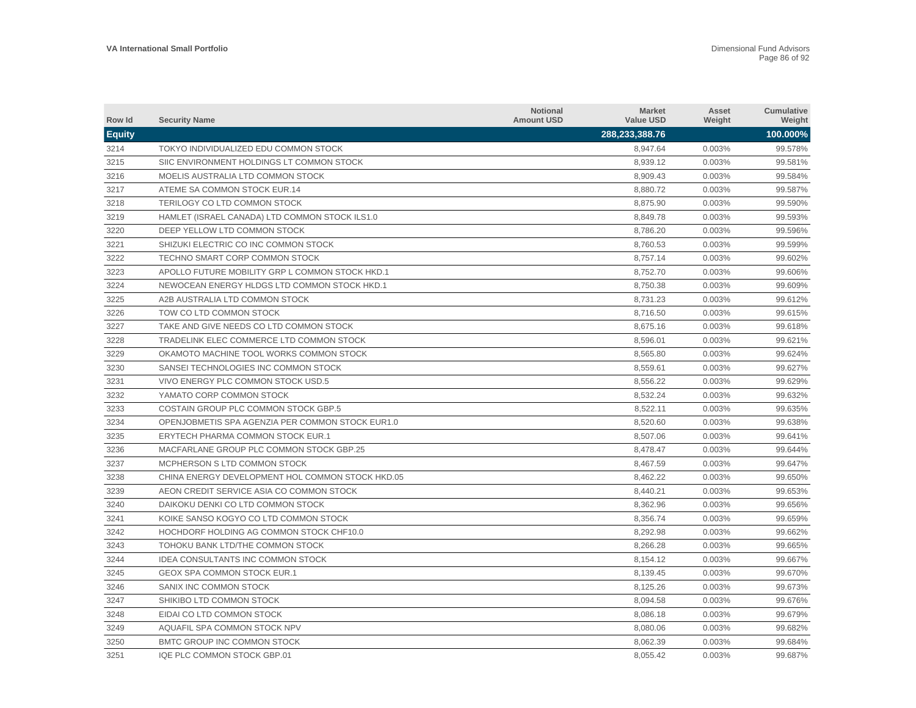| Row Id        | <b>Security Name</b>                             | <b>Notional</b><br><b>Amount USD</b> | <b>Market</b><br><b>Value USD</b> | Asset<br>Weight | Cumulative<br>Weight |
|---------------|--------------------------------------------------|--------------------------------------|-----------------------------------|-----------------|----------------------|
| <b>Equity</b> |                                                  |                                      | 288,233,388.76                    |                 | 100.000%             |
| 3214          | TOKYO INDIVIDUALIZED EDU COMMON STOCK            |                                      | 8,947.64                          | 0.003%          | 99.578%              |
| 3215          | SIIC ENVIRONMENT HOLDINGS LT COMMON STOCK        |                                      | 8,939.12                          | 0.003%          | 99.581%              |
| 3216          | MOELIS AUSTRALIA LTD COMMON STOCK                |                                      | 8,909.43                          | 0.003%          | 99.584%              |
| 3217          | ATEME SA COMMON STOCK EUR.14                     |                                      | 8,880.72                          | 0.003%          | 99.587%              |
| 3218          | TERILOGY CO LTD COMMON STOCK                     |                                      | 8.875.90                          | 0.003%          | 99.590%              |
| 3219          | HAMLET (ISRAEL CANADA) LTD COMMON STOCK ILS1.0   |                                      | 8.849.78                          | 0.003%          | 99.593%              |
| 3220          | DEEP YELLOW LTD COMMON STOCK                     |                                      | 8,786.20                          | 0.003%          | 99.596%              |
| 3221          | SHIZUKI ELECTRIC CO INC COMMON STOCK             |                                      | 8.760.53                          | 0.003%          | 99.599%              |
| 3222          | TECHNO SMART CORP COMMON STOCK                   |                                      | 8,757.14                          | 0.003%          | 99.602%              |
| 3223          | APOLLO FUTURE MOBILITY GRP L COMMON STOCK HKD.1  |                                      | 8,752.70                          | 0.003%          | 99.606%              |
| 3224          | NEWOCEAN ENERGY HLDGS LTD COMMON STOCK HKD.1     |                                      | 8,750.38                          | 0.003%          | 99.609%              |
| 3225          | A2B AUSTRALIA LTD COMMON STOCK                   |                                      | 8,731.23                          | 0.003%          | 99.612%              |
| 3226          | TOW CO LTD COMMON STOCK                          |                                      | 8,716.50                          | 0.003%          | 99.615%              |
| 3227          | TAKE AND GIVE NEEDS CO LTD COMMON STOCK          |                                      | 8,675.16                          | 0.003%          | 99.618%              |
| 3228          | TRADELINK ELEC COMMERCE LTD COMMON STOCK         |                                      | 8,596.01                          | 0.003%          | 99.621%              |
| 3229          | OKAMOTO MACHINE TOOL WORKS COMMON STOCK          |                                      | 8,565.80                          | 0.003%          | 99.624%              |
| 3230          | SANSEI TECHNOLOGIES INC COMMON STOCK             |                                      | 8.559.61                          | 0.003%          | 99.627%              |
| 3231          | VIVO ENERGY PLC COMMON STOCK USD.5               |                                      | 8,556.22                          | 0.003%          | 99.629%              |
| 3232          | YAMATO CORP COMMON STOCK                         |                                      | 8,532.24                          | 0.003%          | 99.632%              |
| 3233          | COSTAIN GROUP PLC COMMON STOCK GBP.5             |                                      | 8,522.11                          | 0.003%          | 99.635%              |
| 3234          | OPENJOBMETIS SPA AGENZIA PER COMMON STOCK EUR1.0 |                                      | 8,520.60                          | 0.003%          | 99.638%              |
| 3235          | ERYTECH PHARMA COMMON STOCK EUR.1                |                                      | 8,507.06                          | 0.003%          | 99.641%              |
| 3236          | MACFARLANE GROUP PLC COMMON STOCK GBP.25         |                                      | 8,478.47                          | 0.003%          | 99.644%              |
| 3237          | MCPHERSON S LTD COMMON STOCK                     |                                      | 8,467.59                          | 0.003%          | 99.647%              |
| 3238          | CHINA ENERGY DEVELOPMENT HOL COMMON STOCK HKD.05 |                                      | 8,462.22                          | 0.003%          | 99.650%              |
| 3239          | AEON CREDIT SERVICE ASIA CO COMMON STOCK         |                                      | 8,440.21                          | 0.003%          | 99.653%              |
| 3240          | DAIKOKU DENKI CO LTD COMMON STOCK                |                                      | 8,362.96                          | 0.003%          | 99.656%              |
| 3241          | KOIKE SANSO KOGYO CO LTD COMMON STOCK            |                                      | 8,356.74                          | 0.003%          | 99.659%              |
| 3242          | HOCHDORF HOLDING AG COMMON STOCK CHF10.0         |                                      | 8.292.98                          | 0.003%          | 99.662%              |
| 3243          | TOHOKU BANK LTD/THE COMMON STOCK                 |                                      | 8,266.28                          | 0.003%          | 99.665%              |
| 3244          | <b>IDEA CONSULTANTS INC COMMON STOCK</b>         |                                      | 8,154.12                          | 0.003%          | 99.667%              |
| 3245          | <b>GEOX SPA COMMON STOCK EUR.1</b>               |                                      | 8,139.45                          | 0.003%          | 99.670%              |
| 3246          | SANIX INC COMMON STOCK                           |                                      | 8,125.26                          | 0.003%          | 99.673%              |
| 3247          | SHIKIBO LTD COMMON STOCK                         |                                      | 8,094.58                          | 0.003%          | 99.676%              |
| 3248          | EIDAI CO LTD COMMON STOCK                        |                                      | 8,086.18                          | 0.003%          | 99.679%              |
| 3249          | AQUAFIL SPA COMMON STOCK NPV                     |                                      | 8,080.06                          | 0.003%          | 99.682%              |
| 3250          | BMTC GROUP INC COMMON STOCK                      |                                      | 8.062.39                          | 0.003%          | 99.684%              |
| 3251          | IQE PLC COMMON STOCK GBP.01                      |                                      | 8.055.42                          | 0.003%          | 99.687%              |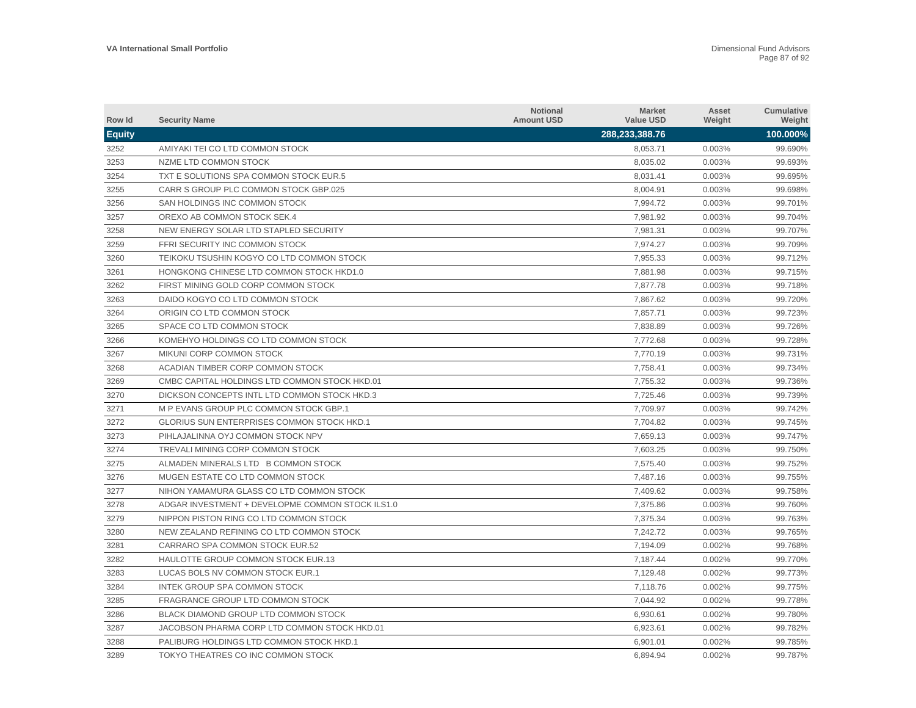| Row Id        | <b>Security Name</b>                             | Notional<br><b>Amount USD</b> | <b>Market</b><br><b>Value USD</b> | Asset<br>Weight | Cumulative<br>Weight |
|---------------|--------------------------------------------------|-------------------------------|-----------------------------------|-----------------|----------------------|
| <b>Equity</b> |                                                  |                               | 288,233,388.76                    |                 | 100.000%             |
| 3252          | AMIYAKI TEI CO LTD COMMON STOCK                  |                               | 8,053.71                          | 0.003%          | 99.690%              |
| 3253          | NZME LTD COMMON STOCK                            |                               | 8,035.02                          | 0.003%          | 99.693%              |
| 3254          | TXT E SOLUTIONS SPA COMMON STOCK EUR.5           |                               | 8,031.41                          | 0.003%          | 99.695%              |
| 3255          | CARR S GROUP PLC COMMON STOCK GBP.025            |                               | 8,004.91                          | 0.003%          | 99.698%              |
| 3256          | SAN HOLDINGS INC COMMON STOCK                    |                               | 7,994.72                          | 0.003%          | 99.701%              |
| 3257          | OREXO AB COMMON STOCK SEK.4                      |                               | 7.981.92                          | 0.003%          | 99.704%              |
| 3258          | NEW ENERGY SOLAR LTD STAPLED SECURITY            |                               | 7,981.31                          | 0.003%          | 99.707%              |
| 3259          | FFRI SECURITY INC COMMON STOCK                   |                               | 7.974.27                          | 0.003%          | 99.709%              |
| 3260          | TEIKOKU TSUSHIN KOGYO CO LTD COMMON STOCK        |                               | 7,955.33                          | 0.003%          | 99.712%              |
| 3261          | HONGKONG CHINESE LTD COMMON STOCK HKD1.0         |                               | 7.881.98                          | 0.003%          | 99.715%              |
| 3262          | FIRST MINING GOLD CORP COMMON STOCK              |                               | 7,877.78                          | 0.003%          | 99.718%              |
| 3263          | DAIDO KOGYO CO LTD COMMON STOCK                  |                               | 7,867.62                          | 0.003%          | 99.720%              |
| 3264          | ORIGIN CO LTD COMMON STOCK                       |                               | 7,857.71                          | 0.003%          | 99.723%              |
| 3265          | SPACE CO LTD COMMON STOCK                        |                               | 7,838.89                          | 0.003%          | 99.726%              |
| 3266          | KOMEHYO HOLDINGS CO LTD COMMON STOCK             |                               | 7,772.68                          | 0.003%          | 99.728%              |
| 3267          | MIKUNI CORP COMMON STOCK                         |                               | 7,770.19                          | 0.003%          | 99.731%              |
| 3268          | ACADIAN TIMBER CORP COMMON STOCK                 |                               | 7.758.41                          | 0.003%          | 99.734%              |
| 3269          | CMBC CAPITAL HOLDINGS LTD COMMON STOCK HKD.01    |                               | 7,755.32                          | 0.003%          | 99.736%              |
| 3270          | DICKSON CONCEPTS INTL LTD COMMON STOCK HKD.3     |                               | 7,725.46                          | 0.003%          | 99.739%              |
| 3271          | M P EVANS GROUP PLC COMMON STOCK GBP.1           |                               | 7,709.97                          | 0.003%          | 99.742%              |
| 3272          | GLORIUS SUN ENTERPRISES COMMON STOCK HKD.1       |                               | 7,704.82                          | 0.003%          | 99.745%              |
| 3273          | PIHLAJALINNA OYJ COMMON STOCK NPV                |                               | 7,659.13                          | 0.003%          | 99.747%              |
| 3274          | TREVALI MINING CORP COMMON STOCK                 |                               | 7,603.25                          | 0.003%          | 99.750%              |
| 3275          | ALMADEN MINERALS LTD B COMMON STOCK              |                               | 7,575.40                          | 0.003%          | 99.752%              |
| 3276          | MUGEN ESTATE CO LTD COMMON STOCK                 |                               | 7,487.16                          | 0.003%          | 99.755%              |
| 3277          | NIHON YAMAMURA GLASS CO LTD COMMON STOCK         |                               | 7,409.62                          | 0.003%          | 99.758%              |
| 3278          | ADGAR INVESTMENT + DEVELOPME COMMON STOCK ILS1.0 |                               | 7.375.86                          | 0.003%          | 99.760%              |
| 3279          | NIPPON PISTON RING CO LTD COMMON STOCK           |                               | 7,375.34                          | 0.003%          | 99.763%              |
| 3280          | NEW ZEALAND REFINING CO LTD COMMON STOCK         |                               | 7,242.72                          | 0.003%          | 99.765%              |
| 3281          | CARRARO SPA COMMON STOCK EUR.52                  |                               | 7,194.09                          | 0.002%          | 99.768%              |
| 3282          | HAULOTTE GROUP COMMON STOCK EUR.13               |                               | 7,187.44                          | 0.002%          | 99.770%              |
| 3283          | LUCAS BOLS NV COMMON STOCK EUR.1                 |                               | 7,129.48                          | 0.002%          | 99.773%              |
| 3284          | INTEK GROUP SPA COMMON STOCK                     |                               | 7,118.76                          | 0.002%          | 99.775%              |
| 3285          | FRAGRANCE GROUP LTD COMMON STOCK                 |                               | 7,044.92                          | 0.002%          | 99.778%              |
| 3286          | BLACK DIAMOND GROUP LTD COMMON STOCK             |                               | 6,930.61                          | 0.002%          | 99.780%              |
| 3287          | JACOBSON PHARMA CORP LTD COMMON STOCK HKD.01     |                               | 6,923.61                          | 0.002%          | 99.782%              |
| 3288          | PALIBURG HOLDINGS LTD COMMON STOCK HKD.1         |                               | 6,901.01                          | 0.002%          | 99.785%              |
| 3289          | TOKYO THEATRES CO INC COMMON STOCK               |                               | 6.894.94                          | 0.002%          | 99.787%              |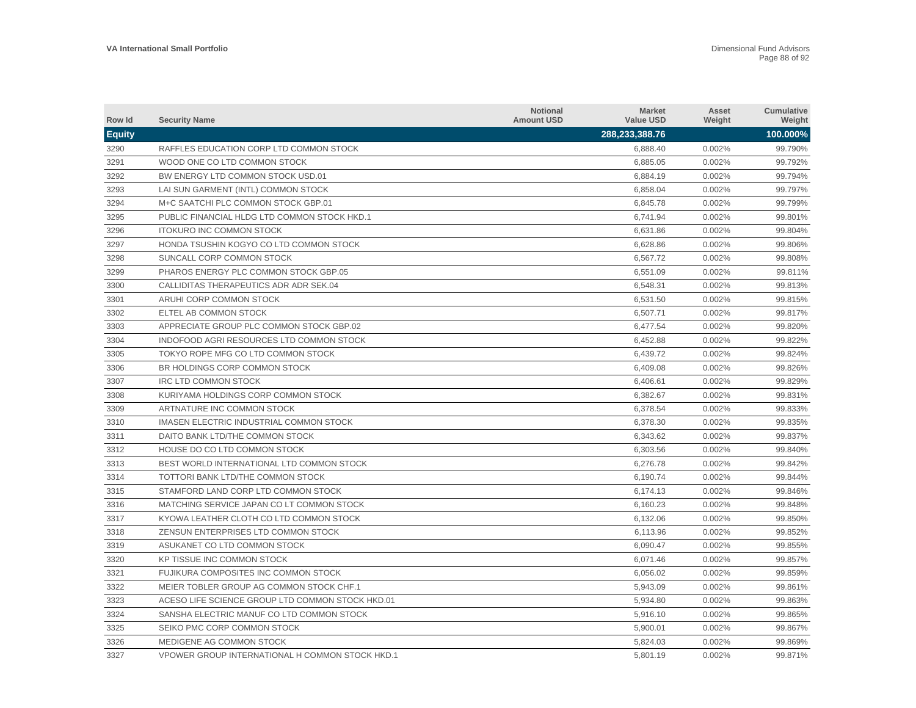| Row Id        | <b>Security Name</b>                             | <b>Notional</b><br><b>Amount USD</b> | <b>Market</b><br><b>Value USD</b> | Asset<br>Weight | <b>Cumulative</b><br>Weight |
|---------------|--------------------------------------------------|--------------------------------------|-----------------------------------|-----------------|-----------------------------|
| <b>Equity</b> |                                                  |                                      | 288,233,388.76                    |                 | 100.000%                    |
| 3290          | RAFFLES EDUCATION CORP LTD COMMON STOCK          |                                      | 6.888.40                          | 0.002%          | 99.790%                     |
| 3291          | WOOD ONE CO LTD COMMON STOCK                     |                                      | 6,885.05                          | 0.002%          | 99.792%                     |
| 3292          | BW ENERGY LTD COMMON STOCK USD.01                |                                      | 6,884.19                          | 0.002%          | 99.794%                     |
| 3293          | LAI SUN GARMENT (INTL) COMMON STOCK              |                                      | 6,858.04                          | 0.002%          | 99.797%                     |
| 3294          | M+C SAATCHI PLC COMMON STOCK GBP.01              |                                      | 6,845.78                          | 0.002%          | 99.799%                     |
| 3295          | PUBLIC FINANCIAL HLDG LTD COMMON STOCK HKD.1     |                                      | 6,741.94                          | 0.002%          | 99.801%                     |
| 3296          | <b>ITOKURO INC COMMON STOCK</b>                  |                                      | 6,631.86                          | 0.002%          | 99.804%                     |
| 3297          | HONDA TSUSHIN KOGYO CO LTD COMMON STOCK          |                                      | 6,628.86                          | 0.002%          | 99.806%                     |
| 3298          | SUNCALL CORP COMMON STOCK                        |                                      | 6,567.72                          | 0.002%          | 99.808%                     |
| 3299          | PHAROS ENERGY PLC COMMON STOCK GBP.05            |                                      | 6,551.09                          | 0.002%          | 99.811%                     |
| 3300          | CALLIDITAS THERAPEUTICS ADR ADR SEK.04           |                                      | 6,548.31                          | 0.002%          | 99.813%                     |
| 3301          | ARUHI CORP COMMON STOCK                          |                                      | 6,531.50                          | 0.002%          | 99.815%                     |
| 3302          | ELTEL AB COMMON STOCK                            |                                      | 6.507.71                          | 0.002%          | 99.817%                     |
| 3303          | APPRECIATE GROUP PLC COMMON STOCK GBP.02         |                                      | 6,477.54                          | 0.002%          | 99.820%                     |
| 3304          | INDOFOOD AGRI RESOURCES LTD COMMON STOCK         |                                      | 6,452.88                          | 0.002%          | 99.822%                     |
| 3305          | TOKYO ROPE MFG CO LTD COMMON STOCK               |                                      | 6,439.72                          | 0.002%          | 99.824%                     |
| 3306          | BR HOLDINGS CORP COMMON STOCK                    |                                      | 6,409.08                          | 0.002%          | 99.826%                     |
| 3307          | IRC LTD COMMON STOCK                             |                                      | 6,406.61                          | 0.002%          | 99.829%                     |
| 3308          | KURIYAMA HOLDINGS CORP COMMON STOCK              |                                      | 6,382.67                          | 0.002%          | 99.831%                     |
| 3309          | ARTNATURE INC COMMON STOCK                       |                                      | 6,378.54                          | 0.002%          | 99.833%                     |
| 3310          | IMASEN ELECTRIC INDUSTRIAL COMMON STOCK          |                                      | 6,378.30                          | 0.002%          | 99.835%                     |
| 3311          | DAITO BANK LTD/THE COMMON STOCK                  |                                      | 6,343.62                          | 0.002%          | 99.837%                     |
| 3312          | HOUSE DO CO LTD COMMON STOCK                     |                                      | 6,303.56                          | 0.002%          | 99.840%                     |
| 3313          | BEST WORLD INTERNATIONAL LTD COMMON STOCK        |                                      | 6,276.78                          | 0.002%          | 99.842%                     |
| 3314          | TOTTORI BANK LTD/THE COMMON STOCK                |                                      | 6,190.74                          | 0.002%          | 99.844%                     |
| 3315          | STAMFORD LAND CORP LTD COMMON STOCK              |                                      | 6,174.13                          | 0.002%          | 99.846%                     |
| 3316          | MATCHING SERVICE JAPAN CO LT COMMON STOCK        |                                      | 6,160.23                          | 0.002%          | 99.848%                     |
| 3317          | KYOWA LEATHER CLOTH CO LTD COMMON STOCK          |                                      | 6,132.06                          | 0.002%          | 99.850%                     |
| 3318          | ZENSUN ENTERPRISES LTD COMMON STOCK              |                                      | 6,113.96                          | 0.002%          | 99.852%                     |
| 3319          | ASUKANET CO LTD COMMON STOCK                     |                                      | 6,090.47                          | 0.002%          | 99.855%                     |
| 3320          | KP TISSUE INC COMMON STOCK                       |                                      | 6,071.46                          | 0.002%          | 99.857%                     |
| 3321          | FUJIKURA COMPOSITES INC COMMON STOCK             |                                      | 6,056.02                          | 0.002%          | 99.859%                     |
| 3322          | MEIER TOBLER GROUP AG COMMON STOCK CHF.1         |                                      | 5,943.09                          | 0.002%          | 99.861%                     |
| 3323          | ACESO LIFE SCIENCE GROUP LTD COMMON STOCK HKD.01 |                                      | 5,934.80                          | 0.002%          | 99.863%                     |
| 3324          | SANSHA ELECTRIC MANUF CO LTD COMMON STOCK        |                                      | 5.916.10                          | 0.002%          | 99.865%                     |
| 3325          | SEIKO PMC CORP COMMON STOCK                      |                                      | 5,900.01                          | 0.002%          | 99.867%                     |
| 3326          | MEDIGENE AG COMMON STOCK                         |                                      | 5.824.03                          | 0.002%          | 99.869%                     |
| 3327          | VPOWER GROUP INTERNATIONAL H COMMON STOCK HKD.1  |                                      | 5.801.19                          | 0.002%          | 99.871%                     |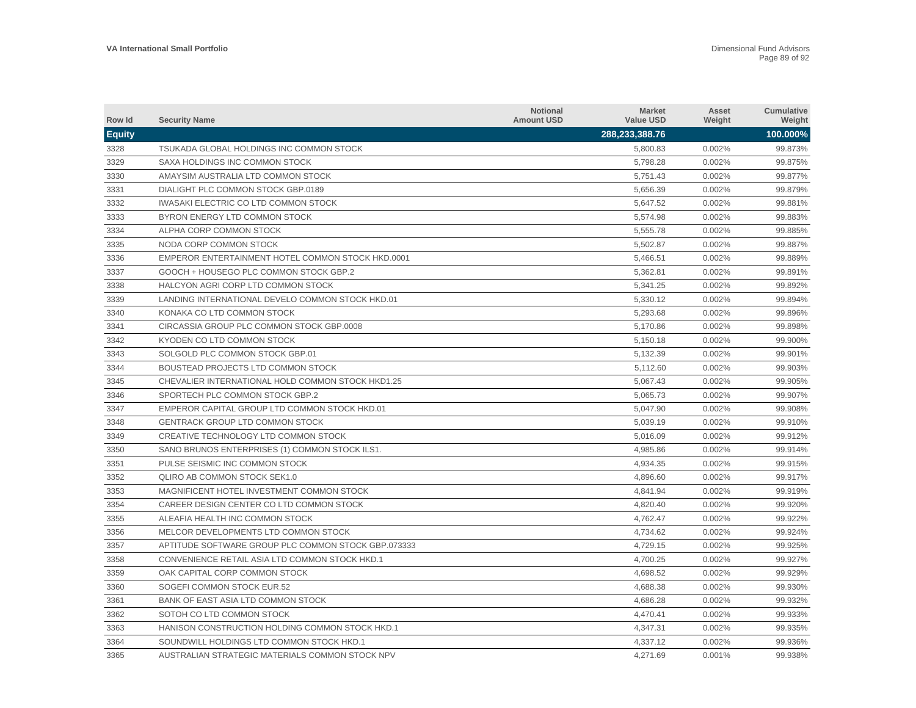| Row Id        | <b>Security Name</b>                                | <b>Notional</b><br><b>Amount USD</b> | <b>Market</b><br><b>Value USD</b> | Asset<br>Weight | Cumulative<br>Weight |
|---------------|-----------------------------------------------------|--------------------------------------|-----------------------------------|-----------------|----------------------|
| <b>Equity</b> |                                                     |                                      | 288,233,388.76                    |                 | 100.000%             |
| 3328          | TSUKADA GLOBAL HOLDINGS INC COMMON STOCK            |                                      | 5,800.83                          | 0.002%          | 99.873%              |
| 3329          | SAXA HOLDINGS INC COMMON STOCK                      |                                      | 5,798.28                          | 0.002%          | 99.875%              |
| 3330          | AMAYSIM AUSTRALIA LTD COMMON STOCK                  |                                      | 5,751.43                          | 0.002%          | 99.877%              |
| 3331          | DIALIGHT PLC COMMON STOCK GBP.0189                  |                                      | 5,656.39                          | 0.002%          | 99.879%              |
| 3332          | IWASAKI ELECTRIC CO LTD COMMON STOCK                |                                      | 5,647.52                          | 0.002%          | 99.881%              |
| 3333          | BYRON ENERGY LTD COMMON STOCK                       |                                      | 5,574.98                          | 0.002%          | 99.883%              |
| 3334          | ALPHA CORP COMMON STOCK                             |                                      | 5,555.78                          | 0.002%          | 99.885%              |
| 3335          | NODA CORP COMMON STOCK                              |                                      | 5,502.87                          | 0.002%          | 99.887%              |
| 3336          | EMPEROR ENTERTAINMENT HOTEL COMMON STOCK HKD.0001   |                                      | 5,466.51                          | 0.002%          | 99.889%              |
| 3337          | GOOCH + HOUSEGO PLC COMMON STOCK GBP.2              |                                      | 5,362.81                          | 0.002%          | 99.891%              |
| 3338          | HALCYON AGRI CORP LTD COMMON STOCK                  |                                      | 5,341.25                          | 0.002%          | 99.892%              |
| 3339          | LANDING INTERNATIONAL DEVELO COMMON STOCK HKD.01    |                                      | 5,330.12                          | 0.002%          | 99.894%              |
| 3340          | KONAKA CO LTD COMMON STOCK                          |                                      | 5,293.68                          | 0.002%          | 99.896%              |
| 3341          | CIRCASSIA GROUP PLC COMMON STOCK GBP.0008           |                                      | 5,170.86                          | 0.002%          | 99.898%              |
| 3342          | KYODEN CO LTD COMMON STOCK                          |                                      | 5,150.18                          | 0.002%          | 99.900%              |
| 3343          | SOLGOLD PLC COMMON STOCK GBP.01                     |                                      | 5,132.39                          | 0.002%          | 99.901%              |
| 3344          | <b>BOUSTEAD PROJECTS LTD COMMON STOCK</b>           |                                      | 5,112.60                          | 0.002%          | 99.903%              |
| 3345          | CHEVALIER INTERNATIONAL HOLD COMMON STOCK HKD1.25   |                                      | 5,067.43                          | 0.002%          | 99.905%              |
| 3346          | SPORTECH PLC COMMON STOCK GBP.2                     |                                      | 5,065.73                          | 0.002%          | 99.907%              |
| 3347          | EMPEROR CAPITAL GROUP LTD COMMON STOCK HKD.01       |                                      | 5,047.90                          | 0.002%          | 99.908%              |
| 3348          | <b>GENTRACK GROUP LTD COMMON STOCK</b>              |                                      | 5,039.19                          | 0.002%          | 99.910%              |
| 3349          | CREATIVE TECHNOLOGY LTD COMMON STOCK                |                                      | 5,016.09                          | 0.002%          | 99.912%              |
| 3350          | SANO BRUNOS ENTERPRISES (1) COMMON STOCK ILS1.      |                                      | 4,985.86                          | 0.002%          | 99.914%              |
| 3351          | PULSE SEISMIC INC COMMON STOCK                      |                                      | 4,934.35                          | 0.002%          | 99.915%              |
| 3352          | <b>QLIRO AB COMMON STOCK SEK1.0</b>                 |                                      | 4,896.60                          | 0.002%          | 99.917%              |
| 3353          | MAGNIFICENT HOTEL INVESTMENT COMMON STOCK           |                                      | 4,841.94                          | 0.002%          | 99.919%              |
| 3354          | CAREER DESIGN CENTER CO LTD COMMON STOCK            |                                      | 4.820.40                          | 0.002%          | 99.920%              |
| 3355          | ALEAFIA HEALTH INC COMMON STOCK                     |                                      | 4,762.47                          | 0.002%          | 99.922%              |
| 3356          | MELCOR DEVELOPMENTS LTD COMMON STOCK                |                                      | 4,734.62                          | 0.002%          | 99.924%              |
| 3357          | APTITUDE SOFTWARE GROUP PLC COMMON STOCK GBP.073333 |                                      | 4,729.15                          | 0.002%          | 99.925%              |
| 3358          | CONVENIENCE RETAIL ASIA LTD COMMON STOCK HKD.1      |                                      | 4,700.25                          | 0.002%          | 99.927%              |
| 3359          | OAK CAPITAL CORP COMMON STOCK                       |                                      | 4,698.52                          | 0.002%          | 99.929%              |
| 3360          | SOGEFI COMMON STOCK EUR.52                          |                                      | 4,688.38                          | 0.002%          | 99.930%              |
| 3361          | BANK OF EAST ASIA LTD COMMON STOCK                  |                                      | 4,686.28                          | 0.002%          | 99.932%              |
| 3362          | SOTOH CO LTD COMMON STOCK                           |                                      | 4,470.41                          | 0.002%          | 99.933%              |
| 3363          | HANISON CONSTRUCTION HOLDING COMMON STOCK HKD.1     |                                      | 4,347.31                          | 0.002%          | 99.935%              |
| 3364          | SOUNDWILL HOLDINGS LTD COMMON STOCK HKD.1           |                                      | 4,337.12                          | 0.002%          | 99.936%              |
| 3365          | AUSTRALIAN STRATEGIC MATERIALS COMMON STOCK NPV     |                                      | 4.271.69                          | 0.001%          | 99.938%              |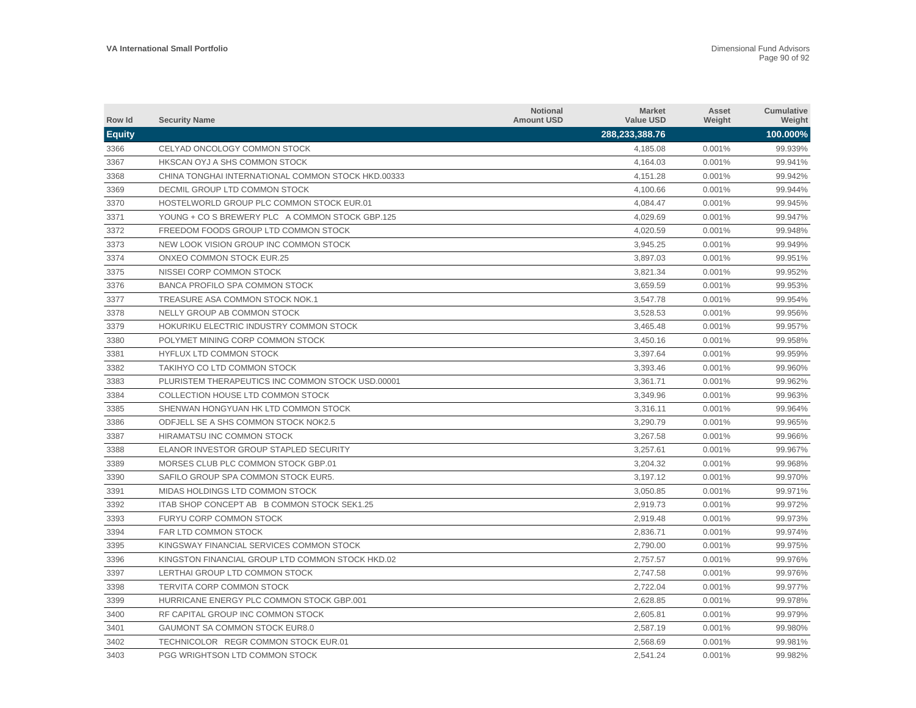| Row Id        | <b>Security Name</b>                               | <b>Notional</b><br><b>Amount USD</b> | <b>Market</b><br><b>Value USD</b> | Asset<br>Weight | Cumulative<br>Weight |
|---------------|----------------------------------------------------|--------------------------------------|-----------------------------------|-----------------|----------------------|
| <b>Equity</b> |                                                    |                                      | 288,233,388.76                    |                 | 100.000%             |
| 3366          | CELYAD ONCOLOGY COMMON STOCK                       |                                      | 4,185.08                          | 0.001%          | 99.939%              |
| 3367          | HKSCAN OYJ A SHS COMMON STOCK                      |                                      | 4,164.03                          | 0.001%          | 99.941%              |
| 3368          | CHINA TONGHAI INTERNATIONAL COMMON STOCK HKD.00333 |                                      | 4,151.28                          | 0.001%          | 99.942%              |
| 3369          | DECMIL GROUP LTD COMMON STOCK                      |                                      | 4,100.66                          | 0.001%          | 99.944%              |
| 3370          | HOSTELWORLD GROUP PLC COMMON STOCK EUR.01          |                                      | 4.084.47                          | 0.001%          | 99.945%              |
| 3371          | YOUNG + CO S BREWERY PLC A COMMON STOCK GBP.125    |                                      | 4.029.69                          | 0.001%          | 99.947%              |
| 3372          | FREEDOM FOODS GROUP LTD COMMON STOCK               |                                      | 4,020.59                          | 0.001%          | 99.948%              |
| 3373          | NEW LOOK VISION GROUP INC COMMON STOCK             |                                      | 3.945.25                          | 0.001%          | 99.949%              |
| 3374          | ONXEO COMMON STOCK EUR.25                          |                                      | 3,897.03                          | 0.001%          | 99.951%              |
| 3375          | NISSEI CORP COMMON STOCK                           |                                      | 3,821.34                          | 0.001%          | 99.952%              |
| 3376          | BANCA PROFILO SPA COMMON STOCK                     |                                      | 3,659.59                          | 0.001%          | 99.953%              |
| 3377          | TREASURE ASA COMMON STOCK NOK.1                    |                                      | 3,547.78                          | 0.001%          | 99.954%              |
| 3378          | NELLY GROUP AB COMMON STOCK                        |                                      | 3,528.53                          | 0.001%          | 99.956%              |
| 3379          | HOKURIKU ELECTRIC INDUSTRY COMMON STOCK            |                                      | 3,465.48                          | 0.001%          | 99.957%              |
| 3380          | POLYMET MINING CORP COMMON STOCK                   |                                      | 3,450.16                          | 0.001%          | 99.958%              |
| 3381          | <b>HYFLUX LTD COMMON STOCK</b>                     |                                      | 3,397.64                          | 0.001%          | 99.959%              |
| 3382          | TAKIHYO CO LTD COMMON STOCK                        |                                      | 3.393.46                          | 0.001%          | 99.960%              |
| 3383          | PLURISTEM THERAPEUTICS INC COMMON STOCK USD.00001  |                                      | 3,361.71                          | 0.001%          | 99.962%              |
| 3384          | COLLECTION HOUSE LTD COMMON STOCK                  |                                      | 3,349.96                          | 0.001%          | 99.963%              |
| 3385          | SHENWAN HONGYUAN HK LTD COMMON STOCK               |                                      | 3,316.11                          | 0.001%          | 99.964%              |
| 3386          | ODFJELL SE A SHS COMMON STOCK NOK2.5               |                                      | 3,290.79                          | 0.001%          | 99.965%              |
| 3387          | HIRAMATSU INC COMMON STOCK                         |                                      | 3,267.58                          | 0.001%          | 99.966%              |
| 3388          | ELANOR INVESTOR GROUP STAPLED SECURITY             |                                      | 3,257.61                          | 0.001%          | 99.967%              |
| 3389          | MORSES CLUB PLC COMMON STOCK GBP.01                |                                      | 3,204.32                          | 0.001%          | 99.968%              |
| 3390          | SAFILO GROUP SPA COMMON STOCK EUR5.                |                                      | 3,197.12                          | 0.001%          | 99.970%              |
| 3391          | MIDAS HOLDINGS LTD COMMON STOCK                    |                                      | 3,050.85                          | 0.001%          | 99.971%              |
| 3392          | ITAB SHOP CONCEPT AB B COMMON STOCK SEK1.25        |                                      | 2.919.73                          | 0.001%          | 99.972%              |
| 3393          | FURYU CORP COMMON STOCK                            |                                      | 2,919.48                          | 0.001%          | 99.973%              |
| 3394          | <b>FAR LTD COMMON STOCK</b>                        |                                      | 2,836.71                          | 0.001%          | 99.974%              |
| 3395          | KINGSWAY FINANCIAL SERVICES COMMON STOCK           |                                      | 2,790.00                          | 0.001%          | 99.975%              |
| 3396          | KINGSTON FINANCIAL GROUP LTD COMMON STOCK HKD.02   |                                      | 2,757.57                          | 0.001%          | 99.976%              |
| 3397          | LERTHAI GROUP LTD COMMON STOCK                     |                                      | 2,747.58                          | 0.001%          | 99.976%              |
| 3398          | <b>TERVITA CORP COMMON STOCK</b>                   |                                      | 2,722.04                          | 0.001%          | 99.977%              |
| 3399          | HURRICANE ENERGY PLC COMMON STOCK GBP.001          |                                      | 2,628.85                          | 0.001%          | 99.978%              |
| 3400          | RF CAPITAL GROUP INC COMMON STOCK                  |                                      | 2,605.81                          | 0.001%          | 99.979%              |
| 3401          | <b>GAUMONT SA COMMON STOCK EUR8.0</b>              |                                      | 2,587.19                          | 0.001%          | 99.980%              |
| 3402          | TECHNICOLOR REGR COMMON STOCK EUR.01               |                                      | 2.568.69                          | 0.001%          | 99.981%              |
| 3403          | PGG WRIGHTSON LTD COMMON STOCK                     |                                      | 2,541.24                          | 0.001%          | 99.982%              |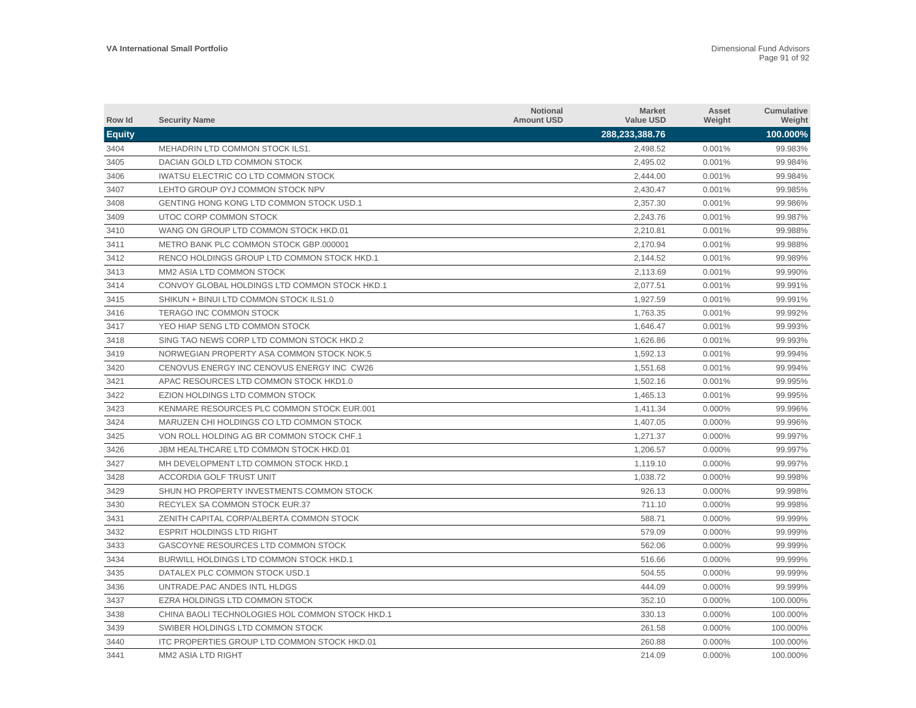| Row Id        | <b>Security Name</b>                            | <b>Notional</b><br><b>Amount USD</b> | <b>Market</b><br><b>Value USD</b> | Asset<br>Weight | <b>Cumulative</b><br>Weight |
|---------------|-------------------------------------------------|--------------------------------------|-----------------------------------|-----------------|-----------------------------|
| <b>Equity</b> |                                                 |                                      | 288,233,388.76                    |                 | 100.000%                    |
| 3404          | MEHADRIN LTD COMMON STOCK ILS1.                 |                                      | 2.498.52                          | 0.001%          | 99.983%                     |
| 3405          | DACIAN GOLD LTD COMMON STOCK                    |                                      | 2,495.02                          | 0.001%          | 99.984%                     |
| 3406          | <b>IWATSU ELECTRIC CO LTD COMMON STOCK</b>      |                                      | 2,444.00                          | 0.001%          | 99.984%                     |
| 3407          | LEHTO GROUP OYJ COMMON STOCK NPV                |                                      | 2,430.47                          | 0.001%          | 99.985%                     |
| 3408          | <b>GENTING HONG KONG LTD COMMON STOCK USD.1</b> |                                      | 2,357.30                          | 0.001%          | 99.986%                     |
| 3409          | UTOC CORP COMMON STOCK                          |                                      | 2,243.76                          | 0.001%          | 99.987%                     |
| 3410          | WANG ON GROUP LTD COMMON STOCK HKD.01           |                                      | 2,210.81                          | 0.001%          | 99.988%                     |
| 3411          | METRO BANK PLC COMMON STOCK GBP.000001          |                                      | 2,170.94                          | 0.001%          | 99.988%                     |
| 3412          | RENCO HOLDINGS GROUP LTD COMMON STOCK HKD.1     |                                      | 2,144.52                          | 0.001%          | 99.989%                     |
| 3413          | MM2 ASIA LTD COMMON STOCK                       |                                      | 2,113.69                          | 0.001%          | 99.990%                     |
| 3414          | CONVOY GLOBAL HOLDINGS LTD COMMON STOCK HKD.1   |                                      | 2,077.51                          | 0.001%          | 99.991%                     |
| 3415          | SHIKUN + BINUI LTD COMMON STOCK ILS1.0          |                                      | 1,927.59                          | 0.001%          | 99.991%                     |
| 3416          | TERAGO INC COMMON STOCK                         |                                      | 1.763.35                          | 0.001%          | 99.992%                     |
| 3417          | YEO HIAP SENG LTD COMMON STOCK                  |                                      | 1,646.47                          | 0.001%          | 99.993%                     |
| 3418          | SING TAO NEWS CORP LTD COMMON STOCK HKD.2       |                                      | 1.626.86                          | 0.001%          | 99.993%                     |
| 3419          | NORWEGIAN PROPERTY ASA COMMON STOCK NOK.5       |                                      | 1,592.13                          | 0.001%          | 99.994%                     |
| 3420          | CENOVUS ENERGY INC CENOVUS ENERGY INC CW26      |                                      | 1,551.68                          | 0.001%          | 99.994%                     |
| 3421          | APAC RESOURCES LTD COMMON STOCK HKD1.0          |                                      | 1,502.16                          | 0.001%          | 99.995%                     |
| 3422          | EZION HOLDINGS LTD COMMON STOCK                 |                                      | 1,465.13                          | 0.001%          | 99.995%                     |
| 3423          | KENMARE RESOURCES PLC COMMON STOCK EUR.001      |                                      | 1,411.34                          | 0.000%          | 99.996%                     |
| 3424          | MARUZEN CHI HOLDINGS CO LTD COMMON STOCK        |                                      | 1,407.05                          | $0.000\%$       | 99.996%                     |
| 3425          | VON ROLL HOLDING AG BR COMMON STOCK CHF.1       |                                      | 1,271.37                          | 0.000%          | 99.997%                     |
| 3426          | <b>JBM HEALTHCARE LTD COMMON STOCK HKD.01</b>   |                                      | 1,206.57                          | $0.000\%$       | 99.997%                     |
| 3427          | MH DEVELOPMENT LTD COMMON STOCK HKD.1           |                                      | 1,119.10                          | 0.000%          | 99.997%                     |
| 3428          | <b>ACCORDIA GOLF TRUST UNIT</b>                 |                                      | 1,038.72                          | 0.000%          | 99.998%                     |
| 3429          | SHUN HO PROPERTY INVESTMENTS COMMON STOCK       |                                      | 926.13                            | 0.000%          | 99.998%                     |
| 3430          | RECYLEX SA COMMON STOCK EUR.37                  |                                      | 711.10                            | 0.000%          | 99.998%                     |
| 3431          | ZENITH CAPITAL CORP/ALBERTA COMMON STOCK        |                                      | 588.71                            | $0.000\%$       | 99.999%                     |
| 3432          | <b>ESPRIT HOLDINGS LTD RIGHT</b>                |                                      | 579.09                            | 0.000%          | 99.999%                     |
| 3433          | GASCOYNE RESOURCES LTD COMMON STOCK             |                                      | 562.06                            | 0.000%          | 99.999%                     |
| 3434          | BURWILL HOLDINGS LTD COMMON STOCK HKD.1         |                                      | 516.66                            | 0.000%          | 99.999%                     |
| 3435          | DATALEX PLC COMMON STOCK USD.1                  |                                      | 504.55                            | 0.000%          | 99.999%                     |
| 3436          | UNTRADE.PAC ANDES INTL HLDGS                    |                                      | 444.09                            | 0.000%          | 99.999%                     |
| 3437          | EZRA HOLDINGS LTD COMMON STOCK                  |                                      | 352.10                            | $0.000\%$       | 100.000%                    |
| 3438          | CHINA BAOLI TECHNOLOGIES HOL COMMON STOCK HKD.1 |                                      | 330.13                            | $0.000\%$       | 100.000%                    |
| 3439          | SWIBER HOLDINGS LTD COMMON STOCK                |                                      | 261.58                            | 0.000%          | 100.000%                    |
| 3440          | ITC PROPERTIES GROUP LTD COMMON STOCK HKD.01    |                                      | 260.88                            | 0.000%          | 100.000%                    |
| 3441          | <b>MM2 ASIA LTD RIGHT</b>                       |                                      | 214.09                            | 0.000%          | 100.000%                    |